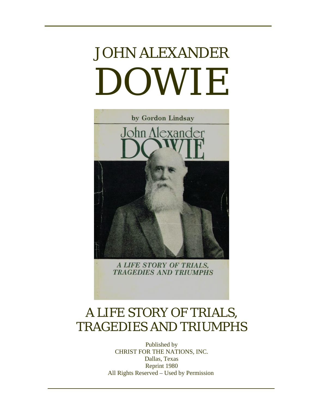

A LIFE STORY OF TRIALS, **TRAGEDIES AND TRIUMPHS** 

## A LIFE STORY OF TRIALS, TRAGEDIES AND TRIUMPHS

Published by CHRIST FOR THE NATIONS, INC. Dallas, Texas Reprint 1980 All Rights Reserved – Used by Permission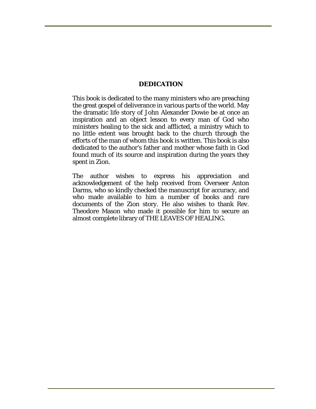#### **DEDICATION**

This book is dedicated to the many ministers who are preaching the great gospel of deliverance in various parts of the world. May the dramatic life story of John Alexander Dowie be at once an inspiration and an object lesson to every man of God who ministers healing to the sick and afflicted, a ministry which to no little extent was brought back to the church through the efforts of the man of whom this book is written. This book is also dedicated to the author's father and mother whose faith in God found much of its source and inspiration during the years they spent in Zion.

The author wishes to express his appreciation and acknowledgement of the help received from Overseer Anton Darms, who so kindly checked the manuscript for accuracy, and who made available to him a number of books and rare documents of the Zion story. He also wishes to thank Rev. Theodore Mason who made it possible for him to secure an almost complete library of THE LEAVES OF HEALING.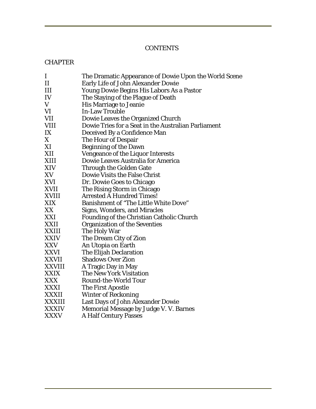## **CONTENTS**

#### CHAPTER

| I             | The Dramatic Appearance of Dowie Upon the World Scene |
|---------------|-------------------------------------------------------|
| $\mathbf{I}$  | <b>Early Life of John Alexander Dowie</b>             |
| Ш             | Young Dowie Begins His Labors As a Pastor             |
| IV            | The Staying of the Plague of Death                    |
| V             | <b>His Marriage to Jeanie</b>                         |
| VI            | <b>In-Law Trouble</b>                                 |
| <b>VII</b>    | Dowie Leaves the Organized Church                     |
| <b>VIII</b>   | Dowie Tries for a Seat in the Australian Parliament   |
| IX            | Deceived By a Confidence Man                          |
| X             | The Hour of Despair                                   |
| XI            | <b>Beginning of the Dawn</b>                          |
| XII           | <b>Vengeance of the Liquor Interests</b>              |
| XIII          | Dowie Leaves Australia for America                    |
| XIV           | <b>Through the Golden Gate</b>                        |
| XV            | Dowie Visits the False Christ                         |
| XVI           | Dr. Dowie Goes to Chicago                             |
| <b>XVII</b>   | The Rising Storm in Chicago                           |
| <b>XVIII</b>  | <b>Arrested A Hundred Times!</b>                      |
| XIX           | <b>Banishment of "The Little White Dove"</b>          |
| XX            | Signs, Wonders, and Miracles                          |
| XXI           | <b>Founding of the Christian Catholic Church</b>      |
| XXII          | <b>Organization of the Seventies</b>                  |
| XXIII         | The Holy War                                          |
| <b>XXIV</b>   | The Dream City of Zion                                |
| <b>XXV</b>    | An Utopia on Earth                                    |
| <b>XXVI</b>   | The Elijah Declaration                                |
| <b>XXVII</b>  | <b>Shadows Over Zion</b>                              |
| <b>XXVIII</b> | A Tragic Day in May                                   |
| <b>XXIX</b>   | The New York Visitation                               |
| XXX           | <b>Round-the-World Tour</b>                           |
| XXXI          | The First Apostle                                     |
| XXXII         | <b>Winter of Reckoning</b>                            |
| <b>XXXIII</b> | <b>Last Days of John Alexander Dowie</b>              |
| XXXIV         | Memorial Message by Judge V. V. Barnes                |
| XXXV          | <b>A Half Century Passes</b>                          |
|               |                                                       |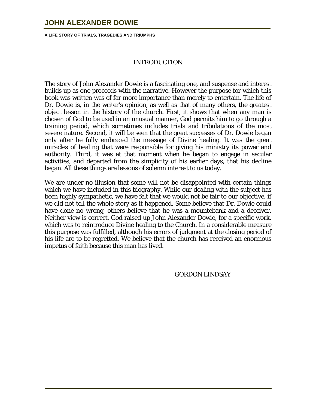**A LIFE STORY OF TRIALS, TRAGEDIES AND TRIUMPHS** 

#### INTRODUCTION

The story of John Alexander Dowie is a fascinating one, and suspense and interest builds up as one proceeds with the narrative. However the purpose for which this book was written was of far more importance than merely to entertain. The life of Dr. Dowie is, in the writer's opinion, as well as that of many others, the greatest object lesson in the history of the church. First, it shows that when any man is chosen of God to be used in an unusual manner, God permits him to go through a training period, which sometimes includes trials and tribulations of the most severe nature. Second, it will be seen that the great successes of Dr. Dowie began only after he fully embraced the message of Divine healing. It was the great miracles of healing that were responsible for giving his ministry its power and authority. Third, it was at that moment when he began to engage in secular activities, and departed from the simplicity of his earlier days, that his decline began. All these things are lessons of solemn interest to us today.

We are under no illusion that some will not be disappointed with certain things which we have included in this biography. While our dealing with the subject has been highly sympathetic, we have felt that we would not be fair to our objective, if we did not tell the whole story as it happened. Some believe that Dr. Dowie could have done no wrong, others believe that he was a mountebank and a deceiver. Neither view is correct. God raised up John Alexander Dowie, for a specific work, which was to reintroduce Divine healing to the Church. In a considerable measure this purpose was fulfilled, although his errors of judgment at the closing period of his life are to be regretted. We believe that the church has received an enormous impetus of faith because this man has lived.

GORDON LINDSAY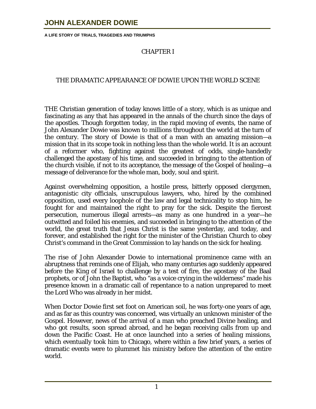**A LIFE STORY OF TRIALS, TRAGEDIES AND TRIUMPHS** 

## CHAPTER I

## THE DRAMATIC APPEARANCE OF DOWIE UPON THE WORLD SCENE

THE Christian generation of today knows little of a story, which is as unique and fascinating as any that has appeared in the annals of the church since the days of the apostles. Though forgotten today, in the rapid moving of events, the name of John Alexander Dowie was known to millions throughout the world at the turn of the century. The story of Dowie is that of a man with an amazing mission—a mission that in its scope took in nothing less than the whole world. It is an account of a reformer who, fighting against the greatest of odds, single-handedly challenged the apostasy of his time, and succeeded in bringing to the attention of the church visible, if not to its acceptance, the message of the Gospel of healing—a message of deliverance for the whole man, body, soul and spirit.

Against overwhelming opposition, a hostile press, bitterly opposed clergymen, antagonistic city officials, unscrupulous lawyers, who, hired by the combined opposition, used every loophole of the law and legal technicality to stop him, he fought for and maintained the right to pray for the sick. Despite the fiercest persecution, numerous illegal arrests—as many as one hundred in a year—he outwitted and foiled his enemies, and succeeded in bringing to the attention of the world, the great truth that Jesus Christ is the same yesterday, and today, and forever, and established the right for the minister of the Christian Church to obey Christ's command in the Great Commission to lay hands on the sick for healing.

The rise of John Alexander Dowie to international prominence came with an abruptness that reminds one of Elijah, who many centuries ago suddenly appeared before the King of Israel to challenge by a test of fire, the apostasy of the Baal prophets, or of John the Baptist, who "as a voice crying in the wilderness" made his presence known in a dramatic call of repentance to a nation unprepared to meet the Lord Who was already in her midst.

When Doctor Dowie first set foot on American soil, he was forty-one years of age, and as far as this country was concerned, was virtually an unknown minister of the Gospel. However, news of the arrival of a man who preached Divine healing, and who got results, soon spread abroad, and he began receiving calls from up and down the Pacific Coast. He at once launched into a series of healing missions, which eventually took him to Chicago, where within a few brief years, a series of dramatic events were to plummet his ministry before the attention of the entire world.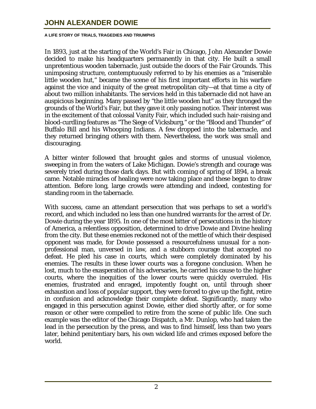#### **A LIFE STORY OF TRIALS, TRAGEDIES AND TRIUMPHS**

In 1893, just at the starting of the World's Fair in Chicago, John Alexander Dowie decided to make his headquarters permanently in that city. He built a small unpretentious wooden tabernacle, just outside the doors of the Fair Grounds. This unimposing structure, contemptuously referred to by his enemies as a "miserable little wooden hut," became the scene of his first important efforts in his warfare against the vice and iniquity of the great metropolitan city—at that time a city of about two million inhabitants. The services held in this tabernacle did not have an auspicious beginning. Many passed by "the little wooden hut" as they thronged the grounds of the World's Fair, but they gave it only passing notice. Their interest was in the excitement of that colossal Vanity Fair, which included such hair-raising and blood-curdling features as "The Siege of Vicksburg," or the "Blood and Thunder" of Buffalo Bill and his Whooping Indians. A few dropped into the tabernacle, and they returned bringing others with them. Nevertheless, the work was small and discouraging.

A bitter winter followed that brought gales and storms of unusual violence, sweeping in from the waters of Lake Michigan. Dowie's strength and courage was severely tried during those dark days. But with coming of spring of 1894, a break came. Notable miracles of healing were now taking place and these began to draw attention. Before long, large crowds were attending and indeed, contesting for standing room in the tabernacle.

With success, came an attendant persecution that was perhaps to set a world's record, and which included no less than one hundred warrants for the arrest of Dr. Dowie during the year 1895. In one of the most bitter of persecutions in the history of America, a relentless opposition, determined to drive Dowie and Divine healing from the city. But these enemies reckoned not of the mettle of which their despised opponent was made, for Dowie possessed a resourcefulness unusual for a nonprofessional man, unversed in law, and a stubborn courage that accepted no defeat. He pled his case in courts, which were completely dominated by his enemies. The results in these lower courts was a foregone conclusion. When he lost, much to the exasperation of his adversaries, he carried his cause to the higher courts, where the inequities of the lower courts were quickly overruled. His enemies, frustrated and enraged, impotently fought on, until through sheer exhaustion and loss of popular support, they were forced to give up the fight, retire in confusion and acknowledge their complete defeat. Significantly, many who engaged in this persecution against Dowie, either died shortly after, or for some reason or other were compelled to retire from the scene of public life. One such example was the editor of the Chicago Dispatch, a Mr. Dunlop, who had taken the lead in the persecution by the press, and was to find himself, less than two years later, behind penitentiary bars, his own wicked life and crimes exposed before the world.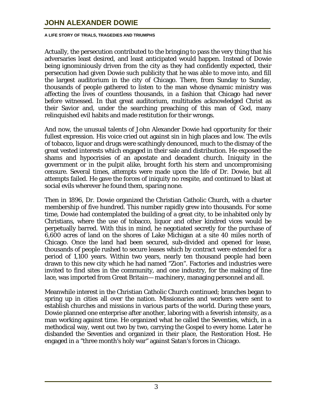**A LIFE STORY OF TRIALS, TRAGEDIES AND TRIUMPHS** 

Actually, the persecution contributed to the bringing to pass the very thing that his adversaries least desired, and least anticipated would happen. Instead of Dowie being ignominiously driven from the city as they had confidently expected, their persecution had given Dowie such publicity that he was able to move into, and fill the largest auditorium in the city of Chicago. There, from Sunday to Sunday, thousands of people gathered to listen to the man whose dynamic ministry was affecting the lives of countless thousands, in a fashion that Chicago had never before witnessed. In that great auditorium, multitudes acknowledged Christ as their Savior and, under the searching preaching of this man of God, many relinquished evil habits and made restitution for their wrongs.

And now, the unusual talents of John Alexander Dowie had opportunity for their fullest expression. His voice cried out against sin in high places and low. The evils of tobacco, liquor and drugs were scathingly denounced, much to the dismay of the great vested interests which engaged in their sale and distribution. He exposed the shams and hypocrisies of an apostate and decadent church. Iniquity in the government or in the pulpit alike, brought forth his stern and uncompromising censure. Several times, attempts were made upon the life of Dr. Dowie, but all attempts failed. He gave the forces of iniquity no respite, and continued to blast at social evils wherever he found them, sparing none.

Then in 1896, Dr. Dowie organized the Christian Catholic Church, with a charter membership of five hundred. This number rapidly grew into thousands. For some time, Dowie had contemplated the building of a great city, to be inhabited only by Christians, where the use of tobacco, liquor and other kindred vices would be perpetually barred. With this in mind, he negotiated secretly for the purchase of 6,600 acres of land on the shores of Lake Michigan at a site 40 miles north of Chicago. Once the land had been secured, sub-divided and opened for lease, thousands of people rushed to secure leases which by contract were extended for a period of 1,100 years. Within two years, nearly ten thousand people had been drawn to this new city which he had named "Zion". Factories and industries were invited to find sites in the community, and one industry, for the making of fine lace, was imported from Great Britain— machinery, managing personnel and all.

Meanwhile interest in the Christian Catholic Church continued; branches began to spring up in cities all over the nation. Missionaries and workers were sent to establish churches and missions in various parts of the world. During these years, Dowie planned one enterprise after another, laboring with a feverish intensity, as a man working against time. He organized what he called the Seventies, which, in a methodical way, went out two by two, carrying the Gospel to every home. Later he disbanded the Seventies and organized in their place, the Restoration Host. He engaged in a "three month's holy war" against Satan's forces in Chicago.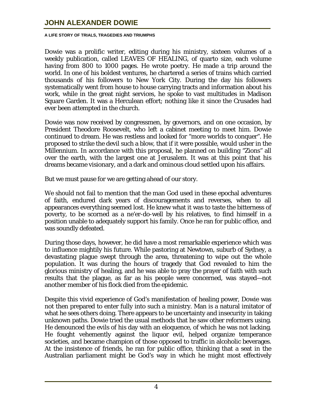**A LIFE STORY OF TRIALS, TRAGEDIES AND TRIUMPHS** 

Dowie was a prolific writer, editing during his ministry, sixteen volumes of a weekly publication, called LEAVES OF HEALING, of quarto size, each volume having from 800 to 1000 pages. He wrote poetry. He made a trip around the world. In one of his boldest ventures, he chartered a series of trains which carried thousands of his followers to New York City. During the day his followers systematically went from house to house carrying tracts and information about his work, while in the great night services, he spoke to vast multitudes in Madison Square Garden. It was a Herculean effort; nothing like it since the Crusades had ever been attempted in the church.

Dowie was now received by congressmen, by governors, and on one occasion, by President Theodore Roosevelt, who left a cabinet meeting to meet him. Dowie continued to dream. He was restless and looked for "more worlds to conquer". He proposed to strike the devil such a blow, that if it were possible, would usher in the Millennium. In accordance with this proposal, he planned on building "Zions" all over the earth, with the largest one at Jerusalem. It was at this point that his dreams became visionary, and a dark and ominous cloud settled upon his affairs.

But we must pause for we are getting ahead of our story.

We should not fail to mention that the man God used in these epochal adventures of faith, endured dark years of discouragements and reverses, when to all appearances everything seemed lost. He knew what it was to taste the bitterness of poverty, to be scorned as a ne'er-do-well by his relatives, to find himself in a position unable to adequately support his family. Once he ran for public office, and was soundly defeated.

During those days, however, he did have a most remarkable experience which was to influence mightily his future. While pastoring at Newtown, suburb of Sydney, a devastating plague swept through the area, threatening to wipe out the whole population. It was during the hours of tragedy that God revealed to him the glorious ministry of healing, and he was able to pray the prayer of faith with such results that the plague, as far as his people were concerned, was stayed—not another member of his flock died from the epidemic.

Despite this vivid experience of God's manifestation of healing power, Dowie was not then prepared to enter fully into such a ministry. Man is a natural imitator of what he sees others doing. There appears to be uncertainty and insecurity in taking unknown paths. Dowie tried the usual methods that he saw other reformers using. He denounced the evils of his day with an eloquence, of which he was not lacking. He fought vehemently against the liquor evil, helped organize temperance societies, and became champion of those opposed to traffic in alcoholic beverages. At the insistence of friends, he ran for public office, thinking that a seat in the Australian parliament might be God's way in which he might most effectively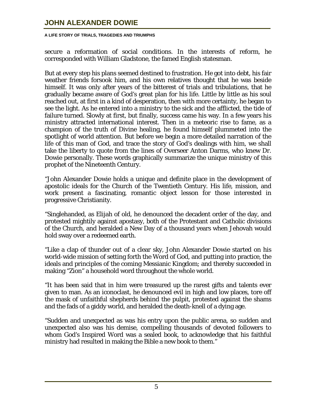**A LIFE STORY OF TRIALS, TRAGEDIES AND TRIUMPHS** 

secure a reformation of social conditions. In the interests of reform, he corresponded with William Gladstone, the famed English statesman.

But at every step his plans seemed destined to frustration. He got into debt, his fair weather friends forsook him, and his own relatives thought that he was beside himself. It was only after years of the bitterest of trials and tribulations, that he gradually became aware of God's great plan for his life. Little by little as his soul reached out, at first in a kind of desperation, then with more certainty, he began to see the light. As he entered into a ministry to the sick and the afflicted, the tide of failure turned. Slowly at first, but finally, success came his way. In a few years his ministry attracted international interest. Then in a meteoric rise to fame, as a champion of the truth of Divine healing, he found himself plummeted into the spotlight of world attention. But before we begin a more detailed narration of the life of this man of God, and trace the story of God's dealings with him, we shall take the liberty to quote from the lines of Overseer Anton Darms, who knew Dr. Dowie personally. These words graphically summarize the unique ministry of this prophet of the Nineteenth Century.

"John Alexander Dowie holds a unique and definite place in the development of apostolic ideals for the Church of the Twentieth Century. His life, mission, and work present a fascinating, romantic object lesson for those interested in progressive Christianity.

"Singlehanded, as Elijah of old, he denounced the decadent order of the day, and protested mightily against apostasy, both of the Protestant and Catholic divisions of the Church, and heralded a New Day of a thousand years when Jehovah would hold sway over a redeemed earth.

"Like a clap of thunder out of a clear sky, John Alexander Dowie started on his world-wide mission of setting forth the Word of God, and putting into practice, the ideals and principles of the coming Messianic Kingdom; and thereby succeeded in making "Zion" a household word throughout the whole world.

"It has been said that in him were treasured up the rarest gifts and talents ever given to man. As an iconoclast, he denounced evil in high and low places, tore off the mask of unfaithful shepherds behind the pulpit, protested against the shams and the fads of a giddy world, and heralded the death-knell of a dying age.

"Sudden and unexpected as was his entry upon the public arena, so sudden and unexpected also was his demise, compelling thousands of devoted followers to whom God's Inspired Word was a sealed book, to acknowledge that his faithful ministry had resulted in making the Bible a new book to them."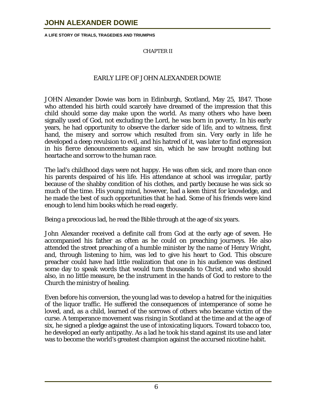**A LIFE STORY OF TRIALS, TRAGEDIES AND TRIUMPHS** 

#### CHAPTER II

#### EARLY LIFE OF JOHN ALEXANDER DOWIE

JOHN Alexander Dowie was born in Edinburgh, Scotland, May 25, 1847. Those who attended his birth could scarcely have dreamed of the impression that this child should some day make upon the world. As many others who have been signally used of God, not excluding the Lord, he was born in poverty. In his early years, he had opportunity to observe the darker side of life, and to witness, first hand, the misery and sorrow which resulted from sin. Very early in life he developed a deep revulsion to evil, and his hatred of it, was later to find expression in his fierce denouncements against sin, which he saw brought nothing but heartache and sorrow to the human race.

The lad's childhood days were not happy. He was often sick, and more than once his parents despaired of his life. His attendance at school was irregular, partly because of the shabby condition of his clothes, and partly because he was sick so much of the time. His young mind, however, had a keen thirst for knowledge, and he made the best of such opportunities that he had. Some of his friends were kind enough to lend him books which he read eagerly.

Being a precocious lad, he read the Bible through at the age of six years.

John Alexander received a definite call from God at the early age of seven. He accompanied his father as often as he could on preaching journeys. He also attended the street preaching of a humble minister by the name of Henry Wright, and, through listening to him, was led to give his heart to God. This obscure preacher could have had little realization that one in his audience was destined some day to speak words that would turn thousands to Christ, and who should also, in no little measure, be the instrument in the hands of God to restore to the Church the ministry of healing.

Even before his conversion, the young lad was to develop a hatred for the iniquities of the liquor traffic. He suffered the consequences of intemperance of some he loved, and, as a child, learned of the sorrows of others who became victim of the curse. A temperance movement was rising in Scotland at the time and at the age of six, he signed a pledge against the use of intoxicating liquors. Toward tobacco too, he developed an early antipathy. As a lad he took his stand against its use and later was to become the world's greatest champion against the accursed nicotine habit.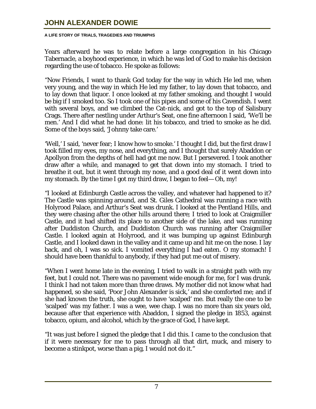**A LIFE STORY OF TRIALS, TRAGEDIES AND TRIUMPHS** 

Years afterward he was to relate before a large congregation in his Chicago Tabernacle, a boyhood experience, in which he was led of God to make his decision regarding the use of tobacco. He spoke as follows:

"Now Friends, I want to thank God today for the way in which He led me, when very young, and the way in which He led my father, to lay down that tobacco, and to lay down that liquor. I once looked at my father smoking, and thought I would be big if I smoked too. So I took one of his pipes and some of his Cavendish. I went with several boys, and we climbed the Cat-nick, and got to the top of Salisbury Crags. There after nestling under Arthur's Seat, one fine afternoon I said, 'We'll be men.' And I did what he had done: lit his tobacco, and tried to smoke as he did. Some of the boys said, 'Johnny take care.'

'Well,' I said, 'never fear; I know how to smoke.' I thought I did, but the first draw I took filled my eyes, my nose, and everything, and I thought that surely Abaddon or Apollyon from the depths of hell had got me now. But I persevered. I took another draw after a while, and managed to get that down into my stomach. I tried to breathe it out, but it went through my nose, and a good deal of it went down into my stomach. By the time I got my third draw, I began to feel— Oh, my!

"I looked at Edinburgh Castle across the valley, and whatever had happened to it? The Castle was spinning around, and St. Giles Cathedral was running a race with Holyrood Palace, and Arthur's Seat was drunk. I looked at the Pentland Hills, and they were chasing after the other hills around there; I tried to look at Craigmiller Castle, and it had shifted its place to another side of the lake, and was running after Duddiston Church, and Duddiston Church was running after Craigmiller Castle. I looked again at Holyrood, and it was bumping up against Edinburgh Castle, and I looked dawn in the valley and it came up and hit me on the nose. I lay back, and oh, I was so sick. I vomited everything I had eaten. O my stomach! I should have been thankful to anybody, if they had put me out of misery.

"When I went home late in the evening, I tried to walk in a straight path with my feet, but I could not. There was no pavement wide enough for me, for I was drunk. I think I had not taken more than three draws. My mother did not know what had happened, so she said, 'Poor John Alexander is sick,' and she comforted me; and if she had known the truth, she ought to have 'scalped' me. But really the one to be 'scalped' was my father. I was a wee, wee chap. I was no more than six years old, because after that experience with Abaddon, I signed the pledge in 1853, against tobacco, opium, and alcohol, which by the grace of God, I have kept.

"It was just before I signed the pledge that I did this. I came to the conclusion that if it were necessary for me to pass through all that dirt, muck, and misery to become a stinkpot, worse than a pig, I would not do it."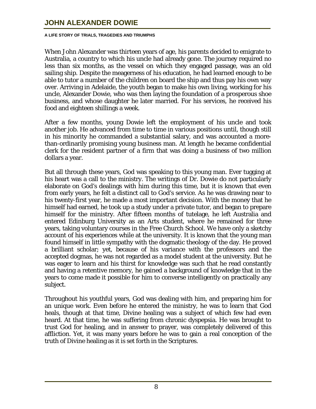**A LIFE STORY OF TRIALS, TRAGEDIES AND TRIUMPHS** 

When John Alexander was thirteen years of age, his parents decided to emigrate to Australia, a country to which his uncle had already gone. The journey required no less than six months, as the vessel on which they engaged passage, was an old sailing ship. Despite the meagerness of his education, he had learned enough to be able to tutor a number of the children on board the ship and thus pay his own way over. Arriving in Adelaide, the youth began to make his own living, working for his uncle, Alexander Dowie, who was then laying the foundation of a prosperous shoe business, and whose daughter he later married. For his services, he received his food and eighteen shillings a week.

After a few months, young Dowie left the employment of his uncle and took another job. He advanced from time to time in various positions until, though still in his minority he commanded a substantial salary, and was accounted a morethan-ordinarily promising young business man. At length he became confidential clerk for the resident partner of a firm that was doing a business of two million dollars a year.

But all through these years, God was speaking to this young man. Ever tugging at his heart was a call to the ministry. The writings of Dr. Dowie do not particularly elaborate on God's dealings with him during this time, but it is known that even from early years, he felt a distinct call to God's service. As he was drawing near to his twenty-first year, he made a most important decision. With the money that he himself had earned, he took up a study under a private tutor, and began to prepare himself for the ministry. After fifteen months of tutelage, he left Australia and entered Edinburg University as an Arts student, where he remained for three years, taking voluntary courses in the Free Church School. We have only a sketchy account of his experiences while at the university. It is known that the young man found himself in little sympathy with the dogmatic theology of the day. He proved a brilliant scholar; yet, because of his variance with the professors and the accepted dogmas, he was not regarded as a model student at the university. But he was eager to learn and his thirst for knowledge was such that he read constantly and having a retentive memory, he gained a background of knowledge that in the years to come made it possible for him to converse intelligently on practically any subject.

Throughout his youthful years, God was dealing with him, and preparing him for an unique work. Even before he entered the ministry, he was to learn that God heals, though at that time, Divine healing was a subject of which few had even heard. At that time, he was suffering from chronic dyspepsia. He was brought to trust God for healing, and in answer to prayer, was completely delivered of this affliction. Yet, it was many years before he was to gain a real conception of the truth of Divine healing as it is set forth in the Scriptures.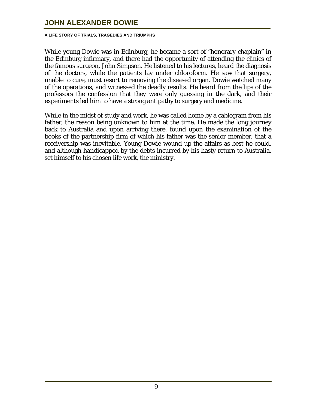#### **A LIFE STORY OF TRIALS, TRAGEDIES AND TRIUMPHS**

While young Dowie was in Edinburg, he became a sort of "honorary chaplain" in the Edinburg infirmary, and there had the opportunity of attending the clinics of the famous surgeon, John Simpson. He listened to his lectures, heard the diagnosis of the doctors, while the patients lay under chloroform. He saw that surgery, unable to cure, must resort to removing the diseased organ. Dowie watched many of the operations, and witnessed the deadly results. He heard from the lips of the professors the confession that they were only guessing in the dark, and their experiments led him to have a strong antipathy to surgery and medicine.

While in the midst of study and work, he was called home by a cablegram from his father, the reason being unknown to him at the time. He made the long journey back to Australia and upon arriving there, found upon the examination of the books of the partnership firm of which his father was the senior member, that a receivership was inevitable. Young Dowie wound up the affairs as best he could, and although handicapped by the debts incurred by his hasty return to Australia, set himself to his chosen life work, the ministry.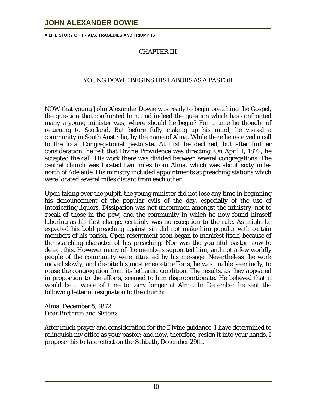**A LIFE STORY OF TRIALS, TRAGEDIES AND TRIUMPHS** 

#### CHAPTER III

#### YOUNG DOWIE BEGINS HIS LABORS AS A PASTOR

NOW that young John Alexander Dowie was ready to begin preaching the Gospel, the question that confronted him, and indeed the question which has confronted many a young minister was, where should he begin? For a time he thought of returning to Scotland. But before fully making up his mind, he visited a community in South Australia, by the name of Alma. While there he received a call to the local Congregational pastorate. At first he declined, but after further consideration, he felt that Divine Providence was directing. On April 1, 1872, he accepted the call. His work there was divided between several congregations. The central church was located two miles from Alma, which was about sixty miles north of Adelaide. His ministry included appointments at preaching stations which were located several miles distant from each other.

Upon taking over the pulpit, the young minister did not lose any time in beginning his denouncement of the popular evils of the day, especially of the use of intoxicating liquors. Dissipation was not uncommon amongst the ministry, not to speak of those in the pew, and the community in which he now found himself laboring as his first charge, certainly was no exception to the rule. As might be expected his bold preaching against sin did not make him popular with certain members of his parish. Open resentment soon began to manifest itself, because of the searching character of his preaching. Nor was the youthful pastor slow to detect this. However many of the members supported him, and not a few worldly people of the community were attracted by his message. Nevertheless the work moved slowly, and despite his most energetic efforts, he was unable seemingly, to rouse the congregation from its lethargic condition. The results, as they appeared in proportion to the efforts, seemed to him disproportionate. He believed that it would be a waste of time to tarry longer at Alma. In December he sent the following letter of resignation to the church:

Alma, December 5, 1872 Dear Brethren and Sisters:

After much prayer and consideration for the Divine guidance, I have determined to relinquish my office as your pastor; and now, therefore, resign it into your hands. I propose this to take effect on the Sabbath, December 29th.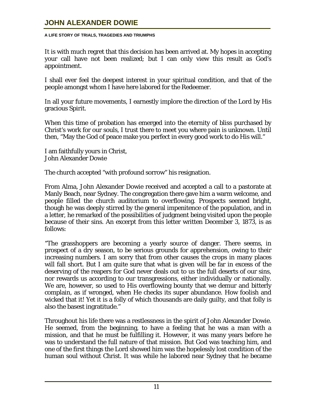#### **A LIFE STORY OF TRIALS, TRAGEDIES AND TRIUMPHS**

It is with much regret that this decision has been arrived at. My hopes in accepting your call have not been realized; but I can only view this result as God's appointment.

I shall ever feel the deepest interest in your spiritual condition, and that of the people amongst whom I have here labored for the Redeemer.

In all your future movements, I earnestly implore the direction of the Lord by His gracious Spirit.

When this time of probation has emerged into the eternity of bliss purchased by Christ's work for our souls, I trust there to meet you where pain is unknown. Until then, "May the God of peace make you perfect in every good work to do His will."

I am faithfully yours in Christ, John Alexander Dowie

The church accepted "with profound sorrow" his resignation.

From Alma, John Alexander Dowie received and accepted a call to a pastorate at Manly Beach, near Sydney. The congregation there gave him a warm welcome, and people filled the church auditorium to overflowing. Prospects seemed bright, though he was deeply stirred by the general impenitence of the population, and in a letter, he remarked of the possibilities of judgment being visited upon the people because of their sins. An excerpt from this letter written December 3, 1873, is as follows:

"The grasshoppers are becoming a yearly source of danger. There seems, in prospect of a dry season, to be serious grounds for apprehension, owing to their increasing numbers. I am sorry that from other causes the crops in many places will fall short. But I am quite sure that what is given will be far in excess of the deserving of the reapers for God never deals out to us the full deserts of our sins, nor rewards us according to our transgressions, either individually or nationally. We are, however, so used to His overflowing bounty that we demur and bitterly complain, as if wronged, when He checks its super abundance. How foolish and wicked that it! Yet it is a folly of which thousands are daily guilty, and that folly is also the basest ingratitude."

Throughout his life there was a restlessness in the spirit of John Alexander Dowie. He seemed, from the beginning, to have a feeling that he was a man with a mission, and that he must be fulfilling it. However, it was many years before he was to understand the full nature of that mission. But God was teaching him, and one of the first things the Lord showed him was the hopelessly lost condition of the human soul without Christ. It was while he labored near Sydney that he became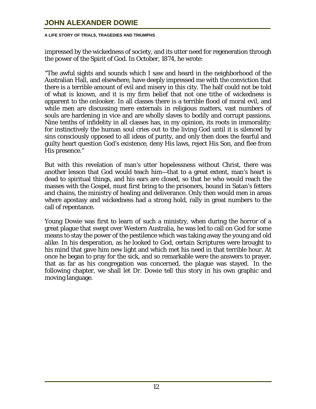**A LIFE STORY OF TRIALS, TRAGEDIES AND TRIUMPHS** 

impressed by the wickedness of society, and its utter need for regeneration through the power of the Spirit of God. In October, 1874, he wrote:

"The awful sights and sounds which I saw and heard in the neighborhood of the Australian Hall, and elsewhere, have deeply impressed me with the conviction that there is a terrible amount of evil and misery in this city. The half could not be told of what is known, and it is my firm belief that not one tithe of wickedness is apparent to the onlooker. In all classes there is a terrible flood of moral evil, and while men are discussing mere externals in religious matters, vast numbers of souls are hardening in vice and are wholly slaves to bodily and corrupt passions. Nine tenths of infidelity in all classes has, in my opinion, its roots in immorality; for instinctively the human soul cries out to the living God until it is silenced by sins consciously opposed to all ideas of purity, and only then does the fearful and guilty heart question God's existence, deny His laws, reject His Son, and flee from His presence."

But with this revelation of man's utter hopelessness without Christ, there was another lesson that God would teach him—that to a great extent, man's heart is dead to spiritual things, and his ears are closed, so that he who would reach the masses with the Gospel, must first bring to the prisoners, bound in Satan's fetters and chains, the ministry of healing and deliverance. Only then would men in areas where apostasy and wickedness had a strong hold, rally in great numbers to the call of repentance.

Young Dowie was first to learn of such a ministry, when during the horror of a great plague that swept over Western Australia, he was led to call on God for some means to stay the power of the pestilence which was taking away the young and old alike. In his desperation, as he looked to God, certain Scriptures were brought to his mind that gave him new light and which met his need in that terrible hour. At once he began to pray for the sick, and so remarkable were the answers to prayer, that as far as his congregation was concerned, the plague was stayed. In the following chapter, we shall let Dr. Dowie tell this story in his own graphic and moving language.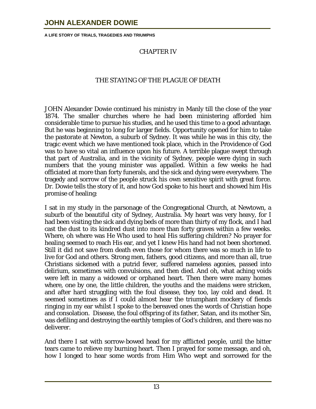**A LIFE STORY OF TRIALS, TRAGEDIES AND TRIUMPHS** 

## CHAPTER IV

## THE STAYING OF THE PLAGUE OF DEATH

JOHN Alexander Dowie continued his ministry in Manly till the close of the year 1874. The smaller churches where he had been ministering afforded him considerable time to pursue his studies, and he used this time to a good advantage. But he was beginning to long for larger fields. Opportunity opened for him to take the pastorate at Newton, a suburb of Sydney. It was while he was in this city, the tragic event which we have mentioned took place, which in the Providence of God was to have so vital an influence upon his future. A terrible plague swept through that part of Australia, and in the vicinity of Sydney, people were dying in such numbers that the young minister was appalled. Within a few weeks he had officiated at more than forty funerals, and the sick and dying were everywhere. The tragedy and sorrow of the people struck his own sensitive spirit with great force. Dr. Dowie tells the story of it, and how God spoke to his heart and showed him His promise of healing:

I sat in my study in the parsonage of the Congregational Church, at Newtown, a suburb of the beautiful city of Sydney, Australia. My heart was very heavy, for I had been visiting the sick and dying beds of more than thirty of my flock, and I had cast the dust to its kindred dust into more than forty graves within a few weeks. Where, oh where was He Who used to heal His suffering children? No prayer for healing seemed to reach His ear, and yet I knew His hand had not been shortened. Still it did not save from death even those for whom there was so much in life to live for God and others. Strong men, fathers, good citizens, and more than all, true Christians sickened with a putrid fever, suffered nameless agonies, passed into delirium, sometimes with convulsions, and then died. And oh, what aching voids were left in many a widowed or orphaned heart. Then there were many homes where, one by one, the little children, the youths and the maidens were stricken, and after hard struggling with the foul disease, they too, lay cold and dead. It seemed sometimes as if I could almost hear the triumphant mockery of fiends ringing in my ear whilst I spoke to the bereaved ones the words of Christian hope and consolation. Disease, the foul offspring of its father, Satan, and its mother Sin, was defiling and destroying the earthly temples of God's children, and there was no deliverer.

And there I sat with sorrow-bowed head for my afflicted people, until the bitter tears came to relieve my burning heart. Then I prayed for some message, and oh, how I longed to hear some words from Him Who wept and sorrowed for the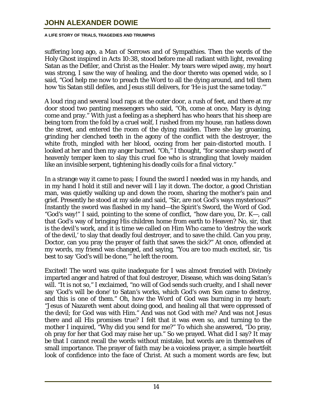#### **A LIFE STORY OF TRIALS, TRAGEDIES AND TRIUMPHS**

suffering long ago, a Man of Sorrows and of Sympathies. Then the words of the Holy Ghost inspired in Acts 10:38, stood before me all radiant with light, revealing Satan as the Defiler, and Christ as the Healer. My tears were wiped away, my heart was strong, I saw the way of healing, and the door thereto was opened wide, so I said, "God help me now to preach the Word to all the dying around, and tell them how 'tis Satan still defiles, and Jesus still delivers, for 'He is just the same today.'"

A loud ring and several loud raps at the outer door, a rush of feet, and there at my door stood two panting messengers who said, "Oh, come at once, Mary is dying; come and pray." With just a feeling as a shepherd has who hears that his sheep are being torn from the fold by a cruel wolf, I rushed from my house, ran hatless down the street, and entered the room of the dying maiden. There she lay groaning, grinding her clenched teeth in the agony of the conflict with the destroyer, the white froth, mingled with her blood, oozing from her pain-distorted mouth. I looked at her and then my anger burned. "Oh," I thought, "for some sharp sword of heavenly temper keen to slay this cruel foe who is strangling that lovely maiden like an invisible serpent, tightening his deadly coils for a final victory."

In a strange way it came to pass; I found the sword I needed was in my hands, and in my hand I hold it still and never will I lay it down. The doctor, a good Christian man, was quietly walking up and down the room, sharing the mother's pain and grief. Presently he stood at my side and said, "Sir, are not God's ways mysterious?" Instantly the sword was flashed in my hand—the Spirit's Sword, the Word of God. "God's way!" I said, pointing to the scene of conflict, "how dare you, Dr. K—, call that God's way of bringing His children home from earth to Heaven? No, sir, that is the devil's work, and it is time we called on Him Who came to 'destroy the work of the devil,' to slay that deadly foul destroyer, and to save the child. Can you pray, Doctor, can you pray the prayer of faith that saves the sick?" At once, offended at my words, my friend was changed, and saying, "You are too much excited, sir, 'tis best to say 'God's will be done,'" he left the room.

Excited! The word was quite inadequate for I was almost frenzied with Divinely imparted anger and hatred of that foul destroyer, Disease, which was doing Satan's will. "It is not so," I exclaimed, "no will of God sends such cruelty, and I shall never say 'God's will be done' to Satan's works, which God's own Son came to destroy, and this is one of them." Oh, how the Word of God was burning in my heart: "Jesus of Nazareth went about doing good, and healing all that were oppressed of the devil; for God was with Him." And was not God with me? And was not Jesus there and all His promises true? I felt that it was even so, and turning to the mother I inquired, "Why did you send for me?" To which she answered, "Do pray, oh pray for her that God may raise her up." So we prayed. What did I say? It may be that I cannot recall the words without mistake, but words are in themselves of small importance. The prayer of faith may be a voiceless prayer, a simple heartfelt look of confidence into the face of Christ. At such a moment words are few, but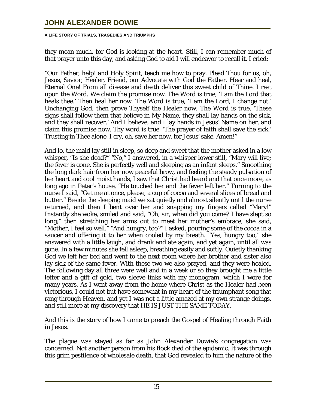**A LIFE STORY OF TRIALS, TRAGEDIES AND TRIUMPHS** 

they mean much, for God is looking at the heart. Still, I can remember much of that prayer unto this day, and asking God to aid I will endeavor to recall it. I cried:

"Our Father, help! and Holy Spirit, teach me how to pray. Plead Thou for us, oh, Jesus, Savior, Healer, Friend, our Advocate with God the Father. Hear and heal, Eternal One! From all disease and death deliver this sweet child of Thine. I rest upon the Word. We claim the promise now. The Word is true, 'I am the Lord that heals thee.' Then heal her now. The Word is true, 'I am the Lord, I change not.' Unchanging God, then prove Thyself the Healer now. The Word is true, 'These signs shall follow them that believe in My Name, they shall lay hands on the sick, and they shall recover.' And I believe, and I lay hands in Jesus' Name on her, and claim this promise now. Thy word is true, 'The prayer of faith shall save the sick.' Trusting in Thee alone, I cry, oh, save her now, for Jesus' sake, Amen!"

And lo, the maid lay still in sleep, so deep and sweet that the mother asked in a low whisper, "Is she dead?" "No," I answered, in a whisper lower still, "Mary will live; the fever is gone. She is perfectly well and sleeping as an infant sleeps." Smoothing the long dark hair from her now peaceful brow, and feeling the steady pulsation of her heart and cool moist hands, I saw that Christ had heard and that once more, as long ago in Peter's house, "He touched her and the fever left her." Turning to the nurse I said, "Get me at once, please, a cup of cocoa and several slices of bread and butter." Beside the sleeping maid we sat quietly and almost silently until the nurse returned, and then I bent over her and snapping my fingers called "Mary!" Instantly she woke, smiled and said, "Oh, sir, when did you come? I have slept so long;" then stretching her arms out to meet her mother's embrace, she said, "Mother, I feel so well." "And hungry, too?" I asked, pouring some of the cocoa in a saucer and offering it to her when cooled by my breath. "Yes, hungry too," she answered with a little laugh, and drank and ate again, and yet again, until all was gone. In a few minutes she fell asleep, breathing easily and softly. Quietly thanking God we left her bed and went to the next room where her brother and sister also lay sick of the same fever. With these two we also prayed, and they were healed. The following day all three were well and in a week or so they brought me a little letter and a gift of gold, two sleeve links with my monogram, which I wore for many years. As I went away from the home where Christ as the Healer had been victorious, I could not but have somewhat in my heart of the triumphant song that rang through Heaven, and yet I was not a little amazed at my own strange doings, and still more at my discovery that HE IS JUST THE SAME TODAY.

And this is the story of how I came to preach the Gospel of Healing through Faith in Jesus.

The plague was stayed as far as John Alexander Dowie's congregation was concerned. Not another person from his flock died of the epidemic. It was through this grim pestilence of wholesale death, that God revealed to him the nature of the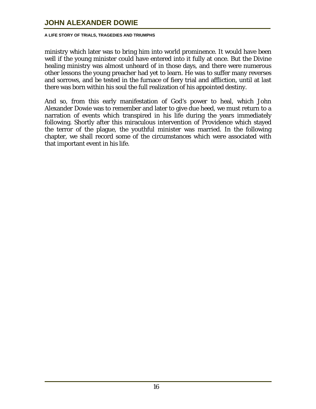#### **A LIFE STORY OF TRIALS, TRAGEDIES AND TRIUMPHS**

ministry which later was to bring him into world prominence. It would have been well if the young minister could have entered into it fully at once. But the Divine healing ministry was almost unheard of in those days, and there were numerous other lessons the young preacher had yet to learn. He was to suffer many reverses and sorrows, and be tested in the furnace of fiery trial and affliction, until at last there was born within his soul the full realization of his appointed destiny.

And so, from this early manifestation of God's power to heal, which John Alexander Dowie was to remember and later to give due heed, we must return to a narration of events which transpired in his life during the years immediately following. Shortly after this miraculous intervention of Providence which stayed the terror of the plague, the youthful minister was married. In the following chapter, we shall record some of the circumstances which were associated with that important event in his life.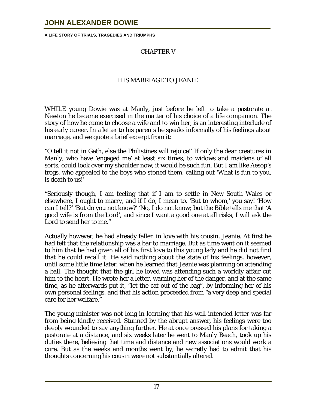**A LIFE STORY OF TRIALS, TRAGEDIES AND TRIUMPHS** 

## CHAPTER V

#### HIS MARRIAGE TO JEANIE

WHILE young Dowie was at Manly, just before he left to take a pastorate at Newton he became exercised in the matter of his choice of a life companion. The story of how he came to choose a wife and to win her, is an interesting interlude of his early career. In a letter to his parents he speaks informally of his feelings about marriage, and we quote a brief excerpt from it:

"O tell it not in Gath, else the Philistines will rejoice!' If only the dear creatures in Manly, who have 'engaged me' at least six times, to widows and maidens of all sorts, could look over my shoulder now, it would be such fun. But I am like Aesop's frogs, who appealed to the boys who stoned them, calling out 'What is fun to you, is death to us!'

"Seriously though, I am feeling that if I am to settle in New South Wales or elsewhere, I ought to marry, and if I do, I mean to. 'But to whom,' you say! 'How can I tell?' 'But do you not know?' 'No, I do not know; but the Bible tells me that 'A good wife is from the Lord', and since I want a good one at all risks, I will ask the Lord to send her to me."

Actually however, he had already fallen in love with his cousin, Jeanie. At first he had felt that the relationship was a bar to marriage. But as time went on it seemed to him that he had given all of his first love to this young lady and he did not find that he could recall it. He said nothing about the state of his feelings, however, until some little time later, when he learned that Jeanie was planning on attending a ball. The thought that the girl he loved was attending such a worldly affair cut him to the heart. He wrote her a letter, warning her of the danger, and at the same time, as he afterwards put it, "let the cat out of the bag", by informing her of his own personal feelings, and that his action proceeded from "a very deep and special care for her welfare."

The young minister was not long in learning that his well-intended letter was far from being kindly received. Stunned by the abrupt answer, his feelings were too deeply wounded to say anything further. He at once pressed his plans for taking a pastorate at a distance, and six weeks later he went to Manly Beach, took up his duties there, believing that time and distance and new associations would work a cure. But as the weeks and months went by, he secretly had to admit that his thoughts concerning his cousin were not substantially altered.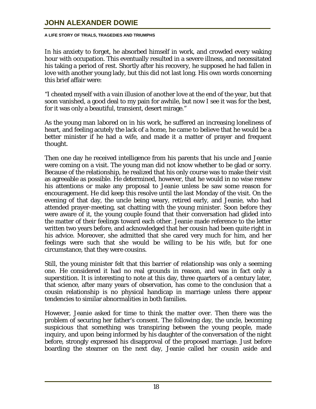#### **A LIFE STORY OF TRIALS, TRAGEDIES AND TRIUMPHS**

In his anxiety to forget, he absorbed himself in work, and crowded every waking hour with occupation. This eventually resulted in a severe illness, and necessitated his taking a period of rest. Shortly after his recovery, he supposed he had fallen in love with another young lady, but this did not last long. His own words concerning this brief affair were:

"I cheated myself with a vain illusion of another love at the end of the year, but that soon vanished, a good deal to my pain for awhile, but now I see it was for the best, for it was only a beautiful, transient, desert mirage."

As the young man labored on in his work, he suffered an increasing loneliness of heart, and feeling acutely the lack of a home, he came to believe that he would be a better minister if he had a wife, and made it a matter of prayer and frequent thought.

Then one day he received intelligence from his parents that his uncle and Jeanie were coming on a visit. The young man did not know whether to be glad or sorry. Because of the relationship, he realized that his only course was to make their visit as agreeable as possible. He determined, however, that he would in no wise renew his attentions or make any proposal to Jeanie unless be saw some reason for encouragement. He did keep this resolve until the last Monday of the visit. On the evening of that day, the uncle being weary, retired early, and Jeanie, who had attended prayer-meeting, sat chatting with the young minister. Soon before they were aware of it, the young couple found that their conversation had glided into the matter of their feelings toward each other. Jeanie made reference to the letter written two years before, and acknowledged that her cousin had been quite right in his advice. Moreover, she admitted that she cared very much for him, and her feelings were such that she would be willing to be his wife, but for one circumstance, that they were cousins.

Still, the young minister felt that this barrier of relationship was only a seeming one. He considered it had no real grounds in reason, and was in fact only a superstition. It is interesting to note at this day, three quarters of a century later, that science, after many years of observation, has come to the conclusion that a cousin relationship is no physical handicap in marriage unless there appear tendencies to similar abnormalities in both families.

However, Jeanie asked for time to think the matter over. Then there was the problem of securing her father's consent. The following day, the uncle, becoming suspicious that something was transpiring between the young people, made inquiry, and upon being informed by his daughter of the conversation of the night before, strongly expressed his disapproval of the proposed marriage. Just before boarding the steamer on the next day, Jeanie called her cousin aside and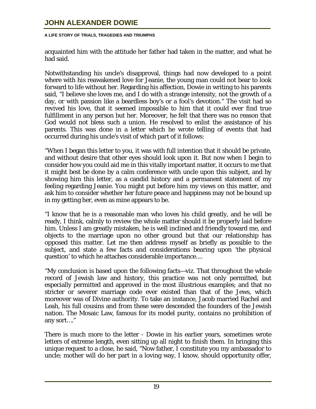**A LIFE STORY OF TRIALS, TRAGEDIES AND TRIUMPHS** 

acquainted him with the attitude her father had taken in the matter, and what he had said.

Notwithstanding his uncle's disapproval, things had now developed to a point where with his reawakened love for Jeanie, the young man could not bear to look forward to life without her. Regarding his affection, Dowie in writing to his parents said, "I believe she loves me, and I do with a strange intensity, not the growth of a day, or with passion like a beardless boy's or a fool's devotion." The visit had so revived his love, that it seemed impossible to him that it could ever find true fulfillment in any person but her. Moreover, he felt that there was no reason that God would not bless such a union. He resolved to enlist the assistance of his parents. This was done in a letter which he wrote telling of events that had occurred during his uncle's visit of which part of it follows:

"When I began this letter to you, it was with full intention that it should be private, and without desire that other eyes should look upon it. But now when I begin to consider how you could aid me in this vitally important matter, it occurs to me that it might best be done by a calm conference with uncle upon this subject, and by showing him this letter, as a candid history and a permanent statement of my feeling regarding Jeanie. You might put before him my views on this matter, and ask him to consider whether her future peace and happiness may not be bound up in my getting her, even as mine appears to be.

"I know that he is a reasonable man who loves his child greatly, and he will be ready, I think, calmly to review the whole matter should it be properly laid before him. Unless I am greatly mistaken, he is well inclined and friendly toward me, and objects to the marriage upon no other ground but that our relationship has opposed this matter. Let me then address myself as briefly as possible to the subject, and state a few facts and considerations bearing upon 'the physical question' to which he attaches considerable importance....

"My conclusion is based upon the following facts—viz. That throughout the whole record of Jewish law and history, this practice was not only permitted, but especially permitted and approved in the most illustrious examples; and that no stricter or severer marriage code ever existed than that of the Jews, which moreover was of Divine authority. To take an instance, Jacob married Rachel and Leah, his full cousins and from these were descended the founders of the Jewish nation. The Mosaic Law, famous for its model purity, contains no prohibition of any sort…."

There is much more to the letter - Dowie in his earlier years, sometimes wrote letters of extreme length, even sitting up all night to finish them. In bringing this unique request to a close, he said, "Now father, I constitute you my ambassador to uncle; mother will do her part in a loving way, I know, should opportunity offer,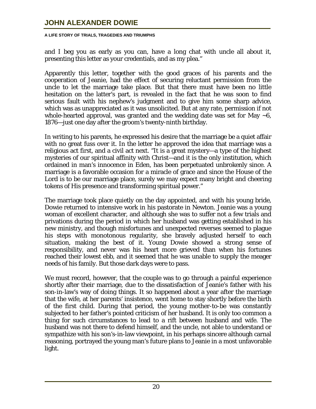**A LIFE STORY OF TRIALS, TRAGEDIES AND TRIUMPHS** 

and I beg you as early as you can, have a long chat with uncle all about it, presenting this letter as your credentials, and as my plea."

Apparently this letter, together with the good graces of his parents and the cooperation of Jeanie, had the effect of securing reluctant permission from the uncle to let the marriage take place. But that there must have been no little hesitation on the latter's part, is revealed in the fact that he was soon to find serious fault with his nephew's judgment and to give him some sharp advice, which was as unappreciated as it was unsolicited. But at any rate, permission if not whole-hearted approval, was granted and the wedding date was set for May  $\sim 6$ , 1876—just one day after the groom's twenty-ninth birthday.

In writing to his parents, he expressed his desire that the marriage be a quiet affair with no great fuss over it. In the letter he approved the idea that marriage was a religious act first, and a civil act next. "It is a great mystery—a type of the highest mysteries of our spiritual affinity with Christ—and it is the only institution, which ordained in man's innocence in Eden, has been perpetuated unbrokenly since. A marriage is a favorable occasion for a miracle of grace and since the House of the Lord is to be our marriage place, surely we may expect many bright and cheering tokens of His presence and transforming spiritual power."

The marriage took place quietly on the day appointed, and with his young bride, Dowie returned to intensive work in his pastorate in Newton. Jeanie was a young woman of excellent character, and although she was to suffer not a few trials and privations during the period in which her husband was getting established in his new ministry, and though misfortunes and unexpected reverses seemed to plague his steps with monotonous regularity, she bravely adjusted herself to each situation, making the best of it. Young Dowie showed a strong sense of responsibility, and never was his heart more grieved than when his fortunes reached their lowest ebb, and it seemed that he was unable to supply the meager needs of his family. But those dark days were to pass.

We must record, however, that the couple was to go through a painful experience shortly after their marriage, due to the dissatisfaction of Jeanie's father with his son-in-law's way of doing things. It so happened about a year after the marriage that the wife, at her parents' insistence, went home to stay shortly before the birth of the first child. During that period, the young mother-to-be was constantly subjected to her father's pointed criticism of her husband. It is only too common a thing for such circumstances to lead to a rift between husband and wife. The husband was not there to defend himself, and the uncle, not able to understand or sympathize with his son's-in-law viewpoint, in his perhaps sincere although carnal reasoning, portrayed the young man's future plans to Jeanie in a most unfavorable light.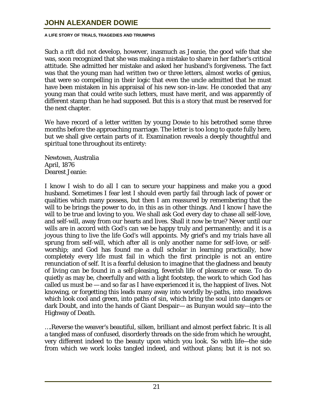#### **A LIFE STORY OF TRIALS, TRAGEDIES AND TRIUMPHS**

Such a rift did not develop, however, inasmuch as Jeanie, the good wife that she was, soon recognized that she was making a mistake to share in her father's critical attitude. She admitted her mistake and asked her husband's forgiveness. The fact was that the young man had written two or three letters, almost works of genius, that were so compelling in their logic that even the uncle admitted that he must have been mistaken in his appraisal of his new son-in-law. He conceded that any young man that could write such letters, must have merit, and was apparently of different stamp than he had supposed. But this is a story that must be reserved for the next chapter.

We have record of a letter written by young Dowie to his betrothed some three months before the approaching marriage. The letter is too long to quote fully here, but we shall give certain parts of it. Examination reveals a deeply thoughtful and spiritual tone throughout its entirety:

Newtown, Australia April, 1876 Dearest Jeanie:

I know I wish to do all I can to secure your happiness and make you a good husband. Sometimes I fear lest I should even partly fail through lack of power or qualities which many possess, but then I am reassured by remembering that the will to be brings the power to do, in this as in other things. And I know I have the will to be true and loving to you. We shall ask God every day to chase all self-love, and self-will, away from our hearts and lives. Shall it now be true? Never until our wills are in accord with God's can we be happy truly and permanently; and it is a joyous thing to live the life God's will appoints. My grief's and my trials have all sprung from self-will, which after all is only another name for self-love, or selfworship; and God has found me a dull scholar in learning practically, how completely every life must fail in which the first principle is not an entire renunciation of self. It is a fearful delusion to imagine that the gladness and beauty of living can be found in a self-pleasing, feverish life of pleasure or ease. To do quietly as may be, cheerfully and with a light footstep, the work to which God has called us must be  $-$  and so far as I have experienced it is, the happiest of lives. Not knowing, or forgetting this leads many away into worldly by-paths, into meadows which look cool and green, into paths of sin, which bring the soul into dangers or dark Doubt, and into the hands of Giant Despair— as Bunyan would say—into the Highway of Death.

….Reverse the weaver's beautiful, silken, brilliant and almost perfect fabric. It is all a tangled mass of confused, disorderly threads on the side from which he wrought, very different indeed to the beauty upon which you look. So with life—the side from which we work looks tangled indeed, and without plans; but it is not so.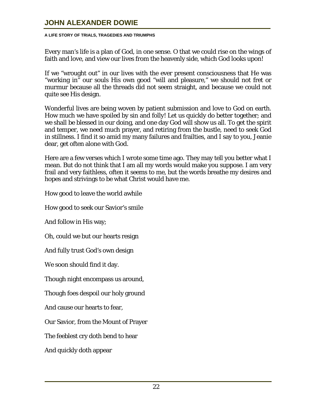#### **A LIFE STORY OF TRIALS, TRAGEDIES AND TRIUMPHS**

Every man's life is a plan of God, in one sense. O that we could rise on the wings of faith and love, and view our lives from the heavenly side, which God looks upon!

If we "wrought out" in our lives with the ever present consciousness that He was "working in" our souls His own good "will and pleasure," we should not fret or murmur because all the threads did not seem straight, and because we could not quite see His design.

Wonderful lives are being woven by patient submission and love to God on earth. How much we have spoiled by sin and folly! Let us quickly do better together; and we shall be blessed in our doing, and one day God will show us all. To get the spirit and temper, we need much prayer, and retiring from the bustle, need to seek God in stillness. I find it so amid my many failures and frailties, and I say to you, Jeanie dear, get often alone with God.

Here are a few verses which I wrote some time ago. They may tell you better what I mean. But do not think that I am all my words would make you suppose. I am very frail and very faithless, often it seems to me, but the words breathe my desires and hopes and strivings to be what Christ would have me.

How good to leave the world awhile

How good to seek our Savior's smile

And follow in His way;

Oh, could we but our hearts resign

And fully trust God's own design

We soon should find it day.

Though night encompass us around,

Though foes despoil our holy ground

And cause our hearts to fear,

Our Savior, from the Mount of Prayer

The feeblest cry doth bend to hear

And quickly doth appear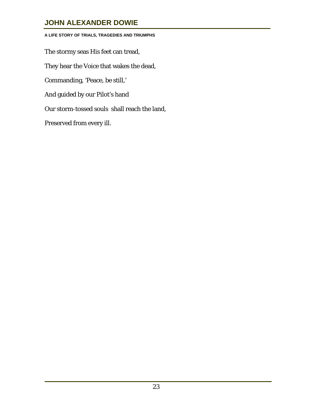**A LIFE STORY OF TRIALS, TRAGEDIES AND TRIUMPHS**  The stormy seas His feet can tread, They hear the Voice that wakes the dead, Commanding, 'Peace, be still,' And guided by our Pilot's hand Our storm-tossed souls shall reach the land, Preserved from every ill.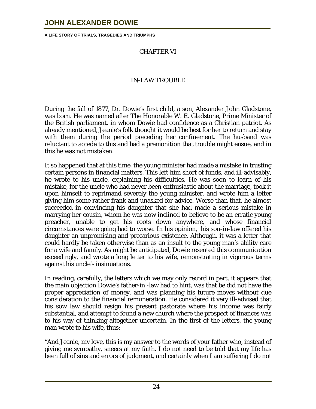**A LIFE STORY OF TRIALS, TRAGEDIES AND TRIUMPHS** 

## CHAPTER VI

#### IN-LAW TROUBLE

During the fall of 1877, Dr. Dowie's first child, a son, Alexander John Gladstone, was born. He was named after The Honorable W. E. Gladstone, Prime Minister of the British parliament, in whom Dowie had confidence as a Christian patriot. As already mentioned, Jeanie's folk thought it would be best for her to return and stay with them during the period preceding her confinement. The husband was reluctant to accede to this and had a premonition that trouble might ensue, and in this he was not mistaken.

It so happened that at this time, the young minister had made a mistake in trusting certain persons in financial matters. This left him short of funds, and ill-advisably, he wrote to his uncle, explaining his difficulties. He was soon to learn of his mistake, for the uncle who had never been enthusiastic about the marriage, took it upon himself to reprimand severely the young minister, and wrote him a letter giving him some rather frank and unasked for advice. Worse than that, he almost succeeded in convincing his daughter that she had made a serious mistake in marrying her cousin, whom he was now inclined to believe to be an erratic young preacher, unable to get his roots down anywhere, and whose financial circumstances were going bad to worse. In his opinion, his son-in-law offered his daughter an unpromising and precarious existence. Although, it was a letter that could hardly be taken otherwise than as an insult to the young man's ability care for a wife and family. As might be anticipated, Dowie resented this communication exceedingly, and wrote a long letter to his wife, remonstrating in vigorous terms against his uncle's insinuations.

In reading, carefully, the letters which we may only record in part, it appears that the main objection Dowie's father-in -law had to hint, was that be did not have the proper appreciation of money, and was planning his future moves without due consideration to the financial remuneration. He considered it very ill-advised that his sow law should resign his present pastorate where his income was fairly substantial, and attempt to found a new church where the prospect of finances was to his way of thinking altogether uncertain. In the first of the letters, the young man wrote to his wife, thus:

"And Jeanie, my love, this is my answer to the words of your father who, instead of giving me sympathy, sneers at my faith. I do not need to be told that my life has been full of sins and errors of judgment, and certainly when I am suffering I do not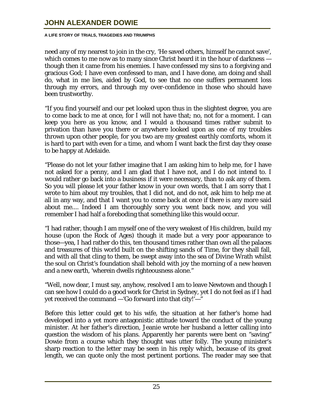**A LIFE STORY OF TRIALS, TRAGEDIES AND TRIUMPHS** 

need any of my nearest to join in the cry, 'He saved others, himself he cannot save', which comes to me now as to many since Christ heard it in the hour of darkness  $$ though then it came from his enemies. I have confessed my sins to a forgiving and gracious God; I have even confessed to man, and I have done, am doing and shall do, what in me lies, aided by God, to see that no one suffers permanent loss through my errors, and through my over-confidence in those who should have been trustworthy.

"If you find yourself and our pet looked upon thus in the slightest degree, you are to come back to me at once, for I will not have that; no, not for a moment. I can keep you here as you know, and I would a thousand times rather submit to privation than have you there or anywhere looked upon as one of my troubles thrown upon other people, for you two are my greatest earthly comforts, whom it is hard to part with even for a time, and whom I want back the first day they cease to be happy at Adelaide.

"Please do not let your father imagine that I am asking him to help me, for I have not asked for a penny, and I am glad that I have not, and I do not intend to. I would rather go back into a business if it were necessary, than to ask any of them. So you will please let your father know in your own words, that I am sorry that I wrote to him about my troubles, that I did not, and do not, ask him to help me at all in any way, and that I want you to come back at once if there is any more said about me.... Indeed I am thoroughly sorry you went back now, and you will remember I had half a foreboding that something like this would occur.

"I had rather, though I am myself one of the very weakest of His children, build my house (upon the Rock of Ages) though it made but a very poor appearance to those—yea, I had rather do this, ten thousand times rather than own all the palaces and treasures of this world built on the shifting sands of Time, for they shall fall, and with all that cling to them, be swept away into the sea of Divine Wrath whilst the soul on Christ's foundation shall behold with joy the morning of a new heaven and a new earth, 'wherein dwells righteousness alone."

"Well, now dear, I must say, anyhow, resolved I am to leave Newtown and though I can see how I could do a good work for Christ in Sydney, yet I do not feel as if I had yet received the command —'Go forward into that city!'—"

Before this letter could get to his wife, the situation at her father's home had developed into a yet more antagonistic attitude toward the conduct of the young minister. At her father's direction, Jeanie wrote her husband a letter calling into question the wisdom of his plans. Apparently her parents were bent on "saving" Dowie from a course which they thought was utter folly. The young minister's sharp reaction to the letter may be seen in his reply which, because of its great length, we can quote only the most pertinent portions. The reader may see that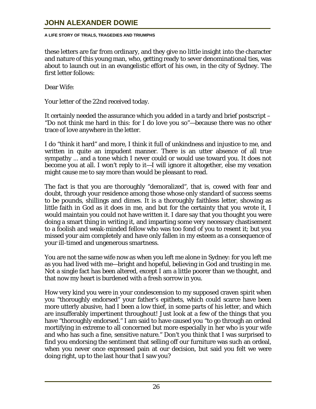**A LIFE STORY OF TRIALS, TRAGEDIES AND TRIUMPHS** 

these letters are far from ordinary, and they give no little insight into the character and nature of this young man, who, getting ready to sever denominational ties, was about to launch out in an evangelistic effort of his own, in the city of Sydney. The first letter follows:

Dear Wife:

Your letter of the 22nd received today.

It certainly needed the assurance which you added in a tardy and brief postscript – "Do not think me hard in this: for I do love you so"—because there was no other trace of love anywhere in the letter.

I do "think it hard" and more, I think it full of unkindness and injustice to me, and written in quite an impudent manner. There is an utter absence of all true sympathy ... and a tone which I never could or would use toward you. It does not become you at all. I won't reply to it—I will ignore it altogether, else my vexation might cause me to say more than would be pleasant to read.

The fact is that you are thoroughly "demoralized", that is, cowed with fear and doubt, through your residence among those whose only standard of success seems to be pounds, shillings and dimes. It is a thoroughly faithless letter, showing as little faith in God as it does in me, and but for the certainty that you wrote it, I would maintain you could not have written it. I dare say that you thought you were doing a smart thing in writing it, and imparting some very necessary chastisement to a foolish and weak-minded fellow who was too fond of you to resent it; but you missed your aim completely and have only fallen in my esteem as a consequence of your ill-timed and ungenerous smartness.

You are not the same wife now as when you left me alone in Sydney: for you left me as you had lived with me—bright and hopeful, believing in God and trusting in me. Not a single fact has been altered, except I am a little poorer than we thought, and that now my heart is burdened with a fresh sorrow in you.

How very kind you were in your condescension to my supposed craven spirit when you "thoroughly endorsed" your father's epithets, which could scarce have been more utterly abusive, had I been a low thief, in some parts of his letter, and which are insufferably impertinent throughout! Just look at a few of the things that you have "thoroughly endorsed." I am said to have caused you "to go through an ordeal mortifying in extreme to all concerned but more especially in her who is your wife and who has such a fine, sensitive nature." Don't you think that I was surprised to find you endorsing the sentiment that selling off our furniture was such an ordeal, when you never once expressed pain at our decision, but said you felt we were doing right, up to the last hour that I saw you?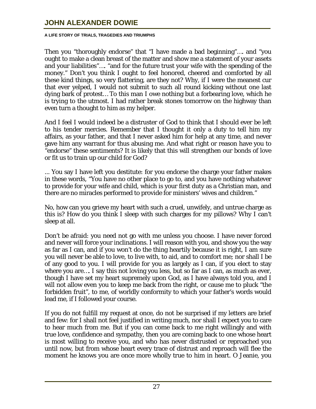**A LIFE STORY OF TRIALS, TRAGEDIES AND TRIUMPHS** 

Then you "thoroughly endorse" that "I have made a bad beginning"…. and "you ought to make a clean breast of the matter and show me a statement of your assets and your liabilities"…. "and for the future trust your wife with the spending of the money." Don't you think I ought to feel honored, cheered and comforted by all these kind things, so very flattering, are they not? Why, if I were the meanest cur that ever yelped, I would not submit to such all round kicking without one last dying bark of protest… To this man I owe nothing but a forbearing love, which he is trying to the utmost. I had rather break stones tomorrow on the highway than even turn a thought to him as my helper.

And I feel I would indeed be a distruster of God to think that I should ever be left to his tender mercies. Remember that I thought it only a duty to tell him my affairs, as your father, and that I never asked him for help at any time, and never gave him any warrant for thus abusing me. And what right or reason have you to "endorse" these sentiments? It is likely that this will strengthen our bonds of love or fit us to train up our child for God?

... You say I have left you destitute: for you endorse the charge your father makes in these words, "You have no other place to go to, and you have nothing whatever to provide for your wife and child, which is your first duty as a Christian man, and there are no miracles performed to provide for ministers' wives and children."

No, how can you grieve my heart with such a cruel, unwifely, and untrue charge as this is? How do you think I sleep with such charges for my pillows? Why I can't sleep at all.

Don't be afraid: you need not go with me unless you choose. I have never forced and never will force your inclinations. I will reason with you, and show you the way as far as I can, and if you won't do the thing heartily because it is right, I am sure you will never be able to love, to live with, to aid, and to comfort me; nor shall I be of any good to you. I will provide for you as largely as I can, if you elect to stay where you are…. I say this not loving you less, but so far as I can, as much as ever, though I have set my heart supremely upon God, as I have always told you, and I will not allow even you to keep me back from the right, or cause me to pluck "the forbidden fruit", to me, of worldly conformity to which your father's words would lead me, if I followed your course.

If you do not fulfill my request at once, do not be surprised if my letters are brief and few: for I shall not feel justified in writing much, nor shall I expect you to care to hear much from me. But if you can come back to me right willingly and with true love, confidence and sympathy, then you are coming back to one whose heart is most willing to receive you, and who has never distrusted or reproached you until now, but from whose heart every trace of distrust and reproach will flee the moment he knows you are once more wholly true to him in heart. O Jeanie, you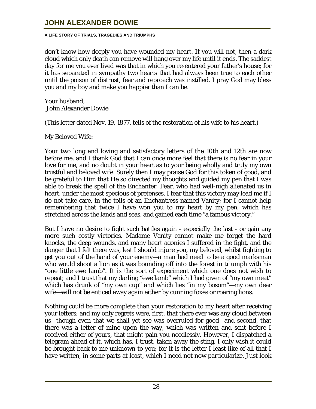#### **A LIFE STORY OF TRIALS, TRAGEDIES AND TRIUMPHS**

don't know how deeply you have wounded my heart. If you will not, then a dark cloud which only death can remove will hang over my life until it ends. The saddest day for me you ever lived was that in which you re-entered your father's house; for it has separated in sympathy two hearts that had always been true to each other until the poison of distrust, fear and reproach was instilled. I pray God may bless you and my boy and make you happier than I can be.

Your husband, John Alexander Dowie

(This letter dated Nov. 19, 1877, tells of the restoration of his wife to his heart.)

My Beloved Wife:

Your two long and loving and satisfactory letters of the 10th and 12th are now before me, and I thank God that I can once more feel that there is no fear in your love for me, and no doubt in your heart as to your being wholly and truly my own trustful and beloved wife. Surely then I may praise God for this token of good, and be grateful to Him that He so directed my thoughts and guided my pen that I was able to break the spell of the Enchanter, Fear, who had well-nigh alienated us in heart, under the most specious of pretenses. I fear that this victory may lead me if I do not take care, in the toils of an Enchantress named Vanity; for I cannot help remembering that twice I have won you to my heart by my pen, which has stretched across the lands and seas, and gained each time "a famous victory."

But I have no desire to fight such battles again - especially the last - or gain any more such costly victories. Madame Vanity cannot make me forget the hard knocks, the deep wounds, and many heart agonies I suffered in the fight, and the danger that I felt there was, lest I should injure you, my beloved, whilst fighting to get you out of the hand of your enemy—a man had need to be a good marksman who would shoot a lion as it was bounding off into the forest in triumph with his "one little ewe lamb". It is the sort of experiment which one does not wish to repeat; and I trust that my darling "ewe lamb" which I had given of "my own meat" which has drunk of "my own cup" and which lies "in my bosom"—my own dear wife—will not be enticed away again either by cunning foxes or roaring lions.

Nothing could be more complete than your restoration to my heart after receiving your letters; and my only regrets were, first, that there ever was any cloud between us—though even that we shall yet see was overruled for good—and second, that there was a letter of mine upon the way, which was written and sent before I received either of yours, that might pain you needlessly. However, I dispatched a telegram ahead of it, which has, I trust, taken away the sting. I only wish it could be brought back to me unknown to you; for it is the letter I least like of all that I have written, in some parts at least, which I need not now particularize. Just look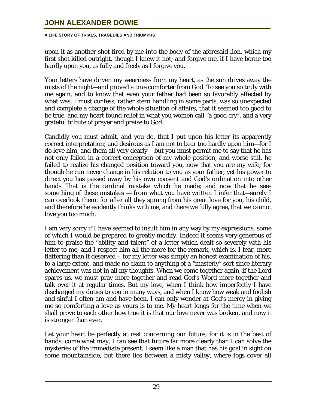**A LIFE STORY OF TRIALS, TRAGEDIES AND TRIUMPHS** 

upon it as another shot fired by me into the body of the aforesaid lion, which my first shot killed outright, though I knew it not; and forgive me, if I have borne too hardly upon you, as fully and freely as I forgive you.

Your letters have driven my weariness from my heart, as the sun drives away the mists of the night—and proved a true comforter from God. To see you so truly with me again, and to know that even your father had been so favorably affected by what was, I must confess, rather stern handling in some parts, was so unexpected and complete a change of the whole situation of affairs, that it seemed too good to be true, and my heart found relief in what you women call "a good cry", and a very grateful tribute of prayer and praise to God.

Candidly you must admit, and you do, that I put upon his letter its apparently correct interpretation; and desirous as I am not to bear too hardly upon him—for I do love him, and them all very dearly— but you must permit me to say that he has not only failed in a correct conception of my whole position, and worse still, he failed to realize his changed position toward you, now that you are my wife; for though he can never change in his relation to you as your father, yet his power to direct you has passed away by his own consent and God's ordination into other hands That is the cardinal mistake which he made; and now that he sees something of these mistakes — from what you have written I infer that—surely I can overlook them: for after all they sprang from his great love for you, his child, and therefore he evidently thinks with me, and there we fully agree, that we cannot love you too much.

I am very sorry if I have seemed to insult him in any way by my expressions, some of which I would be prepared to greatly modify. Indeed it seems very generous of him to praise the "ability and talent" of a letter which dealt so severely with his letter to me; and I respect him all the more for the remark, which is, I fear, more flattering than it deserved – for my letter was simply an honest examination of his, to a large extent, and made no claim to anything of a "masterly" sort since literary achievement was not in all my thoughts. When we come together again, if the Lord spares us, we must pray more together and read God's Word more together and talk over it at regular times. But my love, when I think how imperfectly I have discharged my duties to you in many ways, and when I know how weak and foolish and sinful I often am and have been, I can only wonder at God's mercy in giving me so comforting a love as yours is to me. My heart longs for the time when we shall prove to each other how true it is that our love never was broken, and now it is stronger than ever.

Let your heart be perfectly at rest concerning our future, for it is in the best of hands, come what may, I can see that future far more clearly than I can solve the mysteries of the immediate present. I seem like a man that has his goal in sight on some mountainside, but there lies between a misty valley, where fogs cover all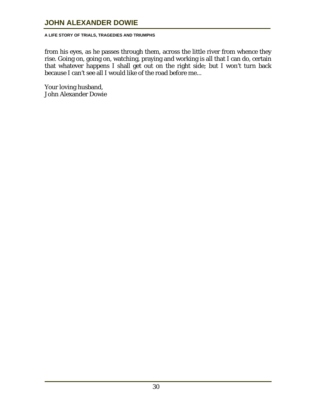#### **A LIFE STORY OF TRIALS, TRAGEDIES AND TRIUMPHS**

from his eyes, as he passes through them, across the little river from whence they rise. Going on, going on, watching, praying and working is all that I can do, certain that whatever happens I shall get out on the right side; but I won't turn back because I can't see all I would like of the road before me...

Your loving husband, John Alexander Dowie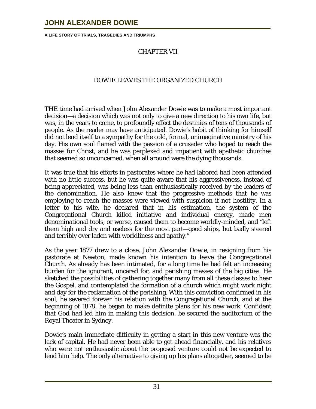**A LIFE STORY OF TRIALS, TRAGEDIES AND TRIUMPHS** 

## CHAPTER VII

#### DOWIE LEAVES THE ORGANIZED CHURCH

THE time had arrived when John Alexander Dowie was to make a most important decision—a decision which was not only to give a new direction to his own life, but was, in the years to come, to profoundly effect the destinies of tens of thousands of people. As the reader may have anticipated. Dowie's habit of thinking for himself did not lend itself to a sympathy for the cold, formal, unimaginative ministry of his day. His own soul flamed with the passion of a crusader who hoped to reach the masses for Christ, and he was perplexed and impatient with apathetic churches that seemed so unconcerned, when all around were the dying thousands.

It was true that his efforts in pastorates where he had labored had been attended with no little success, but he was quite aware that his aggressiveness, instead of being appreciated, was being less than enthusiastically received by the leaders of the denomination. He also knew that the progressive methods that he was employing to reach the masses were viewed with suspicion if not hostility. In a letter to his wife, he declared that in his estimation, the system of the Congregational Church killed initiative and individual energy, made men denominational tools, or worse, caused them to become worldly-minded, and "left them high and dry and useless for the most part—good ships, but badly steered and terribly over laden with worldliness and apathy."

As the year 1877 drew to a close, John Alexander Dowie, in resigning from his pastorate at Newton, made known his intention to leave the Congregational Church. As already has been intimated, for a long time he had felt an increasing burden for the ignorant, uncared for, and perishing masses of the big cities. He sketched the possibilities of gathering together many from all these classes to hear the Gospel, and contemplated the formation of a church which might work night and day for the reclamation of the perishing. With this conviction confirmed in his soul, he severed forever his relation with the Congregational Church, and at the beginning of 1878, he began to make definite plans for his new work. Confident that God had led him in making this decision, be secured the auditorium of the Royal Theater in Sydney.

Dowie's main immediate difficulty in getting a start in this new venture was the lack of capital. He had never been able to get ahead financially, and his relatives who were not enthusiastic about the proposed venture could not be expected to lend him help. The only alternative to giving up his plans altogether, seemed to be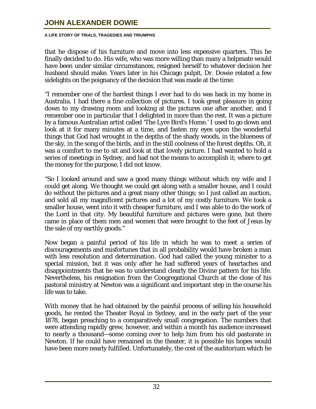**A LIFE STORY OF TRIALS, TRAGEDIES AND TRIUMPHS** 

that he dispose of his furniture and move into less expensive quarters. This he finally decided to do. His wife, who was more willing than many a helpmate would have been under similar circumstances, resigned herself to whatever decision her husband should make. Years later in his Chicago pulpit, Dr. Dowie related a few sidelights on the poignancy of the decision that was made at the time:

"I remember one of the hardest things I ever had to do was back in my home in Australia. I had there a fine collection of pictures. I took great pleasure in going down to my drawing room and looking at the pictures one after another, and I remember one in particular that I delighted in more than the rest. It was a picture by a famous Australian artist called 'The Lyre Bird's Home.' I used to go down and look at it for many minutes at a time, and fasten my eyes upon the wonderful things that God had wrought in the depths of the shady woods, in the blueness of the sky, in the song of the birds, and in the still coolness of the forest depths. Oh, it was a comfort to me to sit and look at that lovely picture. I had wanted to hold a series of meetings in Sydney, and had not the means to accomplish it; where to get the money for the purpose, I did not know.

"So I looked around and saw a good many things without which my wife and I could get along. We thought we could get along with a smaller house, and I could do without the pictures and a great many other things; so I just called an auction, and sold all my magnificent pictures and a lot of my costly furniture. We took a smaller house, went into it with cheaper furniture, and I was able to do the work of the Lord in that city. My beautiful furniture and pictures were gone, but there came in place of them men and women that were brought to the feet of Jesus by the sale of my earthly goods."

Now began a painful period of his life in which he was to meet a series of discouragements and misfortunes that in all probability would have broken a man with less resolution and determination. God had called the young minister to a special mission, but it was only after he had suffered years of heartaches and disappointments that he was to understand clearly the Divine pattern for his life. Nevertheless, his resignation from the Congregational Church at the close of his pastoral ministry at Newton was a significant and important step in the course his life was to take.

With money that he had obtained by the painful process of selling his household goods, he rented the Theater Royal in Sydney, and in the early part of the year 1878, began preaching to a comparatively small congregation. The numbers that were attending rapidly grew, however, and within a month his audience increased to nearly a thousand—some coming over to help him from his old pastorate in Newton. If he could have remained in the theater, it is possible his hopes would have been more nearly fulfilled. Unfortunately, the cost of the auditorium which he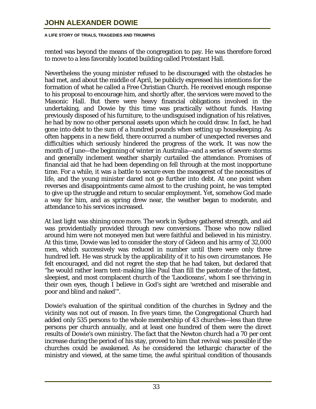**A LIFE STORY OF TRIALS, TRAGEDIES AND TRIUMPHS** 

rented was beyond the means of the congregation to pay. He was therefore forced to move to a less favorably located building called Protestant Hall.

Nevertheless the young minister refused to be discouraged with the obstacles he had met, and about the middle of April, be publicly expressed his intentions for the formation of what he called a Free Christian Church. He received enough response to his proposal to encourage him, and shortly after, the services were moved to the Masonic Hall. But there were heavy financial obligations involved in the undertaking, and Dowie by this time was practically without funds. Having previously disposed of his furniture, to the undisguised indignation of his relatives, he had by now no other personal assets upon which he could draw. In fact, he had gone into debt to the sum of a hundred pounds when setting up housekeeping. As often happens in a new field, there occurred a number of unexpected reverses and difficulties which seriously hindered the progress of the work. It was now the month of June—the beginning of winter in Australia—and a series of severe storms and generally inclement weather sharply curtailed the attendance. Promises of financial aid that he had been depending on fell through at the most inopportune time. For a while, it was a battle to secure even the meagerest of the necessities of life, and the young minister dared not go further into debt. At one point when reverses and disappointments came almost to the crushing point, he was tempted to give up the struggle and return to secular employment. Yet, somehow God made a way for him, and as spring drew near, the weather began to moderate, and attendance to his services increased.

At last light was shining once more. The work in Sydney gathered strength, and aid was providentially provided through new conversions. Those who now rallied around him were not moneyed men but were faithful and believed in his ministry. At this time, Dowie was led to consider the story of Gideon and his army of 32,000 men, which successively was reduced in number until there were only three hundred left. He was struck by the applicability of it to his own circumstances. He felt encouraged, and did not regret the step that he had taken, but declared that "he would rather learn tent-making like Paul than fill the pastorate of the fattest, sleepiest, and most complacent church of the 'Laodiceans', whom I see thriving in their own eyes, though I believe in God's sight are 'wretched and miserable and poor and blind and naked'".

Dowie's evaluation of the spiritual condition of the churches in Sydney and the vicinity was not out of reason. In five years time, the Congregational Church had added only 535 persons to the whole membership of 43 churches—less than three persons per church annually, and at least one hundred of them were the direct results of Dowie's own ministry. The fact that the Newton church had a 70 per cent increase during the period of his stay, proved to him that revival was possible if the churches could be awakened. As he considered the lethargic character of the ministry and viewed, at the same time, the awful spiritual condition of thousands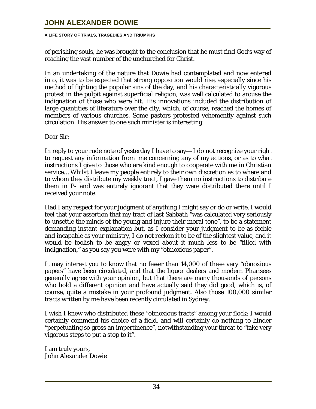#### **A LIFE STORY OF TRIALS, TRAGEDIES AND TRIUMPHS**

of perishing souls, he was brought to the conclusion that he must find God's way of reaching the vast number of the unchurched for Christ.

In an undertaking of the nature that Dowie had contemplated and now entered into, it was to be expected that strong opposition would rise, especially since his method of fighting the popular sins of the day, and his characteristically vigorous protest in the pulpit against superficial religion, was well calculated to arouse the indignation of those who were hit. His innovations included the distribution of large quantities of literature over the city, which, of course, reached the homes of members of various churches. Some pastors protested vehemently against such circulation. His answer to one such minister is interesting

Dear Sir:

In reply to your rude note of yesterday I have to say— I do not recognize your right to request any information from me concerning any of my actions, or as to what instructions I give to those who are kind enough to cooperate with me in Christian service… Whilst I leave my people entirely to their own discretion as to where and to whom they distribute my weekly tract, I gave them no instructions to distribute them in P- and was entirely ignorant that they were distributed there until I received your note.

Had I any respect for your judgment of anything I might say or do or write, I would feel that your assertion that my tract of last Sabbath "was calculated very seriously to unsettle the minds of the young and injure their moral tone", to be a statement demanding instant explanation but, as I consider your judgment to be as feeble and incapable as your ministry, I do not reckon it to be of the slightest value, and it would be foolish to be angry or vexed about it much less to be "filled with indignation," as you say you were with my "obnoxious paper".

It may interest you to know that no fewer than 14,000 of these very "obnoxious papers" have been circulated, and that the liquor dealers and modern Pharisees generally agree with your opinion, but that there are many thousands of persons who hold a different opinion and have actually said they did good, which is, of course, quite a mistake in your profound judgment. Also those 100,000 similar tracts written by me have been recently circulated in Sydney.

I wish I knew who distributed these "obnoxious tracts" among your flock; I would certainly commend his choice of a field, and will certainly do nothing to hinder "perpetuating so gross an impertinence", notwithstanding your threat to "take very vigorous steps to put a stop to it".

I am truly yours, John Alexander Dowie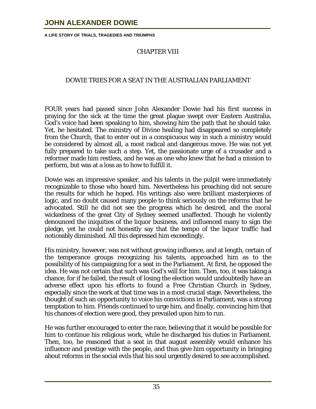**A LIFE STORY OF TRIALS, TRAGEDIES AND TRIUMPHS** 

#### CHAPTER VIII

#### DOWIE TRIES FOR A SEAT IN THE AUSTRALIAN PARLIAMENT

FOUR years had passed since John Alexander Dowie had his first success in praying for the sick at the time the great plague swept over Eastern Australia. God's voice had been speaking to him, showing him the path that he should take. Yet, he hesitated. The ministry of Divine healing had disappeared so completely from the Church, that to enter out in a conspicuous way in such a ministry would be considered by almost all, a most radical and dangerous move. He was not yet fully prepared to take such a step. Yet, the passionate urge of a crusader and a reformer made him restless, and he was as one who knew that he had a mission to perform, but was at a loss as to how to fulfill it.

Dowie was an impressive speaker, and his talents in the pulpit were immediately recognizable to those who heard him. Nevertheless his preaching did not secure the results for which he hoped. His writings also were brilliant masterpieces of logic, and no doubt caused many people to think seriously on the reforms that he advocated. Still he did not see the progress which he desired, and the moral wickedness of the great City of Sydney seemed unaffected. Though he violently denounced the iniquities of the liquor business, and influenced many to sign the pledge, yet he could not honestly say that the tempo of the liquor traffic had noticeably diminished. All this depressed him exceedingly.

His ministry, however, was not without growing influence, and at length, certain of the temperance groups recognizing his talents, approached him as to the possibility of his campaigning for a seat in the Parliament. At first, he opposed the idea. He was not certain that such was God's will for him. Then, too, it was taking a chance, for if he failed, the result of losing the election would undoubtedly have an adverse effect upon his efforts to found a Free Christian Church in Sydney, especially since the work at that time was in a most crucial stage. Nevertheless, the thought of such an opportunity to voice his convictions in Parliament, was a strong temptation to him. Friends continued to urge him, and finally, convincing him that his chances of election were good, they prevailed upon him to run.

He was further encouraged to enter the race, believing that it would be possible for him to continue his religious work, while he discharged his duties in Parliament. Then, too, he reasoned that a seat in that august assembly would enhance his influence and prestige with the people, and thus give him opportunity in bringing about reforms in the social evils that his soul urgently desired to see accomplished.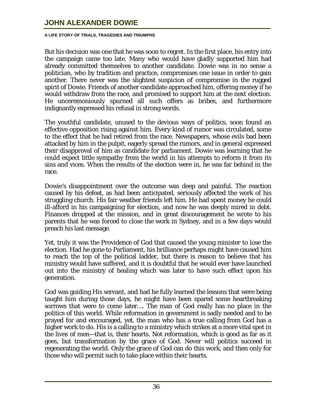**A LIFE STORY OF TRIALS, TRAGEDIES AND TRIUMPHS** 

But his decision was one that he was soon to regret. In the first place, his entry into the campaign came too late. Many who would have gladly supported him had already committed themselves to another candidate. Dowie was in no sense a politician, who by tradition and practice, compromises one issue in order to gain another. There never was the slightest suspicion of compromise in the rugged spirit of Dowie. Friends of another candidate approached him, offering money if he would withdraw from the race, and promised to support him at the next election. He unceremoniously spurned all such offers as bribes, and furthermore indignantly expressed his refusal in strong words.

The youthful candidate, unused to the devious ways of politics, soon found an effective opposition rising against him. Every kind of rumor was circulated, some to the effect that he had retired from the race. Newspapers, whose evils bad been attacked by him in the pulpit, eagerly spread the rumors, and in general expressed their disapproval of him as candidate for parliament. Dowie was learning that he could expect little sympathy from the world in his attempts to reform it from its sins and vices. When the results of the election were in, he was far behind in the race.

Dowie's disappointment over the outcome was deep and painful. The reaction caused by his defeat, as had been anticipated, seriously affected the work of his struggling church. His fair weather friends left him. He had spent money he could ill-afford in his campaigning for election, and now he was deeply mired in debt. Finances dropped at the mission, and in great discouragement he wrote to his parents that he was forced to close the work in Sydney, and in a few days would preach his last message.

Yet, truly it was the Providence of God that caused the young minister to lose the election. Had he gone to Parliament, his brilliance perhaps might have caused him to reach the top of the political ladder, but there is reason to believe that his ministry would have suffered, and it is doubtful that he would ever have launched out into the ministry of healing which was later to have such effect upon his generation.

God was guiding His servant, and had he fully learned the lessons that were being taught him during those days, he might have been spared some heartbreaking sorrows that were to come later…. The man of God really has no place in the politics of this world. While reformation in government is sadly needed and to be prayed for and encouraged, yet, the man who has a true calling from God has a higher work to do. His is a calling to a ministry which strikes at a more vital spot in the lives of men—that is, their hearts. Not reformation, which is good as far as it goes, but transformation by the grace of God. Never will politics succeed in regenerating the world. Only the grace of God can do this work, and then only for those who will permit such to take place within their hearts.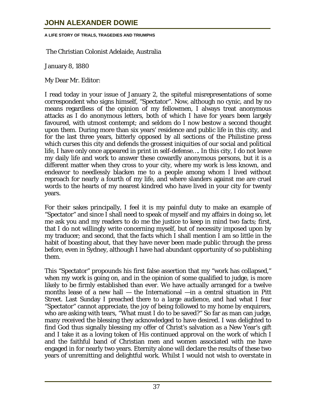#### **A LIFE STORY OF TRIALS, TRAGEDIES AND TRIUMPHS**

The Christian Colonist Adelaide, Australia

January 8, 1880

My Dear Mr. Editor:

I read today in your issue of January 2, the spiteful misrepresentations of some correspondent who signs himself, "Spectator". Now, although no cynic, and by no means regardless of the opinion of my fellowmen, I always treat anonymous attacks as I do anonymous letters, both of which I have for years been largely favoured, with utmost contempt; and seldom do I now bestow a second thought upon them. During more than six years' residence and public life in this city, and for the last three years, bitterly opposed by all sections of the Philistine press which curses this city and defends the grossest iniquities of our social and political life, I have only once appeared in print in self-defense…. In this city, I do not leave my daily life and work to answer these cowardly anonymous persons, but it is a different matter when they cross to your city, where my work is less known, and endeavor to needlessly blacken me to a people among whom I lived without reproach for nearly a fourth of my life, and where slanders against me are cruel words to the hearts of my nearest kindred who have lived in your city for twenty years.

For their sakes principally, I feel it is my painful duty to make an example of "Spectator" and since I shall need to speak of myself and my affairs in doing so, let me ask you and my readers to do me the justice to keep in mind two facts; first, that I do not willingly write concerning myself, but of necessity imposed upon by my traducer; and second, that the facts which I shall mention I am so little in the habit of boasting about, that they have never been made public through the press before, even in Sydney, although I have had abundant opportunity of so publishing them.

This "Spectator" propounds his first false assertion that my "work has collapsed," when my work is going on, and in the opinion of some qualified to judge, is more likely to be firmly established than ever. We have actually arranged for a twelve months lease of a new hall — the International —in a central situation in Pitt Street. Last Sunday I preached there to a large audience, and had what I fear "Spectator" cannot appreciate, the joy of being followed to my home by enquirers, who are asking with tears, "What must I do to be saved?" So far as man can judge, many received the blessing they acknowledged to have desired. I was delighted to find God thus signally blessing my offer of Christ's salvation as a New Year's gift and I take it as a loving token of His continued approval on the work of which I and the faithful band of Christian men and women associated with me have engaged in for nearly two years. Eternity alone will declare the results of these two years of unremitting and delightful work. Whilst I would not wish to overstate in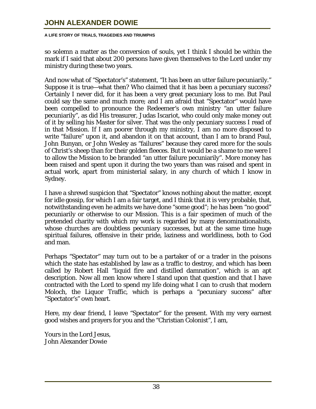**A LIFE STORY OF TRIALS, TRAGEDIES AND TRIUMPHS** 

so solemn a matter as the conversion of souls, yet I think I should be within the mark if I said that about 200 persons have given themselves to the Lord under my ministry during these two years.

And now what of "Spectator's" statement, "It has been an utter failure pecuniarily." Suppose it is true—what then? Who claimed that it has been a pecuniary success? Certainly I never did, for it has been a very great pecuniary loss to me. But Paul could say the same and much more; and I am afraid that "Spectator" would have been compelled to pronounce the Redeemer's own ministry "an utter failure pecuniarily", as did His treasurer, Judas Iscariot, who could only make money out of it by selling his Master for silver. That was the only pecuniary success I read of in that Mission. If I am poorer through my ministry, I am no more disposed to write "failure" upon it, and abandon it on that account, than I am to brand Paul, John Bunyan, or John Wesley as "failures" because they cared more for the souls of Christ's sheep than for their golden fleeces. But it would be a shame to me were I to allow the Mission to be branded "an utter failure pecuniarily". More money has been raised and spent upon it during the two years than was raised and spent in actual work, apart from ministerial salary, in any church of which I know in Sydney.

I have a shrewd suspicion that "Spectator" knows nothing about the matter, except for idle gossip, for which I am a fair target, and I think that it is very probable, that, notwithstanding even he admits we have done "some good"; he has been "no good" pecuniarily or otherwise to our Mission. This is a fair specimen of much of the pretended charity with which my work is regarded by many denominationalists, whose churches are doubtless pecuniary successes, but at the same time huge spiritual failures, offensive in their pride, laziness and worldliness, both to God and man.

Perhaps "Spectator" may turn out to be a partaker of or a trader in the poisons which the state has established by law as a traffic to destroy, and which has been called by Robert Hall "liquid fire and distilled damnation", which is an apt description. Now all men know where I stand upon that question and that I have contracted with the Lord to spend my life doing what I can to crush that modern Moloch, the Liquor Traffic, which is perhaps a "pecuniary success" after "Spectator's" own heart.

Here, my dear friend, I leave "Spectator" for the present. With my very earnest good wishes and prayers for you and the "Christian Colonist", I am,

Yours in the Lord Jesus, John Alexander Dowie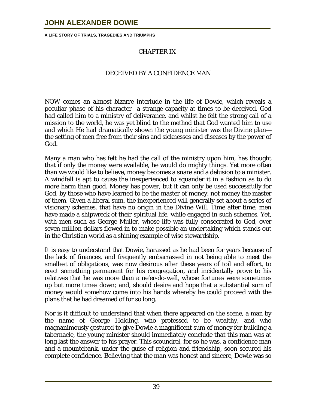**A LIFE STORY OF TRIALS, TRAGEDIES AND TRIUMPHS** 

#### CHAPTER IX

#### DECEIVED BY A CONFIDENCE MAN

NOW comes an almost bizarre interlude in the life of Dowie, which reveals a peculiar phase of his character—a strange capacity at times to be deceived. God had called him to a ministry of deliverance, and whilst he felt the strong call of a mission to the world, he was yet blind to the method that God wanted him to use and which He had dramatically shown the young minister was the Divine plan the setting of men free from their sins and sicknesses and diseases by the power of God.

Many a man who has felt he had the call of the ministry upon him, has thought that if only the money were available, he would do mighty things. Yet more often than we would like to believe, money becomes a snare and a delusion to a minister. A windfall is apt to cause the inexperienced to squander it in a fashion as to do more harm than good. Money has power, but it can only be used successfully for God, by those who have learned to be the master of money, not money the master of them. Given a liberal sum. the inexperienced will generally set about a series of visionary schemes, that have no origin in the Divine Will. Time after time, men have made a shipwreck of their spiritual life, while engaged in such schemes. Yet, with men such as George Muller, whose life was fully consecrated to God, over seven million dollars flowed in to make possible an undertaking which stands out in the Christian world as a shining example of wise stewardship.

It is easy to understand that Dowie, harassed as he had been for years because of the lack of finances, and frequently embarrassed in not being able to meet the smallest of obligations, was now desirous after these years of toil and effort, to erect something permanent for his congregation, and incidentally prove to his relatives that he was more than a ne'er-do-well, whose fortunes were sometimes up but more times down; and, should desire and hope that a substantial sum of money would somehow come into his hands whereby he could proceed with the plans that he had dreamed of for so long.

Nor is it difficult to understand that when there appeared on the scene, a man by the name of George Holding, who professed to be wealthy, and who magnanimously gestured to give Dowie a magnificent sum of money for building a tabernacle, the young minister should immediately conclude that this man was at long last the answer to his prayer. This scoundrel, for so he was, a confidence man and a mountebank, under the guise of religion and friendship, soon secured his complete confidence. Believing that the man was honest and sincere, Dowie was so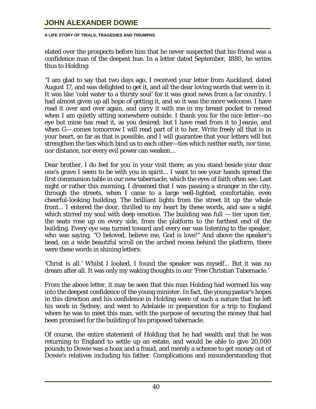**A LIFE STORY OF TRIALS, TRAGEDIES AND TRIUMPHS** 

elated over the prospects before him that he never suspected that his friend was a confidence man of the deepest hue. In a letter dated September, 1880, he writes thus to Holding:

"I am glad to say that two days ago, I received your letter from Auckland, dated August 17, and was delighted to get it, and all the dear loving words that were in it. It was like 'cold water to a thirsty soul' for it was good news from a far country. I had almost given up all hope of getting it, and so it was the more welcome. I have read it over and over again, and carry it with me in my breast pocket to reread when I am quietly sitting somewhere outside. I thank you for the nice letter—no eye but mine has read it, as you desired; but I have read from it to Jeanie, and when G— comes tomorrow I will read part of it to her. Write freely all that is in your heart, so far as that is possible, and I will guarantee that your letters will but strengthen the ties which bind us to each other—ties which neither earth, nor time, nor distance, nor every evil power can weaken…

Dear brother, I do feel for you in your visit there; as you stand beside your dear one's grave I seem to be with you in spirit... I want to see your hands spread the first communion table in our new tabernacle, which the eyes of faith often see. Last night or rather this morning, I dreamed that I was passing a stranger in the city, through the streets, when I came to a large well-lighted, comfortable, even cheerful-looking building. The brilliant lights from the street lit up the whole front... I entered the door, thrilled to my heart by these words, and saw a sight which stirred my soul with deep emotion. The building was full – tier upon tier, the seats rose up on every side, from the platform to the farthest end of the building. Every eye was turned toward and every ear was listening to the speaker, who was saying, "O beloved, believe me, God is love!" And above the speaker's bead, on a wide beautiful scroll on the arched recess behind the platform, there were these words in shining letters:

'Christ is all.' Whilst I looked, I found the speaker was myself... But it was no dream after all. It was only my waking thoughts in our 'Free Christian Tabernacle.'

From the above letter, it may be seen that this man Holding had wormed his way into the deepest confidence of the young minister. In fact, the young pastor's hopes in this direction and his confidence in Holding were of such a nature that he left his work in Sydney, and went to Adelaide in preparation for a trip to England where he was to meet this man, with the purpose of securing the money that had been promised for the building of his proposed tabernacle.

Of course, the entire statement of Holding that he had wealth and that he was returning to England to settle up an estate, and would be able to give 20,000 pounds to Dowie was a hoax and a fraud, and merely a scheme to get money out of Dowie's relatives including his father. Complications and misunderstanding that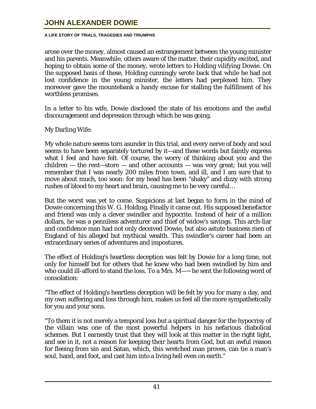#### **A LIFE STORY OF TRIALS, TRAGEDIES AND TRIUMPHS**

arose over the money, almost caused an estrangement between the young minister and his parents. Meanwhile, others aware of the matter, their cupidity excited, and hoping to obtain some of the money, wrote letters to Holding vilifying Dowie. On the supposed basis of these, Holding cunningly wrote back that while he had not lost confidence in the young minister, the letters had perplexed him. They moreover gave the mountebank a handy excuse for stalling the fulfillment of his worthless promises.

In a letter to his wife, Dowie disclosed the state of his emotions and the awful discouragement and depression through which he was going.

My Darling Wife:

My whole nature seems torn asunder in this trial, and every nerve of body and soul seems to have been separately tortured by it—and these words but faintly express what I feel and have felt. Of course, the worry of thinking about you and the children — the rent—store — and other accounts — was very great; but you will remember that I was nearly 200 miles from town, and ill, and I am sure that to move about much, too soon: for my head has been "shaky" and dizzy with strong rushes of blood to my heart and brain, causing me to be very careful…

But the worst was yet to come. Suspicions at last began to form in the mind of Dowie concerning this W. G. Holding. Finally it came out. His supposed benefactor and friend was only a clever swindler and hypocrite. Instead of heir of a million dollars, he was a penniless adventurer and thief of widow's savings. This arch-liar and confidence man had not only deceived Dowie, but also astute business men of England of his alleged but mythical wealth. This swindler's career had been an extraordinary series of adventures and impostures.

The effect of Holding's heartless deception was felt by Dowie for a long time, not only for himself but for others that he knew who had been swindled by him and who could ill-afford to stand the loss. To a Mrs. M—~ he sent the following word of consolation:

"The effect of Holding's heartless deception will be felt by you for many a day, and my own suffering and loss through him, makes us feel all the more sympathetically for you and your sons.

"To them it is not merely a temporal loss but a spiritual danger for the hypocrisy of the villain was one of the most powerful helpers in his nefarious diabolical schemes. But I earnestly trust that they will look at this matter in the right light, and see in it, not a reason for keeping their hearts from God, but an awful reason for fleeing from sin and Satan, which, this wretched man proves, can tie a man's soul, hand, and foot, and cast him into a living hell even on earth."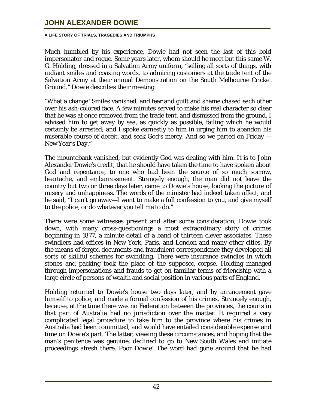**A LIFE STORY OF TRIALS, TRAGEDIES AND TRIUMPHS** 

Much humbled by his experience, Dowie had not seen the last of this bold impersonator and rogue. Some years later, whom should he meet but this same W. G. Holding, dressed in a Salvation Army uniform, "selling all sorts of things, with radiant smiles and coaxing words, to admiring customers at the trade tent of the Salvation Army at their annual Demonstration on the South Melbourne Cricket Ground." Dowie describes their meeting:

"What a change! Smiles vanished, and fear and guilt and shame chased each other over his ash-colored face. A few minutes served to make his real character so clear that he was at once removed from the trade tent, and dismissed from the ground. I advised him to get away by sea, as quickly as possible, failing which he would certainly be arrested; and I spoke earnestly to him in urging him to abandon his miserable course of deceit, and seek God's mercy. And so we parted on Friday — New Year's Day."

The mountebank vanished, but evidently God was dealing with him. It is to John Alexander Dowie's credit, that he should have taken the time to have spoken about God and repentance, to one who had been the source of so much sorrow, heartache, and embarrassment. Strangely enough, the man did not leave the country but two or three days later, came to Dowie's house, looking the picture of misery and unhappiness. The words of the minister had indeed taken affect, and he said, "I can't go away—I want to make a full confession to you, and give myself to the police, or do whatever you tell me to do."

There were some witnesses present and after some consideration, Dowie took down, with many cross-questionings a most extraordinary story of crimes beginning in 1877, a minute detail of a band of thirteen clever associates. These swindlers had offices in New York, Paris, and London and many other cities. By the means of forged documents and fraudulent correspondence they developed all sorts of skillful schemes for swindling. There were insurance swindles in which stones and packing took the place of the supposed corpse. Holding managed through impersonations and frauds to get on familiar terms of friendship with a large circle of persons of wealth and social position in various parts of England.

Holding returned to Dowie's house two days later, and by arrangement gave himself to police, and made a formal confession of his crimes. Strangely enough, because, at the time there was no Federation between the provinces, the courts in that part of Australia had no jurisdiction over the matter. It required a very complicated legal procedure to take him to the province where his crimes in Australia had been committed, and would have entailed considerable expense and time on Dowie's part. The latter, viewing these circumstances, and hoping that the man's penitence was genuine, declined to go to New South Wales and initiate proceedings afresh there. Poor Dowie! The word had gone around that he had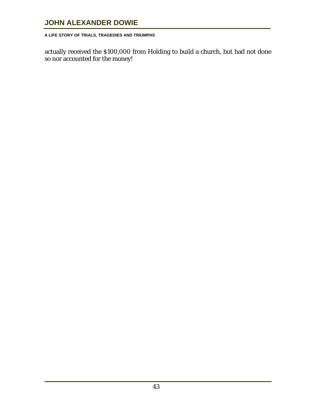**A LIFE STORY OF TRIALS, TRAGEDIES AND TRIUMPHS** 

actually received the \$100,000 from Holding to build a church, but had not done so nor accounted for the money!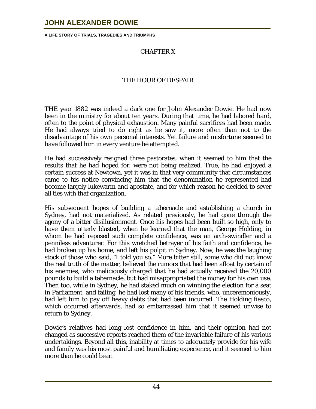**A LIFE STORY OF TRIALS, TRAGEDIES AND TRIUMPHS** 

#### CHAPTER X

#### THE HOUR OF DESPAIR

THE year 1882 was indeed a dark one for John Alexander Dowie. He had now been in the ministry for about ten years. During that time, he had labored hard, often to the point of physical exhaustion. Many painful sacrifices had been made. He had always tried to do right as he saw it, more often than not to the disadvantage of his own personal interests. Yet failure and misfortune seemed to have followed him in every venture he attempted.

He had successively resigned three pastorates, when it seemed to him that the results that he had hoped for, were not being realized. True, he had enjoyed a certain success at Newtown, yet it was in that very community that circumstances came to his notice convincing him that the denomination he represented had become largely lukewarm and apostate, and for which reason he decided to sever all ties with that organization.

His subsequent hopes of building a tabernacle and establishing a church in Sydney, had not materialized. As related previously, he had gone through the agony of a bitter disillusionment. Once his hopes had been built so high, only to have them utterly blasted, when he learned that the man, George Holding, in whom he had reposed such complete confidence, was an arch-swindler and a penniless adventurer. For this wretched betrayer of his faith and confidence, he had broken up his home, and left his pulpit in Sydney. Now, he was the laughing stock of those who said, "I told you so." More bitter still, some who did not know the real truth of the matter, believed the rumors that had been afloat by certain of his enemies, who maliciously charged that he had actually received the 20,000 pounds to build a tabernacle, but had misappropriated the money for his own use. Then too, while in Sydney, he had staked much on winning the election for a seat in Parliament, and failing, he had lost many of his friends, who, unceremoniously, had left him to pay off heavy debts that had been incurred. The Holding fiasco, which occurred afterwards, had so embarrassed him that it seemed unwise to return to Sydney.

Dowie's relatives had long lost confidence in him, and their opinion had not changed as successive reports reached them of the invariable failure of his various undertakings. Beyond all this, inability at times to adequately provide for his wife and family was his most painful and humiliating experience, and it seemed to him more than be could bear.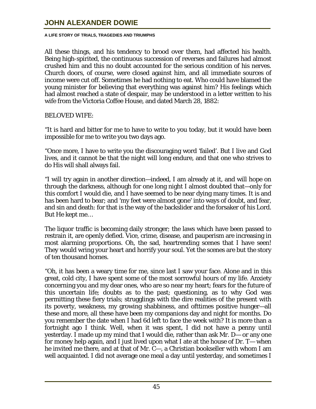#### **A LIFE STORY OF TRIALS, TRAGEDIES AND TRIUMPHS**

All these things, and his tendency to brood over them, had affected his health. Being high-spirited, the continuous succession of reverses and failures had almost crushed him and this no doubt accounted for the serious condition of his nerves. Church doors, of course, were closed against him, and all immediate sources of income were cut off. Sometimes he had nothing to eat. Who could have blamed the young minister for believing that everything was against him? His feelings which had almost reached a state of despair, may be understood in a letter written to his wife from the Victoria Coffee House, and dated March 28, 1882:

#### BELOVED WIFE:

"It is hard and bitter for me to have to write to you today, but it would have been impossible for me to write you two days ago.

"Once more, I have to write you the discouraging word 'failed'. But I live and God lives, and it cannot be that the night will long endure, and that one who strives to do His will shall always fail.

"I will try again in another direction—indeed, I am already at it, and will hope on through the darkness, although for one long night I almost doubted that—only for this comfort I would die, and I have seemed to be near dying many times. It is and has been hard to bear; and 'my feet were almost gone' into ways of doubt, and fear, and sin and death: for that is the way of the backslider and the forsaker of his Lord. But He kept me…

The liquor traffic is becoming daily stronger; the laws which have been passed to restrain it, are openly defied. Vice, crime, disease, and pauperism are increasing in most alarming proportions. Oh, the sad, heartrending scenes that I have seen! They would wring your heart and horrify your soul. Yet the scenes are but the story of ten thousand homes.

"Oh, it has been a weary time for me, since last I saw your face. Alone and in this great, cold city, I have spent some of the most sorrowful hours of my life. Anxiety concerning you and my dear ones, who are so near my heart; fears for the future of this uncertain life; doubts as to the past; questioning, as to why God was permitting these fiery trials; strugglings with the dire realities of the present with its poverty, weakness, my growing shabbiness, and ofttimes positive hunger—all these and more, all these have been my companions day and night for months. Do you remember the date when I had 6d left to face the week with? It is more than a fortnight ago I think. Well, when it was spent, I did not have a penny until yesterday. I made up my mind that I would die, rather than ask Mr. D— or any one for money help again, and I just lived upon what I ate at the house of Dr. T— when he invited me there, and at that of Mr. C—, a Christian bookseller with whom I am well acquainted. I did not average one meal a day until yesterday, and sometimes I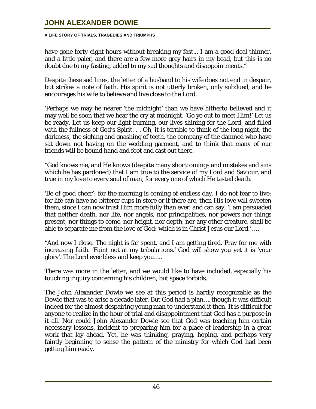**A LIFE STORY OF TRIALS, TRAGEDIES AND TRIUMPHS** 

have gone forty-eight hours without breaking my fast... I am a good deal thinner, and a little paler, and there are a few more grey hairs in my bead, but this is no doubt due to my fasting, added to my sad thoughts and disappointments."

Despite these sad lines, the letter of a husband to his wife does not end in despair, but strikes a note of faith. His spirit is not utterly broken, only subdued, and he encourages his wife to believe and live close to the Lord.

'Perhaps we may he nearer 'the midnight' than we have hitherto believed and it may well be soon that we hear the cry at midnight, 'Go ye out to meet Him!' Let us be ready. Let us keep our light burning, our lives shining for the Lord, and filled with the fullness of God's Spirit. . . Oh, it is terrible to think of the long night, the darkness, the sighing and gnashing of teeth, the company of the damned who have sat down not having on the wedding garment, and to think that many of our friends will be bound hand and foot and cast out there.

"God knows me, and He knows (despite many shortcomings and mistakes and sins which he has pardoned) that I am true to the service of my Lord and Saviour, and true in my love to every soul of man, for every one of which He tasted death.

'Be of good cheer': for the morning is coming of endless day. I do not fear to live: for life can have no bitterer cups in store or if there are, then His love will sweeten them, since I can now trust Him more fully than ever, and can say, 'I am persuaded that neither death, nor life, nor angels, nor principalities, nor powers nor things present, nor things to come, nor height, nor depth, nor any other creature, shall be able to separate me from the love of God: which is in Christ Jesus our Lord.'…..

"And now I close. The night is far spent, and I am getting tired. Pray for me with increasing faith. 'Faint not at my tribulations.' God will show you yet it is 'your glory'. The Lord ever bless and keep you…..

There was more in the letter, and we would like to have included, especially his touching inquiry concerning his children, but space forbids.

The John Alexander Dowie we see at this period is hardly recognizable as the Dowie that was to arise a decade later. But God had a plan…. though it was difficult indeed for the almost despairing young man to understand it then. It is difficult for anyone to realize in the hour of trial and disappointment that God has a purpose in it all. Nor could John Alexander Dowie see that God was teaching him certain necessary lessons, incident to preparing him for a place of leadership in a great work that lay ahead. Yet, he was thinking, praying, hoping, and perhaps very faintly beginning to sense the pattern of the ministry for which God had been getting him ready.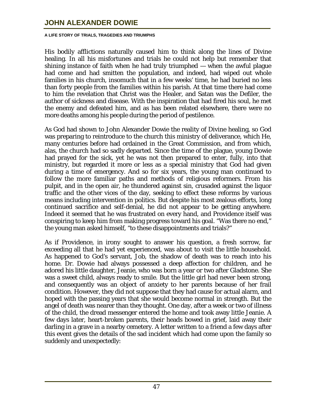**A LIFE STORY OF TRIALS, TRAGEDIES AND TRIUMPHS** 

His bodily afflictions naturally caused him to think along the lines of Divine healing. In all his misfortunes and trials he could not help but remember that shining instance of faith when he had truly triumphed — when the awful plague had come and had smitten the population, and indeed, had wiped out whole families in his church, insomuch that in a few weeks' time, he had buried no less than forty people from the families within his parish. At that time there had come to him the revelation that Christ was the Healer, and Satan was the Defiler, the author of sickness and disease. With the inspiration that had fired his soul, he met the enemy and defeated him, and as has been related elsewhere, there were no more deaths among his people during the period of pestilence.

As God had shown to John Alexander Dowie the reality of Divine healing, so God was preparing to reintroduce to the church this ministry of deliverance, which He, many centuries before had ordained in the Great Commission, and from which, alas, the church had so sadly departed. Since the time of the plague, young Dowie had prayed for the sick, yet he was not then prepared to enter, fully, into that ministry, but regarded it more or less as a special ministry that God had given during a time of emergency. And so for six years, the young man continued to follow the more familiar paths and methods of religious reformers. From his pulpit, and in the open air, he thundered against sin, crusaded against the liquor traffic and the other vices of the day, seeking to effect these reforms by various means including intervention in politics. But despite his most zealous efforts, long continued sacrifice and self-denial, he did not appear to be getting anywhere. Indeed it seemed that he was frustrated on every hand, and Providence itself was conspiring to keep him from making progress toward his goal. "Was there no end," the young man asked himself, "to these disappointments and trials?"

As if Providence, in irony sought to answer his question, a fresh sorrow, far exceeding all that he had yet experienced, was about to visit the little household. As happened to God's servant, Job, the shadow of death was to reach into his home. Dr. Dowie had always possessed a deep affection for children, and he adored his little daughter, Jeanie, who was born a year or two after Gladstone. She was a sweet child, always ready to smile. But the little girl had never been strong, and consequently was an object of anxiety to her parents because of her frail condition. However, they did not suppose that they had cause for actual alarm, and hoped with the passing years that she would become normal in strength. But the angel of death was nearer than they thought. One day, after a week or two of illness of the child, the dread messenger entered the home and took away little Jeanie. A few days later, heart-broken parents, their heads bowed in grief, laid away their darling in a grave in a nearby cemetery. A letter written to a friend a few days after this event gives the details of the sad incident which had come upon the family so suddenly and unexpectedly: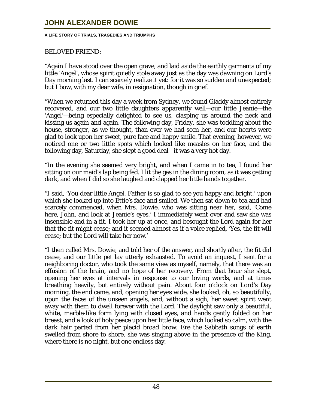#### **A LIFE STORY OF TRIALS, TRAGEDIES AND TRIUMPHS**

#### BELOVED FRIEND:

"Again I have stood over the open grave, and laid aside the earthly garments of my little 'Angel', whose spirit quietly stole away just as the day was dawning on Lord's Day morning last. I can scarcely realize it yet: for it was so sudden and unexpected; but I bow, with my dear wife, in resignation, though in grief.

"When we returned this day a week from Sydney, we found Gladdy almost entirely recovered, and our two little daughters apparently well—our little Jeanie—the 'Angel'—being especially delighted to see us, clasping us around the neck and kissing us again and again. The following day, Friday, she was toddling about the house, stronger, as we thought, than ever we had seen her, and our hearts were glad to look upon her sweet, pure face and happy smile. That evening, however, we noticed one or two little spots which looked like measles on her face, and the following day, Saturday, she slept a good deal—it was a very hot day.

"In the evening she seemed very bright, and when I came in to tea, I found her sitting on our maid's lap being fed. I lit the gas in the dining room, as it was getting dark, and when I did so she laughed and clapped her little hands together.

"I said, 'You dear little Angel. Father is so glad to see you happy and bright,' upon which she looked up into Ettie's face and smiled. We then sat down to tea and had scarcely commenced, when Mrs. Dowie, who was sitting near her, said, 'Come here, John, and look at Jeanie's eyes.' I immediately went over and saw she was insensible and in a fit. I took her up at once, and besought the Lord again for her that the fit might cease; and it seemed almost as if a voice replied, 'Yes, the fit will cease; but the Lord will take her now.'

"I then called Mrs. Dowie, and told her of the answer, and shortly after, the fit did cease, and our little pet lay utterly exhausted. To avoid an inquest, I sent for a neighboring doctor, who took the same view as myself, namely, that there was an effusion of the brain, and no hope of her recovery. From that hour she slept, opening her eyes at intervals in response to our loving words, and at times breathing heavily, but entirely without pain. About four o'clock on Lord's Day morning, the end came, and, opening her eyes wide, she looked, oh, so beautifully, upon the faces of the unseen angels, and, without a sigh, her sweet spirit went away with them to dwell forever with the Lord. The daylight saw only a beautiful, white, marble-like form lying with closed eyes, and hands gently folded on her breast, and a look of holy peace upon her little face, which looked so calm, with the dark hair parted from her placid broad brow. Ere the Sabbath songs of earth swelled from shore to shore, she was singing above in the presence of the King, where there is no night, but one endless day.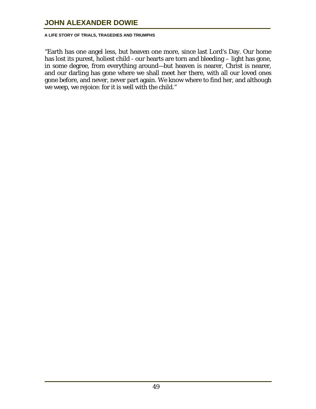**A LIFE STORY OF TRIALS, TRAGEDIES AND TRIUMPHS** 

"Earth has one angel less, but heaven one more, since last Lord's Day. Our home has lost its purest, holiest child - our hearts are torn and bleeding – light has gone, in some degree, from everything around—but heaven is nearer, Christ is nearer, and our darling has gone where we shall meet her there, with all our loved ones gone before, and never, never part again. We know where to find her, and although we weep, we rejoice: for it is well with the child."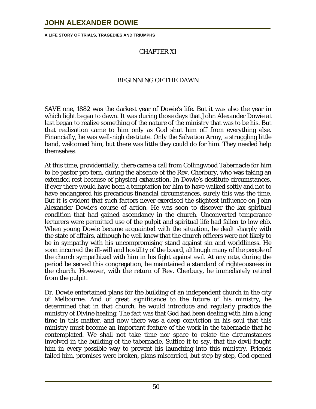**A LIFE STORY OF TRIALS, TRAGEDIES AND TRIUMPHS** 

#### CHAPTER XI

#### BEGINNING OF THE DAWN

SAVE one, 1882 was the darkest year of Dowie's life. But it was also the year in which light began to dawn. It was during those days that John Alexander Dowie at last began to realize something of the nature of the ministry that was to be his. But that realization came to him only as God shut him off from everything else. Financially, he was well-nigh destitute. Only the Salvation Army, a struggling little band, welcomed him, but there was little they could do for him. They needed help themselves.

At this time, providentially, there came a call from Collingwood Tabernacle for him to be pastor pro tern, during the absence of the Rev. Cherbury, who was taking an extended rest because of physical exhaustion. In Dowie's destitute circumstances, if ever there would have been a temptation for him to have walked softly and not to have endangered his precarious financial circumstances, surely this was the time. But it is evident that such factors never exercised the slightest influence on John Alexander Dowie's course of action. He was soon to discover the lax spiritual condition that had gained ascendancy in the church. Unconverted temperance lecturers were permitted use of the pulpit and spiritual life had fallen to low ebb. When young Dowie became acquainted with the situation, he dealt sharply with the state of affairs, although he well knew that the church officers were not likely to be in sympathy with his uncompromising stand against sin and worldliness. He soon incurred the ill-will and hostility of the board, although many of the people of the church sympathized with him in his fight against evil. At any rate, during the period be served this congregation, he maintained a standard of righteousness in the church. However, with the return of Rev. Cherbury, he immediately retired from the pulpit.

Dr. Dowie entertained plans for the building of an independent church in the city of Melbourne. And of great significance to the future of his ministry, he determined that in that church, he would introduce and regularly practice the ministry of Divine healing. The fact was that God had been dealing with him a long time in this matter, and now there was a deep conviction in his soul that this ministry must become an important feature of the work in the tabernacle that he contemplated. We shall not take time nor space to relate the circumstances involved in the building of the tabernacle. Suffice it to say, that the devil fought him in every possible way to prevent his launching into this ministry. Friends failed him, promises were broken, plans miscarried, but step by step, God opened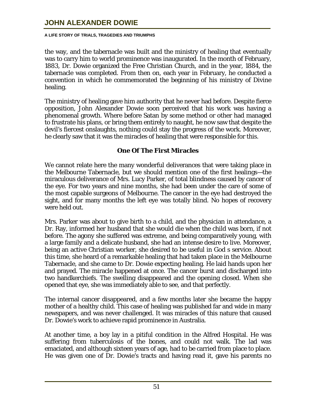**A LIFE STORY OF TRIALS, TRAGEDIES AND TRIUMPHS** 

the way, and the tabernacle was built and the ministry of healing that eventually was to carry him to world prominence was inaugurated. In the month of February, 1883, Dr. Dowie organized the Free Christian Church, and in the year, 1884, the tabernacle was completed. From then on, each year in February, he conducted a convention in which he commemorated the beginning of his ministry of Divine healing.

The ministry of healing gave him authority that he never had before. Despite fierce opposition, John Alexander Dowie soon perceived that his work was having a phenomenal growth. Where before Satan by some method or other had managed to frustrate his plans, or bring them entirely to naught, he now saw that despite the devil's fiercest onslaughts, nothing could stay the progress of the work. Moreover, he clearly saw that it was the miracles of healing that were responsible for this.

#### **One Of The First Miracles**

We cannot relate here the many wonderful deliverances that were taking place in the Melbourne Tabernacle, but we should mention one of the first healings—the miraculous deliverance of Mrs. Lucy Parker, of total blindness caused by cancer of the eye. For two years and nine months, she had been under the care of some of the most capable surgeons of Melbourne. The cancer in the eye had destroyed the sight, and for many months the left eye was totally blind. No hopes of recovery were held out.

Mrs. Parker was about to give birth to a child, and the physician in attendance, a Dr. Ray, informed her husband that she would die when the child was born, if not before. The agony she suffered was extreme, and being comparatively young, with a large family and a delicate husband, she had an intense desire to live. Moreover, being an active Christian worker, she desired to be useful in God s service. About this time, she heard of a remarkable healing that had taken place in the Melbourne Tabernacle, and she came to Dr. Dowie expecting healing. He laid hands upon her and prayed. The miracle happened at once. The cancer burst and discharged into two handkerchiefs. The swelling disappeared and the opening closed. When she opened that eye, she was immediately able to see, and that perfectly.

The internal cancer disappeared, and a few months later she became the happy mother of a healthy child. This case of healing was published far and wide in many newspapers, and was never challenged. It was miracles of this nature that caused Dr. Dowie's work to achieve rapid prominence in Australia.

At another time, a boy lay in a pitiful condition in the Alfred Hospital. He was suffering from tuberculosis of the bones, and could not walk. The lad was emaciated, and although sixteen years of age, had to be carried from place to place. He was given one of Dr. Dowie's tracts and having read it, gave his parents no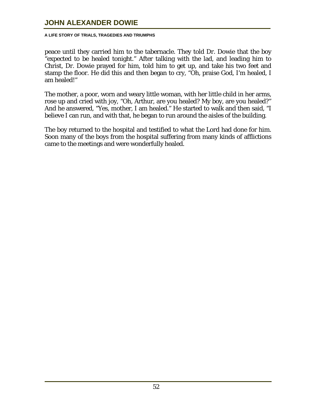**A LIFE STORY OF TRIALS, TRAGEDIES AND TRIUMPHS** 

peace until they carried him to the tabernacle. They told Dr. Dowie that the boy "expected to be healed tonight." After talking with the lad, and leading him to Christ, Dr. Dowie prayed for him, told him to get up, and take his two feet and stamp the floor. He did this and then began to cry, "Oh, praise God, I'm healed, I am healed!"

The mother, a poor, worn and weary little woman, with her little child in her arms, rose up and cried with joy, "Oh, Arthur, are you healed? My boy, are you healed?" And he answered, "Yes, mother, I am healed." He started to walk and then said, "I believe I can run, and with that, he began to run around the aisles of the building.

The boy returned to the hospital and testified to what the Lord had done for him. Soon many of the boys from the hospital suffering from many kinds of afflictions came to the meetings and were wonderfully healed.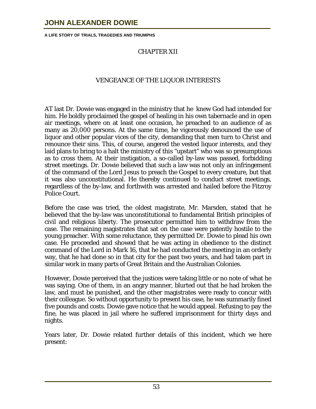**A LIFE STORY OF TRIALS, TRAGEDIES AND TRIUMPHS** 

#### CHAPTER XII

#### VENGEANCE OF THE LIQUOR INTERESTS

AT last Dr. Dowie was engaged in the ministry that he knew God had intended for him. He boldly proclaimed the gospel of healing in his own tabernacle and in open air meetings, where on at least one occasion, he preached to an audience of as many as 20,000 persons. At the same time, he vigorously denounced the use of liquor and other popular vices of the city, demanding that men turn to Christ and renounce their sins. This, of course, angered the vested liquor interests, and they laid plans to bring to a halt the ministry of this "upstart" who was so presumptious as to cross them. At their instigation, a so-called by-law was passed, forbidding street meetings. Dr. Dowie believed that such a law was not only an infringement of the command of the Lord Jesus to preach the Gospel to every creature, but that it was also unconstitutional. He thereby continued to conduct street meetings, regardless of the by-law, and forthwith was arrested and hailed before the Fitzroy Police Court.

Before the case was tried, the oldest magistrate, Mr. Marsden, stated that he believed that the by-law was unconstitutional to fundamental British principles of civil and religious liberty. The prosecutor permitted him to withdraw from the case. The remaining magistrates that sat on the case were patently hostile to the young preacher. With some reluctance, they permitted Dr. Dowie to plead his own case. He proceeded and showed that he was acting in obedience to the distinct command of the Lord in Mark 16, that he had conducted the meeting in an orderly way, that he had done so in that city for the past two years, and had taken part in similar work in many parts of Great Britain and the Australian Colonies.

However, Dowie perceived that the justices were taking little or no note of what he was saying. One of them, in an angry manner, blurted out that he had broken the law, and must be punished, and the other magistrates were ready to concur with their colleague. So without opportunity to present his case, he was summarily fined five pounds and costs. Dowie gave notice that he would appeal. Refusing to pay the fine, he was placed in jail where he suffered imprisonment for thirty days and nights.

Years later, Dr. Dowie related further details of this incident, which we here present: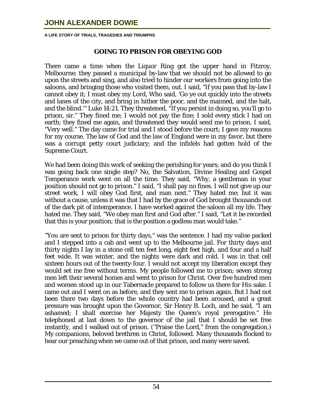**A LIFE STORY OF TRIALS, TRAGEDIES AND TRIUMPHS** 

#### **GOING TO PRISON FOR OBEYING GOD**

There came a time when the Liquor Ring got the upper hand in Fitzroy, Melbourne; they passed a municipal by-law that we should not be allowed to go upon the streets and sing, and also tried to hinder our workers from going into the saloons, and bringing those who visited them, out. I said, "If you pass that by-law I cannot obey it; I must obey my Lord, Who said, 'Go ye out quickly into the streets and lanes of the city, and bring in hither the poor, and the maimed, and the halt, and the blind.'" Luke 14:21. They threatened, "If you persist in doing so, you'll go to prison, sir." They fined me; I would not pay the fine; I sold every stick I had on earth; they fined me again, and threatened they would send me to prison. I said, "Very well." The day came for trial and I stood before the court; I gave my reasons for my course. The law of God and the law of England were in my favor, but there was a corrupt petty court judiciary; and the infidels had gotten hold of the Supreme Court.

We had been doing this work of seeking the perishing for years; and do you think I was going back one single step? No, the Salvation, Divine Healing and Gospel Temperance work went on all the time. They said, "Why, a gentleman in your position should not go to prison." I said, "I shall pay no fines. I will not give up our street work, I will obey God first, and man next." They hated me; but it was without a cause, unless it was that I had by the grace of God brought thousands out of the dark pit of intemperance. I have worked against the saloon all my life. They hated me. They said, "We obey man first and God after." I said, "Let it be recorded that this is your position; that is the position a godless man would take."

"You are sent to prison for thirty days," was the sentence. I had my valise packed and I stepped into a cab and went up to the Melbourne jail. For thirty days and thirty nights I lay in a stone cell ten feet long, eight feet high, and four and a half feet wide. It was winter, and the nights were dark and cold. I was in that cell sixteen hours out of the twenty-four. I would not accept my liberation except they would set me free without terms. My people followed me to prison; seven strong men left their several homes and went to prison for Christ. Over five hundred men and women stood up in our Tabernacle prepared to follow us there for His sake. I came out and I went on as before, and they sent me to prison again. But I had not been there two days before the whole country had been aroused, and a great pressure was brought upon the Governor, Sir Henry B. Loch, and he said, "I am ashamed; I shall exercise her Majesty the Queen's royal prerogative." He telephoned at last down to the governor of the jail that I should be set free instantly, and I walked out of prison. ("Praise the Lord," from the congregation.) My companions, beloved brethren in Christ, followed. Many thousands flocked to hear our preaching when we came out of that prison, and many were saved.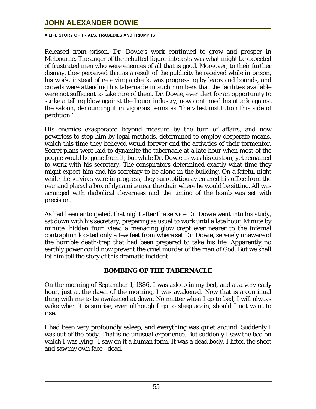**A LIFE STORY OF TRIALS, TRAGEDIES AND TRIUMPHS** 

Released from prison, Dr. Dowie's work continued to grow and prosper in Melbourne. The anger of the rebuffed liquor interests was what might be expected of frustrated men who were enemies of all that is good. Moreover, to their further dismay, they perceived that as a result of the publicity he received while in prison, his work, instead of receiving a check, was progressing by leaps and bounds, and crowds were attending his tabernacle in such numbers that the facilities available were not sufficient to take care of them. Dr. Dowie, ever alert for an opportunity to strike a telling blow against the liquor industry, now continued his attack against the saloon, denouncing it in vigorous terms as "the vilest institution this side of perdition."

His enemies exasperated beyond measure by the turn of affairs, and now powerless to stop him by legal methods, determined to employ desperate means, which this time they believed would forever end the activities of their tormentor. Secret plans were laid to dynamite the tabernacle at a late hour when most of the people would be gone from it, but while Dr. Dowie as was his custom, yet remained to work with his secretary. The conspirators determined exactly what time they might expect him and his secretary to be alone in the building. On a fateful night while the services were in progress, they surreptitiously entered his office from the rear and placed a box of dynamite near the chair where he would be sitting. All was arranged with diabolical cleverness and the timing of the bomb was set with precision.

As had been anticipated, that night after the service Dr. Dowie went into his study, sat down with his secretary, preparing as usual to work until a late hour. Minute by minute, hidden from view, a menacing glow crept ever nearer to the infernal contraption located only a few feet from where sat Dr. Dowie, serenely unaware of the horrible death-trap that had been prepared to take his life. Apparently no earthly power could now prevent the cruel murder of the man of God. But we shall let him tell the story of this dramatic incident:

## **BOMBING OF THE TABERNACLE**

On the morning of September 1, 1886, I was asleep in my bed, and at a very early hour, just at the dawn of the morning, I was awakened. Now that is a continual thing with me to be awakened at dawn. No matter when I go to bed, I will always wake when it is sunrise, even although I go to sleep again, should I not want to rise.

I had been very profoundly asleep, and everything was quiet around. Suddenly I was out of the body. That is no unusual experience. But suddenly I saw the bed on which I was lying—I saw on it a human form. It was a dead body. I lifted the sheet and saw my own face—dead.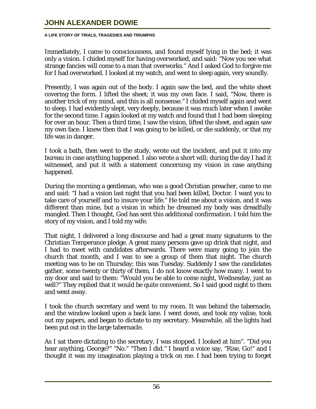**A LIFE STORY OF TRIALS, TRAGEDIES AND TRIUMPHS** 

Immediately, I came to consciousness, and found myself lying in the bed; it was only a vision. I chided myself for having overworked, and said: "Now you see what strange fancies will come to a man that overworks." And I asked God to forgive me for I had overworked. I looked at my watch, and went to sleep again, very soundly.

Presently, I was again out of the body. I again saw the bed, and the white sheet covering the form. I lifted the sheet; it was my own face. I said, "Now, there is another trick of my mind, and this is all nonsense." I chided myself again and went to sleep. I had evidently slept, very deeply, because it was much later when I awoke for the second time. I again looked at my watch and found that I had been sleeping for over an hour. Then a third time, I saw the vision, lifted the sheet, and again saw my own face. I knew then that I was going to be killed, or die suddenly, or that my life was in danger.

I took a bath, then went to the study, wrote out the incident, and put it into my bureau in case anything happened. I also wrote a short will; during the day I had it witnessed, and put it with a statement concerning my vision in case anything happened.

During the morning a gentleman, who was a good Christian preacher, came to me and said: "I had a vision last night that you had been killed, Doctor. I want you to take care of yourself and to insure your life." He told me about a vision, and it was different than mine, but a vision in which he dreamed my body was dreadfully mangled. Then I thought, God has sent this additional confirmation. I told him the story of my vision, and I told my wife.

That night, I delivered a long discourse and had a great many signatures to the Christian Temperance pledge. A great many persons gave up drink that night, and I had to meet with candidates afterwards. There were many going to join the church that month, and I was to see a group of them that night. The church meeting was to be on Thursday; this was Tuesday. Suddenly I saw the candidates gather, some twenty or thirty of them, I do not know exactly how many. I went to my door and said to them: "Would you be able to come night, Wednesday, just as well?" They replied that it would be quite convenient. So I said good night to them and went away.

I took the church secretary and went to my room. It was behind the tabernacle, and the window looked upon a back lane. I went down, and took my valise, took out my papers, and began to dictate to my secretary. Meanwhile, all the lights had been put out in the large tabernacle.

As I sat there dictating to the secretary, I was stopped. I looked at him". "Did you hear anything, George?" "No." "Then I did." I heard a voice say, "Rise, Go!" and I thought it was my imagination playing a trick on me. I had been trying to forget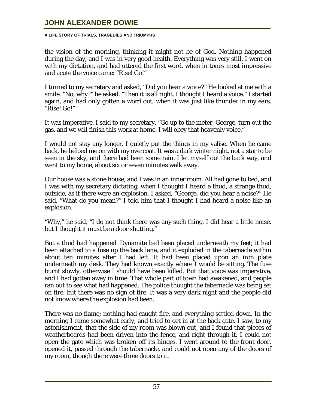**A LIFE STORY OF TRIALS, TRAGEDIES AND TRIUMPHS** 

the vision of the morning, thinking it might not be of God. Nothing happened during the day, and I was in very good health. Everything was very still. I went on with my dictation, and had uttered the first word, when in tones most impressive and acute the voice came: "Rise! Go!"

I turned to my secretary and asked, "Did you hear a voice?" He looked at me with a smile. "No, why?" he asked. "Then it is all right. I thought I heard a voice." I started again, and had only gotten a word out, when it was just like thunder in my ears. "Rise! Go!"

It was imperative. I said to my secretary, "Go up to the meter, George, turn out the gas, and we will finish this work at home. I will obey that heavenly voice."

I would not stay any longer. I quietly put the things in my valise. When he came back, he helped me on with my overcoat. It was a dark winter night, not a star to be seen in the sky, and there had been some rain. I let myself out the back way, and went to my home, about six or seven minutes walk away.

Our house was a stone house, and I was in an inner room. All had gone to bed, and I was with my secretary dictating, when I thought I heard a thud, a strange thud, outside, as if there were an explosion. I asked, "George, did you hear a noise?" He said, "What do you mean?" I told him that I thought I had heard a noise like an explosion.

"Why," he said, "I do not think there was any such thing. I did hear a little noise, but I thought it must be a door shutting."

But a thud had happened. Dynamite bad been placed underneath my feet; it had been attached to a fuse up the back lane, and it exploded in the tabernacle within about ten minutes after I had left. It had been placed upon an iron plate underneath my desk. They had known exactly where I would be sitting. The fuse burnt slowly, otherwise I should have been killed. But that voice was imperative, and I had gotten away in time. That whole part of town had awakened, and people ran out to see what had happened. The police thought the tabernacle was being set on fire, but there was no sign of fire. It was a very dark night and the people did not know where the explosion had been.

There was no flame; nothing had caught fire, and everything settled down. In the morning I came somewhat early, and tried to get in at the back gate. I saw, to my astonishment, that the side of my room was blown out, and I found that pieces of weatherboards had been driven into the fence, and right through it. I could not open the gate which was broken off its hinges. I went around to the front door, opened it, passed through the tabernacle, and could not open any of the doors of my room, though there were three doors to it.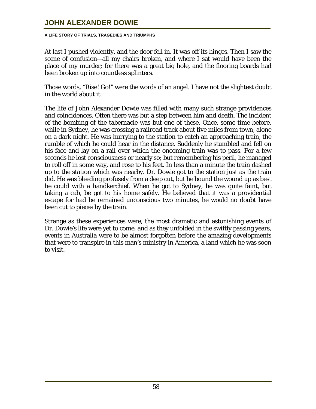**A LIFE STORY OF TRIALS, TRAGEDIES AND TRIUMPHS** 

At last I pushed violently, and the door fell in. It was off its hinges. Then I saw the scene of confusion—all my chairs broken, and where I sat would have been the place of my murder; for there was a great big hole, and the flooring boards had been broken up into countless splinters.

Those words, "Rise! Go!" were the words of an angel. I have not the slightest doubt in the world about it.

The life of John Alexander Dowie was filled with many such strange providences and coincidences. Often there was but a step between him and death. The incident of the bombing of the tabernacle was but one of these. Once, some time before, while in Sydney, he was crossing a railroad track about five miles from town, alone on a dark night. He was hurrying to the station to catch an approaching train, the rumble of which he could hear in the distance. Suddenly he stumbled and fell on his face and lay on a rail over which the oncoming train was to pass. For a few seconds he lost consciousness or nearly so; but remembering his peril, he managed to roll off in some way, and rose to his feet. In less than a minute the train dashed up to the station which was nearby. Dr. Dowie got to the station just as the train did. He was bleeding profusely from a deep cut, but he bound the wound up as best he could with a handkerchief. When he got to Sydney, he was quite faint, but taking a cab, be got to his home safely. He believed that it was a providential escape for had be remained unconscious two minutes, he would no doubt have been cut to pieces by the train.

Strange as these experiences were, the most dramatic and astonishing events of Dr. Dowie's life were yet to come, and as they unfolded in the swiftly passing years, events in Australia were to be almost forgotten before the amazing developments that were to transpire in this man's ministry in America, a land which he was soon to visit.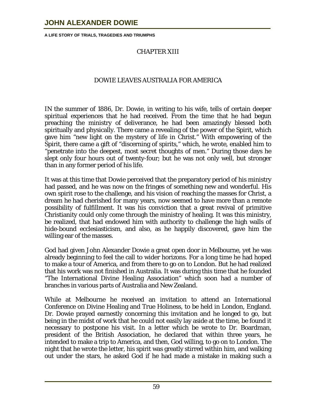**A LIFE STORY OF TRIALS, TRAGEDIES AND TRIUMPHS** 

#### CHAPTER XIII

#### DOWIE LEAVES AUSTRALIA FOR AMERICA

IN the summer of 1886, Dr. Dowie, in writing to his wife, tells of certain deeper spiritual experiences that he had received. From the time that he had begun preaching the ministry of deliverance, he had been amazingly blessed both spiritually and physically. There came a revealing of the power of the Spirit, which gave him "new light on the mystery of life in Christ." With empowering of the Spirit, there came a gift of "discerning of spirits," which, he wrote, enabled him to "penetrate into the deepest, most secret thoughts of men." During those days he slept only four hours out of twenty-four; but he was not only well, but stronger than in any former period of his life.

It was at this time that Dowie perceived that the preparatory period of his ministry had passed, and he was now on the fringes of something new and wonderful. His own spirit rose to the challenge, and his vision of reaching the masses for Christ, a dream he had cherished for many years, now seemed to have more than a remote possibility of fulfillment. It was his conviction that a great revival of primitive Christianity could only come through the ministry of healing. It was this ministry, be realized, that had endowed him with authority to challenge the high walls of hide-bound ecclesiasticism, and also, as he happily discovered, gave him the willing ear of the masses.

God had given John Alexander Dowie a great open door in Melbourne, yet he was already beginning to feel the call to wider horizons. For a long time he had hoped to make a tour of America, and from there to go on to London. But he had realized that his work was not finished in Australia. It was during this time that he founded "The International Divine Healing Association" which soon had a number of branches in various parts of Australia and New Zealand.

While at Melbourne he received an invitation to attend an International Conference on Divine Healing and True Holiness, to be held in London, England. Dr. Dowie prayed earnestly concerning this invitation and he longed to go, but being in the midst of work that he could not easily lay aside at the time, be found it necessary to postpone his visit. In a letter which be wrote to Dr. Boardman, president of the British Association, he declared that within three years, he intended to make a trip to America, and then, God willing, to go on to London. The night that he wrote the letter, his spirit was greatly stirred within him, and walking out under the stars, he asked God if he had made a mistake in making such a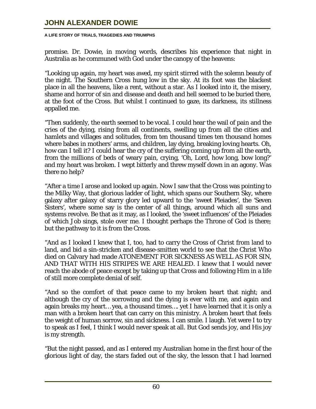**A LIFE STORY OF TRIALS, TRAGEDIES AND TRIUMPHS** 

promise. Dr. Dowie, in moving words, describes his experience that night in Australia as he communed with God under the canopy of the heavens:

"Looking up again, my heart was awed, my spirit stirred with the solemn beauty of the night. The Southern Cross hung low in the sky. At its foot was the blackest place in all the heavens, like a rent, without a star. As I looked into it, the misery, shame and horror of sin and disease and death and hell seemed to be buried there, at the foot of the Cross. But whilst I continued to gaze, its darkness, its stillness appalled me.

"Then suddenly, the earth seemed to be vocal. I could hear the wail of pain and the cries of the dying, rising from all continents, swelling up from all the cities and hamlets and villages and solitudes, from ten thousand times ten thousand homes where babes in mothers' arms, and children, lay dying, breaking loving hearts. Oh, how can I tell it? I could hear the cry of the suffering coming up from all the earth, from the millions of beds of weary pain, crying, 'Oh, Lord, how long, bow long?' and my heart was broken. I wept bitterly and threw myself down in an agony. Was there no help?

"After a time I arose and looked up again. Now I saw that the Cross was pointing to the Milky Way, that glorious ladder of light, which spans our Southern Sky, where galaxy after galaxy of starry glory led upward to the 'sweet Pleiades', the 'Seven Sisters', where some say is the center of all things, around which all suns and systems revolve. Be that as it may, as I looked, the 'sweet influences' of the Pleiades of which Job sings, stole over me. I thought perhaps the Throne of God is there; but the pathway to it is from the Cross.

"And as I looked I knew that I, too, had to carry the Cross of Christ from land to land, and bid a sin-stricken and disease-smitten world to see that the Christ Who died on Calvary had made ATONEMENT FOR SICKNESS AS WELL AS FOR SIN, AND THAT WITH HIS STRIPES WE ARE HEALED. I knew that I would never reach the abode of peace except by taking up that Cross and following Him in a life of still more complete denial of self.

"And so the comfort of that peace came to my broken heart that night; and although the cry of the sorrowing and the dying is ever with me, and again and again breaks my heart… yea, a thousand times…. yet I have learned that it is only a man with a broken heart that can carry on this ministry. A broken heart that feels the weight of human sorrow, sin and sickness. I can smile. I laugh. Yet were I to try to speak as I feel, I think I would never speak at all. But God sends joy, and His joy is my strength.

"But the night passed, and as I entered my Australian home in the first hour of the glorious light of day, the stars faded out of the sky, the lesson that I had learned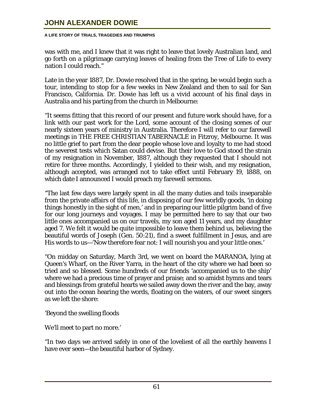**A LIFE STORY OF TRIALS, TRAGEDIES AND TRIUMPHS** 

was with me, and I knew that it was right to leave that lovely Australian land, and go forth on a pilgrimage carrying leaves of healing from the Tree of Life to every nation I could reach."

Late in the year 1887, Dr. Dowie resolved that in the spring, be would begin such a tour, intending to stop for a few weeks in New Zealand and then to sail for San Francisco, California. Dr. Dowie has left us a vivid account of his final days in Australia and his parting from the church in Melbourne:

"It seems fitting that this record of our present and future work should have, for a link with our past work for the Lord, some account of the closing scenes of our nearly sixteen years of ministry in Australia. Therefore I will refer to our farewell meetings in THE FREE CHRISTIAN TABERNACLE in Fitzroy, Melbourne. It was no little grief to part from the dear people whose love and loyalty to me had stood the severest tests which Satan could devise. But their love to God stood the strain of my resignation in November, 1887, although they requested that I should not retire for three months. Accordingly, I yielded to their wish, and my resignation, although accepted, was arranged not to take effect until February 19, 1888, on which date I announced I would preach my farewell sermons.

"The last few days were largely spent in all the many duties and toils inseparable from the private affairs of this life, in disposing of our few worldly goods, 'in doing things honestly in the sight of men,' and in preparing our little pilgrim band of five for our long journeys and voyages. I may be permitted here to say that our two little ones accompanied us on our travels, my son aged 11 years, and my daughter aged 7. We felt it would be quite impossible to leave them behind us, believing the beautiful words of Joseph (Gen. 50:21), find a sweet fulfillment in Jesus, and are His words to us—'Now therefore fear not: I will nourish you and your little ones.'

"On midday on Saturday, March 3rd, we went on board the MARANOA, lying at Queen's Wharf, on the River Yarra, in the heart of the city where we had been so tried and so blessed. Some hundreds of our friends 'accompanied us to the ship' where we had a precious time of prayer and praise; and so amidst hymns and tears and blessings from grateful hearts we sailed away down the river and the bay, away out into the ocean hearing the words, floating on the waters, of our sweet singers as we left the shore:

'Beyond the swelling floods

We'll meet to part no more.'

"In two days we arrived safely in one of the loveliest of all the earthly heavens I have ever seen—the beautiful harbor of Sydney.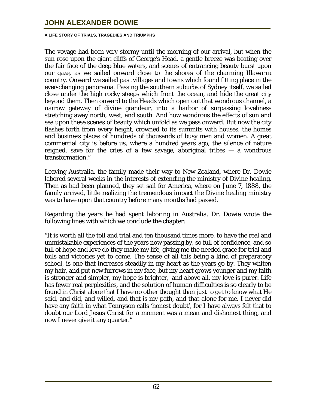**A LIFE STORY OF TRIALS, TRAGEDIES AND TRIUMPHS** 

The voyage had been very stormy until the morning of our arrival, but when the sun rose upon the giant cliffs of George's Head, a gentle breeze was beating over the fair face of the deep blue waters, and scenes of entrancing beauty burst upon our gaze, as we sailed onward close to the shores of the charming Illawarra country. Onward we sailed past villages and towns which found fitting place in the ever-changing panorama. Passing the southern suburbs of Sydney itself, we sailed close under the high rocky steeps which front the ocean, and hide the great city beyond them. Then onward to the Heads which open out that wondrous channel, a narrow gateway of divine grandeur, into a harbor of surpassing loveliness stretching away north, west, and south. And how wondrous the effects of sun and sea upon these scenes of beauty which unfold as we pass onward. But now the city flashes forth from every height, crowned to its summits with houses, the homes and business places of hundreds of thousands of busy men and women. A great commercial city is before us, where a hundred years ago, the silence of nature reigned, save for the cries of a few savage, aboriginal tribes — a wondrous transformation."

Leaving Australia, the family made their way to New Zealand, where Dr. Dowie labored several weeks in the interests of extending the ministry of Divine healing. Then as had been planned, they set sail for America, where on June 7, 1888, the family arrived, little realizing the tremendous impact the Divine healing ministry was to have upon that country before many months had passed.

Regarding the years he had spent laboring in Australia, Dr. Dowie wrote the following lines with which we conclude the chapter:

"It is worth all the toil and trial and ten thousand times more, to have the real and unmistakable experiences of the years now passing by, so full of confidence, and so full of hope and love do they make my life, giving me the needed grace for trial and toils and victories yet to come. The sense of all this being a kind of preparatory school, is one that increases steadily in my heart as the years go by. They whiten my hair, and put new furrows in my face, but my heart grows younger and my faith is stronger and simpler, my hope is brighter, and above all, my love is purer. Life has fewer real perplexities, and the solution of human difficulties is so clearly to be found in Christ alone that I have no other thought than just to get to know what He said, and did, and willed, and that is my path, and that alone for me. I never did have any faith in what Tennyson calls 'honest doubt', for I have always felt that to doubt our Lord Jesus Christ for a moment was a mean and dishonest thing, and now I never give it any quarter."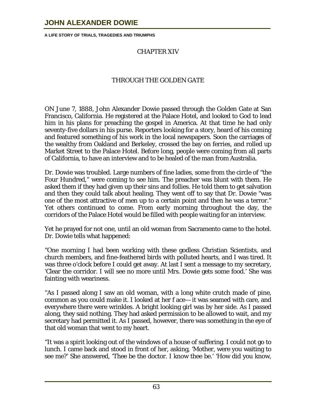**A LIFE STORY OF TRIALS, TRAGEDIES AND TRIUMPHS** 

#### CHAPTER XIV

#### THROUGH THE GOLDEN GATE

ON June 7, 1888, John Alexander Dowie passed through the Golden Gate at San Francisco, California. He registered at the Palace Hotel, and looked to God to lead him in his plans for preaching the gospel in America. At that time he had only seventy-five dollars in his purse. Reporters looking for a story, heard of his coming and featured something of his work in the local newspapers. Soon the carriages of the wealthy from Oakland and Berkeley, crossed the bay on ferries, and rolled up Market Street to the Palace Hotel. Before long, people were coming from all parts of California, to have an interview and to be healed of the man from Australia.

Dr. Dowie was troubled. Large numbers of fine ladies, some from the circle of "the Four Hundred," were coming to see him. The preacher was blunt with them. He asked them if they had given up their sins and follies. He told them to get salvation and then they could talk about healing. They went off to say that Dr. Dowie "was one of the most attractive of men up to a certain point and then he was a terror." Yet others continued to come. From early morning throughout the day, the corridors of the Palace Hotel would be filled with people waiting for an interview.

Yet he prayed for not one, until an old woman from Sacramento came to the hotel. Dr. Dowie tells what happened:

"One morning I had been working with these godless Christian Scientists, and church members, and fine-feathered birds with polluted hearts, and I was tired. It was three o'clock before I could get away. At last I sent a message to my secretary, 'Clear the corridor. I will see no more until Mrs. Dowie gets some food.' She was fainting with weariness.

"As I passed along I saw an old woman, with a long white crutch made of pine, common as you could make it. I looked at her f ace— it was seamed with care, and everywhere there were wrinkles. A bright looking girl was by her side. As I passed along, they said nothing. They had asked permission to be allowed to wait, and my secretary had permitted it. As I passed, however, there was something in the eye of that old woman that went to my heart.

"It was a spirit looking out of the windows of a house of suffering. I could not go to lunch. I came back and stood in front of her, asking, 'Mother, were you waiting to see me?' She answered, 'Thee be the doctor. I know thee be.' 'How did you know,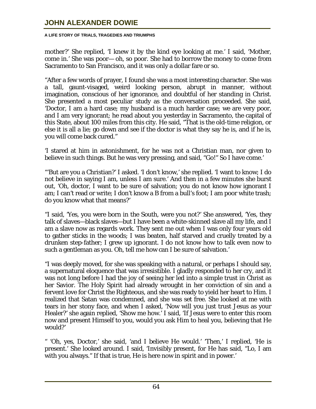**A LIFE STORY OF TRIALS, TRAGEDIES AND TRIUMPHS** 

mother?' She replied, 'I knew it by the kind eye looking at me.' I said, 'Mother, come in.' She was poor— oh, so poor. She had to borrow the money to come from Sacramento to San Francisco, and it was only a dollar fare or so.

"After a few words of prayer, I found she was a most interesting character. She was a tall, gaunt-visaged, weird looking person, abrupt in manner, without imagination, conscious of her ignorance, and doubtful of her standing in Christ. She presented a most peculiar study as the conversation proceeded. She said, 'Doctor, I am a hard case; my husband is a much harder case; we are very poor, and I am very ignorant; he read about you yesterday in Sacramento, the capital of this State, about 100 miles from this city. He said, "That is the old-time religion, or else it is all a lie; go down and see if the doctor is what they say he is, and if he is, you will come back cured."

'I stared at him in astonishment, for he was not a Christian man, nor given to believe in such things. But he was very pressing, and said, "Go!" So I have come.'

"'But are you a Christian?' I asked. 'I don't know,' she replied. 'I want to know; I do not believe in saying I am, unless I am sure.' And then in a few minutes she burst out, 'Oh, doctor, I want to be sure of salvation; you do not know how ignorant I am; I can't read or write; I don't know a B from a bull's foot; I am poor white trash; do you know what that means?'

"I said, 'Yes, you were born in the South, were you not?' She answered, 'Yes, they talk of slaves—black slaves—but I have been a white-skinned slave all my life, and I am a slave now as regards work. They sent me out when I was only four years old to gather sticks in the woods; I was beaten, half starved and cruelly treated by a drunken step-father; I grew up ignorant. I do not know how to talk even now to such a gentleman as you. Oh, tell me how can I be sure of salvation.'

"I was deeply moved, for she was speaking with a natural, or perhaps I should say, a supernatural eloquence that was irresistible. I gladly responded to her cry, and it was not long before I had the joy of seeing her led into a simple trust in Christ as her Savior. The Holy Spirit had already wrought in her conviction of sin and a fervent love for Christ the Righteous, and she was ready to yield her heart to Him. I realized that Satan was condemned, and she was set free. She looked at me with tears in her stony face, and when I asked, 'Now will you just trust Jesus as your Healer?' she again replied, 'Show me how.' I said, 'If Jesus were to enter this room now and present Himself to you, would you ask Him to heal you, believing that He would?'

" 'Oh, yes, Doctor,' she said, 'and I believe He would.' 'Then,' I replied, 'He is present.' She looked around. I said, 'Invisibly present, for He has said, "Lo, I am with you always." If that is true, He is here now in spirit and in power.'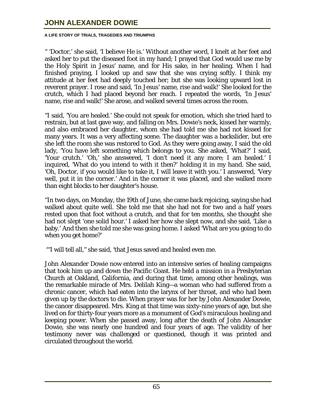**A LIFE STORY OF TRIALS, TRAGEDIES AND TRIUMPHS** 

" 'Doctor,' she said, 'I believe He is.' Without another word, I knelt at her feet and asked her to put the diseased foot in my hand; I prayed that God would use me by the Holy Spirit in Jesus' name, and for His sake, in her healing. When I had finished praying, I looked up and saw that she was crying softly. I think my attitude at her feet had deeply touched her; but she was looking upward lost in reverent prayer. I rose and said, 'In Jesus' name, rise and walk!' She looked for the crutch, which I had placed beyond her reach. I repeated the words, 'In Jesus' name, rise and walk!' She arose, and walked several times across the room.

"I said, 'You are healed.' She could not speak for emotion, which she tried hard to restrain, but at last gave way, and falling on Mrs. Dowie's neck, kissed her warmly, and also embraced her daughter, whom she had told me she had not kissed for many years. It was a very affecting scene. The daughter was a backslider, but ere she left the room she was restored to God. As they were going away, I said the old lady, 'You have left something which belongs to you. She asked, 'What?' I said, 'Your crutch.' 'Oh,' she answered, 'I don't need it any more; I am healed.' I inquired, 'What do you intend to with it then?' holding it in my hand. She said, 'Oh, Doctor, if you would like to take it, I will leave it with you.' I answered, 'Very well, put it in the corner.' And in the corner it was placed, and she walked more than eight blocks to her daughter's house.

"In two days, on Monday, the 19th of June, she came back rejoicing, saying she had walked about quite well. She told me that she had not for two and a half years rested upon that foot without a crutch, and that for ten months, she thought she had not slept 'one solid hour.' I asked her how she slept now, and she said, 'Like a baby.' And then she told me she was going home. I asked 'What are you going to do when you get home?'

"'I will tell all," she said, 'that Jesus saved and healed even me.

John Alexander Dowie now entered into an intensive series of healing campaigns that took him up and down the Pacific Coast. He held a mission in a Presbyterian Church at Oakland, California, and during that time, among other healings, was the remarkable miracle of Mrs. Delilah King—a woman who had suffered from a chronic cancer, which had eaten into the larynx of her throat, and who had been given up by the doctors to die. When prayer was for her by John Alexander Dowie, the cancer disappeared. Mrs. King at that time was sixty-nine years of age, but she lived on for thirty-four years more as a monument of God's miraculous healing and keeping power. When she passed away, long after the death of John Alexander Dowie, she was nearly one hundred and four years of age. The validity of her testimony never was challenged or questioned, though it was printed and circulated throughout the world.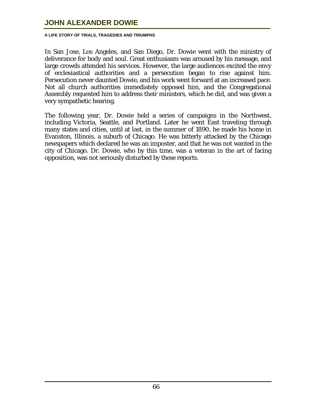**A LIFE STORY OF TRIALS, TRAGEDIES AND TRIUMPHS** 

In San Jose, Los Angeles, and San Diego, Dr. Dowie went with the ministry of deliverance for body and soul. Great enthusiasm was aroused by his message, and large crowds attended his services. However, the large audiences excited the envy of ecclesiastical authorities and a persecution began to rise against him. Persecution never daunted Dowie, and his work went forward at an increased pace. Not all church authorities immediately opposed him, and the Congregational Assembly requested him to address their ministers, which he did, and was given a very sympathetic hearing.

The following year, Dr. Dowie held a series of campaigns in the Northwest, including Victoria, Seattle, and Portland. Later he went East traveling through many states and cities, until at last, in the summer of 1890, he made his home in Evanston, Illinois, a suburb of Chicago. He was bitterly attacked by the Chicago newspapers which declared he was an imposter, and that he was not wanted in the city of Chicago. Dr. Dowie, who by this time, was a veteran in the art of facing opposition, was not seriously disturbed by these reports.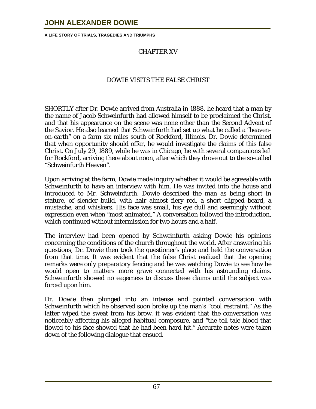**A LIFE STORY OF TRIALS, TRAGEDIES AND TRIUMPHS** 

#### CHAPTER XV

#### DOWIE VISITS THE FALSE CHRIST

SHORTLY after Dr. Dowie arrived from Australia in 1888, he heard that a man by the name of Jacob Schweinfurth had allowed himself to be proclaimed the Christ, and that his appearance on the scene was none other than the Second Advent of the Savior. He also learned that Schweinfurth had set up what he called a "heavenon-earth" on a farm six miles south of Rockford, Illinois. Dr. Dowie determined that when opportunity should offer, he would investigate the claims of this false Christ. On July 29, 1889, while he was in Chicago, he with several companions left for Rockford, arriving there about noon, after which they drove out to the so-called "Schweinfurth Heaven".

Upon arriving at the farm, Dowie made inquiry whether it would be agreeable with Schweinfurth to have an interview with him. He was invited into the house and introduced to Mr. Schweinfurth. Dowie described the man as being short in stature, of slender build, with hair almost fiery red, a short clipped beard, a mustache, and whiskers. His face was small, his eye dull and seemingly without expression even when "most animated." A conversation followed the introduction, which continued without intermission for two hours and a half.

The interview had been opened by Schweinfurth asking Dowie his opinions concerning the conditions of the church throughout the world. After answering his questions, Dr. Dowie then took the questioner's place and held the conversation from that time. It was evident that the false Christ realized that the opening remarks were only preparatory fencing and he was watching Dowie to see how he would open to matters more grave connected with his astounding claims. Schweinfurth showed no eagerness to discuss these claims until the subject was forced upon him.

Dr. Dowie then plunged into an intense and pointed conversation with Schweinfurth which he observed soon broke up the man's "cool restraint." As the latter wiped the sweat from his brow, it was evident that the conversation was noticeably affecting his alleged habitual composure, and "the tell-tale blood that flowed to his face showed that he had been hard hit." Accurate notes were taken down of the following dialogue that ensued.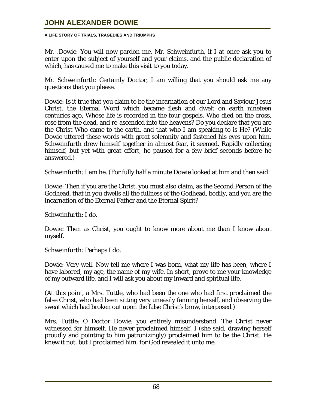**A LIFE STORY OF TRIALS, TRAGEDIES AND TRIUMPHS** 

Mr. .Dowie: You will now pardon me, Mr. Schweinfurth, if I at once ask you to enter upon the subject of yourself and your claims, and the public declaration of which, has caused me to make this visit to you today.

Mr. Schweinfurth: Certainly Doctor, I am willing that you should ask me any questions that you please.

Dowie: Is it true that you claim to be the incarnation of our Lord and Saviour Jesus Christ, the Eternal Word which became flesh and dwelt on earth nineteen centuries ago, Whose life is recorded in the four gospels, Who died on the cross, rose from the dead, and re-ascended into the heavens? Do you declare that you are the Christ Who came to the earth, and that who I am speaking to is He? (While Dowie uttered these words with great solemnity and fastened his eyes upon him, Schweinfurth drew himself together in almost fear, it seemed. Rapidly collecting himself, but yet with great effort, he paused for a few brief seconds before he answered.)

Schweinfurth: I am he. (For fully half a minute Dowie looked at him and then said:

Dowie: Then if you are the Christ, you must also claim, as the Second Person of the Godhead, that in you dwells all the fullness of the Godhead, bodily, and you are the incarnation of the Eternal Father and the Eternal Spirit?

Schweinfurth: I do.

Dowie: Then as Christ, you ought to know more about me than I know about myself.

Schweinfurth: Perhaps I do.

Dowie: Very well. Now tell me where I was born, what my life has been, where I have labored, my age, the name of my wife. In short, prove to me your knowledge of my outward life, and I will ask you about my inward and spiritual life.

(At this point, a Mrs. Tuttle, who had been the one who had first proclaimed the false Christ, who had been sitting very uneasily fanning herself, and observing the sweat which had broken out upon the false Christ's brow, interposed.)

Mrs. Tuttle: O Doctor Dowie, you entirely misunderstand. The Christ never witnessed for himself. He never proclaimed himself. I (she said, drawing herself proudly and pointing to him patronizingly) proclaimed him to be the Christ. He knew it not, but I proclaimed him, for God revealed it unto me.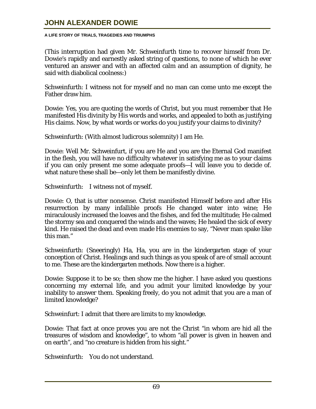**A LIFE STORY OF TRIALS, TRAGEDIES AND TRIUMPHS** 

(This interruption had given Mr. Schweinfurth time to recover himself from Dr. Dowie's rapidly and earnestly asked string of questions, to none of which he ever ventured an answer and with an affected calm and an assumption of dignity, he said with diabolical coolness:)

Schweinfurth: I witness not for myself and no man can come unto me except the Father draw him.

Dowie: Yes, you are quoting the words of Christ, but you must remember that He manifested His divinity by His words and works, and appealed to both as justifying His claims. Now, by what words or works do you justify your claims to divinity?

Schweinfurth: (With almost ludicrous solemnity) I am He.

Dowie: Well Mr. Schweinfurt, if you are He and you are the Eternal God manifest in the flesh, you will have no difficulty whatever in satisfying me as to your claims if you can only present me some adequate proofs—I will leave you to decide of. what nature these shall be—only let them be manifestly divine.

Schweinfurth: I witness not of myself.

Dowie: O, that is utter nonsense. Christ manifested Himself before and after His resurrection by many infallible proofs He changed water into wine; He miraculously increased the loaves and the fishes, and fed the multitude; He calmed the stormy sea and conquered the winds and the waves; He healed the sick of every kind. He raised the dead and even made His enemies to say, "Never man spake like this man."

Schweinfurth: (Sneeringly) Ha, Ha, you are in the kindergarten stage of your conception of Christ. Healings and such things as you speak of are of small account to me. These are the kindergarten methods. Now there is a higher.

Dowie: Suppose it to be so; then show me the higher. I have asked you questions concerning my external life, and you admit your limited knowledge by your inability to answer them. Speaking freely, do you not admit that you are a man of limited knowledge?

Schweinfurt: I admit that there are limits to my knowledge.

Dowie: That fact at once proves you are not the Christ "in whom are hid all the treasures of wisdom and knowledge", to whom "all power is given in heaven and on earth", and "no creature is hidden from his sight."

Schweinfurth: You do not understand.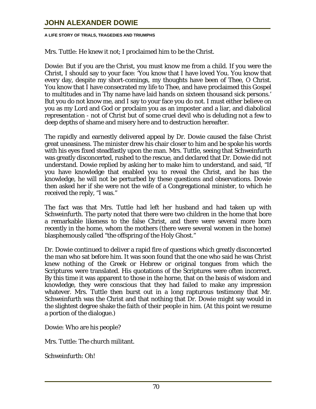**A LIFE STORY OF TRIALS, TRAGEDIES AND TRIUMPHS** 

Mrs. Tuttle: He knew it not; I proclaimed him to be the Christ.

Dowie: But if you are the Christ, you must know me from a child. If you were the Christ, I should say to your face: 'You know that I have loved You. You know that every day, despite my short-comings, my thoughts have been of Thee, O Christ. You know that I have consecrated my life to Thee, and have proclaimed this Gospel to multitudes and in Thy name have laid hands on sixteen thousand sick persons.' But you do not know me, and I say to your face you do not. I must either believe on you as my Lord and God or proclaim you as an imposter and a liar, and diabolical representation - not of Christ but of some cruel devil who is deluding not a few to deep depths of shame and misery here and to destruction hereafter.

The rapidly and earnestly delivered appeal by Dr. Dowie caused the false Christ great uneasiness. The minister drew his chair closer to him and be spoke his words with his eyes fixed steadfastly upon the man. Mrs. Tuttle, seeing that Schweinfurth was greatly disconcerted, rushed to the rescue, and declared that Dr. Dowie did not understand. Dowie replied by asking her to make him to understand, and said, "If you have knowledge that enabled you to reveal the Christ, and he has the knowledge, he will not be perturbed by these questions and observations. Dowie then asked her if she were not the wife of a Congregational minister, to which he received the reply, "I was."

The fact was that Mrs. Tuttle had left her husband and had taken up with Schweinfurth. The party noted that there were two children in the home that bore a remarkable likeness to the false Christ, and there were several more born recently in the home, whom the mothers (there were several women in the home) blasphemously called "the offspring of the Holy Ghost."

Dr. Dowie continued to deliver a rapid fire of questions which greatly disconcerted the man who sat before him. It was soon found that the one who said he was Christ knew nothing of the Greek or Hebrew or original tongues from which the Scriptures were translated. His quotations of the Scriptures were often incorrect. By this time it was apparent to those in the horne, that on the basis of wisdom and knowledge, they were conscious that they had failed to make any impression whatever. Mrs. Tuttle then burst out in a long rapturous testimony that Mr. Schweinfurth was the Christ and that nothing that Dr. Dowie might say would in the slightest degree shake the faith of their people in him. (At this point we resume a portion of the dialogue.)

Dowie: Who are his people?

Mrs. Tuttle: The church militant.

Schweinfurth: Oh!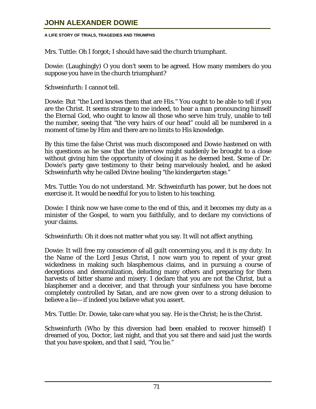**A LIFE STORY OF TRIALS, TRAGEDIES AND TRIUMPHS** 

Mrs. Tuttle: Oh I forgot; I should have said the church triumphant.

Dowie: (Laughingly) O you don't seem to be agreed. How many members do you suppose you have in the church triumphant?

Schweinfurth: I cannot tell.

Dowie: But "the Lord knows them that are His." You ought to be able to tell if you are the Christ. It seems strange to me indeed, to hear a man pronouncing himself the Eternal God, who ought to know all those who serve him truly, unable to tell the number, seeing that "the very hairs of our head" could all be numbered in a moment of time by Him and there are no limits to His knowledge.

By this time the false Christ was much discomposed and Dowie hastened on with his questions as he saw that the interview might suddenly be brought to a close without giving him the opportunity of closing it as he deemed best. Some of Dr. Dowie's party gave testimony to their being marvelously healed, and he asked Schweinfurth why he called Divine healing "the kindergarten stage."

Mrs. Tuttle: You do not understand. Mr. Schweinfurth has power, but he does not exercise it. It would be needful for you to listen to his teaching.

Dowie: I think now we have come to the end of this, and it becomes my duty as a minister of the Gospel, to warn you faithfully, and to declare my convictions of your claims.

Schweinfurth: Oh it does not matter what you say. It will not affect anything.

Dowie: It will free my conscience of all guilt concerning you, and it is my duty. In the Name of the Lord Jesus Christ, I now warn you to repent of your great wickedness in making such blasphemous claims, and in pursuing a course of deceptions and demoralization, deluding many others and preparing for them harvests of bitter shame and misery. I declare that you are not the Christ, but a blasphemer and a deceiver, and that through your sinfulness you have become completely controlled by Satan, and are now given over to a strong delusion to believe a lie— if indeed you believe what you assert.

Mrs. Tuttle: Dr. Dowie, take care what you say. He is the Christ; he is the Christ.

Schweinfurth (Who by this diversion had been enabled to recover himself) I dreamed of you, Doctor, last night, and that you sat there and said just the words that you have spoken, and that  $\overline{I}$  said, "You lie."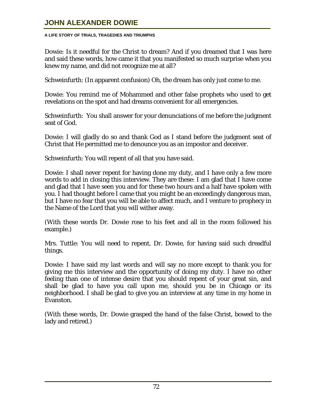**A LIFE STORY OF TRIALS, TRAGEDIES AND TRIUMPHS** 

Dowie: Is it needful for the Christ to dream? And if you dreamed that I was here and said these words, how came it that you manifested so much surprise when you knew my name, and did not recognize me at all?

Schweinfurth: (In apparent confusion) Oh, the dream has only just come to me.

Dowie: You remind me of Mohammed and other false prophets who used to get revelations on the spot and had dreams convenient for all emergencies.

Schweinfurth: You shall answer for your denunciations of me before the judgment seat of God.

Dowie: I will gladly do so and thank God as I stand before the judgment seat of Christ that He permitted me to denounce you as an impostor and deceiver.

Schweinfurth: You will repent of all that you have said.

Dowie: I shall never repent for having done my duty, and I have only a few more words to add in closing this interview. They are these: I am glad that I have come and glad that I have seen you and for these two hours and a half have spoken with you. I had thought before I came that you might be an exceedingly dangerous man, but I have no fear that you will be able to affect much, and I venture to prophecy in the Name of the Lord that you will wither away.

(With these words Dr. Dowie rose to his feet and all in the room followed his example.)

Mrs. Tuttle: You will need to repent, Dr. Dowie, for having said such dreadful things.

Dowie: I have said my last words and will say no more except to thank you for giving me this interview and the opportunity of doing my duty. I have no other feeling than one of intense desire that you should repent of your great sin, and shall be glad to have you call upon me, should you be in Chicago or its neighborhood. I shall be glad to give you an interview at any time in my home in Evanston.

(With these words, Dr. Dowie grasped the hand of the false Christ, bowed to the lady and retired.)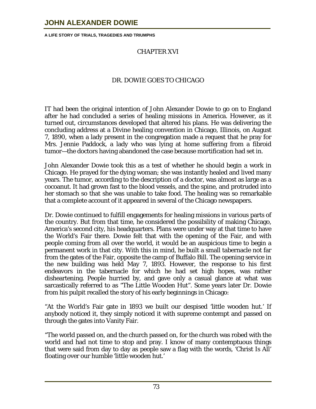**A LIFE STORY OF TRIALS, TRAGEDIES AND TRIUMPHS** 

#### CHAPTER XVI

#### DR. DOWIE GOES TO CHICAGO

IT had been the original intention of John Alexander Dowie to go on to England after he had concluded a series of healing missions in America. However, as it turned out, circumstances developed that altered his plans. He was delivering the concluding address at a Divine healing convention in Chicago, Illinois, on August 7, 1890, when a lady present in the congregation made a request that he pray for Mrs. Jennie Paddock, a lady who was lying at home suffering from a fibroid tumor—the doctors having abandoned the case because mortification had set in.

John Alexander Dowie took this as a test of whether he should begin a work in Chicago. He prayed for the dying woman; she was instantly healed and lived many years. The tumor, according to the description of a doctor, was almost as large as a cocoanut. It had grown fast to the blood vessels, and the spine, and protruded into her stomach so that she was unable to take food. The healing was so remarkable that a complete account of it appeared in several of the Chicago newspapers.

Dr. Dowie continued to fulfill engagements for healing missions in various parts of the country. But from that time, he considered the possibility of making Chicago, America's second city, his headquarters. Plans were under way at that time to have the World's Fair there. Dowie felt that with the opening of the Fair, and with people coming from all over the world, it would be an auspicious time to begin a permanent work in that city. With this in mind, he built a small tabernacle not far from the gates of the Fair, opposite the camp of Buffalo Bill. The opening service in the new building was held May 7, 1893. However, the response to his first endeavors in the tabernacle for which he had set high hopes, was rather disheartening. People hurried by, and gave only a casual glance at what was sarcastically referred to as "The Little Wooden Hut". Some years later Dr. Dowie from his pulpit recalled the story of his early beginnings in Chicago:

"At the World's Fair gate in 1893 we built our despised 'little wooden hut.' If anybody noticed it, they simply noticed it with supreme contempt and passed on through the gates into Vanity Fair.

"The world passed on, and the church passed on, for the church was robed with the world and had not time to stop and pray. I know of many contemptuous things that were said from day to day as people saw a flag with the words, 'Christ Is All' floating over our humble 'little wooden hut.'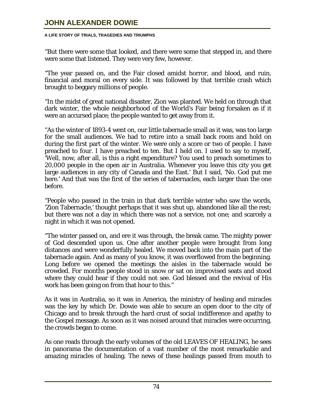**A LIFE STORY OF TRIALS, TRAGEDIES AND TRIUMPHS** 

"But there were some that looked, and there were some that stepped in, and there were some that listened. They were very few, however.

"The year passed on, and the Fair closed amidst horror, and blood, and ruin, financial and moral on every side. It was followed by that terrible crash which brought to beggary millions of people.

"In the midst of great national disaster, Zion was planted. We held on through that dark winter, the whole neighborhood of the World's Fair being forsaken as if it were an accursed place; the people wanted to get away from it.

"As the winter of 1893-4 went on, our little tabernacle small as it was, was too large for the small audiences. We had to retire into a small back room and hold on during the first part of the winter. We were only a score or two of people. I have preached to four. I have preached to ten. But I held on. I used to say to myself, 'Well, now, after all, is this a right expenditure? You used to preach sometimes to 20,000 people in the open air in Australia. Whenever you leave this city you get large audiences in any city of Canada and the East.' But I said, 'No. God put me here.' And that was the first of the series of tabernacles, each larger than the one before.

"People who passed in the train in that dark terrible winter who saw the words, 'Zion Tabernacle,' thought perhaps that it was shut up, abandoned like all the rest; but there was not a day in which there was not a service, not one; and scarcely a night in which it was not opened.

"The winter passed on, and ere it was through, the break came. The mighty power of God descended upon us. One after another people were brought from long distances and were wonderfully healed. We moved back into the main part of the tabernacle again. And as many of you know, it was overflowed from the beginning. Long before we opened the meetings the aisles in the tabernacle would be crowded. For months people stood in snow or sat on improvised seats and stood where they could hear if they could not see. God blessed and the revival of His work has been going on from that hour to this."

As it was in Australia, so it was in America, the ministry of healing and miracles was the key by which Dr. Dowie was able to secure an open door to the city of Chicago and to break through the hard crust of social indifference and apathy to the Gospel message. As soon as it was noised around that miracles were occurring, the crowds began to come.

As one reads through the early volumes of the old LEAVES OF HEALING, he sees in panorama the documentation of a vast number of the most remarkable and amazing miracles of healing. The news of these healings passed from mouth to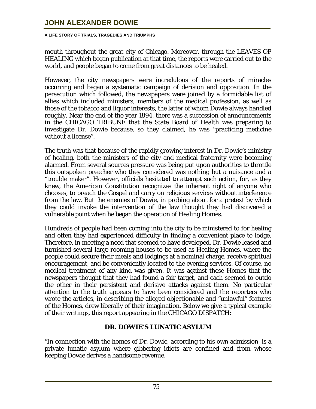**A LIFE STORY OF TRIALS, TRAGEDIES AND TRIUMPHS** 

mouth throughout the great city of Chicago. Moreover, through the LEAVES OF HEALING which began publication at that time, the reports were carried out to the world, and people began to come from great distances to be healed.

However, the city newspapers were incredulous of the reports of miracles occurring and began a systematic campaign of derision and opposition. In the persecution which followed, the newspapers were joined by a formidable list of allies which included ministers, members of the medical profession, as well as those of the tobacco and liquor interests, the latter of whom Dowie always handled roughly. Near the end of the year 1894, there was a succession of announcements in the CHICAGO TRIBUNE that the State Board of Health was preparing to investigate Dr. Dowie because, so they claimed, he was "practicing medicine without a license".

The truth was that because of the rapidly growing interest in Dr. Dowie's ministry of healing, both the ministers of the city and medical fraternity were becoming alarmed. From several sources pressure was being put upon authorities to throttle this outspoken preacher who they considered was nothing but a nuisance and a "trouble maker". However, officials hesitated to attempt such action, for, as they knew, the American Constitution recognizes the inherent right of anyone who chooses, to preach the Gospel and carry on religious services without interference from the law. But the enemies of Dowie, in probing about for a pretext by which they could invoke the intervention of the law thought they had discovered a vulnerable point when he began the operation of Healing Homes.

Hundreds of people had been coming into the city to be ministered to for healing and often they had experienced difficulty in finding a convenient place to lodge. Therefore, in meeting a need that seemed to have developed, Dr. Dowie leased and furnished several large rooming houses to be used as Healing Homes, where the people could secure their meals and lodgings at a nominal charge, receive spiritual encouragement, and be conveniently located to the evening services. Of course, no medical treatment of any kind was given. It was against these Homes that the newspapers thought that they had found a fair target, and each seemed to outdo the other in their persistent and derisive attacks against them. No particular attention to the truth appears to have been considered and the reporters who wrote the articles, in describing the alleged objectionable and "unlawful" features of the Homes, drew liberally of their imagination. Below we give a typical example of their writings, this report appearing in the CHICAGO DISPATCH:

#### **DR. DOWIE'S LUNATIC ASYLUM**

"In connection with the homes of Dr. Dowie, according to his own admission, is a private lunatic asylum where gibbering idiots are confined and from whose keeping Dowie derives a handsome revenue.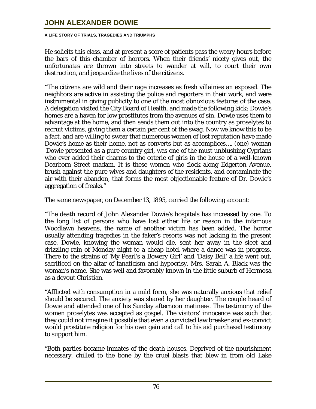**A LIFE STORY OF TRIALS, TRAGEDIES AND TRIUMPHS** 

He solicits this class, and at present a score of patients pass the weary hours before the bars of this chamber of horrors. When their friends' nicety gives out, the unfortunates are thrown into streets to wander at will, to court their own destruction, and jeopardize the lives of the citizens.

"The citizens are wild and their rage increases as fresh villainies an exposed. The neighbors are active in assisting the police and reporters in their work, and were instrumental in giving publicity to one of the most obnoxious features of the case. A delegation visited the City Board of Health, and made the following kick: Dowie's homes are a haven for low prostitutes from the avenues of sin. Dowie uses them to advantage at the home, and then sends them out into the country as proselytes to recruit victims, giving them a certain per cent of the swag. Now we know this to be a fact, and are willing to swear that numerous women of lost reputation have made Dowie's home as their home, not as converts but as accomplices…. (one) woman Dowie presented as a pure country girl, was one of the must unblushing Cyprians who ever added their charms to the coterie of girls in the house of a well-known Dearborn Street madam. It is these women who flock along Edgerton Avenue, brush against the pure wives and daughters of the residents, and contaminate the air with their abandon, that forms the most objectionable feature of Dr. Dowie's aggregation of freaks."

The same newspaper, on December 13, 1895, carried the following account:

"The death record of John Alexander Dowie's hospitals has increased by one. To the long list of persons who have lost either life or reason in the infamous Woodlawn heavens, the name of another victim has been added. The horror usually attending tragedies in the faker's resorts was not lacking in the present case. Dowie, knowing the woman would die, sent her away in the sleet and drizzling rain of Monday night to a cheap hotel where a dance was in progress. There to the strains of 'My Pearl's a Bowery Girl' and 'Daisy Bell' a life went out, sacrificed on the altar of fanaticism and hypocrisy. Mrs. Sarah A. Black was the woman's name. She was well and favorably known in the little suburb of Hermosa as a devout Christian.

"Afflicted with consumption in a mild form, she was naturally anxious that relief should be secured. The anxiety was shared by her daughter. The couple heard of Dowie and attended one of his Sunday afternoon matinees. The testimony of the women proselytes was accepted as gospel. The visitors' innocence was such that they could not imagine it possible that even a convicted law breaker and ex-convict would prostitute religion for his own gain and call to his aid purchased testimony to support him.

"Both parties became inmates of the death houses. Deprived of the nourishment necessary, chilled to the bone by the cruel blasts that blew in from old Lake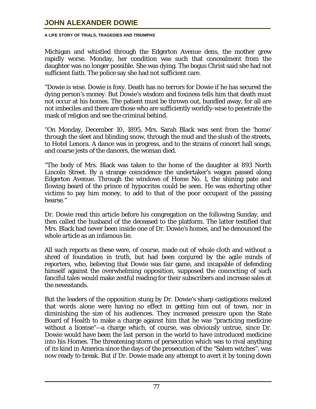**A LIFE STORY OF TRIALS, TRAGEDIES AND TRIUMPHS** 

Michigan and whistled through the Edgerton Avenue dens, the mother grew rapidly worse. Monday, her condition was such that concealment from the daughter was no longer possible. She was dying. The bogus Christ said she had not sufficient faith. The police say she had not sufficient care.

"Dowie is wise. Dowie is foxy. Death has no terrors for Dowie if he has secured the dying person's money. But Dowie's wisdom and foxiness tells him that death must not occur at his homes. The patient must be thrown out, bundled away, for all are not imbeciles and there are those who are sufficiently worldly-wise to penetrate the mask of religion and see the criminal behind.

"On Monday, December 10, 1895, Mrs. Sarah Black was sent from the 'home' through the sleet and blinding snow, through the mud and the slush of the streets, to Hotel Lenora. A dance was in progress, and to the strains of concert hall songs, and coarse jests of the dancers, the woman died.

"The body of Mrs. Black was taken to the home of the daughter at 893 North Lincoln Street. By a strange coincidence the undertaker's wagon passed along Edgerton Avenue. Through the windows of Home No. 1, the shining pate and flowing beard of the prince of hypocrites could be seen. He was exhorting other victims to pay him money, to add to that of the poor occupant of the passing hearse."

Dr. Dowie read this article before his congregation on the following Sunday, and then called the husband of the deceased to the platform. The latter testified that Mrs. Black had never been inside one of Dr. Dowie's homes, and he denounced the whole article as an infamous lie.

All such reports as these were, of course, made out of whole cloth and without a shred of foundation in truth, but had been conjured by the agile minds of reporters, who, believing that Dowie was fair game, and incapable of defending himself against the overwhelming opposition, supposed the concocting of such fanciful tales would make zestful reading for their subscribers and increase sales at the newsstands.

But the leaders of the opposition stung by Dr. Dowie's sharp castigations realized that words alone were having no effect in getting him out of town, nor in diminishing the size of his audiences. They increased pressure upon the State Board of Health to make a charge against him that he was "practicing medicine without a license"—a charge which, of course, was obviously untrue, since Dr. Dowie would have been the last person in the world to have introduced medicine into his Homes. The threatening storm of persecution which was to rival anything of its kind in America since the days of the prosecution of the "Salem witches", was now ready to break. But if Dr. Dowie made any attempt to avert it by toning down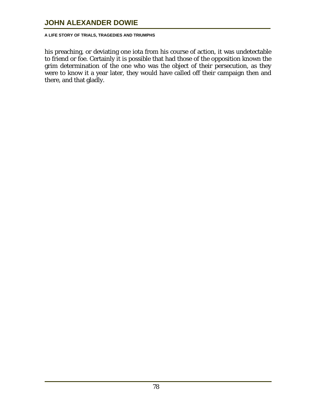**A LIFE STORY OF TRIALS, TRAGEDIES AND TRIUMPHS** 

his preaching, or deviating one iota from his course of action, it was undetectable to friend or foe. Certainly it is possible that had those of the opposition known the grim determination of the one who was the object of their persecution, as they were to know it a year later, they would have called off their campaign then and there, and that gladly.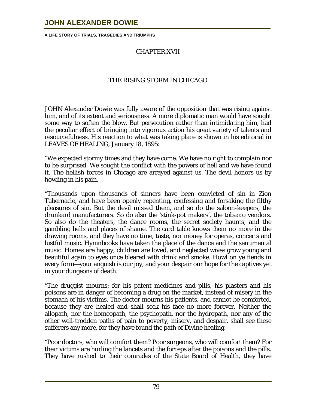**A LIFE STORY OF TRIALS, TRAGEDIES AND TRIUMPHS** 

#### CHAPTER XVII

#### THE RISING STORM IN CHICAGO

JOHN Alexander Dowie was fully aware of the opposition that was rising against him, and of its extent and seriousness. A more diplomatic man would have sought some way to soften the blow. But persecution rather than intimidating him, had the peculiar effect of bringing into vigorous action his great variety of talents and resourcefulness. His reaction to what was taking place is shown in his editorial in LEAVES OF HEALING, January 18, 1895:

"We expected stormy times and they have come. We have no right to complain nor to be surprised. We sought the conflict with the powers of hell and we have found it. The hellish forces in Chicago are arrayed against us. The devil honors us by howling in his pain.

"Thousands upon thousands of sinners have been convicted of sin in Zion Tabernacle, and have been openly repenting, confessing and forsaking the filthy pleasures of sin. But the devil missed them, and so do the saloon-keepers, the drunkard manufacturers. So do also the 'stink-pot makers', the tobacco vendors. So also do the theaters, the dance rooms, the secret society haunts, and the gambling hells and places of shame. The card table knows them no more in the drawing rooms, and they have no time, taste, nor money for operas, concerts and lustful music. Hymnbooks have taken the place of the dance and the sentimental music. Homes are happy, children are loved, and neglected wives grow young and beautiful again to eyes once bleared with drink and smoke. Howl on ye fiends in every form—your anguish is our joy, and your despair our hope for the captives yet in your dungeons of death.

"The druggist mourns: for his patent medicines and pills, his plasters and his poisons are in danger of becoming a drug on the market, instead of misery in the stomach of his victims. The doctor mourns his patients, and cannot be comforted, because they are healed and shall seek his face no more forever. Neither the allopath, nor the homeopath, the psychopath, nor the hydropath, nor any of the other well-trodden paths of pain to poverty, misery, and despair, shall see these sufferers any more, for they have found the path of Divine healing.

"Poor doctors, who will comfort them? Poor surgeons, who will comfort them? For their victims are hurling the lancets and the forceps after the poisons and the pills. They have rushed to their comrades of the State Board of Health, they have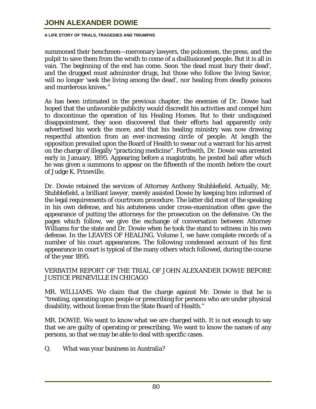**A LIFE STORY OF TRIALS, TRAGEDIES AND TRIUMPHS** 

summoned their henchmen—mercenary lawyers, the policemen, the press, and the pulpit to save them from the wrath to come of a disillusioned people. But it is all in vain. The beginning of the end has come. Soon 'the dead must bury their dead', and the drugged must administer drugs, but those who follow the living Savior, will no longer 'seek the living among the dead', nor healing from deadly poisons and murderous knives."

As has been intimated in the previous chapter, the enemies of Dr. Dowie had hoped that the unfavorable publicity would discredit his activities and compel him to discontinue the operation of his Healing Homes. But to their undisguised disappointment, they soon discovered that their efforts had apparently only advertised his work the more, and that his healing ministry was now drawing respectful attention from an ever-increasing circle of people. At length the opposition prevailed upon the Board of Health to swear out a warrant for his arrest on the charge of illegally "practicing medicine". Forthwith, Dr. Dowie was arrested early in January, 1895. Appearing before a magistrate, he posted bail after which he was given a summons to appear on the fifteenth of the month before the court of Judge K. Prineville.

Dr. Dowie retained the services of Attorney Anthony Stubblefield. Actually, Mr. Stubblefield, a brilliant lawyer, merely assisted Dowie by keeping him informed of the legal requirements of courtroom procedure. The latter did most of the speaking in his own defense, and his astuteness under cross-examination often gave the appearance of putting the attorneys for the prosecution on the defensive. On the pages which follow, we give the exchange of conversation between Attorney Williams for the state and Dr. Dowie when he took the stand to witness in his own defense. In the LEAVES OF HEALING, Volume I, we have complete records of a number of his court appearances. The following condensed account of his first appearance in court is typical of the many others which followed, during the course of the year 1895.

#### VERBATIM REPORT OF THE TRIAL OF JOHN ALEXANDER DOWIE BEFORE JUSTICE PRINEVILLE IN CHICAGO

MR. WILLIAMS. We claim that the charge against Mr. Dowie is that he is "treating, operating upon people or prescribing for persons who are under physical disability, without license from the State Board of Health."

MR. DOWIE. We want to know what we are charged with. It is not enough to say that we are guilty of operating or prescribing. We want to know the names of any persons, so that we may be able to deal with specific cases.

Q. What was your business in Australia?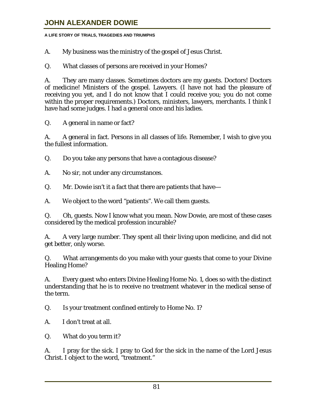**A LIFE STORY OF TRIALS, TRAGEDIES AND TRIUMPHS** 

A. My business was the ministry of the gospel of Jesus Christ.

Q. What classes of persons are received in your Homes?

A. They are many classes. Sometimes doctors are my guests. Doctors! Doctors of medicine! Ministers of the gospel. Lawyers. (I have not had the pleasure of receiving you yet, and I do not know that I could receive you; you do not come within the proper requirements.) Doctors, ministers, lawyers, merchants. I think I have had some judges. I had a general once and his ladies.

Q. A general in name or fact?

A. A general in fact. Persons in all classes of life. Remember, I wish to give you the fullest information.

Q. Do you take any persons that have a contagious disease?

A. No sir, not under any circumstances.

Q. Mr. Dowie isn't it a fact that there are patients that have—

A. We object to the word "patients". We call them guests.

Q. Oh, guests. Now I know what you mean. Now Dowie, are most of these cases considered by the medical profession incurable?

A. A very large number. They spent all their living upon medicine, and did not get better, only worse.

Q. What arrangements do you make with your guests that come to your Divine Healing Home?

A. Every guest who enters Divine Healing Home No. 1, does so with the distinct understanding that he is to receive no treatment whatever in the medical sense of the term.

Q. Is your treatment confined entirely to Home No. 1?

A. I don't treat at all.

Q. What do you term it?

A. I pray for the sick. I pray to God for the sick in the name of the Lord Jesus Christ. I object to the word, "treatment."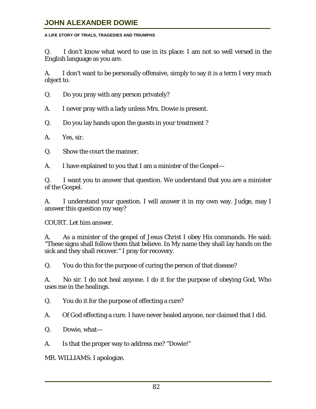**A LIFE STORY OF TRIALS, TRAGEDIES AND TRIUMPHS** 

Q. I don't know what word to use in its place: I am not so well versed in the English language as you are.

A. I don't want to be personally offensive, simply to say it is a term I very much object to.

Q. Do you pray with any person privately?

A. I never pray with a lady unless Mrs. Dowie is present.

Q. Do you lay hands upon the guests in your treatment ?

A. Yes, sir.

Q. Show the court the manner.

A. I have explained to you that I am a minister of the Gospel—

Q. I want you to answer that question. We understand that you are a minister of the Gospel.

A. I understand your question. I will answer it in my own way. Judge, may I answer this question my way?

COURT. Let him answer.

A. As a minister of the gospel of Jesus Christ I obey His commands. He said: "These signs shall follow them that believe. In My name they shall lay hands on the sick and they shall recover." I pray for recovery.

Q. You do this for the purpose of curing the person of that disease?

A. No sir. I do not heal anyone. I do it for the purpose of obeying God, Who uses me in the healings.

Q. You do it for the purpose of effecting a cure?

A. Of God effecting a cure. I have never healed anyone, nor claimed that I did.

Q. Dowie, what—

A. Is that the proper way to address me? "Dowie!"

MR. WILLIAMS: I apologize.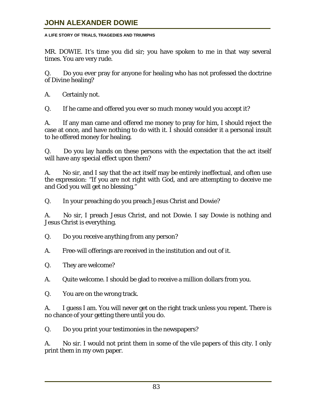**A LIFE STORY OF TRIALS, TRAGEDIES AND TRIUMPHS** 

MR. DOWIE. It's time you did sir; you have spoken to me in that way several times. You are very rude.

Q. Do you ever pray for anyone for healing who has not professed the doctrine of Divine healing?

A. Certainly not.

Q. If he came and offered you ever so much money would you accept it?

A. If any man came and offered me money to pray for him, I should reject the case at once, and have nothing to do with it. I should consider it a personal insult to he offered money for healing.

Q. Do you lay hands on these persons with the expectation that the act itself will have any special effect upon them?

A. No sir, and I say that the act itself may be entirely ineffectual, and often use the expression: "If you are not right with God, and are attempting to deceive me and God you will get no blessing."

Q. In your preaching do you preach Jesus Christ and Dowie?

A. No sir, I preach Jesus Christ, and not Dowie. I say Dowie is nothing and Jesus Christ is everything.

Q. Do you receive anything from any person?

A. Free-will offerings are received in the institution and out of it.

Q. They are welcome?

A. Quite welcome. I should be glad to receive a million dollars from you.

Q. You are on the wrong track.

A. I guess I am. You will never get on the right track unless you repent. There is no chance of your getting there until you do.

Q. Do you print your testimonies in the newspapers?

A. No sir. I would not print them in some of the vile papers of this city. I only print them in my own paper.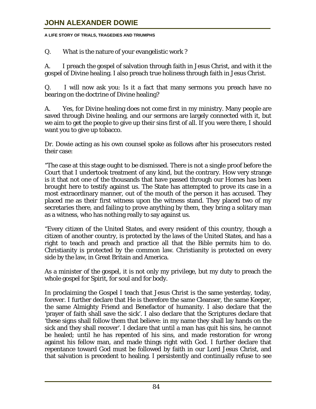**A LIFE STORY OF TRIALS, TRAGEDIES AND TRIUMPHS** 

Q. What is the nature of your evangelistic work ?

A. I preach the gospel of salvation through faith in Jesus Christ, and with it the gospel of Divine healing. I also preach true holiness through faith in Jesus Christ.

Q. I will now ask you: Is it a fact that many sermons you preach have no bearing on the doctrine of Divine healing?

A. Yes, for Divine healing does not come first in my ministry. Many people are saved through Divine healing, and our sermons are largely connected with it, but we aim to get the people to give up their sins first of all. If you were there, I should want you to give up tobacco.

Dr. Dowie acting as his own counsel spoke as follows after his prosecutors rested their case:

"The case at this stage ought to be dismissed. There is not a single proof before the Court that I undertook treatment of any kind, but the contrary. How very strange is it that not one of the thousands that have passed through our Homes has been brought here to testify against us. The State has attempted to prove its case in a most extraordinary manner, out of the mouth of the person it has accused. They placed me as their first witness upon the witness stand. They placed two of my secretaries there, and failing to prove anything by them, they bring a solitary man as a witness, who has nothing really to say against us.

"Every citizen of the United States, and every resident of this country, though a citizen of another country, is protected by the laws of the United States, and has a right to teach and preach and practice all that the Bible permits him to do. Christianity is protected by the common law. Christianity is protected on every side by the law, in Great Britain and America.

As a minister of the gospel, it is not only my privilege, but my duty to preach the whole gospel for Spirit, for soul and for body.

In proclaiming the Gospel I teach that Jesus Christ is the same yesterday, today, forever. I further declare that He is therefore the same Cleanser, the same Keeper, the same Almighty Friend and Benefactor of humanity. I also declare that the 'prayer of faith shall save the sick'. I also declare that the Scriptures declare that 'these signs shall follow them that believe: in my name they shall lay hands on the sick and they shall recover'. I declare that until a man has quit his sins, he cannot be healed; until he has repented of his sins, and made restoration for wrong against his fellow man, and made things right with God. I further declare that repentance toward God must be followed by faith in our Lord Jesus Christ, and that salvation is precedent to healing. I persistently and continually refuse to see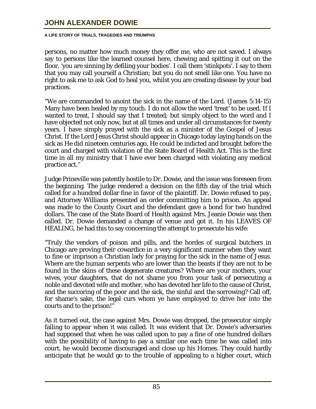**A LIFE STORY OF TRIALS, TRAGEDIES AND TRIUMPHS** 

persons, no matter how much money they offer me, who are not saved. I always say to persons like the learned counsel here, chewing and spitting it out on the floor, 'you are sinning by defiling your bodies'. I call them 'stinkpots'. I say to them that you may call yourself a Christian; but you do not smell like one. You have no right to ask me to ask God to heal you, whilst you are creating disease by your bad practices.

"We are commanded to anoint the sick in the name of the Lord. (James 5:14-15) Many have been healed by my touch. I do not allow the word 'treat' to be used. If I wanted to treat, I should say that I treated; but simply object to the word and I have objected not only now, but at all times and under all circumstances for twenty years. I have simply prayed with the sick as a minister of the Gospel of Jesus Christ. If the Lord Jesus Christ should appear in Chicago today laying hands on the sick as He did nineteen centuries ago, He could be indicted and brought before the court and charged with violation of the State Board of Health Act. This is the first time in all my ministry that I have ever been charged with violating any medical practice act."

Judge Prineville was patently hostile to Dr. Dowie, and the issue was foreseen from the beginning. The judge rendered a decision on the fifth day of the trial which called for a hundred dollar fine in favor of the plaintiff. Dr. Dowie refused to pay, and Attorney Williams presented an order committing him to prison. An appeal was made to the County Court and the defendant gave a bond for two hundred dollars. The case of the State Board of Health against Mrs. Jeanie Dowie was then called. Dr. Dowie demanded a change of venue and got it. In his LEAVES OF HEALING, he had this to say concerning the attempt to prosecute his wife:

"Truly the vendors of poison and pills, and the hordes of surgical butchers in Chicago are proving their cowardice in a very significant manner when they want to fine or imprison a Christian lady for praying for the sick in the name of Jesus. Where are the human serpents who are lower than the beasts if they are not to be found in the skins of these degenerate creatures? Where are your mothers, your wives, your daughters, that do not shame you from your task of persecuting a noble and devoted wife and mother, who has devoted her life to the cause of Christ, and the succoring of the poor and the sick, the sinful and the sorrowing? Call off, for shame's sake, the legal curs whom ye have employed to drive her into the courts and to the prison!"

As it turned out, the case against Mrs. Dowie was dropped, the prosecutor simply failing to appear when it was called. It was evident that Dr. Dowie's adversaries had supposed that when he was called upon to pay a fine of one hundred dollars with the possibility of having to pay a similar one each time he was called into court, he would become discouraged and close up his Homes. They could hardly anticipate that he would go to the trouble of appealing to a higher court, which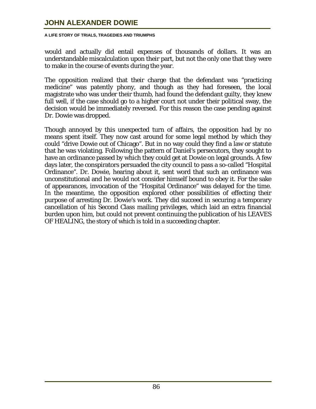**A LIFE STORY OF TRIALS, TRAGEDIES AND TRIUMPHS** 

would and actually did entail expenses of thousands of dollars. It was an understandable miscalculation upon their part, but not the only one that they were to make in the course of events during the year.

The opposition realized that their charge that the defendant was "practicing medicine" was patently phony, and though as they had foreseen, the local magistrate who was under their thumb, had found the defendant guilty, they knew full well, if the case should go to a higher court not under their political sway, the decision would be immediately reversed. For this reason the case pending against Dr. Dowie was dropped.

Though annoyed by this unexpected turn of affairs, the opposition had by no means spent itself. They now cast around for some legal method by which they could "drive Dowie out of Chicago". But in no way could they find a law or statute that he was violating. Following the pattern of Daniel's persecutors, they sought to have an ordinance passed by which they could get at Dowie on legal grounds. A few days later, the conspirators persuaded the city council to pass a so-called "Hospital Ordinance". Dr. Dowie, hearing about it, sent word that such an ordinance was unconstitutional and he would not consider himself bound to obey it. For the sake of appearances, invocation of the "Hospital Ordinance" was delayed for the time. In the meantime, the opposition explored other possibilities of effecting their purpose of arresting Dr. Dowie's work. They did succeed in securing a temporary cancellation of his Second Class mailing privileges, which laid an extra financial burden upon him, but could not prevent continuing the publication of his LEAVES OF HEALING, the story of which is told in a succeeding chapter.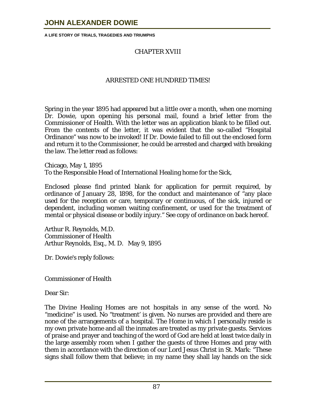**A LIFE STORY OF TRIALS, TRAGEDIES AND TRIUMPHS** 

#### CHAPTER XVIII

#### ARRESTED ONE HUNDRED TIMES!

Spring in the year 1895 had appeared but a little over a month, when one morning Dr. Dowie, upon opening his personal mail, found a brief letter from the Commissioner of Health. With the letter was an application blank to be filled out. From the contents of the letter, it was evident that the so-called "Hospital Ordinance" was now to be invoked! If Dr. Dowie failed to fill out the enclosed form and return it to the Commissioner, he could be arrested and charged with breaking the law. The letter read as follows:

Chicago, May 1, 1895 To the Responsible Head of International Healing home for the Sick,

Enclosed please find printed blank for application for permit required, by ordinance of January 28, 1898, for the conduct and maintenance of "any place used for the reception or care, temporary or continuous, of the sick, injured or dependent, including women waiting confinement, or used for the treatment of mental or physical disease or bodily injury." See copy of ordinance on back hereof.

Arthur R. Reynolds, M.D. Commissioner of Health Arthur Reynolds, Esq., M. D. May 9, 1895

Dr. Dowie's reply follows:

Commissioner of Health

Dear Sir:

The Divine Healing Homes are not hospitals in any sense of the word. No "medicine" is used. No "treatment' is given. No nurses are provided and there are none of the arrangements of a hospital. The Home in which I personally reside is my own private home and all the inmates are treated as my private guests. Services of praise and prayer and teaching of the word of God are held at least twice daily in the large assembly room when I gather the guests of three Homes and pray with them in accordance with the direction of our Lord Jesus Christ in St. Mark: "These signs shall follow them that believe; in my name they shall lay hands on the sick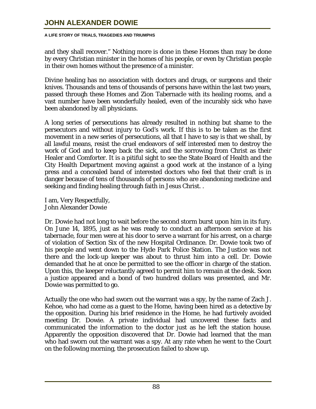#### **A LIFE STORY OF TRIALS, TRAGEDIES AND TRIUMPHS**

and they shall recover." Nothing more is done in these Homes than may be done by every Christian minister in the homes of his people, or even by Christian people in their own homes without the presence of a minister.

Divine healing has no association with doctors and drugs, or surgeons and their knives. Thousands and tens of thousands of persons have within the last two years, passed through these Homes and Zion Tabernacle with its healing rooms, and a vast number have been wonderfully healed, even of the incurably sick who have been abandoned by all physicians.

A long series of persecutions has already resulted in nothing but shame to the persecutors and without injury to God's work. If this is to be taken as the first movement in a new series of persecutions, all that I have to say is that we shall, by all lawful means, resist the cruel endeavors of self interested men to destroy the work of God and to keep back the sick, and the sorrowing from Christ as their Healer and Comforter. It is a pitiful sight to see the State Board of Health and the City Health Department moving against a good work at the instance of a lying press and a concealed band of interested doctors who feel that their craft is in danger because of tens of thousands of persons who are abandoning medicine and seeking and finding healing through faith in Jesus Christ. .

I am, Very Respectfully, John Alexander Dowie

Dr. Dowie had not long to wait before the second storm burst upon him in its fury. On June 14, 1895, just as he was ready to conduct an afternoon service at his tabernacle, four men were at his door to serve a warrant for his arrest, on a charge of violation of Section Six of the new Hospital Ordinance. Dr. Dowie took two of his people and went down to the Hyde Park Police Station. The Justice was not there and the lock-up keeper was about to thrust him into a cell. Dr. Dowie demanded that he at once be permitted to see the officer in charge of the station. Upon this, the keeper reluctantly agreed to permit him to remain at the desk. Soon a justice appeared and a bond of two hundred dollars was presented, and Mr. Dowie was permitted to go.

Actually the one who had sworn out the warrant was a spy, by the name of Zach J. Kehoe, who had come as a guest to the Home, having been hired as a detective by the opposition. During his brief residence in the Home, he had furtively avoided meeting Dr. Dowie. A private individual had uncovered these facts and communicated the information to the doctor just as he left the station house. Apparently the opposition discovered that Dr. Dowie had learned that the man who had sworn out the warrant was a spy. At any rate when he went to the Court on the following morning, the prosecution failed to show up.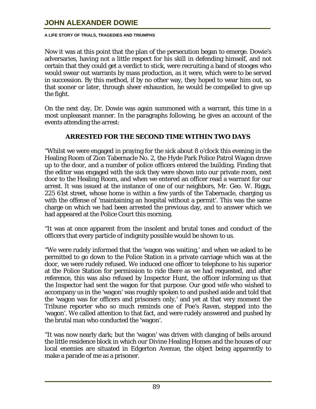**A LIFE STORY OF TRIALS, TRAGEDIES AND TRIUMPHS** 

Now it was at this point that the plan of the persecution began to emerge. Dowie's adversaries, having not a little respect for his skill in defending himself, and not certain that they could get a verdict to stick, were recruiting a band of stooges who would swear out warrants by mass production, as it were, which were to be served in succession. By this method, if by no other way, they hoped to wear him out, so that sooner or later, through sheer exhaustion, he would be compelled to give up the fight.

On the next day, Dr. Dowie was again summoned with a warrant, this time in a most unpleasant manner. In the paragraphs following, he gives an account of the events attending the arrest:

#### **ARRESTED FOR THE SECOND TIME WITHIN TWO DAYS**

"Whilst we were engaged in praying for the sick about 8 o'clock this evening in the Healing Room of Zion Tabernacle No. 2, the Hyde Park Police Patrol Wagon drove up to the door, and a number of police officers entered the building. Finding that the editor was engaged with the sick they were shown into our private room, next door to the Healing Room, and when we entered an officer read a warrant for our arrest. It was issued at the instance of one of our neighbors, Mr. Geo. W. Riggs, 225 61st street, whose home is within a few yards of the Tabernacle, charging us with the offense of 'maintaining an hospital without a permit'. This was the same charge on which we had been arrested the previous day, and to answer which we had appeared at the Police Court this morning.

"It was at once apparent from the insolent and brutal tones and conduct of the officers that every particle of indignity possible would be shown to us.

"We were rudely informed that the 'wagon was waiting,' and when we asked to be permitted to go down to the Police Station in a private carriage which was at the door, we were rudely refused. We induced one officer to telephone to his superior at the Police Station for permission to ride there as we had requested, and after reference, this was also refused by Inspector Hunt, the officer informing us that the Inspector had sent the wagon for that purpose. Our good wife who wished to accompany us in the 'wagon' was roughly spoken to and pushed aside and told that the 'wagon was for officers and prisoners only,' and yet at that very moment the Tribune reporter who so much reminds one of Poe's Raven, stepped into the 'wagon'. We called attention to that fact, and were rudely answered and pushed by the brutal man who conducted the 'wagon'.

"It was now nearly dark; but the 'wagon' was driven with clanging of bells around the little residence block in which our Divine Healing Homes and the houses of our local enemies are situated in Edgerton Avenue, the object being apparently to make a parade of me as a prisoner.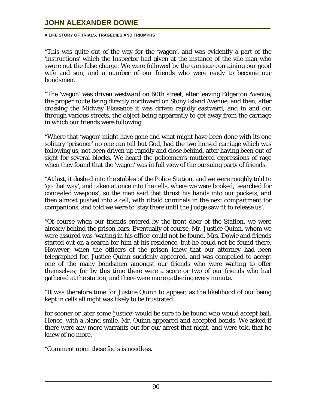**A LIFE STORY OF TRIALS, TRAGEDIES AND TRIUMPHS** 

"This was quite out of the way for the 'wagon', and was evidently a part of the 'instructions' which the Inspector had given at the instance of the vile man who swore out the false charge. We were followed by the carriage containing our good wife and son, and a number of our friends who were ready to become our bondsmen.

"The 'wagon' was driven westward on 60th street, alter leaving Edgerton Avenue, the proper route being directly northward on Stony Island Avenue, and then, after crossing the Midway Plaisance it was driven rapidly eastward, and in and out through various streets, the object being apparently to get away from the carriage in which our friends were following.

"Where that 'wagon' might have gone and what might have been done with its one solitary 'prisoner' no one can tell but God, had the two horsed carriage which was following us, not been driven up rapidly and close behind, after having been out of sight for several blocks. We heard the policemen's muttered expressions of rage when they found that the 'wagon' was in full view of the pursuing party of friends.

"At last, it dashed into the stables of the Police Station, and we were roughly told to 'go that way', and taken at once into the cells, where we were booked, 'searched for concealed weapons', so the man said that thrust his hands into our pockets, and then almost pushed into a cell, with ribald criminals in the next compartment for companions, and told we were to 'stay there until the Judge saw fit to release us'.

"Of course when our friends entered by the front door of the Station, we were already behind the prison bars. Eventually of course, Mr. Justice Quinn, whom we were assured was 'waiting in his office' could not be found. Mrs. Dowie and friends started out on a search for him at his residence, but he could not be found there. However, when the officers of the prison knew that our attorney had been telegraphed for, Justice Quinn suddenly appeared, and was compelled to accept one of the many bondsmen amongst our friends who were waiting to offer themselves; for by this time there were a score or two of our friends who had gathered at the station, and there were more gathering every minute.

"It was therefore time for Justice Quinn to appear, as the likelihood of our being kept in cells all night was likely to be frustrated:

for sooner or later some 'justice' would be sure to be found who would accept bail. Hence, with a bland smile, Mr. Quinn appeared and accepted bonds. We asked if there were any more warrants out for our arrest that night, and were told that he knew of no more.

"Comment upon these facts is needless.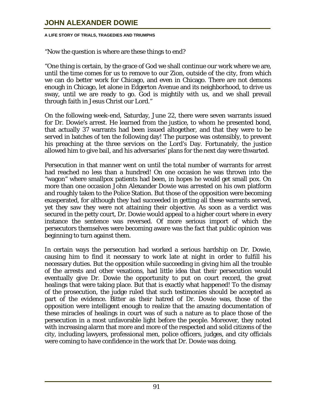**A LIFE STORY OF TRIALS, TRAGEDIES AND TRIUMPHS** 

"Now the question is where are these things to end?

"One thing is certain, by the grace of God we shall continue our work where we are, until the time comes for us to remove to our Zion, outside of the city, from which we can do better work for Chicago, and even in Chicago. There are not demons enough in Chicago, let alone in Edgerton Avenue and its neighborhood, to drive us sway, until we are ready to go. God is mightily with us, and we shall prevail through faith in Jesus Christ our Lord."

On the following week-end, Saturday, June 22, there were seven warrants issued for Dr. Dowie's arrest. He learned from the justice, to whom he presented bond, that actually 37 warrants had been issued altogether, and that they were to be served in batches of ten the following day! The purpose was ostensibly, to prevent his preaching at the three services on the Lord's Day. Fortunately, the justice allowed him to give bail, and his adversaries' plans for the next day were thwarted.

Persecution in that manner went on until the total number of warrants for arrest had reached no less than a hundred! On one occasion he was thrown into the "wagon" where smallpox patients had been, in hopes he would get small pox. On more than one occasion John Alexander Dowie was arrested on his own platform and roughly taken to the Police Station. But those of the opposition were becoming exasperated, for although they had succeeded in getting all these warrants served, yet they saw they were not attaining their objective. As soon as a verdict was secured in the petty court, Dr. Dowie would appeal to a higher court where in every instance the sentence was reversed. Of more serious import of which the persecutors themselves were becoming aware was the fact that public opinion was beginning to turn against them.

In certain ways the persecution had worked a serious hardship on Dr. Dowie, causing him to find it necessary to work late at night in order to fulfill his necessary duties. But the opposition while succeeding in giving him all the trouble of the arrests and other vexations, had little idea that their persecution would eventually give Dr. Dowie the opportunity to put on court record, the great healings that were taking place. But that is exactly what happened! To the dismay of the prosecution, the judge ruled that such testimonies should be accepted as part of the evidence. Bitter as their hatred of Dr. Dowie was, those of the opposition were intelligent enough to realize that the amazing documentation of these miracles of healings in court was of such a nature as to place those of the persecution in a most unfavorable light before the people. Moreover, they noted with increasing alarm that more and more of the respected and solid citizens of the city, including lawyers, professional men, police officers, judges, and city officials were coming to have confidence in the work that Dr. Dowie was doing.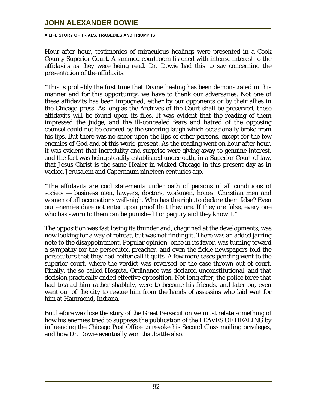**A LIFE STORY OF TRIALS, TRAGEDIES AND TRIUMPHS** 

Hour after hour, testimonies of miraculous healings were presented in a Cook County Superior Court. A jammed courtroom listened with intense interest to the affidavits as they were being read. Dr. Dowie had this to say concerning the presentation of the affidavits:

"This is probably the first time that Divine healing has been demonstrated in this manner and for this opportunity, we have to thank our adversaries. Not one of these affidavits has been impugned, either by our opponents or by their allies in the Chicago press. As long as the Archives of the Court shall be preserved, these affidavits will be found upon its files. It was evident that the reading of them impressed the judge, and the ill-concealed fears and hatred of the opposing counsel could not be covered by the sneering laugh which occasionally broke from his lips. But there was no sneer upon the lips of other persons, except for the few enemies of God and of this work, present. As the reading went on hour after hour, it was evident that incredulity and surprise were giving away to genuine interest, and the fact was being steadily established under oath, in a Superior Court of law, that Jesus Christ is the same Healer in wicked Chicago in this present day as in wicked Jerusalem and Capernaum nineteen centuries ago.

"The affidavits are cool statements under oath of persons of all conditions of society — business men, lawyers, doctors, workmen, honest Christian men and women of all occupations well-nigh. Who has the right to declare them false? Even our enemies dare not enter upon proof that they are. If they are false, every one who has sworn to them can be punished f or perjury and they know it."

The opposition was fast losing its thunder and, chagrined at the developments, was now looking for a way of retreat, but was not finding it. There was an added jarring note to the disappointment. Popular opinion, once in its favor, was turning toward a sympathy for the persecuted preacher, and even the fickle newspapers told the persecutors that they had better call it quits. A few more cases pending went to the superior court, where the verdict was reversed or the case thrown out of court. Finally, the so-called Hospital Ordinance was declared unconstitutional, and that decision practically ended effective opposition. Not long after, the police force that had treated him rather shabbily, were to become his friends, and later on, even went out of the city to rescue him from the hands of assassins who laid wait for him at Hammond, Indiana.

But before we close the story of the Great Persecution we must relate something of how his enemies tried to suppress the publication of the LEAVES OF HEALING by influencing the Chicago Post Office to revoke his Second Class mailing privileges, and how Dr. Dowie eventually won that battle also.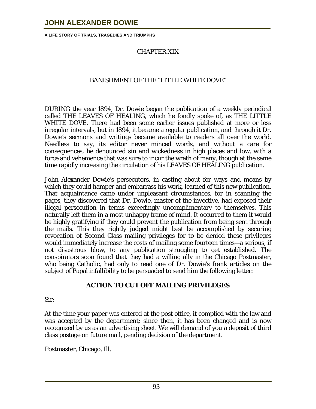**A LIFE STORY OF TRIALS, TRAGEDIES AND TRIUMPHS** 

#### CHAPTER XIX

#### BANISHMENT OF THE "LITTLE WHITE DOVE"

DURING the year 1894, Dr. Dowie began the publication of a weekly periodical called THE LEAVES OF HEALING, which he fondly spoke of, as THE LITTLE WHITE DOVE. There had been some earlier issues published at more or less irregular intervals, but in 1894, it became a regular publication, and through it Dr. Dowie's sermons and writings became available to readers all over the world. Needless to say, its editor never minced words, and without a care for consequences, he denounced sin and wickedness in high places and low, with a force and vehemence that was sure to incur the wrath of many, though at the same time rapidly increasing the circulation of his LEAVES OF HEALING publication.

John Alexander Dowie's persecutors, in casting about for ways and means by which they could hamper and embarrass his work, learned of this new publication. That acquaintance came under unpleasant circumstances, for in scanning the pages, they discovered that Dr. Dowie, master of the invective, had exposed their illegal persecution in terms exceedingly uncomplimentary to themselves. This naturally left them in a most unhappy frame of mind. It occurred to them it would be highly gratifying if they could prevent the publication from being sent through the mails. This they rightly judged might best be accomplished by securing revocation of Second Class mailing privileges for to be denied these privileges would immediately increase the costs of mailing some fourteen times—a serious, if not disastrous blow, to any publication struggling to get established. The conspirators soon found that they had a willing ally in the Chicago Postmaster, who being Catholic, had only to read one of Dr. Dowie's frank articles on the subject of Papal infallibility to be persuaded to send him the following letter:

#### **ACTION TO CUT OFF MAILING PRIVILEGES**

Sir:

At the time your paper was entered at the post office, it complied with the law and was accepted by the department; since then, it has been changed and is now recognized by us as an advertising sheet. We will demand of you a deposit of third class postage on future mail, pending decision of the department.

Postmaster, Chicago, Ill.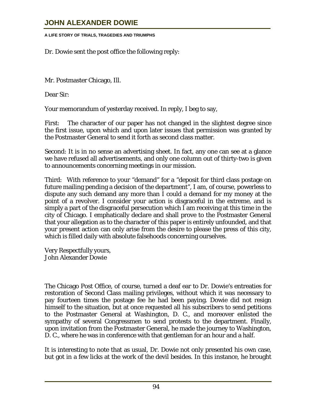**A LIFE STORY OF TRIALS, TRAGEDIES AND TRIUMPHS** 

Dr. Dowie sent the post office the following reply:

Mr. Postmaster Chicago, Ill.

Dear Sir:

Your memorandum of yesterday received. In reply, I beg to say,

First: The character of our paper has not changed in the slightest degree since the first issue, upon which and upon later issues that permission was granted by the Postmaster General to send it forth as second class matter.

Second: It is in no sense an advertising sheet. In fact, any one can see at a glance we have refused all advertisements, and only one column out of thirty-two is given to announcements concerning meetings in our mission.

Third: With reference to your "demand" for a "deposit for third class postage on future mailing pending a decision of the department", I am, of course, powerless to dispute any such demand any more than I could a demand for my money at the point of a revolver. I consider your action is disgraceful in the extreme, and is simply a part of the disgraceful persecution which I am receiving at this time in the city of Chicago. I emphatically declare and shall prove to the Postmaster General that your allegation as to the character of this paper is entirely unfounded, and that your present action can only arise from the desire to please the press of this city, which is filled daily with absolute falsehoods concerning ourselves.

Very Respectfully yours, John Alexander Dowie

The Chicago Post Office, of course, turned a deaf ear to Dr. Dowie's entreaties for restoration of Second Class mailing privileges, without which it was necessary to pay fourteen times the postage fee he had been paying. Dowie did not resign himself to the situation, but at once requested all his subscribers to send petitions to the Postmaster General at Washington, D. C., and moreover enlisted the sympathy of several Congressmen to send protests to the department. Finally, upon invitation from the Postmaster General, he made the journey to Washington, D. C., where he was in conference with that gentleman for an hour and a half.

It is interesting to note that as usual, Dr. Dowie not only presented his own case, but got in a few licks at the work of the devil besides. In this instance, he brought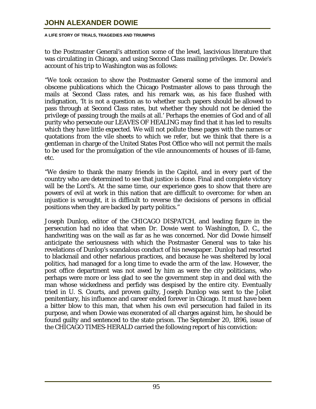**A LIFE STORY OF TRIALS, TRAGEDIES AND TRIUMPHS** 

to the Postmaster General's attention some of the lewd, lascivious literature that was circulating in Chicago, and using Second Class mailing privileges. Dr. Dowie's account of his trip to Washington was as follows:

"We took occasion to show the Postmaster General some of the immoral and obscene publications which the Chicago Postmaster allows to pass through the mails at Second Class rates, and his remark was, as his face flushed with indignation, 'It is not a question as to whether such papers should be allowed to pass through at Second Class rates, but whether they should not be denied the privilege of passing trough the mails at all.' Perhaps the enemies of God and of all purity who persecute our LEAVES OF HEALING may find that it has led to results which they have little expected. We will not pollute these pages with the names or quotations from the vile sheets to which we refer, but we think that there is a gentleman in charge of the United States Post Office who will not permit the mails to be used for the promulgation of the vile announcements of houses of ill-fame, etc.

"We desire to thank the many friends in the Capitol, and in every part of the country who are determined to see that justice is done. Final and complete victory will be the Lord's. At the same time, our experience goes to show that there are powers of evil at work in this nation that are difficult to overcome: for when an injustice is wrought, it is difficult to reverse the decisions of persons in official positions when they are backed by party politics."

Joseph Dunlop, editor of the CHICAGO DISPATCH, and leading figure in the persecution had no idea that when Dr. Dowie went to Washington, D. C., the handwriting was on the wall as far as he was concerned. Nor did Dowie himself anticipate the seriousness with which the Postmaster General was to take his revelations of Dunlop's scandalous conduct of his newspaper. Dunlop had resorted to blackmail and other nefarious practices, and because he was sheltered by local politics, had managed for a long time to evade the arm of the law. However, the post office department was not awed by him as were the city politicians, who perhaps were more or less glad to see the government step in and deal with the man whose wickedness and perfidy was despised by the entire city. Eventually tried in U. S. Courts, and proven guilty, Joseph Dunlop was sent to the Joliet penitentiary, his influence and career ended forever in Chicago. It must have been a bitter blow to this man, that when his own evil persecution had failed in its purpose, and when Dowie was exonerated of all charges against him, he should be found guilty and sentenced to the state prison. The September 20, 1896, issue of the CHICAGO TIMES-HERALD carried the following report of his conviction: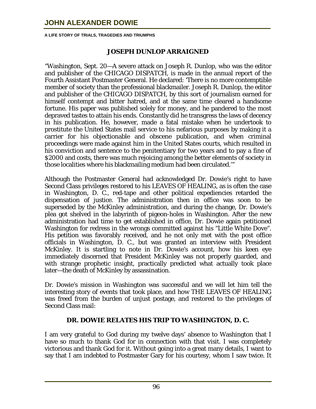**A LIFE STORY OF TRIALS, TRAGEDIES AND TRIUMPHS** 

#### **JOSEPH DUNLOP ARRAIGNED**

"Washington, Sept. 20—A severe attack on Joseph R. Dunlop, who was the editor and publisher of the CHICAGO DISPATCH, is made in the annual report of the Fourth Assistant Postmaster General. He declared: 'There is no more contemptible member of society than the professional blackmailer. Joseph R. Dunlop, the editor and publisher of the CHICAGO DISPATCH, by this sort of journalism earned for himself contempt and bitter hatred, and at the same time cleared a handsome fortune. His paper was published solely for money, and he pandered to the most depraved tastes to attain his ends. Constantly did he transgress the laws of decency in his publication. He, however, made a fatal mistake when he undertook to prostitute the United States mail service to his nefarious purposes by making it a carrier for his objectionable and obscene publication, and when criminal proceedings were made against him in the United States courts, which resulted in his conviction and sentence to the penitentiary for two years and to pay a fine of \$2000 and costs, there was much rejoicing among the better elements of society in those localities where his blackmailing medium had been circulated.'"

Although the Postmaster General had acknowledged Dr. Dowie's right to have Second Class privileges restored to his LEAVES OF HEALING, as is often the case in Washington, D. C., red-tape and other political expediencies retarded the dispensation of justice. The administration then in office was soon to be superseded by the McKinley administration, and during the change, Dr. Dowie's plea got shelved in the labyrinth of pigeon-holes in Washington. After the new administration had time to get established in office, Dr. Dowie again petitioned Washington for redress in the wrongs committed against his "Little White Dove". His petition was favorably received, and he not only met with the post office officials in Washington, D. C., but was granted an interview with President McKinley. It is startling to note in Dr. Dowie's account, how his keen eye immediately discerned that President McKinley was not properly guarded, and with strange prophetic insight, practically predicted what actually took place later—the death of McKinley by assassination.

Dr. Dowie's mission in Washington was successful and we will let him tell the interesting story of events that took place, and how THE LEAVES OF HEALING was freed from the burden of unjust postage, and restored to the privileges of Second Class mail:

#### **DR. DOWIE RELATES HIS TRIP TO WASHINGTON, D. C.**

I am very grateful to God during my twelve days' absence to Washington that I have so much to thank God for in connection with that visit. I was completely victorious and thank God for it. Without going into a great many details, I want to say that I am indebted to Postmaster Gary for his courtesy, whom I saw twice. It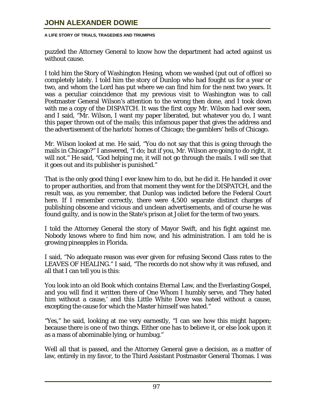**A LIFE STORY OF TRIALS, TRAGEDIES AND TRIUMPHS** 

puzzled the Attorney General to know how the department had acted against us without cause.

I told him the Story of Washington Hesing, whom we washed (put out of office) so completely lately. I told him the story of Dunlop who had fought us for a year or two, and whom the Lord has put where we can find him for the next two years. It was a peculiar coincidence that my previous visit to Washington was to call Postmaster General Wilson's attention to the wrong then done, and I took down with me a copy of the DISPATCH. It was the first copy Mr. Wilson had ever seen, and I said, "Mr. Wilson, I want my paper liberated, but whatever you do, I want this paper thrown out of the mails; this infamous paper that gives the address and the advertisement of the harlots' homes of Chicago; the gamblers' hells of Chicago.

Mr. Wilson looked at me. He said, "You do not say that this is going through the mails in Chicago?" I answered, "I do; but if you, Mr. Wilson are going to do right, it will not." He said, "God helping me, it will not go through the mails. I will see that it goes out and its publisher is punished."

That is the only good thing I ever knew him to do, but he did it. He handed it over to proper authorities, and from that moment they went for the DISPATCH, and the result was, as you remember, that Dunlop was indicted before the Federal Court here. If I remember correctly, there were 4,500 separate distinct charges of publishing obscene and vicious and unclean advertisements, and of course he was found guilty, and is now in the State's prison at Joliet for the term of two years.

I told the Attorney General the story of Mayor Swift, and his fight against me. Nobody knows where to find him now, and his administration. I am told he is growing pineapples in Florida.

I said, "No adequate reason was ever given for refusing Second Class rates to the LEAVES OF HEALING." I said, "The records do not show why it was refused, and all that I can tell you is this:

You look into an old Book which contains Eternal Law, and the Everlasting Gospel, and you will find it written there of One Whom I humbly serve, and 'They hated him without a cause,' and this Little White Dove was hated without a cause, excepting the cause for which the Master himself was hated."

"Yes," he said, looking at me very earnestly, "I can see how this might happen; because there is one of two things. Either one has to believe it, or else look upon it as a mass of abominable lying, or humbug."

Well all that is passed, and the Attorney General gave a decision, as a matter of law, entirely in my favor, to the Third Assistant Postmaster General Thomas. I was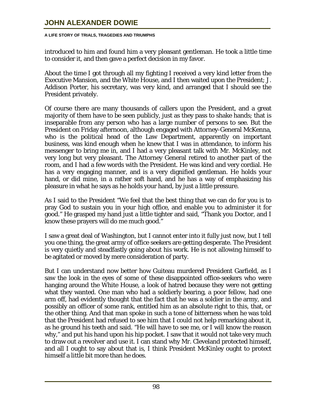**A LIFE STORY OF TRIALS, TRAGEDIES AND TRIUMPHS** 

introduced to him and found him a very pleasant gentleman. He took a little time to consider it, and then gave a perfect decision in my favor.

About the time I got through all my fighting I received a very kind letter from the Executive Mansion, and the White House, and I then waited upon the President; J. Addison Porter, his secretary, was very kind, and arranged that I should see the President privately.

Of course there are many thousands of callers upon the President, and a great majority of them have to be seen publicly, just as they pass to shake hands; that is inseparable from any person who has a large number of persons to see. But the President on Friday afternoon, although engaged with Attorney-General McKenna, who is the political head of the Law Department, apparently on important business, was kind enough when he knew that I was in attendance, to inform his messenger to bring me in, and I had a very pleasant talk with Mr. McKinley, not very long but very pleasant. The Attorney General retired to another part of the room, and I had a few words with the President. He was kind and very cordial. He has a very engaging manner, and is a very dignified gentleman. He holds your hand, or did mine, in a rather soft hand, and he has a way of emphasizing his pleasure in what he says as he holds your hand, by just a little pressure.

As I said to the President "We feel that the best thing that we can do for you is to pray God to sustain you in your high office, and enable you to administer it for good." He grasped my hand just a little tighter and said, "Thank you Doctor, and I know these prayers will do me much good."

I saw a great deal of Washington, but I cannot enter into it fully just now, but I tell you one thing, the great army of office seekers are getting desperate. The President is very quietly and steadfastly going about his work. He is not allowing himself to be agitated or moved by mere consideration of party.

But I can understand now better how Guiteau murdered President Garfield, as I saw the look in the eyes of some of these disappointed office-seekers who were hanging around the White House, a look of hatred because they were not getting what they wanted. One man who had a soldierly bearing, a poor fellow, had one arm off, had evidently thought that the fact that he was a soldier in the army, and possibly an officer of some rank, entitled him as an absolute right to this, that, or the other thing. And that man spoke in such a tone of bitterness when he was told that the President had refused to see him that I could not help remarking about it, as he ground his teeth and said. "He will have to see me, or I will know the reason why," and put his hand upon his hip pocket. I saw that it would not take very much to draw out a revolver and use it. I can stand why Mr. Cleveland protected himself, and all I ought to say about that is, I think President McKinley ought to protect himself a little bit more than he does.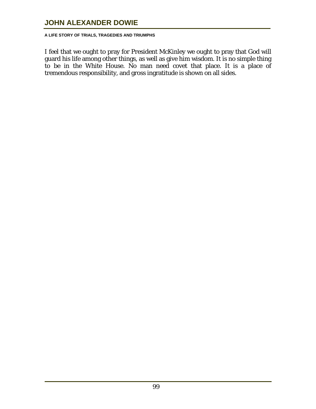**A LIFE STORY OF TRIALS, TRAGEDIES AND TRIUMPHS** 

I feel that we ought to pray for President McKinley we ought to pray that God will guard his life among other things, as well as give him wisdom. It is no simple thing to be in the White House. No man need covet that place. It is a place of tremendous responsibility, and gross ingratitude is shown on all sides.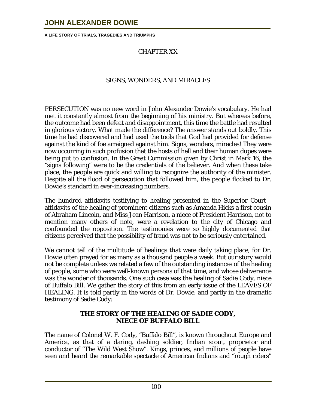**A LIFE STORY OF TRIALS, TRAGEDIES AND TRIUMPHS** 

#### CHAPTER XX

#### SIGNS, WONDERS, AND MIRACLES

PERSECUTION was no new word in John Alexander Dowie's vocabulary. He had met it constantly almost from the beginning of his ministry. But whereas before, the outcome had been defeat and disappointment, this time the battle had resulted in glorious victory. What made the difference? The answer stands out boldly. This time he had discovered and had used the tools that God had provided for defense against the kind of foe arraigned against him. Signs, wonders, miracles! They were now occurring in such profusion that the hosts of hell and their human dupes were being put to confusion. In the Great Commission given by Christ in Mark 16, the "signs following" were to be the credentials of the believer. And when these take place, the people are quick and willing to recognize the authority of the minister. Despite all the flood of persecution that followed him, the people flocked to Dr. Dowie's standard in ever-increasing numbers.

The hundred affidavits testifying to healing presented in the Superior Court affidavits of the healing of prominent citizens such as Amanda Hicks a first cousin of Abraham Lincoln, and Miss Jean Harrison, a niece of President Harrison, not to mention many others of note, were a revelation to the city of Chicago and confounded the opposition. The testimonies were so highly documented that citizens perceived that the possibility of fraud was not to be seriously entertained.

We cannot tell of the multitude of healings that were daily taking place, for Dr. Dowie often prayed for as many as a thousand people a week. But our story would not be complete unless we related a few of the outstanding instances of the healing of people, some who were well-known persons of that time, and whose deliverance was the wonder of thousands. One such case was the healing of Sadie Cody, niece of Buffalo Bill. We gather the story of this from an early issue of the LEAVES OF HEALING. It is told partly in the words of Dr. Dowie, and partly in the dramatic testimony of Sadie Cody:

#### **THE STORY OF THE HEALING OF SADIE CODY, NIECE OF BUFFALO BILL**

The name of Colonel W. F. Cody, "Buffalo Bill", is known throughout Europe and America, as that of a daring, dashing soldier, Indian scout, proprietor and conductor of "The Wild West Show". Kings, princes, and millions of people have seen and heard the remarkable spectacle of American Indians and "rough riders"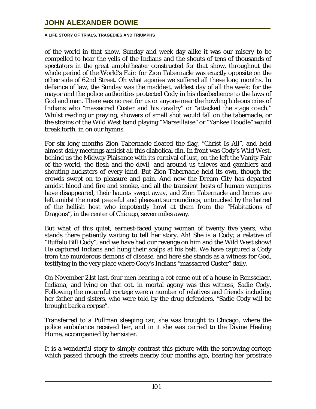#### **A LIFE STORY OF TRIALS, TRAGEDIES AND TRIUMPHS**

of the world in that show. Sunday and week day alike it was our misery to be compelled to hear the yells of the Indians and the shouts of tens of thousands of spectators in the great amphitheater constructed for that show, throughout the whole period of the World's Fair: for Zion Tabernacle was exactly opposite on the other side of 62nd Street. Oh what agonies we suffered all these long months. In defiance of law, the Sunday was the maddest, wildest day of all the week: for the mayor and the police authorities protected Cody in his disobedience to the laws of God and man. There was no rest for us or anyone near the howling hideous cries of Indians who "massacred Custer and his cavalry" or "attacked the stage coach." Whilst reading or praying, showers of small shot would fall on the tabernacle, or the strains of the Wild West band playing "Marseillaise" or "Yankee Doodle" would break forth, in on our hymns.

For six long months Zion Tabernacle floated the flag, "Christ Is All", and held almost daily meetings amidst all this diabolical din. In front was Cody's Wild West, behind us the Midway Plaisance with its carnival of lust, on the left the Vanity Fair of the world, the flesh and the devil, and around us thieves and gamblers and shouting hucksters of every kind. But Zion Tabernacle held its own, though the crowds swept on to pleasure and pain. And now the Dream City has departed amidst blood and fire and smoke, and all the transient hosts of human vampires have disappeared, their haunts swept away, and Zion Tabernacle and homes are left amidst the most peaceful and pleasant surroundings, untouched by the hatred of the hellish host who impotently howl at them from the "Habitations of Dragons", in the center of Chicago, seven miles away.

But what of this quiet, earnest-faced young woman of twenty five years, who stands there patiently waiting to tell her story. Ah! She is a Cody; a relative of "Buffalo Bill Cody", and we have had our revenge on him and the Wild West show! He captured Indians and hung their scalps at his belt. We have captured a Cody from the murderous demons of disease, and here she stands as a witness for God, testifying in the very place where Cody's Indians "massacred Custer" daily.

On November 21st last, four men bearing a cot came out of a house in Rensselaer, Indiana, and lying on that cot, in mortal agony was this witness, Sadie Cody. Following the mournful cortege were a number of relatives and friends including her father and sisters, who were told by the drug defenders, "Sadie Cody will be brought back a corpse".

Transferred to a Pullman sleeping car, she was brought to Chicago, where the police ambulance received her, and in it she was carried to the Divine Healing Home, accompanied by her sister.

It is a wonderful story to simply contrast this picture with the sorrowing cortege which passed through the streets nearby four months ago, bearing her prostrate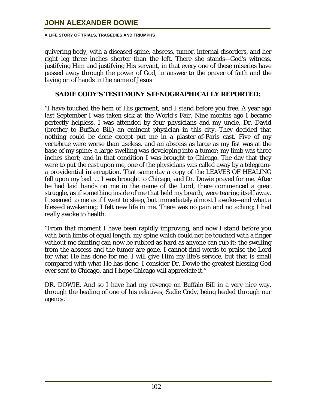**A LIFE STORY OF TRIALS, TRAGEDIES AND TRIUMPHS** 

quivering body, with a diseased spine, abscess, tumor, internal disorders, and her right leg three inches shorter than the left. There she stands—God's witness, justifying Him and justifying His servant, in that every one of these miseries have passed away through the power of God, in answer to the prayer of faith and the laying on of hands in the name of Jesus

#### **SADIE CODY'S TESTIMONY STENOGRAPHICALLY REPORTED:**

"I have touched the hem of His garment, and I stand before you free. A year ago last September I was taken sick at the World's Fair. Nine months ago I became perfectly helpless. I was attended by four physicians and my uncle, Dr. David (brother to Buffalo Bill) an eminent physician in this city. They decided that nothing could be done except put me in a plaster-of-Paris cast. Five of my vertebrae were worse than useless, and an abscess as large as my fist was at the base of my spine; a large swelling was developing into a tumor; my limb was three inches short; and in that condition I was brought to Chicago. The day that they were to put the cast upon me, one of the physicians was called away by a telegrama providential interruption. That same day a copy of the LEAVES OF HEALING fell upon my bed. ... I was brought to Chicago, and Dr. Dowie prayed for me. After he had laid hands on me in the name of the Lord, there commenced a great struggle, as if something inside of me that held my breath, were tearing itself away. It seemed to me as if I went to sleep, but immediately almost I awoke—and what a blessed awakening; I felt new life in me. There was no pain and no aching; I had really awoke to health.

"From that moment I have been rapidly improving, and now I stand before you with both limbs of equal length, my spine which could not be touched with a finger without me fainting can now be rubbed as hard as anyone can rub it; the swelling from the abscess and the tumor are gone. I cannot find words to praise the Lord for what He has done for me. I will give Him my life's service, but that is small compared with what He has done. I consider Dr. Dowie the greatest blessing God ever sent to Chicago, and I hope Chicago will appreciate it."

DR. DOWIE. And so I have had my revenge on Buffalo Bill in a very nice way, through the healing of one of his relatives, Sadie Cody, being healed through our agency.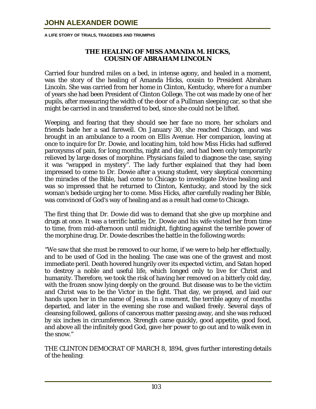**A LIFE STORY OF TRIALS, TRAGEDIES AND TRIUMPHS** 

#### **THE HEALING OF MISS AMANDA M. HICKS, COUSIN OF ABRAHAM LINCOLN**

Carried four hundred miles on a bed, in intense agony, and healed in a moment, was the story of the healing of Amanda Hicks, cousin to President Abraham Lincoln. She was carried from her home in Clinton, Kentucky, where for a number of years she had been President of Clinton College. The cot was made by one of her pupils, after measuring the width of the door of a Pullman sleeping car, so that she might be carried in and transferred to bed, since she could not be lifted.

Weeping, and fearing that they should see her face no more, her scholars and friends bade her a sad farewell. On January 30, she reached Chicago, and was brought in an ambulance to a room on Ellis Avenue. Her companion, leaving at once to inquire for Dr. Dowie, and locating him, told how Miss Hicks had suffered paroxysms of pain, for long months, night and day, and had been only temporarily relieved by large doses of morphine. Physicians failed to diagnose the case, saying it was "wrapped in mystery". The lady further explained that they had been impressed to come to Dr. Dowie after a young student, very skeptical concerning the miracles of the Bible, had come to Chicago to investigate Divine healing and was so impressed that he returned to Clinton, Kentucky, and stood by the sick woman's bedside urging her to come. Miss Hicks, after carefully reading her Bible, was convinced of God's way of healing and as a result had come to Chicago.

The first thing that Dr. Dowie did was to demand that she give up morphine and drugs at once. It was a terrific battle; Dr. Dowie and his wife visited her from time to time, from mid-afternoon until midnight, fighting against the terrible power of the morphine drug. Dr. Dowie describes the battle in the following words:

"We saw that she must be removed to our home, if we were to help her effectually, and to be used of God in the healing. The case was one of the gravest and most immediate peril. Death hovered hungrily over its expected victim, and Satan hoped to destroy a noble and useful life, which longed only to live for Christ and humanity. Therefore, we took the risk of having her removed on a bitterly cold day, with the frozen snow lying deeply on the ground. But disease was to be the victim and Christ was to be the Victor in the fight. That day, we prayed, and laid our hands upon her in the name of Jesus. In a moment, the terrible agony of months departed, and later in the evening she rose and walked freely. Several days of cleansing followed, gallons of cancerous matter passing away, and she was reduced by six inches in circumference. Strength came quickly, good appetite, good food, and above all the infinitely good God, gave her power to go out and to walk even in the snow."

THE CLINTON DEMOCRAT OF MARCH 8, 1894, gives further interesting details of the healing: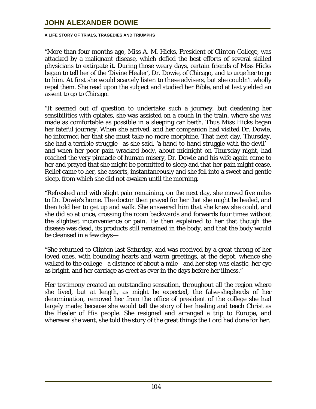**A LIFE STORY OF TRIALS, TRAGEDIES AND TRIUMPHS** 

"More than four months ago, Miss A. M. Hicks, President of Clinton College, was attacked by a malignant disease, which defied the best efforts of several skilled physicians to extirpate it. During those weary days, certain friends of Miss Hicks began to tell her of the 'Divine Healer', Dr. Dowie, of Chicago, and to urge her to go to him. At first she would scarcely listen to these advisers, but she couldn't wholly repel them. She read upon the subject and studied her Bible, and at last yielded an assent to go to Chicago.

"It seemed out of question to undertake such a journey, but deadening her sensibilities with opiates, she was assisted on a couch in the train, where she was made as comfortable as possible in a sleeping car berth. Thus Miss Hicks began her fateful journey. When she arrived, and her companion had visited Dr. Dowie, he informed her that she must take no more morphine. That next day, Thursday, she had a terrible struggle—as she said, 'a hand-to-hand struggle with the devil' and when her poor pain-wracked body, about midnight on Thursday night, had reached the very pinnacle of human misery, Dr. Dowie and his wife again came to her and prayed that she might be permitted to sleep and that her pain might cease. Relief came to her, she asserts, instantaneously and she fell into a sweet and gentle sleep, from which she did not awaken until the morning.

"Refreshed and with slight pain remaining, on the next day, she moved five miles to Dr. Dowie's home. The doctor then prayed for her that she might be healed, and then told her to get up and walk. She answered him that she knew she could, and she did so at once, crossing the room backwards and forwards four times without the slightest inconvenience or pain. He then explained to her that though the disease was dead, its products still remained in the body, and that the body would be cleansed in a few days—

"She returned to Clinton last Saturday, and was received by a great throng of her loved ones, with bounding hearts and warm greetings, at the depot, whence she walked to the college - a distance of about a mile - and her step was elastic, her eye as bright, and her carriage as erect as ever in the days before her illness."

Her testimony created an outstanding sensation, throughout all the region where she lived, but at length, as might be expected, the false-shepherds of her denomination, removed her from the office of president of the college she had largely made; because she would tell the story of her healing and teach Christ as the Healer of His people. She resigned and arranged a trip to Europe, and wherever she went, she told the story of the great things the Lord had done for her.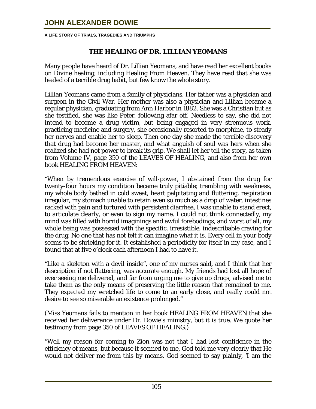**A LIFE STORY OF TRIALS, TRAGEDIES AND TRIUMPHS** 

## **THE HEALING OF DR. LILLIAN YEOMANS**

Many people have heard of Dr. Lillian Yeomans, and have read her excellent books on Divine healing, including Healing From Heaven. They have read that she was healed of a terrible drug habit, but few know the whole story.

Lillian Yeomans came from a family of physicians. Her father was a physician and surgeon in the Civil War. Her mother was also a physician and Lillian became a regular physician, graduating from Ann Harbor in 1882. She was a Christian but as she testified, she was like Peter, following afar off. Needless to say, she did not intend to become a drug victim, but being engaged in very strenuous work, practicing medicine and surgery, she occasionally resorted to morphine, to steady her nerves and enable her to sleep. Then one day she made the terrible discovery that drug had become her master, and what anguish of soul was hers when she realized she had not power to break its grip. We shall let her tell the story, as taken from Volume IV, page 350 of the LEAVES OF HEALING, and also from her own book HEALING FROM HEAVEN:

"When by tremendous exercise of will-power, I abstained from the drug for twenty-four hours my condition became truly pitiable; trembling with weakness, my whole body bathed in cold sweat, heart palpitating and fluttering, respiration irregular, my stomach unable to retain even so much as a drop of water, intestines racked with pain and tortured with persistent diarrhea, I was unable to stand erect, to articulate clearly, or even to sign my name. I could not think connectedly, my mind was filled with horrid imaginings and awful forebodings, and worst of all, my whole being was possessed with the specific, irresistible, indescribable craving for the drug. No one that has not felt it can imagine what it is. Every cell in your body seems to be shrieking for it. It established a periodicity for itself in my case, and I found that at five o'clock each afternoon I had to have it.

"Like a skeleton with a devil inside", one of my nurses said, and I think that her description if not flattering, was accurate enough. My friends had lost all hope of ever seeing me delivered, and far from urging me to give up drugs, advised me to take them as the only means of preserving the little reason that remained to me. They expected my wretched life to come to an early close, and really could not desire to see so miserable an existence prolonged."

(Miss Yeomans fails to mention in her book HEALING FROM HEAVEN that she received her deliverance under Dr. Dowie's ministry, but it is true. We quote her testimony from page 350 of LEAVES OF HEALING.)

"Well my reason for coming to Zion was not that I had lost confidence in the efficiency of means, but because it seemed to me, God told me very clearly that He would not deliver me from this by means. God seemed to say plainly, 'I am the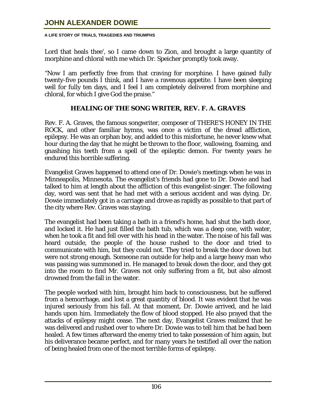**A LIFE STORY OF TRIALS, TRAGEDIES AND TRIUMPHS** 

Lord that heals thee', so I came down to Zion, and brought a large quantity of morphine and chloral with me which Dr. Speicher promptly took away.

"Now I am perfectly free from that craving for morphine. I have gained fully twenty-five pounds I think, and I have a ravenous appetite. I have been sleeping well for fully ten days, and I feel I am completely delivered from morphine and chloral, for which I give God the praise."

## **HEALING OF THE SONG WRITER, REV. F. A. GRAVES**

Rev. F. A. Graves, the famous songwriter, composer of THERE'S HONEY IN THE ROCK, and other familiar hymns, was once a victim of the dread affliction, epilepsy. He was an orphan boy, and added to this misfortune, he never knew what hour during the day that he might be thrown to the floor, wallowing, foaming, and gnashing his teeth from a spell of the epileptic demon. For twenty years he endured this horrible suffering.

Evangelist Graves happened to attend one of Dr. Dowie's meetings when he was in Minneapolis, Minnesota. The evangelist's friends had gone to Dr. Dowie and had talked to him at length about the affliction of this evangelist-singer. The following day, word was sent that he had met with a serious accident and was dying. Dr. Dowie immediately got in a carriage and drove as rapidly as possible to that part of the city where Rev. Graves was staying.

The evangelist had been taking a bath in a friend's home, had shut the bath door, and locked it. He had just filled the bath tub, which was a deep one, with water, when he took a fit and fell over with his head in the water. The noise of his fall was heard outside, the people of the house rushed to the door and tried to communicate with him, but they could not. They tried to break the door down but were not strong enough. Someone ran outside for help and a large heavy man who was passing was summoned in. He managed to break down the door, and they got into the room to find Mr. Graves not only suffering from a fit, but also almost drowned from the fall in the water.

The people worked with him, brought him back to consciousness, but he suffered from a hemorrhage, and lost a great quantity of blood. It was evident that he was injured seriously from his fall. At that moment, Dr. Dowie arrived, and he laid hands upon him. Immediately the flow of blood stopped. He also prayed that the attacks of epilepsy might cease. The next day, Evangelist Graves realized that he was delivered and rushed over to where Dr. Dowie was to tell him that be had been healed. A few times afterward the enemy tried to take possession of him again, but his deliverance became perfect, and for many years he testified all over the nation of being healed from one of the most terrible forms of epilepsy.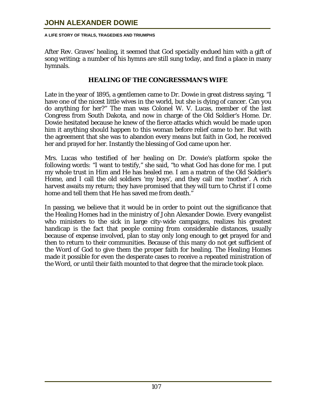**A LIFE STORY OF TRIALS, TRAGEDIES AND TRIUMPHS** 

After Rev. Graves' healing, it seemed that God specially endued him with a gift of song writing; a number of his hymns are still sung today, and find a place in many hymnals.

## **HEALING OF THE CONGRESSMAN'S WIFE**

Late in the year of 1895, a gentlemen came to Dr. Dowie in great distress saying, "I have one of the nicest little wives in the world, but she is dying of cancer. Can you do anything for her?" The man was Colonel W. V. Lucas, member of the last Congress from South Dakota, and now in charge of the Old Soldier's Home. Dr. Dowie hesitated because he knew of the fierce attacks which would be made upon him it anything should happen to this woman before relief came to her. But with the agreement that she was to abandon every means but faith in God, he received her and prayed for her. Instantly the blessing of God came upon her.

Mrs. Lucas who testified of her healing on Dr. Dowie's platform spoke the following words: "I want to testify," she said, "to what God has done for me. I put my whole trust in Him and He has healed me. I am a matron of the Old Soldier's Home, and I call the old soldiers 'my boys', and they call me 'mother'. A rich harvest awaits my return; they have promised that they will turn to Christ if I come home and tell them that He has saved me from death."

In passing, we believe that it would be in order to point out the significance that the Healing Homes had in the ministry of John Alexander Dowie. Every evangelist who ministers to the sick in large city-wide campaigns, realizes his greatest handicap is the fact that people coming from considerable distances, usually because of expense involved, plan to stay only long enough to get prayed for and then to return to their communities. Because of this many do not get sufficient of the Word of God to give them the proper faith for healing. The Healing Homes made it possible for even the desperate cases to receive a repeated ministration of the Word, or until their faith mounted to that degree that the miracle took place.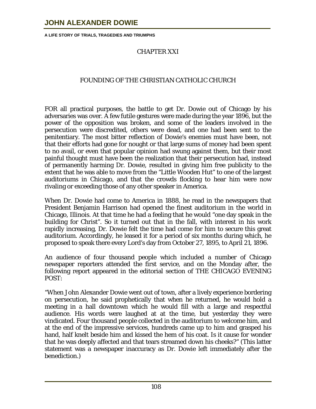**A LIFE STORY OF TRIALS, TRAGEDIES AND TRIUMPHS** 

## CHAPTER XXI

## FOUNDING OF THE CHRISTIAN CATHOLIC CHURCH

FOR all practical purposes, the battle to get Dr. Dowie out of Chicago by his adversaries was over. A few futile gestures were made during the year 1896, but the power of the opposition was broken, and some of the leaders involved in the persecution were discredited, others were dead, and one had been sent to the penitentiary. The most bitter reflection of Dowie's enemies must have been, not that their efforts had gone for nought or that large sums of money had been spent to no avail, or even that popular opinion had swung against them, but their most painful thought must have been the realization that their persecution had, instead of permanently harming Dr. Dowie, resulted in giving him free publicity to the extent that he was able to move from the "Little Wooden Hut" to one of the largest auditoriums in Chicago, and that the crowds flocking to hear him were now rivaling or exceeding those of any other speaker in America.

When Dr. Dowie had come to America in 1888, he read in the newspapers that President Benjamin Harrison had opened the finest auditorium in the world in Chicago, Illinois. At that time he had a feeling that he would "one day speak in the building for Christ". So it turned out that in the fall, with interest in his work rapidly increasing, Dr. Dowie felt the time had come for him to secure this great auditorium. Accordingly, he leased it for a period of six months during which, he proposed to speak there every Lord's day from October 27, 1895, to April 21, 1896.

An audience of four thousand people which included a number of Chicago newspaper reporters attended the first service, and on the Monday after, the following report appeared in the editorial section of THE CHICAGO EVENING POST:

"When John Alexander Dowie went out of town, after a lively experience bordering on persecution, he said prophetically that when he returned, he would hold a meeting in a hall downtown which he would fill with a large and respectful audience. His words were laughed at at the time, but yesterday they were vindicated. Four thousand people collected in the auditorium to welcome him, and at the end of the impressive services, hundreds came up to him and grasped his hand, half knelt beside him and kissed the hem of his coat. Is it cause for wonder that he was deeply affected and that tears streamed down his cheeks?" (This latter statement was a newspaper inaccuracy as Dr. Dowie left immediately after the benediction.)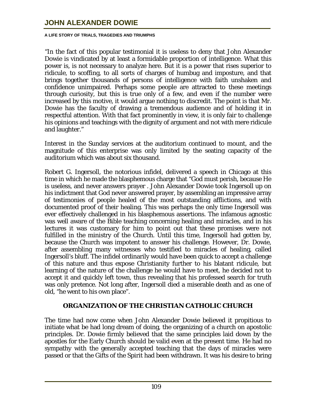**A LIFE STORY OF TRIALS, TRAGEDIES AND TRIUMPHS** 

"In the fact of this popular testimonial it is useless to deny that John Alexander Dowie is vindicated by at least a formidable proportion of intelligence. What this power is, is not necessary to analyze here. But it is a power that rises superior to ridicule, to scoffing, to all sorts of charges of humbug and imposture, and that brings together thousands of persons of intelligence with faith unshaken and confidence unimpaired. Perhaps some people are attracted to these meetings through curiosity, but this is true only of a few, and even if the number were increased by this motive, it would argue nothing to discredit. The point is that Mr. Dowie has the faculty of drawing a tremendous audience and of holding it in respectful attention. With that fact prominently in view, it is only fair to challenge his opinions and teachings with the dignity of argument and not with mere ridicule and laughter."

Interest in the Sunday services at the auditorium continued to mount, and the magnitude of this enterprise was only limited by the seating capacity of the auditorium which was about six thousand.

Robert G. Ingersoll, the notorious infidel, delivered a speech in Chicago at this time in which he made the blasphemous charge that "God must perish, because He is useless, and never answers prayer . John Alexander Dowie took Ingersoll up on his indictment that God never answered prayer, by assembling an impressive array of testimonies of people healed of the most outstanding afflictions, and with documented proof of their healing. This was perhaps the only time Ingersoll was ever effectively challenged in his blasphemous assertions. The infamous agnostic was well aware of the Bible teaching concerning healing and miracles, and in his lectures it was customary for him to point out that these promises were not fulfilled in the ministry of the Church. Until this time, Ingersoll had gotten by, because the Church was impotent to answer his challenge. However, Dr. Dowie, after assembling many witnesses who testified to miracles of healing, called Ingersoll's bluff. The infidel ordinarily would have been quick to accept a challenge of this nature and thus expose Christianity further to his blatant ridicule, but learning of the nature of the challenge he would have to meet, he decided not to accept it and quickly left town, thus revealing that his professed search for truth was only pretence. Not long after, Ingersoll died a miserable death and as one of old, "he went to his own place".

## **ORGANIZATION OF THE CHRISTIAN CATHOLIC CHURCH**

The time had now come when John Alexander Dowie believed it propitious to initiate what be had long dream of doing, the organizing of a church on apostolic principles. Dr. Dowie firmly believed that the same principles laid down by the apostles for the Early Church should be valid even at the present time. He had no sympathy with the generally accepted teaching that the days of miracles were passed or that the Gifts of the Spirit had been withdrawn. It was his desire to bring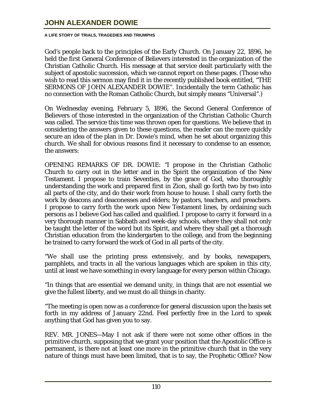**A LIFE STORY OF TRIALS, TRAGEDIES AND TRIUMPHS** 

God's people back to the principles of the Early Church. On January 22, 1896, he held the first General Conference of Believers interested in the organization of the Christian Catholic Church. His message at that service dealt particularly with the subject of apostolic succession, which we cannot report on these pages. (Those who wish to read this sermon may find it in the recently published book entitled, "THE SERMONS OF JOHN ALEXANDER DOWIE". Incidentally the term Catholic has no connection with the Roman Catholic Church, but simply means "Universal".)

On Wednesday evening, February 5, 1896, the Second General Conference of Believers of those interested in the organization of the Christian Catholic Church was called. The service this time was thrown open for questions. We believe that in considering the answers given to these questions, the reader can the more quickly secure an idea of the plan in Dr. Dowie's mind, when he set about organizing this church. We shall for obvious reasons find it necessary to condense to an essence, the answers:

OPENING REMARKS OF DR. DOWIE: "I propose in the Christian Catholic Church to carry out in the letter and in the Spirit the organization of the New Testament. I propose to train Seventies, by the grace of God, who thoroughly understanding the work and prepared first in Zion, shall go forth two by two into all parts of the city, and do their work from house to house. I shall carry forth the work by deacons and deaconesses and elders; by pastors, teachers, and preachers. I propose to carry forth the work upon New Testament lines, by ordaining such persons as I believe God has called and qualified. I propose to carry it forward in a very thorough manner in Sabbath and week-day schools, where they shall not only be taught the letter of the word but its Spirit, and where they shall get a thorough Christian education from the kindergarten to the college, and from the beginning be trained to carry forward the work of God in all parts of the city.

"We shall use the printing press extensively, and by books, newspapers, pamphlets, and tracts in all the various languages which are spoken in this city, until at least we have something in every language for every person within Chicago.

"In things that are essential we demand unity, in things that are not essential we give the fullest liberty, and we must do all things in charity.

"The meeting is open now as a conference for general discussion upon the basis set forth in my address of January 22nd. Feel perfectly free in the Lord to speak anything that God has given you to say.

REV. MR. JONES—May I not ask if there were not some other offices in the primitive church, supposing that we grant your position that the Apostolic Office is permanent, is there not at least one more in the primitive church that in the very nature of things must have been limited, that is to say, the Prophetic Office? Now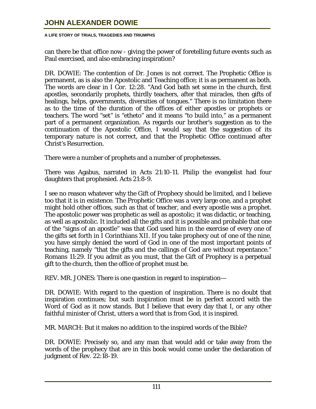**A LIFE STORY OF TRIALS, TRAGEDIES AND TRIUMPHS** 

can there be that office now - giving the power of foretelling future events such as Paul exercised, and also embracing inspiration?

DR. DOWIE: The contention of Dr. Jones is not correct. The Prophetic Office is permanent, as is also the Apostolic and Teaching office; it is as permanent as both. The words are clear in I Cor. 12:28. "And God bath set some in the church, first apostles, secondarily prophets, thirdly teachers, after that miracles, then gifts of healings, helps, governments, diversities of tongues." There is no limitation there as to the time of the duration of the offices of either apostles or prophets or teachers. The word "set" is "etheto" and it means "to build into," as a permanent part of a permanent organization. As regards our brother's suggestion as to the continuation of the Apostolic Office, I would say that the suggestion of its temporary nature is not correct, and that the Prophetic Office continued after Christ's Resurrection.

There were a number of prophets and a number of prophetesses.

There was Agabus, narrated in Acts 21:10-11. Philip the evangelist had four daughters that prophesied. Acts 21:8-9.

I see no reason whatever why the Gift of Prophecy should be limited, and I believe too that it is in existence. The Prophetic Office was a very large one, and a prophet might hold other offices, such as that of teacher, and every apostle was a prophet. The apostolic power was prophetic as well as apostolic; it was didactic, or teaching, as well as apostolic. It included all the gifts and it is possible and probable that one of the "signs of an apostle" was that God used him in the exercise of every one of the gifts set forth in I Corinthians XII. If you take prophecy out of one of the nine, you have simply denied the word of God in one of the most important points of teaching, namely "that the gifts and the callings of God are without repentance." Romans 11:29. If you admit as you must, that the Gift of Prophecy is a perpetual gift to the church, then the office of prophet must be.

REV. MR. JONES: There is one question in regard to inspiration—

DR. DOWIE: With regard to the question of inspiration. There is no doubt that inspiration continues; but such inspiration must be in perfect accord with the Word of God as it now stands. But I believe that every day that I, or any other faithful minister of Christ, utters a word that is from God, it is inspired.

MR. MARCH: But it makes no addition to the inspired words of the Bible?

DR. DOWIE: Precisely so, and any man that would add or take away from the words of the prophecy that are in this book would come under the declaration of judgment of Rev. 22:18-19.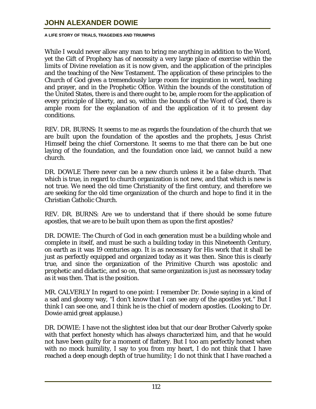**A LIFE STORY OF TRIALS, TRAGEDIES AND TRIUMPHS** 

While I would never allow any man to bring me anything in addition to the Word, yet the Gift of Prophecy has of necessity a very large place of exercise within the limits of Divine revelation as it is now given, and the application of the principles and the teaching of the New Testament. The application of these principles to the Church of God gives a tremendously large room for inspiration in word, teaching and prayer, and in the Prophetic Office. Within the bounds of the constitution of the United States, there is and there ought to be, ample room for the application of every principle of liberty, and so, within the bounds of the Word of God, there is ample room for the explanation of and the application of it to present day conditions.

REV. DR. BURNS: It seems to me as regards the foundation of the church that we are built upon the foundation of the apostles and the prophets, Jesus Christ Himself being the chief Cornerstone. It seems to me that there can be but one laying of the foundation, and the foundation once laid, we cannot build a new church.

DR. DOWLE There never can be a new church unless it be a false church. That which is true, in regard to church organization is not new, and that which is new is not true. We need the old time Christianity of the first century, and therefore we are seeking for the old time organization of the church and hope to find it in the Christian Catholic Church.

REV. DR. BURNS: Are we to understand that if there should be some future apostles, that we are to be built upon them as upon the first apostles?

DR. DOWIE: The Church of God in each generation must be a building whole and complete in itself, and must be such a building today in this Nineteenth Century, on earth as it was 19 centuries ago. It is as necessary for His work that it shall be just as perfectly equipped and organized today as it was then. Since this is clearly true, and since the organization of the Primitive Church was apostolic and prophetic and didactic, and so on, that same organization is just as necessary today as it was then. That is the position.

MR. CALVERLY In regard to one point: I remember Dr. Dowie saying in a kind of a sad and gloomy way, "I don't know that I can see any of the apostles yet." But I think I can see one, and I think he is the chief of modern apostles. (Looking to Dr. Dowie amid great applause.)

DR. DOWIE: I have not the slightest idea but that our dear Brother Calverly spoke with that perfect honesty which has always characterized him, and that he would not have been guilty for a moment of flattery. But I too am perfectly honest when with no mock humility, I say to you from my heart, I do not think that I have reached a deep enough depth of true humility; I do not think that I have reached a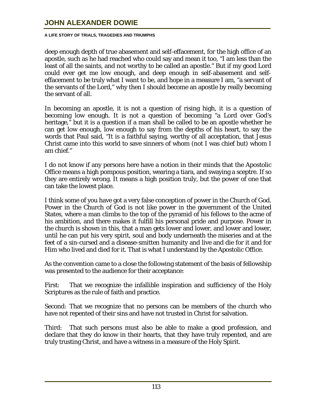**A LIFE STORY OF TRIALS, TRAGEDIES AND TRIUMPHS** 

deep enough depth of true abasement and self-effacement, for the high office of an apostle, such as he had reached who could say and mean it too, "I am less than the least of all the saints, and not worthy to be called an apostle." But if my good Lord could ever get me low enough, and deep enough in self-abasement and selfeffacement to be truly what I want to be, and hope in a measure I am, "a servant of the servants of the Lord," why then I should become an apostle by really becoming the servant of all.

In becoming an apostle, it is not a question of rising high, it is a question of becoming low enough. It is not a question of becoming "a Lord over God's heritage," but it is a question if a man shall be called to be an apostle whether he can get low enough, low enough to say from the depths of his heart, to say the words that Paul said, "It is a faithful saying, worthy of all acceptation, that Jesus Christ came into this world to save sinners of whom (not I was chief but) whom I am chief."

I do not know if any persons here have a notion in their minds that the Apostolic Office means a high pompous position, wearing a tiara, and swaying a sceptre. If so they are entirely wrong. It means a high position truly, but the power of one that can take the lowest place.

I think some of you have got a very false conception of power in the Church of God. Power in the Church of God is not like power in the government of the United States, where a man climbs to the top of the pyramid of his fellows to the acme of his ambition, and there makes it fulfill his personal pride and purpose. Power in the church is shown in this, that a man gets lower and lower, and lower and lower, until he can put his very spirit, soul and body underneath the miseries and at the feet of a sin-cursed and a disease-smitten humanity and live and die for it and for Him who lived and died for it. That is what I understand by the Apostolic Office.

As the convention came to a close the following statement of the basis of fellowship was presented to the audience for their acceptance:

First: That we recognize the infallible inspiration and sufficiency of the Holy Scriptures as the rule of faith and practice.

Second: That we recognize that no persons can be members of the church who have not repented of their sins and have not trusted in Christ for salvation.

Third: That such persons must also be able to make a good profession, and declare that they do know in their hearts, that they have truly repented, and are truly trusting Christ, and have a witness in a measure of the Holy Spirit.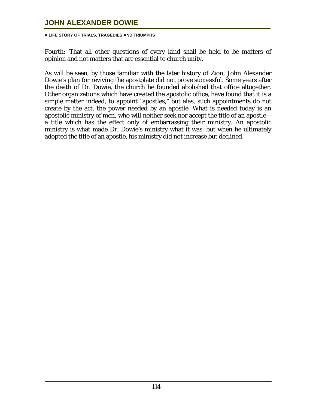**A LIFE STORY OF TRIALS, TRAGEDIES AND TRIUMPHS** 

Fourth: That all other questions of every kind shall be held to be matters of opinion and not matters that arc essential to church unity.

As will be seen, by those familiar with the later history of Zion, John Alexander Dowie's plan for reviving the apostolate did not prove successful. Some years after the death of Dr. Dowie, the church he founded abolished that office altogether. Other organizations which have created the apostolic office, have found that it is a simple matter indeed, to appoint "apostles," but alas, such appointments do not create by the act, the power needed by an apostle. What is needed today is an apostolic ministry of men, who will neither seek nor accept the title of an apostle a title which has the effect only of embarrassing their ministry. An apostolic ministry is what made Dr. Dowie's ministry what it was, but when he ultimately adopted the title of an apostle, his ministry did not increase but declined.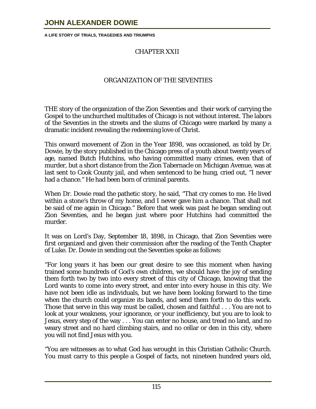**A LIFE STORY OF TRIALS, TRAGEDIES AND TRIUMPHS** 

## CHAPTER XXII

## ORGANIZATION OF THE SEVENTIES

THE story of the organization of the Zion Seventies and their work of carrying the Gospel to the unchurched multitudes of Chicago is not without interest. The labors of the Seventies in the streets and the slums of Chicago were marked by many a dramatic incident revealing the redeeming love of Christ.

This onward movement of Zion in the Year 1898, was occasioned, as told by Dr. Dowie, by the story published in the Chicago press of a youth about twenty years of age, named Butch Hutchins, who having committed many crimes, even that of murder, but a short distance from the Zion Tabernacle on Michigan Avenue, was at last sent to Cook County jail, and when sentenced to be hung, cried out, "I never had a chance." He had been born of criminal parents.

When Dr. Dowie read the pathetic story, he said, "That cry comes to me. He lived within a stone's throw of my home, and I never gave him a chance. That shall not be said of me again in Chicago." Before that week was past he began sending out Zion Seventies, and he began just where poor Hutchins had committed the murder.

It was on Lord's Day, September 18, 1898, in Chicago, that Zion Seventies were first organized and given their commission after the reading of the Tenth Chapter of Luke. Dr. Dowie in sending out the Seventies spoke as follows:

"For long years it has been our great desire to see this moment when having trained some hundreds of God's own children, we should have the joy of sending them forth two by two into every street of this city of Chicago, knowing that the Lord wants to come into every street, and enter into every house in this city. We have not been idle as individuals, but we have been looking forward to the time when the church could organize its bands, and send them forth to do this work. Those that serve in this way must be called, chosen and faithful . . . You are not to look at your weakness, your ignorance, or your inefficiency, but you are to look to Jesus, every step of the way . . . You can enter no house, and tread no land, and no weary street and no hard climbing stairs, and no cellar or den in this city, where you will not find Jesus with you.

"You are witnesses as to what God has wrought in this Christian Catholic Church. You must carry to this people a Gospel of facts, not nineteen hundred years old,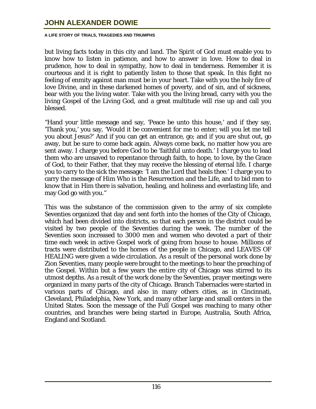**A LIFE STORY OF TRIALS, TRAGEDIES AND TRIUMPHS** 

but living facts today in this city and land. The Spirit of God must enable you to know how to listen in patience, and how to answer in love. How to deal in prudence, how to deal in sympathy, how to deal in tenderness. Remember it is courteous and it is right to patiently listen to those that speak. In this fight no feeling of enmity against man must be in your heart. Take with you the holy fire of love Divine, and in these darkened homes of poverty, and of sin, and of sickness, bear with you the living water. Take with you the living bread, carry with you the living Gospel of the Living God, and a great multitude will rise up and call you blessed.

"Hand your little message and say, 'Peace be unto this house,' and if they say, 'Thank you,' you say, 'Would it be convenient for me to enter; will you let me tell you about Jesus?' And if you can get an entrance, go; and if you are shut out, go away, but be sure to come back again. Always come back, no matter how you are sent away. I charge you before God to be 'faithful unto death.' I charge you to lead them who are unsaved to repentance through faith, to hope, to love, by the Grace of God, to their Father, that they may receive the blessing of eternal life. I charge you to carry to the sick the message: 'I am the Lord that heals thee.' I charge you to carry the message of Him Who is the Resurrection and the Life, and to bid men to know that in Him there is salvation, healing, and holiness and everlasting life, and may God go with you."

This was the substance of the commission given to the army of six complete Seventies organized that day and sent forth into the homes of the City of Chicago, which had been divided into districts, so that each person in the district could be visited by two people of the Seventies during the week. The number of the Seventies soon increased to 3000 men and women who devoted a part of their time each week in active Gospel work of going from house to house. Millions of tracts were distributed to the homes of the people in Chicago, and LEAVES OF HEALING were given a wide circulation. As a result of the personal work done by Zion Seventies, many people were brought to the meetings to hear the preaching of the Gospel. Within but a few years the entire city of Chicago was stirred to its utmost depths. As a result of the work done by the Seventies, prayer meetings were organized in many parts of the city of Chicago. Branch Tabernacles were started in various parts of Chicago, and also in many others cities, as in Cincinnati, Cleveland, Philadelphia, New York, and many other large and small centers in the United States. Soon the message of the Full Gospel was reaching to many other countries, and branches were being started in Europe, Australia, South Africa, England and Scotland.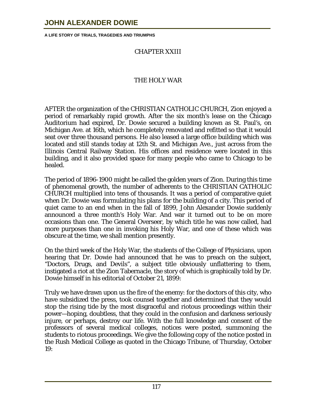**A LIFE STORY OF TRIALS, TRAGEDIES AND TRIUMPHS** 

## CHAPTER XXIII

### THE HOLY WAR

AFTER the organization of the CHRISTIAN CATHOLIC CHURCH, Zion enjoyed a period of remarkably rapid growth. After the six month's lease on the Chicago Auditorium had expired, Dr. Dowie secured a building known as St. Paul's, on Michigan Ave. at 16th, which he completely renovated and refitted so that it would seat over three thousand persons. He also leased a large office building which was located and still stands today at 12th St. and Michigan Ave., just across from the Illinois Central Railway Station. His offices and residence were located in this building, and it also provided space for many people who came to Chicago to be healed.

The period of 1896-1900 might be called the golden years of Zion. During this time of phenomenal growth, the number of adherents to the CHRISTIAN CATHOLIC CHURCH multiplied into tens of thousands. It was a period of comparative quiet when Dr. Dowie was formulating his plans for the building of a city. This period of quiet came to an end when in the fall of 1899, John Alexander Dowie suddenly announced a three month's Holy War. And war it turned out to be on more occasions than one. The General Overseer, by which title he was now called, had more purposes than one in invoking his Holy War, and one of these which was obscure at the time, we shall mention presently.

On the third week of the Holy War, the students of the College of Physicians, upon hearing that Dr. Dowie had announced that he was to preach on the subject, "Doctors, Drugs, and Devils", a subject title obviously unflattering to them, instigated a riot at the Zion Tabernacle, the story of which is graphically told by Dr. Dowie himself in his editorial of October 21, 1899:

Truly we have drawn upon us the fire of the enemy: for the doctors of this city, who have subsidized the press, took counsel together and determined that they would stop the rising tide by the most disgraceful and riotous proceedings within their power—hoping, doubtless, that they could in the confusion and darkness seriously injure, or perhaps, destroy our life. With the full knowledge and consent of the professors of several medical colleges, notices were posted, summoning the students to riotous proceedings. We give the following copy of the notice posted in the Rush Medical College as quoted in the Chicago Tribune, of Thursday, October 19: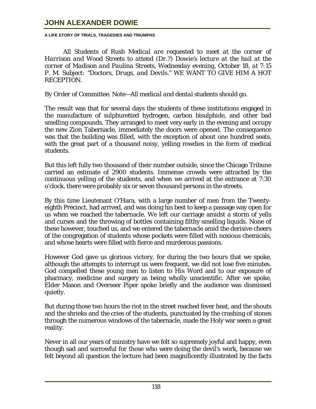#### **A LIFE STORY OF TRIALS, TRAGEDIES AND TRIUMPHS**

*All Students of Rush Medical are requested to meet at the corner of Harrison and Wood Streets to attend (Dr.?) Dowie's lecture at the hail at the corner of Madison and Paulina Streets, Wednesday evening, October 18, at 7:15 P. M. Subject: "Doctors, Drugs, and Devils." WE WANT TO GIVE HIM A HOT RECEPTION.*

## *By Order of Committee. Note—All medical and dental students should go.*

The result was that for several days the students of these institutions engaged in the manufacture of sulphuretted hydrogen, carbon bisulphide, and other bad smelling compounds. They arranged to meet very early in the evening and occupy the new Zion Tabernacle, immediately the doors were opened. The consequence was that the building was filled, with the exception of about one hundred seats, with the great part of a thousand noisy, yelling rowdies in the form of medical students.

But this left fully two thousand of their number outside, since the Chicago Tribune carried an estimate of 2900 students. Immense crowds were attracted by the continuous yelling of the students, and when we arrived at the entrance at 7:30 o'clock, there were probably six or seven thousand persons in the streets.

By this time Lieutenant O'Hara, with a large number of men from the Twentyeighth Precinct, had arrived, and was doing his best to keep a passage way open for us when we reached the tabernacle. We left our carriage amidst a storm of yells and curses and the throwing of bottles containing filthy smelling liquids. None of these however, touched us, and we entered the tabernacle amid the derisive cheers of the congregation of students whose pockets were filled with noxious chemicals, and whose hearts were filled with fierce and murderous passions.

However God gave us glorious victory, for during the two hours that we spoke, although the attempts to interrupt us were frequent, we did not lose five minutes. God compelled these young men to listen to His Word and to our exposure of pharmacy, medicine and surgery as being wholly unscientific. After we spoke, Elder Mason and Overseer Piper spoke briefly and the audience was dismissed quietly.

But during those two hours the riot in the street reached fever heat, and the shouts and the shrieks and the cries of the students, punctuated by the crashing of stones through the numerous windows of the tabernacle, made the Holy war seem a great reality.

Never in all our years of ministry have we felt so supremely joyful and happy, even though sad and sorrowful for those who were doing the devil's work, because we felt beyond all question the lecture had been magnificently illustrated by the facts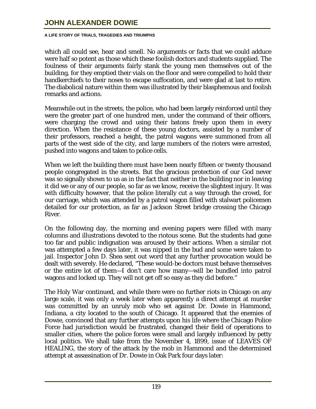**A LIFE STORY OF TRIALS, TRAGEDIES AND TRIUMPHS** 

which all could see, hear and smell. No arguments or facts that we could adduce were half so potent as those which these foolish doctors and students supplied. The foulness of their arguments fairly stank the young men themselves out of the building, for they emptied their vials on the floor and were compelled to hold their handkerchiefs to their noses to escape suffocation, and were glad at last to retire. The diabolical nature within them was illustrated by their blasphemous and foolish remarks and actions.

Meanwhile out in the streets, the police, who had been largely reinforced until they were the greater part of one hundred men, under the command of their officers, were charging the crowd and using their batons freely upon them in every direction. When the resistance of these young doctors, assisted by a number of their professors, reached a height, the patrol wagons were summoned from all parts of the west side of the city, and large numbers of the rioters were arrested, pushed into wagons and taken to police cells.

When we left the building there must have been nearly fifteen or twenty thousand people congregated in the streets. But the gracious protection of our God never was so signally shown to us as in the fact that neither in the building nor in leaving it did we or any of our people, so far as we know, receive the slightest injury. It was with difficulty however, that the police literally cut a way through the crowd, for our carriage, which was attended by a patrol wagon filled with stalwart policemen detailed for our protection, as far as Jackson Street bridge crossing the Chicago River.

On the following day, the morning and evening papers were filled with many columns and illustrations devoted to the riotous scene. But the students had gone too far and public indignation was aroused by their actions. When a similar riot was attempted a few days later, it was nipped in the bud and some were taken to jail. Inspector John D. Shea sent out word that any further provocation would be dealt with severely. He declared, "These would-be doctors must behave themselves or the entire lot of them—I don't care how many—will be bundled into patrol wagons and locked up. They will not get off so easy as they did before."

The Holy War continued, and while there were no further riots in Chicago on any large scale, it was only a week later when apparently a direct attempt at murder was committed by an unruly mob who set against Dr. Dowie in Hammond, Indiana, a city located to the south of Chicago. It appeared that the enemies of Dowie, convinced that any further attempts upon his life where the Chicago Police Force had jurisdiction would be frustrated, changed their field of operations to smaller cities, where the police forces were small and largely influenced by petty local politics. We shall take from the November 4, 1899, issue of LEAVES OF HEALING, the story of the attack by the mob in Hammond and the determined attempt at assassination of Dr. Dowie in Oak Park four days later: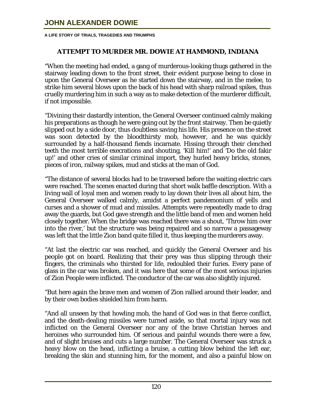**A LIFE STORY OF TRIALS, TRAGEDIES AND TRIUMPHS** 

## **ATTEMPT TO MURDER MR. DOWIE AT HAMMOND, INDIANA**

"When the meeting had ended, a gang of murderous-looking thugs gathered in the stairway leading down to the front street, their evident purpose being to close in upon the General Overseer as he started down the stairway, and in the melee, to strike him several blows upon the back of his head with sharp railroad spikes, thus cruelly murdering him in such a way as to make detection of the murderer difficult, if not impossible.

"Divining their dastardly intention, the General Overseer continued calmly making his preparations as though he were going out by the front stairway. Then be quietly slipped out by a side door, thus doubtless saving his life. His presence on the street was soon detected by the bloodthirsty mob, however, and he was quickly surrounded by a half-thousand fiends incarnate. Hissing through their clenched teeth the most terrible execrations and shouting, 'Kill him!' and 'Do the old fakir up!' and other cries of similar criminal import, they hurled heavy bricks, stones, pieces of iron, railway spikes, mud and sticks at the man of God.

"The distance of several blocks had to be traversed before the waiting electric cars were reached. The scenes enacted during that short walk baffle description. With a living wall of loyal men and women ready to lay down their lives all about him, the General Overseer walked calmly, amidst a perfect pandemonium of yells and curses and a shower of mud and missiles. Attempts were repeatedly made to drag away the guards, but God gave strength and the little band of men and women held closely together. When the bridge was reached there was a shout, 'Throw him over into the river,' but the structure was being repaired and so narrow a passageway was left that the little Zion band quite filled it, thus keeping the murderers away.

"At last the electric car was reached, and quickly the General Overseer and his people got on board. Realizing that their prey was thus slipping through their fingers, the criminals who thirsted for life, redoubled their furies. Every pane of glass in the car was broken, and it was here that some of the most serious injuries of Zion People were inflicted. The conductor of the car was also slightly injured.

"But here again the brave men and women of Zion rallied around their leader, and by their own bodies shielded him from harm.

"And all unseen by that howling mob, the hand of God was in that fierce conflict, and the death-dealing missiles were turned aside, so that mortal injury was not inflicted on the General Overseer nor any of the brave Christian heroes and heroines who surrounded him. Of serious and painful wounds there were a few, and of slight bruises and cuts a large number. The General Overseer was struck a heavy blow on the head, inflicting a bruise, a cutting blow behind the left ear, breaking the skin and stunning him, for the moment, and also a painful blow on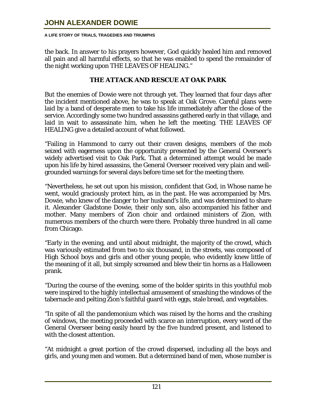**A LIFE STORY OF TRIALS, TRAGEDIES AND TRIUMPHS** 

the back. In answer to his prayers however, God quickly healed him and removed all pain and all harmful effects, so that he was enabled to spend the remainder of the night working upon THE LEAVES OF HEALING."

## **THE ATTACK AND RESCUE AT OAK PARK**

But the enemies of Dowie were not through yet. They learned that four days after the incident mentioned above, he was to speak at Oak Grove. Careful plans were laid by a band of desperate men to take his life immediately after the close of the service. Accordingly some two hundred assassins gathered early in that village, and laid in wait to assassinate him, when he left the meeting. THE LEAVES OF HEALING give a detailed account of what followed.

"Failing in Hammond to carry out their craven designs, members of the mob seized with eagerness upon the opportunity presented by the General Overseer's widely advertised visit to Oak Park. That a determined attempt would be made upon his life by hired assassins, the General Overseer received very plain and wellgrounded warnings for several days before time set for the meeting there.

"Nevertheless, he set out upon his mission, confident that God, in Whose name he went, would graciously protect him, as in the past. He was accompanied by Mrs. Dowie, who knew of the danger to her husband's life, and was determined to share it. Alexander Gladstone Dowie, their only son, also accompanied his father and mother. Many members of Zion choir and ordained ministers of Zion, with numerous members of the church were there. Probably three hundred in all came from Chicago.

"Early in the evening, and until about midnight, the majority of the crowd, which was variously estimated from two to six thousand, in the streets, was composed of High School boys and girls and other young people, who evidently knew little of the meaning of it all, but simply screamed and blew their tin horns as a Halloween prank.

"During the course of the evening, some of the bolder spirits in this youthful mob were inspired to the highly intellectual amusement of smashing the windows of the tabernacle and pelting Zion's faithful guard with eggs, stale bread, and vegetables.

"In spite of all the pandemonium which was raised by the horns and the crashing of windows, the meeting proceeded with scarce an interruption, every word of the General Overseer being easily heard by the five hundred present, and listened to with the closest attention.

"At midnight a great portion of the crowd dispersed, including all the boys and girls, and young men and women. But a determined band of men, whose number is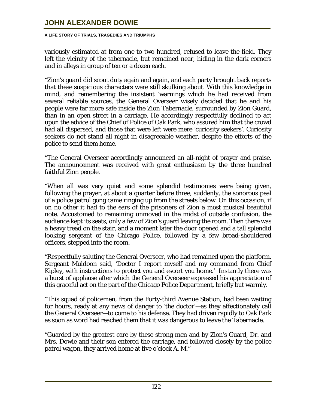**A LIFE STORY OF TRIALS, TRAGEDIES AND TRIUMPHS** 

variously estimated at from one to two hundred, refused to leave the field. They left the vicinity of the tabernacle, but remained near, hiding in the dark corners and in alleys in group of ten or a dozen each.

"Zion's guard did scout duty again and again, and each party brought back reports that these suspicious characters were still skulking about. With this knowledge in mind, and remembering the insistent 'warnings which he had received from several reliable sources, the General Overseer wisely decided that he and his people were far more safe inside the Zion Tabernacle, surrounded by Zion Guard, than in an open street in a carriage. He accordingly respectfully declined to act upon the advice of the Chief of Police of Oak Park, who assured him that the crowd had all dispersed, and those that were left were mere 'curiosity seekers'. Curiosity seekers do not stand all night in disagreeable weather, despite the efforts of the police to send them home.

"The General Overseer accordingly announced an all-night of prayer and praise. The announcement was received with great enthusiasm by the three hundred faithful Zion people.

"When all was very quiet and some splendid testimonies were being given, following the prayer, at about a quarter before three, suddenly, the sonorous peal of a police patrol gong came ringing up from the streets below. On this occasion, if on no other it had to the ears of the prisoners of Zion a most musical beautiful note. Accustomed to remaining unmoved in the midst of outside confusion, the audience kept its seats, only a few of Zion's guard leaving the room. Then there was a heavy tread on the stair, and a moment later the door opened and a tall splendid looking sergeant of the Chicago Police, followed by a few broad-shouldered officers, stepped into the room.

"Respectfully saluting the General Overseer, who had remained upon the platform, Sergeant Muldoon said, 'Doctor I report myself and my command from Chief Kipley, with instructions to protect you and escort you home.' Instantly there was a burst of applause after which the General Overseer expressed his appreciation of this graceful act on the part of the Chicago Police Department, briefly but warmly.

"This squad of policemen, from the Forty-third Avenue Station, had been waiting for hours, ready at any news of danger to 'the doctor'—as they affectionately call the General Overseer—to come to his defense. They had driven rapidly to Oak Park as soon as word had reached them that it was dangerous to leave the Tabernacle.

"Guarded by the greatest care by these strong men and by Zion's Guard, Dr. and Mrs. Dowie and their son entered the carriage, and followed closely by the police patrol wagon, they arrived home at five o'clock A. M."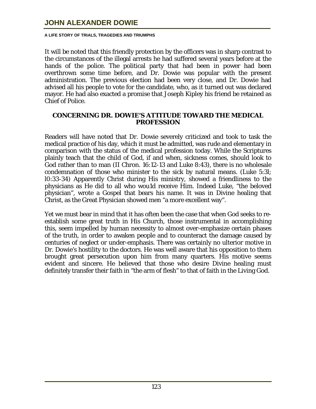**A LIFE STORY OF TRIALS, TRAGEDIES AND TRIUMPHS** 

It will be noted that this friendly protection by the officers was in sharp contrast to the circumstances of the illegal arrests he had suffered several years before at the hands of the police. The political party that had been in power had been overthrown some time before, and Dr. Dowie was popular with the present administration. The previous election had been very close, and Dr. Dowie had advised all his people to vote for the candidate, who, as it turned out was declared mayor. He had also exacted a promise that Joseph Kipley his friend be retained as Chief of Police.

### **CONCERNING DR. DOWIE'S ATTITUDE TOWARD THE MEDICAL PROFESSION**

Readers will have noted that Dr. Dowie severely criticized and took to task the medical practice of his day, which it must be admitted, was rude and elementary in comparison with the status of the medical profession today. While the Scriptures plainly teach that the child of God, if and when, sickness comes, should look to God rather than to man (II Chron. 16:12-13 and Luke 8:43), there is no wholesale condemnation of those who minister to the sick by natural means. (Luke 5:3l; l0:33-34) Apparently Christ during His ministry, showed a friendliness to the physicians as He did to all who wou1d receive Him. Indeed Luke, "the beloved physician", wrote a Gospel that bears his name. It was in Divine healing that Christ, as the Great Physician showed men "a more excellent way".

Yet we must bear in mind that it has often been the case that when God seeks to reestablish some great truth in His Church, those instrumental in accomplishing this, seem impelled by human necessity to almost over-emphasize certain phases of the truth, in order to awaken people and to counteract the damage caused by centuries of neglect or under-emphasis. There was certainly no ulterior motive in Dr. Dowie's hostility to the doctors. He was well aware that his opposition to them brought great persecution upon him from many quarters. His motive seems evident and sincere. He believed that those who desire Divine healing must definitely transfer their faith in "the arm of flesh" to that of faith in the Living God.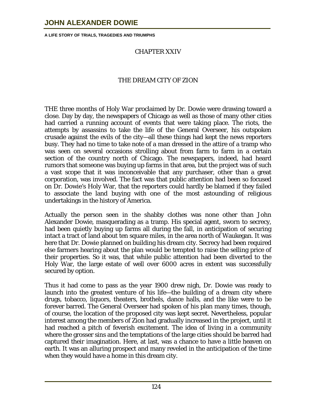**A LIFE STORY OF TRIALS, TRAGEDIES AND TRIUMPHS** 

## CHAPTER XXIV

#### THE DREAM CITY OF ZION

THE three months of Holy War proclaimed by Dr. Dowie were drawing toward a close. Day by day, the newspapers of Chicago as well as those of many other cities had carried a running account of events that were taking place. The riots, the attempts by assassins to take the life of the General Overseer, his outspoken crusade against the evils of the city—all these things had kept the news reporters busy. They had no time to take note of a man dressed in the attire of a tramp who was seen on several occasions strolling about from farm to farm in a certain section of the country north of Chicago. The newspapers, indeed, had heard rumors that someone was buying up farms in that area, but the project was of such a vast scope that it was inconceivable that any purchaser, other than a great corporation, was involved. The fact was that public attention had been so focused on Dr. Dowie's Holy War, that the reporters could hardly be blamed if they failed to associate the land buying with one of the most astounding of religious undertakings in the history of America.

Actually the person seen in the shabby clothes was none other than John Alexander Dowie, masquerading as a tramp. His special agent, sworn to secrecy, had been quietly buying up farms all during the fall, in anticipation of securing intact a tract of land about ten square miles, in the area north of Waukegan. It was here that Dr. Dowie planned on building his dream city. Secrecy had been required else farmers hearing about the plan would be tempted to raise the selling price of their properties. So it was, that while public attention had been diverted to the Holy War, the large estate of well over 6000 acres in extent was successfully secured by option.

Thus it had come to pass as the year 1900 drew nigh, Dr. Dowie was ready to launch into the greatest venture of his life—the building of a dream city where drugs, tobacco, liquors, theaters, brothels, dance halls, and the like were to be forever barred. The General Overseer had spoken of his plan many times, though, of course, the location of the proposed city was kept secret. Nevertheless, popular interest among the members of Zion had gradually increased in the project, until it had reached a pitch of feverish excitement. The idea of living in a community where the grosser sins and the temptations of the large cities should be barred had captured their imagination. Here, at last, was a chance to have a little heaven on earth. It was an alluring prospect and many reveled in the anticipation of the time when they would have a home in this dream city.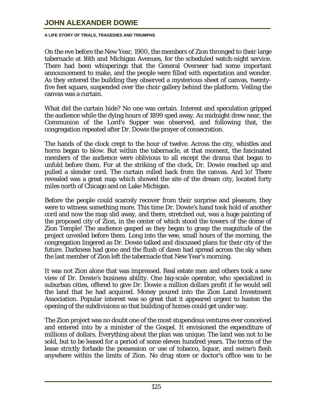**A LIFE STORY OF TRIALS, TRAGEDIES AND TRIUMPHS** 

On the eve before the New Year, 1900, the members of Zion thronged to their large tabernacle at 16th and Michigan Avenues, for the scheduled watch-night service. There had been whisperings that the General Overseer had some important announcement to make, and the people were filled with expectation and wonder. As they entered the building they observed a mysterious sheet of canvas, twentyfive feet square, suspended over the choir gallery behind the platform. Veiling the canvas was a curtain.

What did the curtain hide? No one was certain. Interest and speculation gripped the audience while the dying hours of 1899 sped away. As midnight drew near, the Communion of the Lord's Supper was observed, and following that, the congregation repeated after Dr. Dowie the prayer of consecration.

The hands of the clock crept to the hour of twelve. Across the city, whistles and horns began to blow. But within the tabernacle, at that moment, the fascinated members of the audience were oblivious to all except the drama that began to unfold before them. For at the striking of the clock, Dr. Dowie reached up and pulled a slender cord. The curtain rolled back from the canvas. And lo! There revealed was a great map which showed the site of the dream city, located forty miles north of Chicago and on Lake Michigan.

Before the people could scarcely recover from their surprise and pleasure, they were to witness something more. This time Dr. Dowie's hand took hold of another cord and now the map slid away, and there, stretched out, was a huge painting of the proposed city of Zion, in the center of which stood the towers of the dome of Zion Temple! The audience gasped as they began to grasp the magnitude of the project unveiled before them. Long into the wee, small hours of the morning, the congregation lingered as Dr. Dowie talked and discussed plans for their city of the future. Darkness had gone and the flush of dawn had spread across the sky when the last member of Zion left the tabernacle that New Year's morning.

It was not Zion alone that was impressed. Real estate men and others took a new view of Dr. Dowie's business ability. One big-scale operator, who specialized in suburban cities, offered to give Dr. Dowie a million dollars profit if he would sell the land that he had acquired. Money poured into the Zion Land Investment Association. Popular interest was so great that it appeared urgent to hasten the opening of the subdivisions so that building of homes could get under way.

The Zion project was no doubt one of the most stupendous ventures ever conceived and entered into by a minister of the Gospel. It envisioned the expenditure of millions of dollars. Everything about the plan was unique. The land was not to be sold, but to be leased for a period of some eleven hundred years. The terms of the lease strictly forbade the possession or use of tobacco, liquor, and swine's flesh anywhere within the limits of Zion. No drug store or doctor's office was to be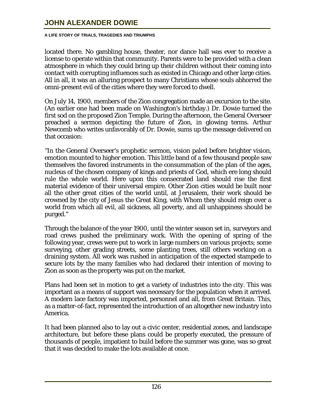**A LIFE STORY OF TRIALS, TRAGEDIES AND TRIUMPHS** 

located there. No gambling house, theater, nor dance hall was ever to receive a license to operate within that community. Parents were to be provided with a clean atmosphere in which they could bring up their children without their coming into contact with corrupting influences such as existed in Chicago and other large cities. All in all, it was an alluring prospect to many Christians whose souls abhorred the omni-present evil of the cities where they were forced to dwell.

On July 14, 1900, members of the Zion congregation made an excursion to the site. (An earlier one had been made on Washington's birthday.) Dr. Dowie turned the first sod on the proposed Zion Temple. During the afternoon, the General Overseer preached a sermon depicting the future of Zion, in glowing terms. Arthur Newcomb who writes unfavorably of Dr. Dowie, sums up the message delivered on that occasion:

"In the General Overseer's prophetic sermon, vision paled before brighter vision, emotion mounted to higher emotion. This little band of a few thousand people saw themselves the favored instruments in the consummation of the plan of the ages, nucleus of the chosen company of kings and priests of God, which ere long should rule the whole world. Here upon this consecrated land should rise the first material evidence of their universal empire. Other Zion cities would be built near all the other great cities of the world until, at Jerusalem, their work should be crowned by the city of Jesus the Great King, with Whom they should reign over a world from which all evil, all sickness, all poverty, and all unhappiness should be purged."

Through the balance of the year 1900, until the winter season set in, surveyors and road crews pushed the preliminary work. With the opening of spring of the following year, crews were put to work in large numbers on various projects; some surveying, other grading streets, some planting trees, still others working on a draining system. All work was rushed in anticipation of the expected stampede to secure lots by the many families who had declared their intention of moving to Zion as soon as the property was put on the market.

Plans had been set in motion to get a variety of industries into the city. This was important as a means of support was necessary for the population when it arrived. A modern lace factory was imported, personnel and all, from Great Britain. This, as a matter-of-fact, represented the introduction of an altogether new industry into America.

It had been planned also to lay out a civic center, residential zones, and landscape architecture, but before these plans could be properly executed, the pressure of thousands of people, impatient to build before the summer was gone, was so great that it was decided to make the lots available at once.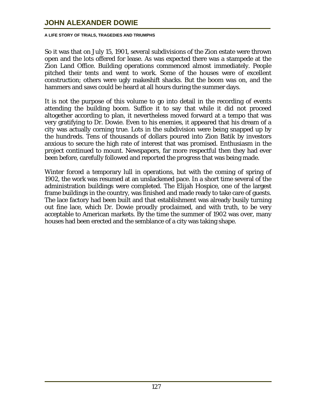**A LIFE STORY OF TRIALS, TRAGEDIES AND TRIUMPHS** 

So it was that on July 15, 1901, several subdivisions of the Zion estate were thrown open and the lots offered for lease. As was expected there was a stampede at the Zion Land Office. Building operations commenced almost immediately. People pitched their tents and went to work. Some of the houses were of excellent construction; others were ugly makeshift shacks. But the boom was on, and the hammers and saws could be heard at all hours during the summer days.

It is not the purpose of this volume to go into detail in the recording of events attending the building boom. Suffice it to say that while it did not proceed altogether according to plan, it nevertheless moved forward at a tempo that was very gratifying to Dr. Dowie. Even to his enemies, it appeared that his dream of a city was actually corning true. Lots in the subdivision were being snapped up by the hundreds. Tens of thousands of dollars poured into Zion Batik by investors anxious to secure the high rate of interest that was promised. Enthusiasm in the project continued to mount. Newspapers, far more respectful then they had ever been before, carefully followed and reported the progress that was being made.

Winter forced a temporary lull in operations, but with the coming of spring of 1902, the work was resumed at an unslackened pace. In a short time several of the administration buildings were completed. The Elijah Hospice, one of the largest frame buildings in the country, was finished and made ready to take care of guests. The lace factory had been built and that establishment was already busily turning out fine lace, which Dr. Dowie proudly proclaimed, and with truth, to be very acceptable to American markets. By the time the summer of 1902 was over, many houses had been erected and the semblance of a city was taking shape.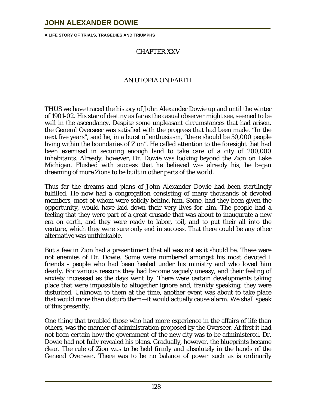**A LIFE STORY OF TRIALS, TRAGEDIES AND TRIUMPHS** 

## CHAPTER XXV

## AN UTOPIA ON EARTH

THUS we have traced the history of John Alexander Dowie up and until the winter of 1901-02. His star of destiny as far as the casual observer might see, seemed to be well in the ascendancy. Despite some unpleasant circumstances that had arisen, the General Overseer was satisfied with the progress that had been made. "In the next five years", said he, in a burst of enthusiasm, "there should be 50,000 people living within the boundaries of Zion". He called attention to the foresight that had been exercised in securing enough land to take care of a city of 200,000 inhabitants. Already, however, Dr. Dowie was looking beyond the Zion on Lake Michigan. Flushed with success that he believed was already his, he began dreaming of more Zions to be built in other parts of the world.

Thus far the dreams and plans of John Alexander Dowie had been startlingly fulfilled. He now had a congregation consisting of many thousands of devoted members, most of whom were solidly behind him. Some, had they been given the opportunity, would have laid down their very lives for him. The people had a feeling that they were part of a great crusade that was about to inaugurate a new era on earth, and they were ready to labor, toil, and to put their all into the venture, which they were sure only end in success. That there could be any other alternative was unthinkable.

But a few in Zion had a presentiment that all was not as it should be. These were not enemies of Dr. Dowie. Some were numbered amongst his most devoted I friends - people who had been healed under his ministry and who loved him dearly. For various reasons they had become vaguely uneasy, and their feeling of anxiety increased as the days went by. There were certain developments taking place that were impossible to altogether ignore and, frankly speaking, they were disturbed. Unknown to them at the time, another event was about to take place that would more than disturb them—it would actually cause alarm. We shall speak of this presently.

One thing that troubled those who had more experience in the affairs of life than others, was the manner of administration proposed by the Overseer. At first it had not been certain how the government of the new city was to be administered. Dr. Dowie had not fully revealed his plans. Gradually, however, the blueprints became clear. The rule of Zion was to be held firmly and absolutely in the hands of the General Overseer. There was to be no balance of power such as is ordinarily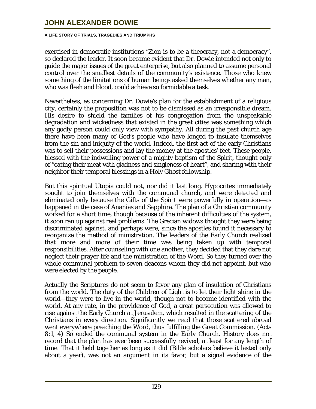**A LIFE STORY OF TRIALS, TRAGEDIES AND TRIUMPHS** 

exercised in democratic institutions "Zion is to be a theocracy, not a democracy", so declared the leader. It soon became evident that Dr. Dowie intended not only to guide the major issues of the great enterprise, but also planned to assume personal control over the smallest details of the community's existence. Those who knew something of the limitations of human beings asked themselves whether any man, who was flesh and blood, could achieve so formidable a task.

Nevertheless, as concerning Dr. Dowie's plan for the establishment of a religious city, certainly the proposition was not to be dismissed as an irresponsible dream. His desire to shield the families of his congregation from the unspeakable degradation and wickedness that existed in the great cities was something which any godly person could only view with sympathy. All during the past church age there have been many of God's people who have longed to insulate themselves from the sin and iniquity of the world. Indeed, the first act of the early Christians was to sell their possessions and lay the money at the apostles' feet. These people, blessed with the indwelling power of a mighty baptism of the Spirit, thought only of "eating their meat with gladness and singleness of heart", and sharing with their neighbor their temporal blessings in a Holy Ghost fellowship.

But this spiritual Utopia could not, nor did it last long. Hypocrites immediately sought to join themselves with the communal church, and were detected and eliminated only because the Gifts of the Spirit were powerfully in operation—as happened in the case of Ananias and Sapphira. The plan of a Christian community worked for a short time, though because of the inherent difficulties of the system, it soon ran up against real problems. The Grecian widows thought they were being discriminated against, and perhaps were, since the apostles found it necessary to reorganize the method of ministration. The leaders of the Early Church realized that more and more of their time was being taken up with temporal responsibilities. After counseling with one another, they decided that they dare not neglect their prayer life and the ministration of the Word. So they turned over the whole communal problem to seven deacons whom they did not appoint, but who were elected by the people.

Actually the Scriptures do not seem to favor any plan of insulation of Christians from the world. The duty of the Children of Light is to let their light shine in the world—they were to live in the world, though not to become identified with the world. At any rate, in the providence of God, a great persecution was allowed to rise against the Early Church at Jerusalem, which resulted in the scattering of the Christians in every direction. Significantly we read that those scattered abroad went everywhere preaching the Word, thus fulfilling the Great Commission. (Acts 8:1, 4) So ended the communal system in the Early Church. History does not record that the plan has ever been successfully revived, at least for any length of time. That it held together as long as it did (Bible scholars believe it lasted only about a year), was not an argument in its favor, but a signal evidence of the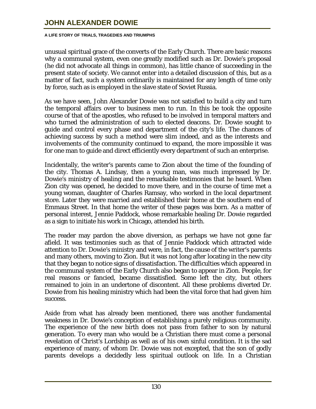#### **A LIFE STORY OF TRIALS, TRAGEDIES AND TRIUMPHS**

unusual spiritual grace of the converts of the Early Church. There are basic reasons why a communal system, even one greatly modified such as Dr. Dowie's proposal (he did not advocate all things in common), has little chance of succeeding in the present state of society. We cannot enter into a detailed discussion of this, but as a matter of fact, such a system ordinarily is maintained for any length of time only by force, such as is employed in the slave state of Soviet Russia.

As we have seen, John Alexander Dowie was not satisfied to build a city and turn the temporal affairs over to business men to run. In this be took the opposite course of that of the apostles, who refused to be involved in temporal matters and who turned the administration of such to elected deacons. Dr. Dowie sought to guide and control every phase and department of the city's life. The chances of achieving success by such a method were slim indeed, and as the interests and involvements of the community continued to expand, the more impossible it was for one man to guide and direct efficiently every department of such an enterprise.

Incidentally, the writer's parents came to Zion about the time of the founding of the city. Thomas A. Lindsay, then a young man, was much impressed by Dr. Dowie's ministry of healing and the remarkable testimonies that he heard. When Zion city was opened, he decided to move there, and in the course of time met a young woman, daughter of Charles Ramsay, who worked in the local department store. Later they were married and established their home at the southern end of Emmaus Street. In that home the writer of these pages was born. As a matter of personal interest, Jennie Paddock, whose remarkable healing Dr. Dowie regarded as a sign to initiate his work in Chicago, attended his birth.

The reader may pardon the above diversion, as perhaps we have not gone far afield. It was testimonies such as that of Jennie Paddock which attracted wide attention to Dr. Dowie's ministry and were, in fact, the cause of the writer's parents and many others, moving to Zion. But it was not long after locating in the new city that they began to notice signs of dissatisfaction. The difficulties which appeared in the communal system of the Early Church also began to appear in Zion. People, for real reasons or fancied, became dissatisfied. Some left the city, but others remained to join in an undertone of discontent. All these problems diverted Dr. Dowie from his healing ministry which had been the vital force that had given him success.

Aside from what has already been mentioned, there was another fundamental weakness in Dr. Dowie's conception of establishing a purely religious community. The experience of the new birth does not pass from father to son by natural generation. To every man who would be a Christian there must come a personal revelation of Christ's Lordship as well as of his own sinful condition. It is the sad experience of many, of whom Dr. Dowie was not excepted, that the son of godly parents develops a decidedly less spiritual outlook on life. In a Christian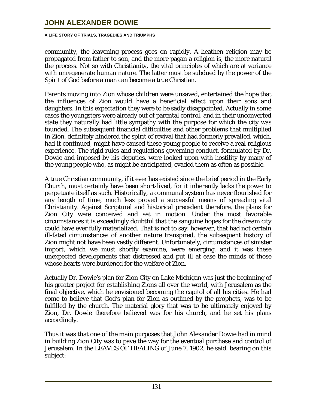**A LIFE STORY OF TRIALS, TRAGEDIES AND TRIUMPHS** 

community, the leavening process goes on rapidly. A heathen religion may be propagated from father to son, and the more pagan a religion is, the more natural the process. Not so with Christianity, the vital principles of which are at variance with unregenerate human nature. The latter must be subdued by the power of the Spirit of God before a man can become a true Christian.

Parents moving into Zion whose children were unsaved, entertained the hope that the influences of Zion would have a beneficial effect upon their sons and daughters. In this expectation they were to be sadly disappointed. Actually in some cases the youngsters were already out of parental control, and in their unconverted state they naturally had little sympathy with the purpose for which the city was founded. The subsequent financial difficulties and other problems that multiplied in Zion, definitely hindered the spirit of revival that had formerly prevailed, which, had it continued, might have caused these young people to receive a real religious experience. The rigid rules and regulations governing conduct, formulated by Dr. Dowie and imposed by his deputies, were looked upon with hostility by many of the young people who, as might be anticipated, evaded them as often as possible.

A true Christian community, if it ever has existed since the brief period in the Early Church, must certainly have been short-lived, for it inherently lacks the power to perpetuate itself as such. Historically, a communal system has never flourished for any length of time, much less proved a successful means of spreading vital Christianity. Against Scriptural and historical precedent therefore, the plans for Zion City were conceived and set in motion. Under the most favorable circumstances it is exceedingly doubtful that the sanguine hopes for the dream city could have ever fully materialized. That is not to say, however, that had not certain ill-fated circumstances of another nature transpired, the subsequent history of Zion might not have been vastly different. Unfortunately, circumstances of sinister import, which we must shortly examine, were emerging, and it was these unexpected developments that distressed and put ill at ease the minds of those whose hearts were burdened for the welfare of Zion.

Actually Dr. Dowie's plan for Zion City on Lake Michigan was just the beginning of his greater project for establishing Zions all over the world, with Jerusalem as the final objective, which he envisioned becoming the capitol of all his cities. He had come to believe that God's plan for Zion as outlined by the prophets, was to be fulfilled by the church. The material glory that was to be ultimately enjoyed by Zion, Dr. Dowie therefore believed was for his church, and he set his plans accordingly.

Thus it was that one of the main purposes that John Alexander Dowie had in mind in building Zion City was to pave the way for the eventual purchase and control of Jerusalem. In the LEAVES OF HEALING of June 7, 1902, he said, bearing on this subject: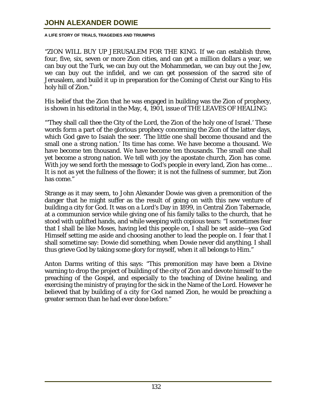**A LIFE STORY OF TRIALS, TRAGEDIES AND TRIUMPHS** 

"ZION WILL BUY UP JERUSALEM FOR THE KING. If we can establish three, four, five, six, seven or more Zion cities, and can get a million dollars a year, we can buy out the Turk, we can buy out the Mohammedan, we can buy out the Jew, we can buy out the infidel, and we can get possession of the sacred site of Jerusalem, and build it up in preparation for the Coming of Christ our King to His holy hill of Zion."

His belief that the Zion that he was engaged in building was the Zion of prophecy, is shown in his editorial in the May, 4, 1901, issue of THE LEAVES OF HEALING:

"'They shall call thee the City of the Lord, the Zion of the holy one of Israel.' These words form a part of the glorious prophecy concerning the Zion of the latter days, which God gave to Isaiah the seer. 'The little one shall become thousand and the small one a strong nation.' Its time has come. We have become a thousand. We have become ten thousand. We have become ten thousands. The small one shall yet become a strong nation. We tell with joy the apostate church, Zion has come. With joy we send forth the message to God's people in every land, Zion has come... It is not as yet the fullness of the flower; it is not the fullness of summer, but Zion has come."

Strange as it may seem, to John Alexander Dowie was given a premonition of the danger that he might suffer as the result of going on with this new venture of building a city for God. It was on a Lord's Day in 1899, in Central Zion Tabernacle, at a communion service while giving one of his family talks to the church, that he stood with uplifted hands, and while weeping with copious tears: "I sometimes fear that I shall be like Moses, having led this people on, I shall be set aside—yea God Himself setting me aside and choosing another to lead the people on. I fear that I shall sometime say: Dowie did something, when Dowie never did anything. I shall thus grieve God by taking some glory for myself, when it all belongs to Him."

Anton Darms writing of this says: "This premonition may have been a Divine warning to drop the project of building of the city of Zion and devote himself to the preaching of the Gospel, and especially to the teaching of Divine healing, and exercising the ministry of praying for the sick in the Name of the Lord. However he believed that by building of a city for God named Zion, he would be preaching a greater sermon than he had ever done before."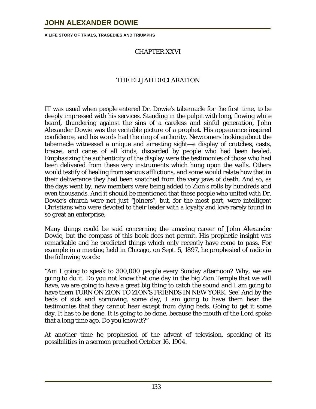**A LIFE STORY OF TRIALS, TRAGEDIES AND TRIUMPHS** 

## CHAPTER XXVI

## THE ELIJAH DECLARATION

IT was usual when people entered Dr. Dowie's tabernacle for the first time, to be deeply impressed with his services. Standing in the pulpit with long, flowing white beard, thundering against the sins of a careless and sinful generation, John Alexander Dowie was the veritable picture of a prophet. His appearance inspired confidence, and his words had the ring of authority. Newcomers looking about the tabernacle witnessed a unique and arresting sight—a display of crutches, casts, braces, and canes of all kinds, discarded by people who had been healed. Emphasizing the authenticity of the display were the testimonies of those who had been delivered from these very instruments which hung upon the walls. Others would testify of healing from serious afflictions, and some would relate how that in their deliverance they had been snatched from the very jaws of death. And so, as the days went by, new members were being added to Zion's rolls by hundreds and even thousands. And it should be mentioned that these people who united with Dr. Dowie's church were not just "joiners", but, for the most part, were intelligent Christians who were devoted to their leader with a loyalty and love rarely found in so great an enterprise.

Many things could be said concerning the amazing career of John Alexander Dowie, but the compass of this book does not permit. His prophetic insight was remarkable and he predicted things which only recently have come to pass. For example in a meeting held in Chicago, on Sept. 5, 1897, he prophesied of radio in the following words:

"Am I going to speak to 300,000 people every Sunday afternoon? Why, we are going to do it. Do you not know that one day in the big Zion Temple that we will have, we are going to have a great big thing to catch the sound and I am going to have them TURN ON ZION TO ZION'S FRIENDS IN NEW YORK. See! And by the beds of sick and sorrowing, some day, I am going to have them hear the testimonies that they cannot hear except from dying beds. Going to get it some day. It has to be done. It is going to be done, because the mouth of the Lord spoke that a long time ago. Do you know it?"

At another time he prophesied of the advent of television, speaking of its possibilities in a sermon preached October 16, 1904.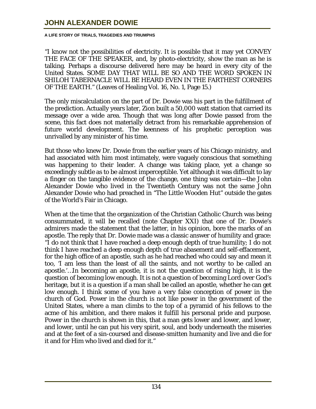**A LIFE STORY OF TRIALS, TRAGEDIES AND TRIUMPHS** 

"I know not the possibilities of electricity. It is possible that it may yet CONVEY THE FACE OF THE SPEAKER, and, by photo-electricity, show the man as he is talking. Perhaps a discourse delivered here may be heard in every city of the United States. SOME DAY THAT WILL BE SO AND THE WORD SPOKEN IN SHILOH TABERNACLE WILL BE HEARD EVEN IN THE FARTHEST CORNERS OF THE EARTH." (Leaves of Healing Vol. 16, No. 1, Page 15.)

The only miscalculation on the part of Dr. Dowie was his part in the fulfillment of the prediction. Actually years later, Zion built a 50,000 watt station that carried its message over a wide area. Though that was long after Dowie passed from the scene, this fact does not materially detract from his remarkable apprehension of future world development. The keenness of his prophetic perception was unrivalled by any minister of his time.

But those who knew Dr. Dowie from the earlier years of his Chicago ministry, and had associated with him most intimately, were vaguely conscious that something was happening to their leader. A change was taking place, yet a change so exceedingly subtle as to be almost imperceptible. Yet although it was difficult to lay a finger on the tangible evidence of the change, one thing was certain—the John Alexander Dowie who lived in the Twentieth Century was not the same John Alexander Dowie who had preached in "The Little Wooden Hut" outside the gates of the World's Fair in Chicago.

When at the time that the organization of the Christian Catholic Church was being consummated, it will be recalled (note Chapter XXI) that one of Dr. Dowie's admirers made the statement that the latter, in his opinion, bore the marks of an apostle. The reply that Dr. Dowie made was a classic answer of humility and grace: "I do not think that I have reached a deep enough depth of true humility; I do not think I have reached a deep enough depth of true abasement and self-effacement, for the high office of an apostle, such as he had reached who could say and mean it too, 'I am less than the least of all the saints, and not worthy to be called an apostle.'…In becoming an apostle, it is not the question of rising high, it is the question of becoming low enough. It is not a question of becoming Lord over God's heritage, but it is a question if a man shall be called an apostle, whether he can get low enough. I think some of you have a very false conception of power in the church of God. Power in the church is not like power in the government of the United States, where a man climbs to the top of a pyramid of his fellows to the acme of his ambition, and there makes it fulfill his personal pride and purpose. Power in the church is shown in this, that a man gets lower and lower, and lower, and lower, until he can put his very spirit, soul, and body underneath the miseries and at the feet of a sin-coursed and disease-smitten humanity and live and die for it and for Him who lived and died for it."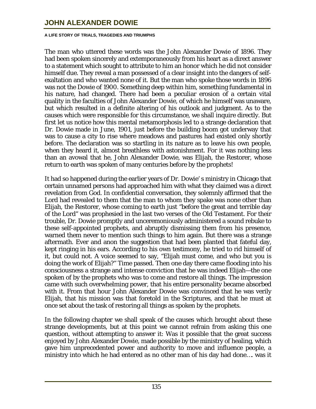#### **A LIFE STORY OF TRIALS, TRAGEDIES AND TRIUMPHS**

The man who uttered these words was the John Alexander Dowie of 1896. They had been spoken sincerely and extemporaneously from his heart as a direct answer to a statement which sought to attribute to him an honor which he did not consider himself due. They reveal a man possessed of a clear insight into the dangers of selfexaltation and who wanted none of it. But the man who spoke those words in 1896 was not the Dowie of 1900. Something deep within him, something fundamental in his nature, had changed. There had been a peculiar erosion of a certain vital quality in the faculties of John Alexander Dowie, of which he himself was unaware, but which resulted in a definite altering of his outlook and judgment. As to the causes which were responsible for this circumstance, we shall inquire directly. But first let us notice how this mental metamorphosis led to a strange declaration that Dr. Dowie made in June, 1901, just before the building boom got underway that was to cause a city to rise where meadows and pastures had existed only shortly before. The declaration was so startling in its nature as to leave his own people, when they heard it, almost breathless with astonishment. For it was nothing less than an avowal that he, John Alexander Dowie, was Elijah, the Restorer, whose return to earth was spoken of many centuries before by the prophets!

It had so happened during the earlier years of Dr. Dowie' s ministry in Chicago that certain unnamed persons had approached him with what they claimed was a direct revelation from God. In confidential conversation, they solemnly affirmed that the Lord had revealed to them that the man to whom they spake was none other than Elijah, the Restorer, whose coming to earth just "before the great and terrible day of the Lord" was prophesied in the last two verses of the Old Testament. For their trouble, Dr. Dowie promptly and unceremoniously administered a sound rebuke to these self-appointed prophets, and abruptly dismissing them from his presence, warned them never to mention such things to him again. But there was a strange aftermath. Ever and anon the suggestion that had been planted that fateful day, kept ringing in his ears. According to his own testimony, he tried to rid himself of it, but could not. A voice seemed to say, "Elijah must come, and who but you is doing the work of Elijah?" Time passed. Then one day there came flooding into his consciousness a strange and intense conviction that he was indeed Elijah—the one spoken of by the prophets who was to come and restore all things. The impression came with such overwhelming power, that his entire personality became absorbed with it. From that hour John Alexander Dowie was convinced that he was verily Elijah, that his mission was that foretold in the Scriptures, and that he must at once set about the task of restoring all things as spoken by the prophets.

In the following chapter we shall speak of the causes which brought about these strange developments, but at this point we cannot refrain from asking this one question, without attempting to answer it: Was it possible that the great success enjoyed by John Alexander Dowie, made possible by the ministry of healing, which gave him unprecedented power and authority to move and influence people, a ministry into which he had entered as no other man of his day had done…. was it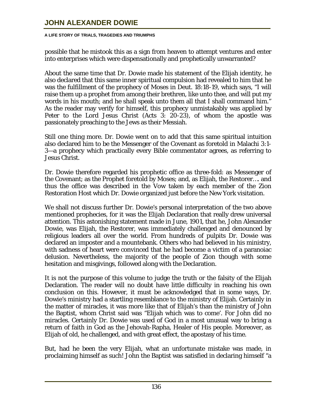**A LIFE STORY OF TRIALS, TRAGEDIES AND TRIUMPHS** 

possible that he mistook this as a sign from heaven to attempt ventures and enter into enterprises which were dispensationally and prophetically unwarranted?

About the same time that Dr. Dowie made his statement of the Elijah identity, he also declared that this same inner spiritual compulsion had revealed to him that he was the fulfillment of the prophecy of Moses in Deut. 18:18-19, which says, "I will raise them up a prophet from among their brethren, like unto thee, and will put my words in his mouth; and he shall speak unto them all that I shall command him." As the reader may verify for himself, this prophecy unmistakably was applied by Peter to the Lord Jesus Christ (Acts 3: 20-23), of whom the apostle was passionately preaching to the Jews as their Messiah.

Still one thing more. Dr. Dowie went on to add that this same spiritual intuition also declared him to be the Messenger of the Covenant as foretold in Malachi 3:1- 3—a prophecy which practically every Bible commentator agrees, as referring to Jesus Christ.

Dr. Dowie therefore regarded his prophetic office as three-fold: as Messenger of the Covenant; as the Prophet foretold by Moses; and, as Elijah, the Restorer…. and thus the office was described in the Vow taken by each member of the Zion Restoration Host which Dr. Dowie organized just before the New York visitation.

We shall not discuss further Dr. Dowie's personal interpretation of the two above mentioned prophecies, for it was the Elijah Declaration that really drew universal attention. This astonishing statement made in June, 1901, that he, John Alexander Dowie, was Elijah, the Restorer, was immediately challenged and denounced by religious leaders all over the world. From hundreds of pulpits Dr. Dowie was declared an imposter and a mountebank. Others who had believed in his ministry, with sadness of heart were convinced that he had become a victim of a paranoiac delusion. Nevertheless, the majority of the people of Zion though with some hesitation and misgivings, followed along with the Declaration.

It is not the purpose of this volume to judge the truth or the falsity of the Elijah Declaration. The reader will no doubt have little difficulty in reaching his own conclusion on this. However, it must be acknowledged that in some ways, Dr. Dowie's ministry had a startling resemblance to the ministry of Elijah. Certainly in the matter of miracles, it was more like that of Elijah's than the ministry of John the Baptist, whom Christ said was "Elijah which was to come'. For John did no miracles. Certainly Dr. Dowie was used of God in a most unusual way to bring a return of faith in God as the Jehovah-Rapha, Healer of His people. Moreover, as Elijah of old, he challenged, and with great effect, the apostasy of his time.

But, had he been the very Elijah, what an unfortunate mistake was made, in proclaiming himself as such! John the Baptist was satisfied in declaring himself "a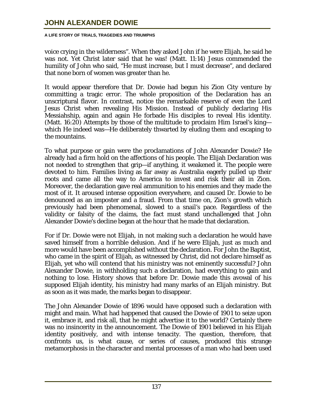**A LIFE STORY OF TRIALS, TRAGEDIES AND TRIUMPHS** 

voice crying in the wilderness". When they asked John if he were Elijah, he said he was not. Yet Christ later said that he was! (Matt. 11:14) Jesus commended the humility of John who said, "He must increase, but I must decrease", and declared that none born of women was greater than he.

It would appear therefore that Dr. Dowie had begun his Zion City venture by committing a tragic error. The whole proposition of the Declaration has an unscriptural flavor. In contrast, notice the remarkable reserve of even the Lord Jesus Christ when revealing His Mission. Instead of publicly declaring His Messiahship, again and again He forbade His disciples to reveal His identity. (Matt. 16:20) Attempts by those of the multitude to proclaim Him Israel's king which He indeed was—He deliberately thwarted by eluding them and escaping to the mountains.

To what purpose or gain were the proclamations of John Alexander Dowie? He already had a firm hold on the affections of his people. The Elijah Declaration was not needed to strengthen that grip—if anything, it weakened it. The people were devoted to him. Families living as far away as Australia eagerly pulled up their roots and came all the way to America to invest and risk their all in Zion. Moreover, the declaration gave real ammunition to his enemies and they made the most of it. It aroused intense opposition everywhere, and caused Dr. Dowie to be denounced as an imposter and a fraud. From that time on, Zion's growth which previously had been phenomenal, slowed to a snail's pace. Regardless of the validity or falsity of the claims, the fact must stand unchallenged that John Alexander Dowie's decline began at the hour that he made that declaration.

For if Dr. Dowie were not Elijah, in not making such a declaration he would have saved himself from a horrible delusion. And if he were Elijah, just as much and more would have been accomplished without the declaration. For John the Baptist, who came in the spirit of Elijah, as witnessed by Christ, did not declare himself as Elijah, yet who will contend that his ministry was not eminently successful? John Alexander Dowie, in withholding such a declaration, had everything to gain and nothing to lose. History shows that before Dr. Dowie made this avowal of his supposed Elijah identity, his ministry had many marks of an Elijah ministry. But as soon as it was made, the marks began to disappear.

The John Alexander Dowie of 1896 would have opposed such a declaration with might and main. What had happened that caused the Dowie of 1901 to seize upon it, embrace it, and risk all, that he might advertise it to the world? Certainly there was no insincerity in the announcement. The Dowie of 1901 believed in his Elijah identity positively, and with intense tenacity. The question, therefore, that confronts us, is what cause, or series of causes, produced this strange metamorphosis in the character and mental processes of a man who had been used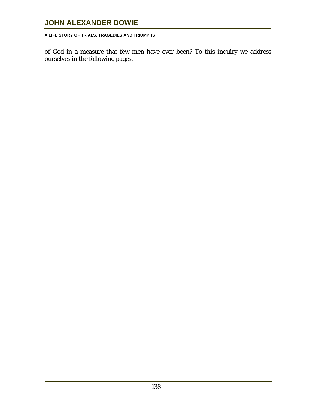**A LIFE STORY OF TRIALS, TRAGEDIES AND TRIUMPHS** 

of God in a measure that few men have ever been? To this inquiry we address ourselves in the following pages.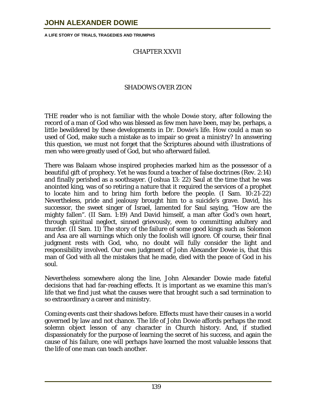**A LIFE STORY OF TRIALS, TRAGEDIES AND TRIUMPHS** 

## CHAPTER XXVII

#### SHADOWS OVER ZION

THE reader who is not familiar with the whole Dowie story, after following the record of a man of God who was blessed as few men have been, may be, perhaps, a little bewildered by these developments in Dr. Dowie's life. How could a man so used of God, make such a mistake as to impair so great a ministry? In answering this question, we must not forget that the Scriptures abound with illustrations of men who were greatly used of God, but who afterward failed.

There was Balaam whose inspired prophecies marked him as the possessor of a beautiful gift of prophecy. Yet he was found a teacher of false doctrines (Rev. 2:14) and finally perished as a soothsayer. (Joshua 13: 22) Saul at the time that he was anointed king, was of so retiring a nature that it required the services of a prophet to locate him and to bring him forth before the people. (I Sam. 10:21-22) Nevertheless, pride and jealousy brought him to a suicide's grave. David, his successor, the sweet singer of Israel, lamented for Saul saying, "How are the mighty fallen". (II Sam. 1:19) And David himself, a man after God's own heart, through spiritual neglect, sinned grievously, even to committing adultery and murder. (II Sam. 11) The story of the failure of some good kings such as Solomon and Asa are all warnings which only the foolish will ignore. Of course, their final judgment rests with God, who, no doubt will fully consider the light and responsibility involved. Our own judgment of John Alexander Dowie is, that this man of God with all the mistakes that he made, died with the peace of God in his soul.

Nevertheless somewhere along the line, John Alexander Dowie made fateful decisions that had far-reaching effects. It is important as we examine this man's life that we find just what the causes were that brought such a sad termination to so extraordinary a career and ministry.

Coming events cast their shadows before. Effects must have their causes in a world governed by law and not chance. The life of John Dowie affords perhaps the most solemn object lesson of any character in Church history. And, if studied dispassionately for the purpose of learning the secret of his success, and again the cause of his failure, one will perhaps have learned the most valuable lessons that the life of one man can teach another.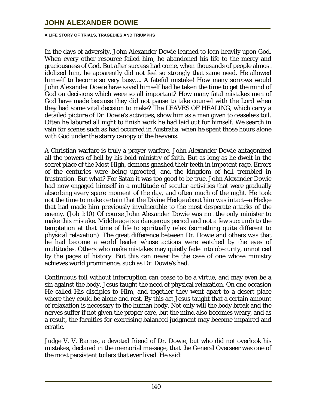#### **A LIFE STORY OF TRIALS, TRAGEDIES AND TRIUMPHS**

In the days of adversity, John Alexander Dowie learned to lean heavily upon God. When every other resource failed him, he abandoned his life to the mercy and graciousness of God. But after success had come, when thousands of people almost idolized him, he apparently did not feel so strongly that same need. He allowed himself to become so very busy…. A fateful mistake! How many sorrows would John Alexander Dowie have saved himself had he taken the time to get the mind of God on decisions which were so all important? How many fatal mistakes men of God have made because they did not pause to take counsel with the Lord when they had some vital decision to make? The LEAVES OF HEALING, which carry a detailed picture of Dr. Dowie's activities, show him as a man given to ceaseless toil. Often he labored all night to finish work he had laid out for himself. We search in vain for scenes such as had occurred in Australia, when he spent those hours alone with God under the starry canopy of the heavens.

A Christian warfare is truly a prayer warfare. John Alexander Dowie antagonized all the powers of hell by his bold ministry of faith. But as long as he dwelt in the secret place of the Most High, demons gnashed their teeth in impotent rage. Errors of the centuries were being uprooted, and the kingdom of hell trembled in frustration. But what? For Satan it was too good to be true. John Alexander Dowie had now engaged himself in a multitude of secular activities that were gradually absorbing every spare moment of the day, and often much of the night. He took not the time to make certain that the Divine Hedge about him was intact—a Hedge that had made him previously invulnerable to the most desperate attacks of the enemy. (Job 1:10) Of course John Alexander Dowie was not the only minister to make this mistake. Middle age is a dangerous period and not a few succumb to the temptation at that time of life to spiritually relax (something quite different to physical relaxation). The great difference between Dr. Dowie and others was that he had become a world leader whose actions were watched by the eyes of multitudes. Others who make mistakes may quietly fade into obscurity, unnoticed by the pages of history. But this can never be the case of one whose ministry achieves world prominence, such as Dr. Dowie's had.

Continuous toil without interruption can cease to be a virtue, and may even be a sin against the body. Jesus taught the need of physical relaxation. On one occasion He called His disciples to Him, and together they went apart to a desert place where they could be alone and rest. By this act Jesus taught that a certain amount of relaxation is necessary to the human body. Not only will the body break and the nerves suffer if not given the proper care, but the mind also becomes weary, and as a result, the faculties for exercising balanced judgment may become impaired and erratic.

Judge V. V. Barnes, a devoted friend of Dr. Dowie, but who did not overlook his mistakes, declared in the memorial message, that the General Overseer was one of the most persistent toilers that ever lived. He said: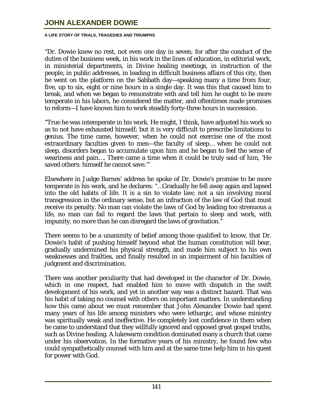**A LIFE STORY OF TRIALS, TRAGEDIES AND TRIUMPHS** 

"Dr. Dowie knew no rest, not even one day in seven; for after the conduct of the duties of the business week, in his work in the lines of education, in editorial work, in ministerial departments, in Divine healing meetings, in instruction of the people, in public addresses, in leading in difficult business affairs of this city, then he went on the platform on the Sabbath day—speaking many a time from four, five, up to six, eight or nine hours in a single day. It was this that caused him to break, and when we began to remonstrate with and tell him he ought to be more temperate in his labors, he considered the matter, and oftentimes made promises to reform—I have known him to work steadily forty-three hours in succession.

"True he was intemperate in his work. He might, I think, have adjusted his work so as to not have exhausted himself; but it is very difficult to prescribe limitations to genius. The time came, however, when he could not exercise one of the most extraordinary faculties given to men—the faculty of sleep… when he could not sleep, disorders began to accumulate upon him and he began to feel the sense of weariness and pain…. There came a time when it could be truly said of him, 'He saved others: himself he cannot save.'"

Elsewhere in Judge Barnes' address he spoke of Dr. Dowie's promise to be more temperate in his work, and he declares: "…Gradually he fell away again and lapsed into the old habits of life. It is a sin to violate law; not a sin involving moral transgression in the ordinary sense, but an infraction of the law of God that must receive its penalty. No man can violate the laws of God by leading too strenuous a life, no man can fail to regard the laws that pertain to sleep and work, with impunity, no more than he can disregard the laws of gravitation."

There seems to be a unanimity of belief among those qualified to know, that Dr. Dowie's habit of pushing himself beyond what the human constitution will bear, gradually undermined his physical strength, and made him subject to his own weaknesses and frailties, and finally resulted in an impairment of his faculties of judgment and discrimination.

There was another peculiarity that had developed in the character of Dr. Dowie, which in one respect, had enabled him to move with dispatch in the swift development of his work, and yet in another way was a distinct hazard. That was his habit of taking no counsel with others on important matters. In understanding how this came about we must remember that John Alexander Dowie had spent many years of his life among ministers who were lethargic, and whose ministry was spiritually weak and ineffective. He completely lost confidence in them when he came to understand that they willfully ignored and opposed great gospel truths, such as Divine healing. A lukewarm condition dominated many a church that came under his observation. In the formative years of his ministry, he found few who could sympathetically counsel with him and at the same time help him in his quest for power with God.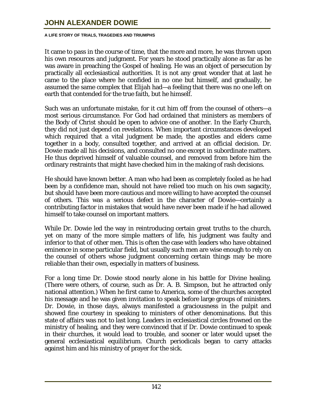**A LIFE STORY OF TRIALS, TRAGEDIES AND TRIUMPHS** 

It came to pass in the course of time, that the more and more, he was thrown upon his own resources and judgment. For years he stood practically alone as far as he was aware in preaching the Gospel of healing. He was an object of persecution by practically all ecclesiastical authorities. It is not any great wonder that at last he came to the place where he confided in no one but himself, and gradually, he assumed the same complex that Elijah had—a feeling that there was no one left on earth that contended for the true faith, but he himself.

Such was an unfortunate mistake, for it cut him off from the counsel of others—a most serious circumstance. For God had ordained that ministers as members of the Body of Christ should be open to advice one of another. In the Early Church, they did not just depend on revelations. When important circumstances developed which required that a vital judgment be made, the apostles and elders came together in a body, consulted together, and arrived at an official decision. Dr. Dowie made all his decisions, and consulted no one except in subordinate matters. He thus deprived himself of valuable counsel, and removed from before him the ordinary restraints that might have checked him in the making of rash decisions.

He should have known better. A man who had been as completely fooled as he had been by a confidence man, should not have relied too much on his own sagacity, but should have been more cautious and more willing to have accepted the counsel of others. This was a serious defect in the character of Dowie—certainly a contributing factor in mistakes that would have never been made if he had allowed himself to take counsel on important matters.

While Dr. Dowie led the way in reintroducing certain great truths to the church, yet on many of the more simple matters of life, his judgment was faulty and inferior to that of other men. This is often the case with leaders who have obtained eminence in some particular field, but usually such men are wise enough to rely on the counsel of others whose judgment concerning certain things may be more reliable than their own, especially in matters of business.

For a long time Dr. Dowie stood nearly alone in his battle for Divine healing. (There were others, of course, such as Dr. A. B. Simpson, but he attracted only national attention.) When he first came to America, some of the churches accepted his message and he was given invitation to speak before large groups of ministers. Dr. Dowie, in those days, always manifested a graciousness in the pulpit and showed fine courtesy in speaking to ministers of other denominations. But this state of affairs was not to last long. Leaders in ecclesiastical circles frowned on the ministry of healing, and they were convinced that if Dr. Dowie continued to speak in their churches, it would lead to trouble, and sooner or later would upset the general ecclesiastical equilibrium. Church periodicals began to carry attacks against him and his ministry of prayer for the sick.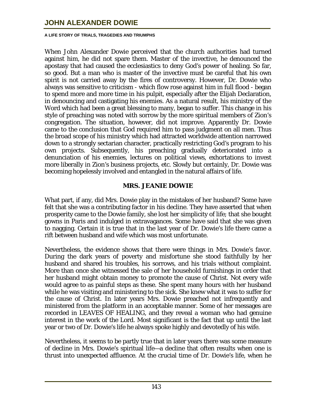**A LIFE STORY OF TRIALS, TRAGEDIES AND TRIUMPHS** 

When John Alexander Dowie perceived that the church authorities had turned against him, he did not spare them. Master of the invective, he denounced the apostasy that had caused the ecclesiastics to deny God's power of healing. So far, so good. But a man who is master of the invective must be careful that his own spirit is not carried away by the fires of controversy. However, Dr. Dowie who always was sensitive to criticism - which flow rose against him in full flood - began to spend more and more time in his pulpit, especially after the Elijah Declaration, in denouncing and castigating his enemies. As a natural result, his ministry of the Word which had been a great blessing to many, began to suffer. This change in his style of preaching was noted with sorrow by the more spiritual members of Zion's congregation. The situation, however, did not improve. Apparently Dr. Dowie came to the conclusion that God required him to pass judgment on all men. Thus the broad scope of his ministry which had attracted worldwide attention narrowed down to a strongly sectarian character, practically restricting God's program to his own projects. Subsequently, his preaching gradually deteriorated into a denunciation of his enemies, lectures on political views, exhortations to invest more liberally in Zion's business projects, etc. Slowly but certainly, Dr. Dowie was becoming hopelessly involved and entangled in the natural affairs of life.

## **MRS. JEANIE DOWIE**

What part, if any, did Mrs. Dowie play in the mistakes of her husband? Some have felt that she was a contributing factor in his decline. They have asserted that when prosperity came to the Dowie family, she lost her simplicity of life; that she bought gowns in Paris and indulged in extravagances. Some have said that she was given to nagging. Certain it is true that in the last year of Dr. Dowie's life there came a rift between husband and wife which was most unfortunate.

Nevertheless, the evidence shows that there were things in Mrs. Dowie's favor. During the dark years of poverty and misfortune she stood faithfully by her husband and shared his troubles, his sorrows, and his trials without complaint. More than once she witnessed the sale of her household furnishings in order that her husband might obtain money to promote the cause of Christ. Not every wife would agree to as painful steps as these. She spent many hours with her husband while he was visiting and ministering to the sick. She knew what it was to suffer for the cause of Christ. In later years Mrs. Dowie preached not infrequently and ministered from the platform in an acceptable manner. Some of her messages are recorded in LEAVES OF HEALING, and they reveal a woman who had genuine interest in the work of the Lord. Most significant is the fact that up until the last year or two of Dr. Dowie's life he always spoke highly and devotedly of his wife.

Nevertheless, it seems to be partly true that in later years there was some measure of decline in Mrs. Dowie's spiritual life—a decline that often results when one is thrust into unexpected affluence. At the crucial time of Dr. Dowie's life, when he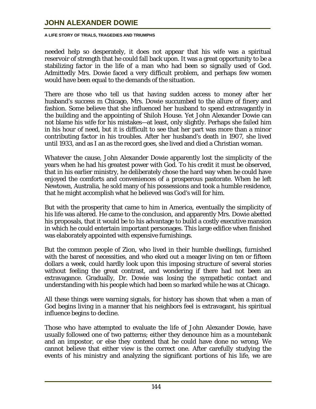**A LIFE STORY OF TRIALS, TRAGEDIES AND TRIUMPHS** 

needed help so desperately, it does not appear that his wife was a spiritual reservoir of strength that he could fall back upon. It was a great opportunity to be a stabilizing factor in the life of a man who had been so signally used of God. Admittedly Mrs. Dowie faced a very difficult problem, and perhaps few women would have been equal to the demands of the situation.

There are those who tell us that having sudden access to money after her husband's success m Chicago, Mrs. Dowie succumbed to the allure of finery and fashion. Some believe that she influenced her husband to spend extravagantly in the building and the appointing of Shiloh House. Yet John Alexander Dowie can not blame his wife for his mistakes—at least, only slightly. Perhaps she failed him in his hour of need, but it is difficult to see that her part was more than a minor contributing factor in his troubles. After her husband's death in 1907, she lived until 1933, and as I an as the record goes, she lived and died a Christian woman.

Whatever the cause, John Alexander Dowie apparently lost the simplicity of the years when he had his greatest power with God. To his credit it must be observed, that in his earlier ministry, he deliberately chose the hard way when he could have enjoyed the comforts and conveniences of a prosperous pastorate. When he left Newtown, Australia, he sold many of his possessions and took a humble residence, that he might accomplish what he believed was God's will for him.

But with the prosperity that came to him in America, eventually the simplicity of his life was altered. He came to the conclusion, and apparently Mrs. Dowie abetted his proposals, that it would be to his advantage to build a costly executive mansion in which he could entertain important personages. This large edifice when finished was elaborately appointed with expensive furnishings.

But the common people of Zion, who lived in their humble dwellings, furnished with the barest of necessities, and who eked out a meager living on ten or fifteen dollars a week, could hardly look upon this imposing structure of several stories without feeling the great contrast, and wondering if there had not been an extravagance. Gradually, Dr. Dowie was losing the sympathetic contact and understanding with his people which had been so marked while he was at Chicago.

All these things were warning signals, for history has shown that when a man of God begins living in a manner that his neighbors feel is extravagant, his spiritual influence begins to decline.

Those who have attempted to evaluate the life of John Alexander Dowie, have usually followed one of two patterns; either they denounce him as a mountebank and an impostor, or else they contend that he could have done no wrong. We cannot believe that either view is the correct one. After carefully studying the events of his ministry and analyzing the significant portions of his life, we are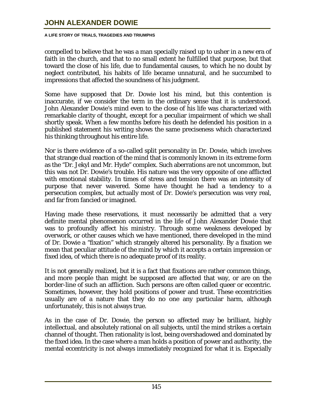**A LIFE STORY OF TRIALS, TRAGEDIES AND TRIUMPHS** 

compelled to believe that he was a man specially raised up to usher in a new era of faith in the church, and that to no small extent he fulfilled that purpose, but that toward the close of his life, due to fundamental causes, to which he no doubt by neglect contributed, his habits of life became unnatural, and he succumbed to impressions that affected the soundness of his judgment.

Some have supposed that Dr. Dowie lost his mind, but this contention is inaccurate, if we consider the term in the ordinary sense that it is understood. John Alexander Dowie's mind even to the close of his life was characterized with remarkable clarity of thought, except for a peculiar impairment of which we shall shortly speak. When a few months before his death he defended his position in a published statement his writing shows the same preciseness which characterized his thinking throughout his entire life.

Nor is there evidence of a so-called split personality in Dr. Dowie, which involves that strange dual reaction of the mind that is commonly known in its extreme form as the "Dr. Jekyl and Mr. Hyde" complex. Such aberrations are not uncommon, but this was not Dr. Dowie's trouble. His nature was the very opposite of one afflicted with emotional stability. In times of stress and tension there was an intensity of purpose that never wavered. Some have thought he had a tendency to a persecution complex, but actually most of Dr. Dowie's persecution was very real, and far from fancied or imagined.

Having made these reservations, it must necessarily be admitted that a very definite mental phenomenon occurred in the life of John Alexander Dowie that was to profoundly affect his ministry. Through some weakness developed by overwork, or other causes which we have mentioned, there developed in the mind of Dr. Dowie a "fixation" which strangely altered his personality. By a fixation we mean that peculiar attitude of the mind by which it accepts a certain impression or fixed idea, of which there is no adequate proof of its reality.

It is not generally realized, but it is a fact that fixations are rather common things, and more people than might be supposed are affected that way, or are on the border-line of such an affliction. Such persons are often called queer or eccentric. Sometimes, however, they hold positions of power and trust. These eccentricities usually are of a nature that they do no one any particular harm, although unfortunately, this is not always true.

As in the case of Dr. Dowie, the person so affected may be brilliant, highly intellectual, and absolutely rational on all subjects, until the mind strikes a certain channel of thought. Then rationality is lost, being overshadowed and dominated by the fixed idea. In the case where a man holds a position of power and authority, the mental eccentricity is not always immediately recognized for what it is. Especially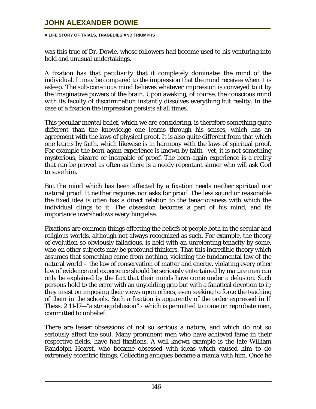**A LIFE STORY OF TRIALS, TRAGEDIES AND TRIUMPHS** 

was this true of Dr. Dowie, whose followers had become used to his venturing into bold and unusual undertakings.

A fixation has that peculiarity that it completely dominates the mind of the individual. It may be compared to the impression that the mind receives when it is asleep. The sub-conscious mind believes whatever impression is conveyed to it by the imaginative powers of the brain. Upon awaking, of course, the conscious mind with its faculty of discrimination instantly dissolves everything but reality. In the case of a fixation the impression persists at all times.

This peculiar mental belief, which we are considering, is therefore something quite different than the knowledge one learns through his senses, which has an agreement with the laws of physical proof. It is also quite different from that which one learns by faith, which likewise is in harmony with the laws of spiritual proof. For example the born-again experience is known by faith—yet, it is not something mysterious, bizarre or incapable of proof. The born-again experience is a reality that can be proved as often as there is a needy repentant sinner who will ask God to save him.

But the mind which has been affected by a fixation needs neither spiritual nor natural proof. It neither requires nor asks for proof. The less sound or reasonable the fixed idea is often has a direct relation to the tenaciousness with which the individual clings to it. The obsession becomes a part of his mind, and its importance overshadows everything else.

Fixations are common things affecting the beliefs of people both in the secular and religious worlds, although not always recognized as such. For example, the theory of evolution so obviously fallacious, is held with an unrelenting tenacity by some, who on other subjects may be profound thinkers. That this incredible theory which assumes that something came from nothing, violating the fundamental law of the natural world – the law of conservation of matter and energy, violating every other law of evidence and experience should be seriously entertained by mature men can only be explained by the fact that their minds have come under a delusion. Such persons hold to the error with an unyielding grip but with a fanatical devotion to it; they insist on imposing their views upon others, even seeking to force the teaching of them in the schools. Such a fixation is apparently of the order expressed in II Thess. 2 11-l7—"a strong delusion" - which is permitted to come on reprobate men, committed to unbelief.

There are lesser obsessions of not so serious a nature, and which do not so seriously affect the soul. Many prominent men who have achieved fame in their respective fields, have had fixations. A well-known example is the late William Randolph Hearst, who became obsessed with ideas which caused him to do extremely eccentric things. Collecting antiques became a mania with him. Once he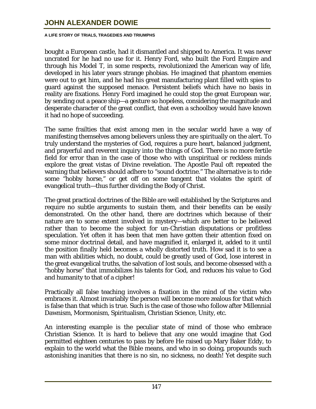**A LIFE STORY OF TRIALS, TRAGEDIES AND TRIUMPHS** 

bought a European castle, had it dismantled and shipped to America. It was never uncrated for he had no use for it. Henry Ford, who built the Ford Empire and through his Model T, in some respects, revolutionized the American way of life, developed in his later years strange phobias. He imagined that phantom enemies were out to get him, and he had his great manufacturing plant filled with spies to guard against the supposed menace. Persistent beliefs which have no basis in reality are fixations. Henry Ford imagined he could stop the great European war, by sending out a peace ship—a gesture so hopeless, considering the magnitude and desperate character of the great conflict, that even a schoolboy would have known it had no hope of succeeding.

The same frailties that exist among men in the secular world have a way of manifesting themselves among believers unless they are spiritually on the alert. To truly understand the mysteries of God, requires a pure heart, balanced judgment, and prayerful and reverent inquiry into the things of God. There is no more fertile field for error than in the case of those who with unspiritual or reckless minds explore the great vistas of Divine revelation. The Apostle Paul oft repeated the warning that believers should adhere to "sound doctrine." The alternative is to ride some "hobby horse," or get off on some tangent that violates the spirit of evangelical truth—thus further dividing the Body of Christ.

The great practical doctrines of the Bible are well established by the Scriptures and require no subtle arguments to sustain them, and their benefits can be easily demonstrated. On the other hand, there are doctrines which because of their nature are to some extent involved in mystery—which are better to be believed rather than to become the subject for un-Christian disputations or profitless speculation. Yet often it has been that men have gotten their attention fixed on some minor doctrinal detail, and have magnified it, enlarged it, added to it until the position finally held becomes a wholly distorted truth. How sad it is to see a man with abilities which, no doubt, could be greatly used of God, lose interest in the great evangelical truths, the salvation of lost souls, and become obsessed with a "hobby horse" that immobilizes his talents for God, and reduces his value to God and humanity to that of a cipher!

Practically all false teaching involves a fixation in the mind of the victim who embraces it. Almost invariably the person will become more zealous for that which is false than that which is true. Such is the case of those who follow after Millennial Dawnism, Mormonism, Spiritualism, Christian Science, Unity, etc.

An interesting example is the peculiar state of mind of those who embrace Christian Science. It is hard to believe that any one would imagine that God permitted eighteen centuries to pass by before He raised up Mary Baker Eddy, to explain to the world what the Bible means, and who in so doing, propounds such astonishing inanities that there is no sin, no sickness, no death! Yet despite such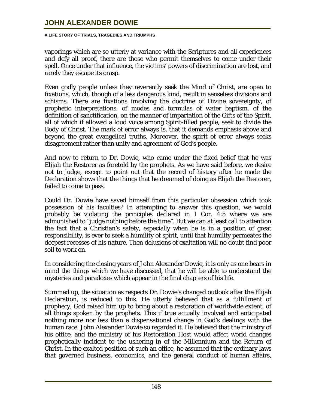**A LIFE STORY OF TRIALS, TRAGEDIES AND TRIUMPHS** 

vaporings which are so utterly at variance with the Scriptures and all experiences and defy all proof, there are those who permit themselves to come under their spell. Once under that influence, the victims' powers of discrimination are lost, and rarely they escape its grasp.

Even godly people unless they reverently seek the Mind of Christ, are open to fixations, which, though of a less dangerous kind, result in senseless divisions and schisms. There are fixations involving the doctrine of Divine sovereignty, of prophetic interpretations, of modes and formulas of water baptism, of the definition of sanctification, on the manner of impartation of the Gifts of the Spirit, all of which if allowed a loud voice among Spirit-filled people, seek to divide the Body of Christ. The mark of error always is, that it demands emphasis above and beyond the great evangelical truths. Moreover, the spirit of error always seeks disagreement rather than unity and agreement of God's people.

And now to return to Dr. Dowie, who came under the fixed belief that he was Elijah the Restorer as foretold by the prophets. As we have said before, we desire not to judge, except to point out that the record of history after he made the Declaration shows that the things that he dreamed of doing as Elijah the Restorer, failed to come to pass.

Could Dr. Dowie have saved himself from this particular obsession which took possession of his faculties? In attempting to answer this question, we would probably be violating the principles declared in I Cor. 4:5 where we are admonished to "judge nothing before the time". But we can at least call to attention the fact that a Christian's safety, especially when he is in a position of great responsibility, is ever to seek a humility of spirit, until that humility permeates the deepest recesses of his nature. Then delusions of exaltation will no doubt find poor soil to work on.

In considering the closing years of John Alexander Dowie, it is only as one bears in mind the things which we have discussed, that he will be able to understand the mysteries and paradoxes which appear in the final chapters of his life.

Summed up, the situation as respects Dr. Dowie's changed outlook after the Elijah Declaration, is reduced to this. He utterly believed that as a fulfillment of prophecy, God raised him up to bring about a restoration of worldwide extent, of all things spoken by the prophets. This if true actually involved and anticipated nothing more nor less than a dispensational change in God's dealings with the human race. John Alexander Dowie so regarded it. He believed that the ministry of his office, and the ministry of his Restoration Host would affect world changes prophetically incident to the ushering in of the Millennium and the Return of Christ. In the exalted position of such an office, he assumed that the ordinary laws that governed business, economics, and the general conduct of human affairs,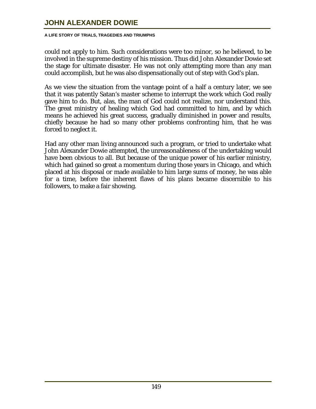**A LIFE STORY OF TRIALS, TRAGEDIES AND TRIUMPHS** 

could not apply to him. Such considerations were too minor, so he believed, to be involved in the supreme destiny of his mission. Thus did John Alexander Dowie set the stage for ultimate disaster. He was not only attempting more than any man could accomplish, but he was also dispensationally out of step with God's plan.

As we view the situation from the vantage point of a half a century later, we see that it was patently Satan's master scheme to interrupt the work which God really gave him to do. But, alas, the man of God could not realize, nor understand this. The great ministry of healing which God had committed to him, and by which means he achieved his great success, gradually diminished in power and results, chiefly because he had so many other problems confronting him, that he was forced to neglect it.

Had any other man living announced such a program, or tried to undertake what John Alexander Dowie attempted, the unreasonableness of the undertaking would have been obvious to all. But because of the unique power of his earlier ministry, which had gained so great a momentum during those years in Chicago, and which placed at his disposal or made available to him large sums of money, he was able for a time, before the inherent flaws of his plans became discernible to his followers, to make a fair showing.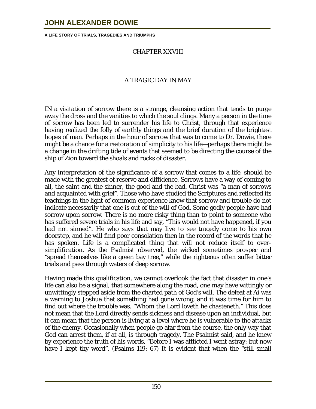**A LIFE STORY OF TRIALS, TRAGEDIES AND TRIUMPHS** 

## CHAPTER XXVIII

#### A TRAGIC DAY IN MAY

IN a visitation of sorrow there is a strange, cleansing action that tends to purge away the dross and the vanities to which the soul clings. Many a person in the time of sorrow has been led to surrender his life to Christ, through that experience having realized the folly of earthly things and the brief duration of the brightest hopes of man. Perhaps in the hour of sorrow that was to come to Dr. Dowie, there might be a chance for a restoration of simplicity to his life—perhaps there might be a change in the drifting tide of events that seemed to be directing the course of the ship of Zion toward the shoals and rocks of disaster.

Any interpretation of the significance of a sorrow that comes to a life, should be made with the greatest of reserve and diffidence. Sorrows have a way of coming to all, the saint and the sinner, the good and the bad. Christ was "a man of sorrows and acquainted with grief". Those who have studied the Scriptures and reflected its teachings in the light of common experience know that sorrow and trouble do not indicate necessarily that one is out of the will of God. Some godly people have had sorrow upon sorrow. There is no more risky thing than to point to someone who has suffered severe trials in his life and say, "This would not have happened, if you had not sinned". He who says that may live to see tragedy come to his own doorstep, and he will find poor consolation then in the record of the words that he has spoken. Life is a complicated thing that will not reduce itself to oversimplification. As the Psalmist observed, the wicked sometimes prosper and "spread themselves like a green bay tree," while the righteous often suffer bitter trials and pass through waters of deep sorrow.

Having made this qualification, we cannot overlook the fact that disaster in one's life can also be a signal, that somewhere along the road, one may have wittingly or unwittingly stepped aside from the charted path of God's will. The defeat at Ai was a warning to Joshua that something had gone wrong, and it was time for him to find out where the trouble was. "Whom the Lord loveth he chasteneth." This does not mean that the Lord directly sends sickness and disease upon an individual, but it can mean that the person is living at a level where he is vulnerable to the attacks of the enemy. Occasionally when people go afar from the course, the only way that God can arrest them, if at all, is through tragedy. The Psalmist said, and he knew by experience the truth of his words, "Before I was afflicted I went astray: but now have I kept thy word". (Psalms 119: 67) It is evident that when the "still small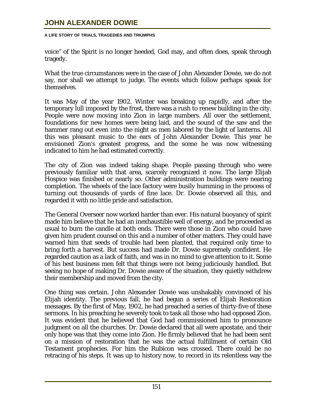**A LIFE STORY OF TRIALS, TRAGEDIES AND TRIUMPHS** 

voice" of the Spirit is no longer heeded, God may, and often does, speak through tragedy.

What the true circumstances were in the case of John Alexander Dowie, we do not say, nor shall we attempt to judge. The events which follow perhaps speak for themselves.

It was May of the year 1902. Winter was breaking up rapidly, and after the temporary lull imposed by the frost, there was a rush to renew building in the city. People were now moving into Zion in large numbers. All over the settlement, foundations for new homes were being laid, and the sound of the saw and the hammer rang out even into the night as men labored by the light of lanterns. All this was pleasant music to the ears of John Alexander Dowie. This year he envisioned Zion's greatest progress, and the scene he was now witnessing indicated to him he had estimated correctly.

The city of Zion was indeed taking shape. People passing through who were previously familiar with that area, scarcely recognized it now. The large Elijah Hospice was finished or nearly so. Other administration buildings were nearing completion. The wheels of the lace factory were busily humming in the process of turning out thousands of yards of fine lace. Dr. Dowie observed all this, and regarded it with no little pride and satisfaction.

The General Overseer now worked harder than ever. His natural buoyancy of spirit made him believe that he had an inexhaustible well of energy, and he proceeded as usual to burn the candle at both ends. There were those in Zion who could have given him prudent counsel on this and a number of other matters. They could have warned him that seeds of trouble had been planted, that required only time to bring forth a harvest. But success had made Dr. Dowie supremely confident. He regarded caution as a lack of faith, and was in no mind to give attention to it. Some of his best business men felt that things were not being judiciously handled. But seeing no hope of making Dr. Dowie aware of the situation, they quietly withdrew their membership and moved from the city.

One thing was certain. John Alexander Dowie was unshakably convinced of his Elijah identity. The previous fall, he had begun a series of Elijah Restoration messages. By the first of May, 1902, he had preached a series of thirty-five of these sermons. In his preaching he severely took to task all those who had opposed Zion. It was evident that he believed that God had commissioned him to pronounce judgment on all the churches. Dr. Dowie declared that all were apostate, and their only hope was that they come into Zion. He firmly believed that he had been sent on a mission of restoration that he was the actual fulfillment of certain Old Testament prophecies. For him the Rubicon was crossed. There could be no retracing of his steps. It was up to history now, to record in its relentless way the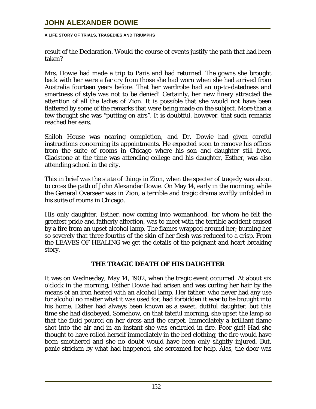**A LIFE STORY OF TRIALS, TRAGEDIES AND TRIUMPHS** 

result of the Declaration. Would the course of events justify the path that had been taken?

Mrs. Dowie had made a trip to Paris and had returned. The gowns she brought back with her were a far cry from those she had worn when she had arrived from Australia fourteen years before. That her wardrobe had an up-to-datedness and smartness of style was not to be denied! Certainly, her new finery attracted the attention of all the ladies of Zion. It is possible that she would not have been flattered by some of the remarks that were being made on the subject. More than a few thought she was "putting on airs". It is doubtful, however, that such remarks reached her ears.

Shiloh House was nearing completion, and Dr. Dowie had given careful instructions concerning its appointments. He expected soon to remove his offices from the suite of rooms in Chicago where his son and daughter still lived. Gladstone at the time was attending college and his daughter, Esther, was also attending school in the city.

This in brief was the state of things in Zion, when the specter of tragedy was about to cross the path of John Alexander Dowie. On May 14, early in the morning, while the General Overseer was in Zion, a terrible and tragic drama swiftly unfolded in his suite of rooms in Chicago.

His only daughter, Esther, now coming into womanhood, for whom he felt the greatest pride and fatherly affection, was to meet with the terrible accident caused by a fire from an upset alcohol lamp. The flames wrapped around her; burning her so severely that three fourths of the skin of her flesh was reduced to a crisp. From the LEAVES OF HEALING we get the details of the poignant and heart-breaking story.

## **THE TRAGIC DEATH OF HIS DAUGHTER**

It was on Wednesday, May 14, 1902, when the tragic event occurred. At about six o'clock in the morning, Esther Dowie had arisen and was curling her hair by the means of an iron heated with an alcohol lamp. Her father, who never had any use for alcohol no matter what it was used for, had forbidden it ever to be brought into his home. Esther had always been known as a sweet, dutiful daughter, but this time she had disobeyed. Somehow, on that fateful morning, she upset the lamp so that the fluid poured on her dress and the carpet. Immediately a brilliant flame shot into the air and in an instant she was encircled in fire. Poor girl! Had she thought to have rolled herself immediately in the bed clothing, the fire would have been smothered and she no doubt would have been only slightly injured. But, panic-stricken by what had happened, she screamed for help. Alas, the door was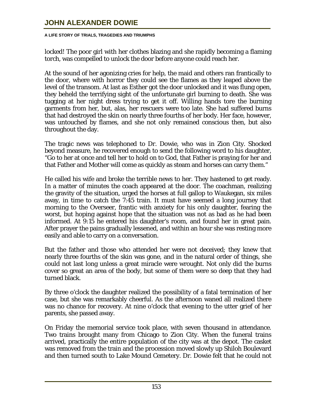**A LIFE STORY OF TRIALS, TRAGEDIES AND TRIUMPHS** 

locked! The poor girl with her clothes blazing and she rapidly becoming a flaming torch, was compelled to unlock the door before anyone could reach her.

At the sound of her agonizing cries for help, the maid and others ran frantically to the door, where with horror they could see the flames as they leaped above the level of the transom. At last as Esther got the door unlocked and it was flung open, they beheld the terrifying sight of the unfortunate girl burning to death. She was tugging at her night dress trying to get it off. Willing hands tore the burning garments from her, but, alas, her rescuers were too late. She had suffered burns that had destroyed the skin on nearly three fourths of her body. Her face, however, was untouched by flames, and she not only remained conscious then, but also throughout the day.

The tragic news was telephoned to Dr. Dowie, who was in Zion City. Shocked beyond measure, he recovered enough to send the following word to his daughter, "Go to her at once and tell her to hold on to God, that Father is praying for her and that Father and Mother will come as quickly as steam and horses can carry them."

He called his wife and broke the terrible news to her. They hastened to get ready. In a matter of minutes the coach appeared at the door. The coachman, realizing the gravity of the situation, urged the horses at full gallop to Waukegan, six miles away, in time to catch the 7:45 train. It must have seemed a long journey that morning to the Overseer, frantic with anxiety for his only daughter, fearing the worst, but hoping against hope that the situation was not as bad as he had been informed. At 9:15 he entered his daughter's room, and found her in great pain. After prayer the pains gradually lessened, and within an hour she was resting more easily and able to carry on a conversation.

But the father and those who attended her were not deceived; they knew that nearly three fourths of the skin was gone, and in the natural order of things, she could not last long unless a great miracle were wrought. Not only did the burns cover so great an area of the body, but some of them were so deep that they had turned black.

By three o'clock the daughter realized the possibility of a fatal termination of her case, but she was remarkably cheerful. As the afternoon waned all realized there was no chance for recovery. At nine o'clock that evening to the utter grief of her parents, she passed away.

On Friday the memorial service took place, with seven thousand in attendance. Two trains brought many from Chicago to Zion City. When the funeral trains arrived, practically the entire population of the city was at the depot. The casket was removed from the train and the procession moved slowly up Shiloh Boulevard and then turned south to Lake Mound Cemetery. Dr. Dowie felt that he could not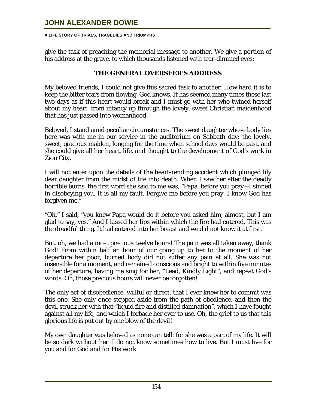**A LIFE STORY OF TRIALS, TRAGEDIES AND TRIUMPHS** 

give the task of preaching the memorial message to another. We give a portion of his address at the grave, to which thousands listened with tear-dimmed eyes:

## **THE GENERAL OVERSEER'S ADDRESS**

My beloved friends, I could not give this sacred task to another. How hard it is to keep the bitter tears from flowing, God knows. It has seemed many times these last two days as if this heart would break and I must go with her who twined herself about my heart, from infancy up through the lovely, sweet Christian maidenhood that has just passed into womanhood.

Beloved, I stand amid peculiar circumstances. The sweet daughter whose body lies here was with me in our service in the auditorium on Sabbath day; the lovely, sweet, gracious maiden, longing for the time when school days would be past, and she could give all her heart, life, and thought to the development of God's work in Zion City.

I will not enter upon the details of the heart-rending accident which plunged lily dear daughter from the midst of life into death. When I saw her after the deadly horrible burns, the first word she said to me was, "Papa, before you pray—I sinned in disobeying you. It is all my fault. Forgive me before you pray. I know God has forgiven me."

"Oh," I said, "you knew Papa would do it before you asked him, almost, but I am glad to say, yes." And I kissed her lips within which the fire had entered. This was the dreadful thing. It had entered into her breast and we did not know it at first.

But, oh, we had a most precious twelve hours! The pain was all taken away, thank God! From within half an hour of our going up to her to the moment of her departure her poor, burned body did not suffer any pain at all. She was not insensible for a moment, and remained conscious and bright to within five minutes of her departure, having me sing for her, "Lead, Kindly Light", and repeat God's words. Oh, those precious hours will never be forgotten!

The only act of disobedience, willful or direct, that I ever knew her to commit was this one. She only once stepped aside from the path of obedience, and then the devil struck her with that "liquid fire and distilled damnation", which I have fought against all my life, and which I forbade her ever to use. Oh, the grief to us that this glorious life is put out by one blow of the devil!

My own daughter was beloved as none can tell: for she was a part of my life. It will be so dark without her. I do not know sometimes how to live. But I must live for you and for God and for His work.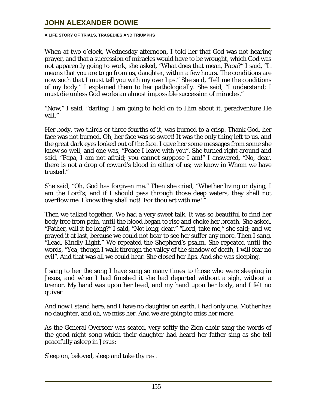**A LIFE STORY OF TRIALS, TRAGEDIES AND TRIUMPHS** 

When at two o'clock, Wednesday afternoon, I told her that God was not hearing prayer, and that a succession of miracles would have to be wrought, which God was not apparently going to work, she asked, "What does that mean, Papa?" I said, "It means that you are to go from us, daughter, within a few hours. The conditions are now such that I must tell you with my own lips." She said, 'Tell me the conditions of my body." I explained them to her pathologically. She said, "I understand; I must die unless God works an almost impossible succession of miracles."

"Now," I said, "darling, I am going to hold on to Him about it, peradventure He will."

Her body, two thirds or three fourths of it, was burned to a crisp. Thank God, her face was not burned. Oh, her face was so sweet! It was the only thing left to us, and the great dark eyes looked out of the face. I gave her some messages from some she knew so well, and one was, "Peace I leave with you". She turned right around and said, "Papa, I am not afraid; you cannot suppose I am!" I answered, "No, dear, there is not a drop of coward's blood in either of us; we know in Whom we have trusted."

She said, "Oh, God has forgiven me." Then she cried, "Whether living or dying, I am the Lord's; and if I should pass through those deep waters, they shall not overflow me. I know they shall not! 'For thou art with me!'"

Then we talked together. We had a very sweet talk. It was so beautiful to find her body free from pain, until the blood began to rise and choke her breath. She asked, "Father, will it be long?" I said, "Not long, dear." "Lord, take me," she said; and we prayed it at last, because we could not bear to see her suffer any more. Then I sang, "Lead, Kindly Light." We repeated the Shepherd's psalm. She repeated until the words, "Yea, though I walk through the valley of the shadow of death, I will fear no evil". And that was all we could hear. She closed her lips. And she was sleeping.

I sang to her the song I have sung so many times to those who were sleeping in Jesus, and when I had finished it she had departed without a sigh, without a tremor. My hand was upon her head, and my hand upon her body, and I felt no quiver.

And now I stand here, and I have no daughter on earth. I had only one. Mother has no daughter, and oh, we miss her. And we are going to miss her more.

As the General Overseer was seated, very softly the Zion choir sang the words of the good-night song which their daughter had heard her father sing as she fell peacefully asleep in Jesus:

Sleep on, beloved, sleep and take thy rest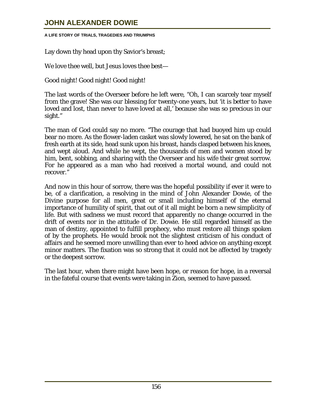**A LIFE STORY OF TRIALS, TRAGEDIES AND TRIUMPHS** 

Lay down thy head upon thy Savior's breast;

We love thee well, but Jesus loves thee best—

Good night! Good night! Good night!

The last words of the Overseer before he left were, "Oh, I can scarcely tear myself from the grave! She was our blessing for twenty-one years, but 'it is better to have loved and lost, than never to have loved at all,' because she was so precious in our sight."

The man of God could say no more. "The courage that had buoyed him up could bear no more. As the flower-laden casket was slowly lowered, he sat on the bank of fresh earth at its side, head sunk upon his breast, hands clasped between his knees, and wept aloud. And while he wept, the thousands of men and women stood by him, bent, sobbing, and sharing with the Overseer and his wife their great sorrow. For he appeared as a man who had received a mortal wound, and could not recover."

And now in this hour of sorrow, there was the hopeful possibility if ever it were to be, of a clarification, a resolving in the mind of John Alexander Dowie, of the Divine purpose for all men, great or small including himself of the eternal importance of humility of spirit, that out of it all might be born a new simplicity of life. But with sadness we must record that apparently no change occurred in the drift of events nor in the attitude of Dr. Dowie. He still regarded himself as the man of destiny, appointed to fulfill prophecy, who must restore all things spoken of by the prophets. He would brook not the slightest criticism of his conduct of affairs and he seemed more unwilling than ever to heed advice on anything except minor matters. The fixation was so strong that it could not be affected by tragedy or the deepest sorrow.

The last hour, when there might have been hope, or reason for hope, in a reversal in the fateful course that events were taking in Zion, seemed to have passed.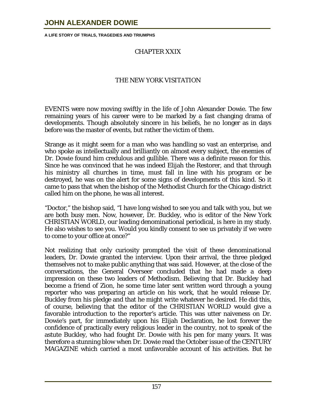**A LIFE STORY OF TRIALS, TRAGEDIES AND TRIUMPHS** 

## CHAPTER XXIX

#### THE NEW YORK VISITATION

EVENTS were now moving swiftly in the life of John Alexander Dowie. The few remaining years of his career were to be marked by a fast changing drama of developments. Though absolutely sincere in his beliefs, he no longer as in days before was the master of events, but rather the victim of them.

Strange as it might seem for a man who was handling so vast an enterprise, and who spoke as intellectually and brilliantly on almost every subject, the enemies of Dr. Dowie found him credulous and gullible. There was a definite reason for this. Since he was convinced that he was indeed Elijah the Restorer, and that through his ministry all churches in time, must fall in line with his program or be destroyed, he was on the alert for some signs of developments of this kind. So it came to pass that when the bishop of the Methodist Church for the Chicago district called him on the phone, he was all interest.

"Doctor," the bishop said, "I have long wished to see you and talk with you, but we are both busy men. Now, however, Dr. Buckley, who is editor of the New York CHRISTIAN WORLD, our leading denominational periodical, is here in my study. He also wishes to see you. Would you kindly consent to see us privately if we were to come to your office at once?"

Not realizing that only curiosity prompted the visit of these denominational leaders, Dr. Dowie granted the interview. Upon their arrival, the three pledged themselves not to make public anything that was said. However, at the close of the conversations, the General Overseer concluded that he had made a deep impression on these two leaders of Methodism. Believing that Dr. Buckley had become a friend of Zion, he some time later sent written word through a young reporter who was preparing an article on his work, that he would release Dr. Buckley from his pledge and that he might write whatever he desired. He did this, of course, believing that the editor of the CHRISTIAN WORLD would give a favorable introduction to the reporter's article. This was utter naiveness on Dr. Dowie's part, for immediately upon his Elijah Declaration, he lost forever the confidence of practically every religious leader in the country, not to speak of the astute Buckley, who had fought Dr. Dowie with his pen for many years. It was therefore a stunning blow when Dr. Dowie read the October issue of the CENTURY MAGAZINE which carried a most unfavorable account of his activities. But he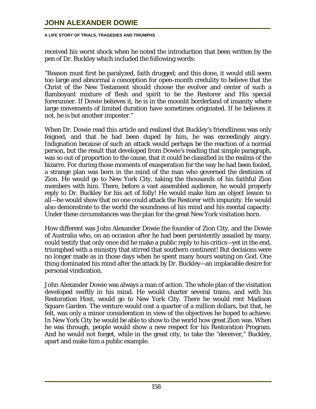**A LIFE STORY OF TRIALS, TRAGEDIES AND TRIUMPHS** 

received his worst shock when he noted the introduction that been written by the pen of Dr. Buckley which included the following words:

"Reason must first be paralyzed, faith drugged; and this done, it would still seem too large and abnormal a conception for open-month credulity to believe that the Christ of the New Testament should choose the evolver and center of such a flamboyant mixture of flesh and spirit to be the Restorer and His special forerunner. If Dowie believes it, he is in the moonlit borderland of insanity where large movements of limited duration have sometimes originated. If he believes it not, he is but another imposter."

When Dr. Dowie read this article and realized that Buckley's friendliness was only feigned, and that he had been duped by him, he was exceedingly angry. Indignation because of such an attack would perhaps be the reaction of a normal person, but the result that developed from Dowie's reading that simple paragraph, was so out of proportion to the cause, that it could be classified in the realms of the bizarre. For during those moments of exasperation for the way he had been fooled, a strange plan was born in the mind of the man who governed the destinies of Zion. He would go to New York City, taking the thousands of his faithful Zion members with him. There, before a vast assembled audience, he would properly reply to Dr. Buckley for his act of folly! He would make him an object lesson to all—he would show that no one could attack the Restorer with impunity. He would also demonstrate to the world the soundness of his mind and his mental capacity. Under these circumstances was the plan for the great New York visitation born.

How different was John Alexander Dowie the founder of Zion City, and the Dowie of Australia who, on an occasion after he had been persistently assailed by many, could testify that only once did he make a public reply to his critics—yet in the end, triumphed with a ministry that stirred that southern continent! But decisions were no longer made as in those days when he spent many hours waiting on God. One thing dominated his mind after the attack by Dr. Buckley—an implacable desire for personal vindication.

John Alexander Dowie was always a man of action. The whole plan of the visitation developed swiftly in his mind. He would charter several trains, and with his Restoration Host, would go to New York City. There he would rent Madison Square Garden. The venture would cost a quarter of a million dollars, but that, he felt, was only a minor consideration in view of the objectives he hoped to achieve. In New York City he would be able to show to the world how great Zion was. When he was through, people would show a new respect for his Restoration Program. And he would not forget, while in the great city, to take the "deceiver," Buckley, apart and make him a public example.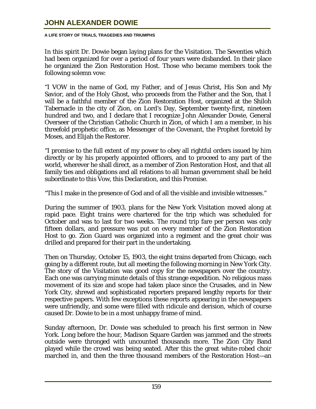**A LIFE STORY OF TRIALS, TRAGEDIES AND TRIUMPHS** 

In this spirit Dr. Dowie began laying plans for the Visitation. The Seventies which had been organized for over a period of four years were disbanded. In their place he organized the Zion Restoration Host. Those who became members took the following solemn vow:

"I VOW in the name of God, my Father, and of Jesus Christ, His Son and My Savior, and of the Holy Ghost, who proceeds from the Father and the Son, that I will be a faithful member of the Zion Restoration Host, organized at the Shiloh Tabernacle in the city of Zion, on Lord's Day, September twenty-first, nineteen hundred and two, and I declare that I recognize John Alexander Dowie, General Overseer of the Christian Catholic Church in Zion, of which I am a member, in his threefold prophetic office, as Messenger of the Covenant, the Prophet foretold by Moses, and Elijah the Restorer.

"I promise to the full extent of my power to obey all rightful orders issued by him directly or by his properly appointed officers, and to proceed to any part of the world, wherever he shall direct, as a member of Zion Restoration Host, and that all family ties and obligations and all relations to all human government shall be held subordinate to this Vow, this Declaration, and this Promise.

"This I make in the presence of God and of all the visible and invisible witnesses."

During the summer of 1903, plans for the New York Visitation moved along at rapid pace. Eight trains were chartered for the trip which was scheduled for October and was to last for two weeks. The round trip fare per person was only fifteen dollars, and pressure was put on every member of the Zion Restoration Host to go. Zion Guard was organized into a regiment and the great choir was drilled and prepared for their part in the undertaking.

Then on Thursday, October 15, 1903, the eight trains departed from Chicago, each going by a different route, but all meeting the following morning in New York City. The story of the Visitation was good copy for the newspapers over the country. Each one was carrying minute details of this strange expedition. No religious mass movement of its size and scope had taken place since the Crusades, and in New York City, shrewd and sophisticated reporters prepared lengthy reports for their respective papers. With few exceptions these reports appearing in the newspapers were unfriendly, and some were filled with ridicule and derision, which of course caused Dr. Dowie to be in a most unhappy frame of mind.

Sunday afternoon, Dr. Dowie was scheduled to preach his first sermon in New York. Long before the hour, Madison Square Garden was jammed and the streets outside were thronged with uncounted thousands more. The Zion City Band played while the crowd was being seated. After this the great white-robed choir marched in, and then the three thousand members of the Restoration Host—an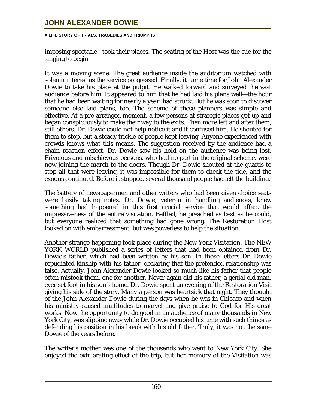**A LIFE STORY OF TRIALS, TRAGEDIES AND TRIUMPHS** 

imposing spectacle—took their places. The seating of the Host was the cue for the singing to begin.

It was a moving scene. The great audience inside the auditorium watched with solemn interest as the service progressed. Finally, it came time for John Alexander Dowie to take his place at the pulpit. He walked forward and surveyed the vast audience before him. It appeared to him that he had laid his plans well—the hour that he had been waiting for nearly a year, had struck. But he was soon to discover someone else laid plans, too. The scheme of these planners was simple and effective. At a pre-arranged moment, a few persons at strategic places got up and began conspicuously to make their way to the exits. Then more left and after them, still others. Dr. Dowie could not help notice it and it confused him. He shouted for them to stop, but a steady trickle of people kept leaving. Anyone experienced with crowds knows what this means. The suggestion received by the audience had a chain reaction effect. Dr. Dowie saw his hold on the audience was being lost. Frivolous and mischievous persons, who had no part in the original scheme, were now joining the march to the doors. Though Dr. Dowie shouted at the guards to stop all that were leaving, it was impossible for them to check the tide, and the exodus continued. Before it stopped, several thousand people had left the building.

The battery of newspapermen and other writers who had been given choice seats were busily taking notes. Dr. Dowie, veteran in handling audiences, knew something had happened in this first crucial service that would affect the impressiveness of the entire visitation. Baffled, he preached as best as he could, but everyone realized that something had gone wrong. The Restoration Host looked on with embarrassment, but was powerless to help the situation.

Another strange happening took place during the New York Visitation. The NEW YORK WORLD published a series of letters that had been obtained from Dr. Dowie's father, which had been written by his son. In those letters Dr. Dowie repudiated kinship with his father, declaring that the pretended relationship was false. Actually, John Alexander Dowie looked so much like his father that people often mistook them, one for another. Never again did his father, a genial old man, ever set foot in his son's home. Dr. Dowie spent an evening of the Restoration Visit giving his side of the story. Many a person was heartsick that night. They thought of the John Alexander Dowie during the days when he was in Chicago and when his ministry caused multitudes to marvel and give praise to God for His great works. Now the opportunity to do good in an audience of many thousands in New York City, was slipping away while Dr. Dowie occupied his time with such things as defending his position in his break with his old father. Truly, it was not the same Dowie of the years before.

The writer's mother was one of the thousands who went to New York City. She enjoyed the exhilarating effect of the trip, but her memory of the Visitation was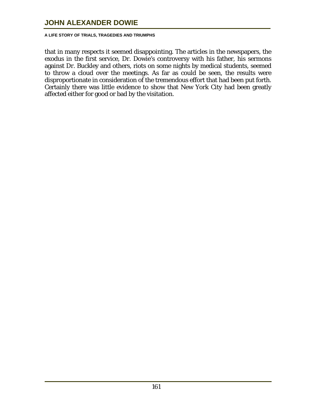**A LIFE STORY OF TRIALS, TRAGEDIES AND TRIUMPHS** 

that in many respects it seemed disappointing. The articles in the newspapers, the exodus in the first service, Dr. Dowie's controversy with his father, his sermons against Dr. Buckley and others, riots on some nights by medical students, seemed to throw a cloud over the meetings. As far as could be seen, the results were disproportionate in consideration of the tremendous effort that had been put forth. Certainly there was little evidence to show that New York City had been greatly affected either for good or bad by the visitation.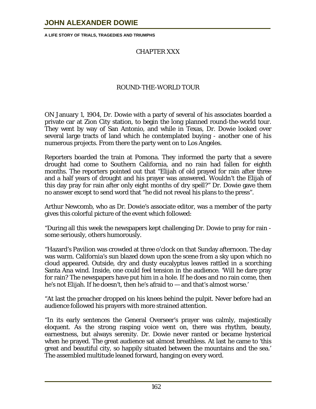**A LIFE STORY OF TRIALS, TRAGEDIES AND TRIUMPHS** 

## CHAPTER XXX

#### ROUND-THE-WORLD TOUR

ON January 1, 1904, Dr. Dowie with a party of several of his associates boarded a private car at Zion City station, to begin the long planned round-the-world tour. They went by way of San Antonio, and while in Texas, Dr. Dowie looked over several large tracts of land which he contemplated buying - another one of his numerous projects. From there the party went on to Los Angeles.

Reporters boarded the train at Pomona. They informed the party that a severe drought had come to Southern California, and no rain had fallen for eighth months. The reporters pointed out that "Elijah of old prayed for rain after three and a half years of drought and his prayer was answered. Wouldn't the Elijah of this day pray for rain after only eight months of dry spell?" Dr. Dowie gave them no answer except to send word that "he did not reveal his plans to the press".

Arthur Newcomb, who as Dr. Dowie's associate editor, was a member of the party gives this colorful picture of the event which followed:

"During all this week the newspapers kept challenging Dr. Dowie to pray for rain some seriously, others humorously.

"Hazard's Pavilion was crowded at three o'clock on that Sunday afternoon. The day was warm. California's sun blazed down upon the scene from a sky upon which no cloud appeared. Outside, dry and dusty eucalyptus leaves rattled in a scorching Santa Ana wind. Inside, one could feel tension in the audience. 'Will he dare pray for rain? The newspapers have put him in a hole. If he does and no rain come, then he's not Elijah. If he doesn't, then he's afraid to — and that's almost worse.'

"At last the preacher dropped on his knees behind the pulpit. Never before had an audience followed his prayers with more strained attention.

"In its early sentences the General Overseer's prayer was calmly, majestically eloquent. As the strong rasping voice went on, there was rhythm, beauty, earnestness, but always serenity. Dr. Dowie never ranted or became hysterical when he prayed. The great audience sat almost breathless. At last he came to 'this great and beautiful city, so happily situated between the mountains and the sea.' The assembled multitude leaned forward, hanging on every word.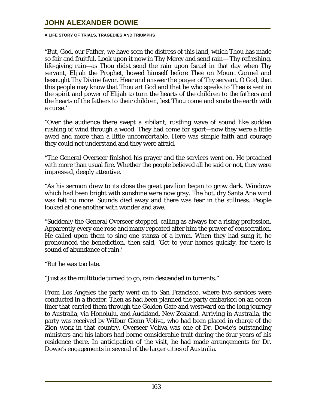**A LIFE STORY OF TRIALS, TRAGEDIES AND TRIUMPHS** 

"But, God, our Father, we have seen the distress of this land, which Thou has made so fair and fruitful. Look upon it now in Thy Mercy and send rain— Thy refreshing, life-giving rain—as Thou didst send the rain upon Israel in that day when Thy servant, Elijah the Prophet, bowed himself before Thee on Mount Carmel and besought Thy Divine favor. Hear and answer the prayer of Thy servant, O God, that this people may know that Thou art God and that he who speaks to Thee is sent in the spirit and power of Elijah to turn the hearts of the children to the fathers and the hearts of the fathers to their children, lest Thou come and smite the earth with a curse.'

"Over the audience there swept a sibilant, rustling wave of sound like sudden rushing of wind through a wood. They had come for sport—now they were a little awed and more than a little uncomfortable. Here was simple faith and courage they could not understand and they were afraid.

"The General Overseer finished his prayer and the services went on. He preached with more than usual fire. Whether the people believed all he said or not, they were impressed, deeply attentive.

"As his sermon drew to its close the great pavilion began to grow dark. Windows which had been bright with sunshine were now gray. The hot, dry Santa Ana wind was felt no more. Sounds died away and there was fear in the stillness. People looked at one another with wonder and awe.

"Suddenly the General Overseer stopped, calling as always for a rising profession. Apparently every one rose and many repeated after him the prayer of consecration. He called upon them to sing one stanza of a hymn. When they had sung it, he pronounced the benediction, then said, 'Get to your homes quickly, for there is sound of abundance of rain.'

"But he was too late.

"Just as the multitude turned to go, rain descended in torrents."

From Los Angeles the party went on to San Francisco, where two services were conducted in a theater. Then as had been planned the party embarked on an ocean liner that carried them through the Golden Gate and westward on the long journey to Australia, via Honolulu, and Auckland, New Zealand. Arriving in Australia, the party was received by Wilbur Glenn Voliva, who had been placed in charge of the Zion work in that country. Overseer Voliva was one of Dr. Dowie's outstanding ministers and his labors had borne considerable fruit during the four years of his residence there. In anticipation of the visit, he had made arrangements for Dr. Dowie's engagements in several of the larger cities of Australia.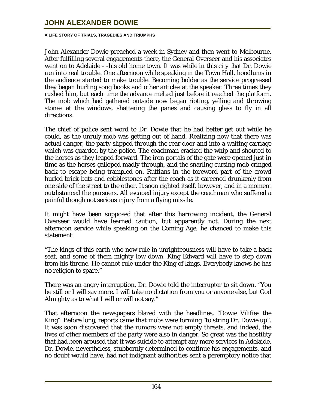**A LIFE STORY OF TRIALS, TRAGEDIES AND TRIUMPHS** 

John Alexander Dowie preached a week in Sydney and then went to Melbourne. After fulfilling several engagements there, the General Overseer and his associates went on to Adelaide - -his old home town. It was while in this city that Dr. Dowie ran into real trouble. One afternoon while speaking in the Town Hall, hoodlums in the audience started to make trouble. Becoming bolder as the service progressed they began hurling song books and other articles at the speaker. Three times they rushed him, but each time the advance melted just before it reached the platform. The mob which had gathered outside now began rioting, yelling and throwing stones at the windows, shattering the panes and causing glass to fly in all directions.

The chief of police sent word to Dr. Dowie that he had better get out while he could, as the unruly mob was getting out of hand. Realizing now that there was actual danger, the party slipped through the rear door and into a waiting carriage which was guarded by the police. The coachman cracked the whip and shouted to the horses as they leaped forward. The iron portals of the gate were opened just in time as the horses galloped madly through, and the snarling cursing mob cringed back to escape being trampled on. Ruffians in the foreword part of the crowd hurled brick-bats and cobblestones after the coach as it careened drunkenly from one side of the street to the other. It soon righted itself, however, and in a moment outdistanced the pursuers. All escaped injury except the coachman who suffered a painful though not serious injury from a flying missile.

It might have been supposed that after this harrowing incident, the General Overseer would have learned caution, but apparently not. During the next afternoon service while speaking on the Coming Age, he chanced to make this statement:

"The kings of this earth who now rule in unrighteousness will have to take a back seat, and some of them mighty low down. King Edward will have to step down from his throne. He cannot rule under the King of kings. Everybody knows he has no religion to spare."

There was an angry interruption. Dr. Dowie told the interrupter to sit down. "You be still or I will say more. I will take no dictation from you or anyone else, but God Almighty as to what I will or will not say."

That afternoon the newspapers blazed with the headlines, "Dowie Vilifies the King". Before long, reports came that mobs were forming "to string Dr. Dowie up". It was soon discovered that the rumors were not empty threats, and indeed, the lives of other members of the party were also in danger. So great was the hostility that had been aroused that it was suicide to attempt any more services in Adelaide. Dr. Dowie, nevertheless, stubbornly determined to continue his engagements, and no doubt would have, had not indignant authorities sent a peremptory notice that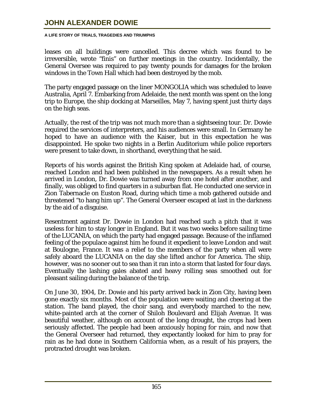**A LIFE STORY OF TRIALS, TRAGEDIES AND TRIUMPHS** 

leases on all buildings were cancelled. This decree which was found to be irreversible, wrote "finis" on further meetings in the country. Incidentally, the General Oversee was required to pay twenty pounds for damages for the broken windows in the Town Hall which had been destroyed by the mob.

The party engaged passage on the liner MONGOLIA which was scheduled to leave Australia, April 7. Embarking from Adelaide, the next month was spent on the long trip to Europe, the ship docking at Marseilles, May 7, having spent just thirty days on the high seas.

Actually, the rest of the trip was not much more than a sightseeing tour. Dr. Dowie required the services of interpreters, and his audiences were small. In Germany he hoped to have an audience with the Kaiser, but in this expectation he was disappointed. He spoke two nights in a Berlin Auditorium while police reporters were present to take down, in shorthand, everything that he said.

Reports of his words against the British King spoken at Adelaide had, of course, reached London and had been published in the newspapers. As a result when he arrived in London, Dr. Dowie was turned away from one hotel after another, and finally, was obliged to find quarters in a suburban flat. He conducted one service in Zion Tabernacle on Euston Road, during which time a mob gathered outside and threatened "to hang him up". The General Overseer escaped at last in the darkness by the aid of a disguise.

Resentment against Dr. Dowie in London had reached such a pitch that it was useless for him to stay longer in England. But it was two weeks before sailing time of the LUCANIA, on which the party had engaged passage. Because of the inflamed feeling of the populace against him he found it expedient to leave London and wait at Boulogne, France. It was a relief to the members of the party when all were safely aboard the LUCANIA on the day she lifted anchor for America. The ship, however, was no sooner out to sea than it ran into a storm that lasted for four days. Eventually the lashing gales abated and heavy rolling seas smoothed out for pleasant sailing during the balance of the trip.

On June 30, 1904, Dr. Dowie and his party arrived back in Zion City, having been gone exactly six months. Most of the population were waiting and cheering at the station. The band played, the choir sang, and everybody marched to the new, white-painted arch at the corner of Shiloh Boulevard and Elijah Avenue. It was beautiful weather, although on account of the long drought, the crops had been seriously affected. The people had been anxiously hoping for rain, and now that the General Overseer had returned, they expectantly looked for him to pray for rain as he had done in Southern California when, as a result of his prayers, the protracted drought was broken.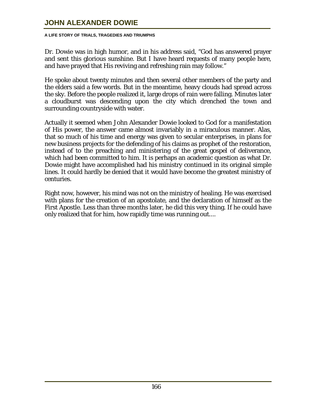**A LIFE STORY OF TRIALS, TRAGEDIES AND TRIUMPHS** 

Dr. Dowie was in high humor, and in his address said, "God has answered prayer and sent this glorious sunshine. But I have heard requests of many people here, and have prayed that His reviving and refreshing rain may follow."

He spoke about twenty minutes and then several other members of the party and the elders said a few words. But in the meantime, heavy clouds had spread across the sky. Before the people realized it, large drops of rain were falling. Minutes later a cloudburst was descending upon the city which drenched the town and surrounding countryside with water.

Actually it seemed when John Alexander Dowie looked to God for a manifestation of His power, the answer came almost invariably in a miraculous manner. Alas, that so much of his time and energy was given to secular enterprises, in plans for new business projects for the defending of his claims as prophet of the restoration, instead of to the preaching and ministering of the great gospel of deliverance, which had been committed to him. It is perhaps an academic question as what Dr. Dowie might have accomplished had his ministry continued in its original simple lines. It could hardly be denied that it would have become the greatest ministry of centuries.

Right now, however, his mind was not on the ministry of healing. He was exercised with plans for the creation of an apostolate, and the declaration of himself as the First Apostle. Less than three months later, he did this very thing. If he could have only realized that for him, how rapidly time was running out....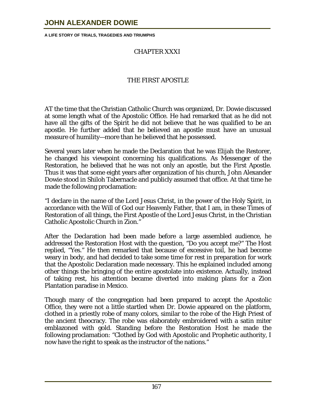**A LIFE STORY OF TRIALS, TRAGEDIES AND TRIUMPHS** 

## CHAPTER XXXI

## THE FIRST APOSTLE

AT the time that the Christian Catholic Church was organized, Dr. Dowie discussed at some length what of the Apostolic Office. He had remarked that as he did not have all the gifts of the Spirit he did not believe that he was qualified to be an apostle. He further added that he believed an apostle must have an unusual measure of humility—more than he believed that he possessed.

Several years later when he made the Declaration that he was Elijah the Restorer, he changed his viewpoint concerning his qualifications. As Messenger of the Restoration, he believed that he was not only an apostle, but the First Apostle. Thus it was that some eight years after organization of his church, John Alexander Dowie stood in Shiloh Tabernacle and publicly assumed that office. At that time he made the following proclamation:

"I declare in the name of the Lord Jesus Christ, in the power of the Holy Spirit, in accordance with the Will of God our Heavenly Father, that I am, in these Times of Restoration of all things, the First Apostle of the Lord Jesus Christ, in the Christian Catholic Apostolic Church in Zion."

After the Declaration had been made before a large assembled audience, he addressed the Restoration Host with the question, "Do you accept me?" The Host replied, "Yes." He then remarked that because of excessive toil, he had become weary in body, and had decided to take some time for rest in preparation for work that the Apostolic Declaration made necessary. This he explained included among other things the bringing of the entire apostolate into existence. Actually, instead of taking rest, his attention became diverted into making plans for a Zion Plantation paradise in Mexico.

Though many of the congregation had been prepared to accept the Apostolic Office, they were not a little startled when Dr. Dowie appeared on the platform, clothed in a priestly robe of many colors, similar to the robe of the High Priest of the ancient theocracy. The robe was elaborately embroidered with a satin miter emblazoned with gold. Standing before the Restoration Host he made the following proclamation: "Clothed by God with Apostolic and Prophetic authority, I now have the right to speak as the instructor of the nations."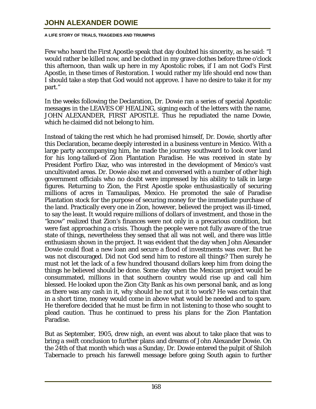#### **A LIFE STORY OF TRIALS, TRAGEDIES AND TRIUMPHS**

Few who heard the First Apostle speak that day doubted his sincerity, as he said: "I would rather be killed now, and be clothed in my grave clothes before three o'clock this afternoon, than walk up here in my Apostolic robes, if I am not God's First Apostle, in these times of Restoration. I would rather my life should end now than I should take a step that God would not approve. I have no desire to take it for my part."

In the weeks following the Declaration, Dr. Dowie ran a series of special Apostolic messages in the LEAVES OF HEALING, signing each of the letters with the name, JOHN ALEXANDER, FIRST APOSTLE. Thus he repudiated the name Dowie, which he claimed did not belong to him.

Instead of taking the rest which he had promised himself, Dr. Dowie, shortly after this Declaration, became deeply interested in a business venture in Mexico. With a large party accompanying him, he made the journey southward to look over land for his long-talked-of Zion Plantation Paradise. He was received in state by President Porfiro Diaz, who was interested in the development of Mexico's vast uncultivated areas. Dr. Dowie also met and conversed with a number of other high government officials who no doubt were impressed by his ability to talk in large figures. Returning to Zion, the First Apostle spoke enthusiastically of securing millions of acres in Tamaulipas, Mexico. He promoted the sale of Paradise Plantation stock for the purpose of securing money for the immediate purchase of the land. Practically every one in Zion, however, believed the project was ill-timed, to say the least. It would require millions of dollars of investment, and those in the "know" realized that Zion's finances were not only in a precarious condition, but were fast approaching a crisis. Though the people were not fully aware of the true state of things, nevertheless they sensed that all was not well, and there was little enthusiasm shown in the project. It was evident that the day when John Alexander Dowie could float a new loan and secure a flood of investments was over. But he was not discouraged. Did not God send him to restore all things? Then surely he must not let the lack of a few hundred thousand dollars keep him from doing the things he believed should be done. Some day when the Mexican project would be consummated, millions in that southern country would rise up and call him blessed. He looked upon the Zion City Bank as his own personal bank, and as long as there was any cash in it, why should he not put it to work? He was certain that in a short time, money would come in above what would be needed and to spare. He therefore decided that he must be firm in not listening to those who sought to plead caution. Thus he continued to press his plans for the Zion Plantation Paradise.

But as September, 1905, drew nigh, an event was about to take place that was to bring a swift conclusion to further plans and dreams of John Alexander Dowie. On the 24th of that month which was a Sunday, Dr. Dowie entered the pulpit of Shiloh Tabernacle to preach his farewell message before going South again to further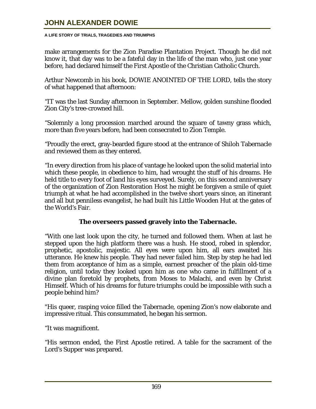**A LIFE STORY OF TRIALS, TRAGEDIES AND TRIUMPHS** 

make arrangements for the Zion Paradise Plantation Project. Though he did not know it, that day was to be a fateful day in the life of the man who, just one year before, had declared himself the First Apostle of the Christian Catholic Church.

Arthur Newcomb in his book, DOWIE ANOINTED OF THE LORD, tells the story of what happened that afternoon:

"IT was the last Sunday afternoon in September. Mellow, golden sunshine flooded Zion City's tree-crowned hill.

"Solemnly a long procession marched around the square of tawny grass which, more than five years before, had been consecrated to Zion Temple.

"Proudly the erect, gray-bearded figure stood at the entrance of Shiloh Tabernacle and reviewed them as they entered.

"In every direction from his place of vantage he looked upon the solid material into which these people, in obedience to him, had wrought the stuff of his dreams. He held title to every foot of land his eyes surveyed. Surely, on this second anniversary of the organization of Zion Restoration Host he might be forgiven a smile of quiet triumph at what he had accomplished in the twelve short years since, an itinerant and all but penniless evangelist, he had built his Little Wooden Hut at the gates of the World's Fair.

## **The overseers passed gravely into the Tabernacle.**

"With one last look upon the city, he turned and followed them. When at last he stepped upon the high platform there was a hush. He stood, robed in splendor, prophetic, apostolic, majestic. All eyes were upon him, all ears awaited his utterance. He knew his people. They had never failed him. Step by step he had led them from acceptance of him as a simple, earnest preacher of the plain old-time religion, until today they looked upon him as one who came in fulfillment of a divine plan foretold by prophets, from Moses to Malachi, and even by Christ Himself. Which of his dreams for future triumphs could be impossible with such a people behind him?

"His queer, rasping voice filled the Tabernacle, opening Zion's now elaborate and impressive ritual. This consummated, he began his sermon.

"It was magnificent.

"His sermon ended, the First Apostle retired. A table for the sacrament of the Lord's Supper was prepared.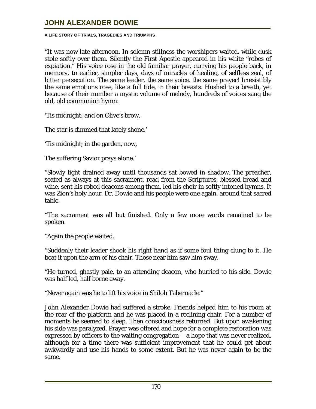**A LIFE STORY OF TRIALS, TRAGEDIES AND TRIUMPHS** 

"It was now late afternoon. In solemn stillness the worshipers waited, while dusk stole softly over them. Silently the First Apostle appeared in his white "robes of expiation." His voice rose in the old familiar prayer, carrying his people back, in memory, to earlier, simpler days, days of miracles of healing, of selfless zeal, of bitter persecution. The same leader, the same voice, the same prayer! Irresistibly the same emotions rose, like a full tide, in their breasts. Hushed to a breath, yet because of their number a mystic volume of melody, hundreds of voices sang the old, old communion hymn:

'Tis midnight; and on Olive's brow,

The star is dimmed that lately shone.'

'Tis midnight; in the garden, now,

The suffering Savior prays alone.'

"Slowly light drained away until thousands sat bowed in shadow. The preacher, seated as always at this sacrament, read from the Scriptures, blessed bread and wine, sent his robed deacons among them, led his choir in softly intoned hymns. It was Zion's holy hour. Dr. Dowie and his people were one again, around that sacred table.

"The sacrament was all but finished. Only a few more words remained to be spoken.

"Again the people waited.

"Suddenly their leader shook his right hand as if some foul thing clung to it. He beat it upon the arm of his chair. Those near him saw him sway.

"He turned, ghastly pale, to an attending deacon, who hurried to his side. Dowie was half led, half borne away.

"Never again was he to lift his voice in Shiloh Tabernacle."

John Alexander Dowie had suffered a stroke. Friends helped him to his room at the rear of the platform and he was placed in a reclining chair. For a number of moments he seemed to sleep. Then consciousness returned. But upon awakening his side was paralyzed. Prayer was offered and hope for a complete restoration was expressed by officers to the waiting congregation – a hope that was never realized, although for a time there was sufficient improvement that he could get about awkwardly and use his hands to some extent. But he was never again to be the same.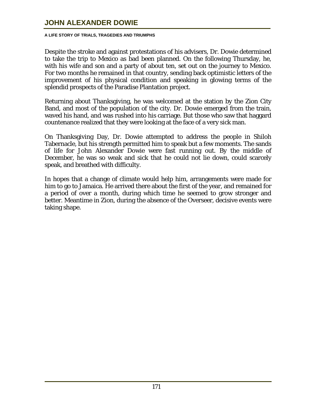**A LIFE STORY OF TRIALS, TRAGEDIES AND TRIUMPHS** 

Despite the stroke and against protestations of his advisers, Dr. Dowie determined to take the trip to Mexico as bad been planned. On the following Thursday, he, with his wife and son and a party of about ten, set out on the journey to Mexico. For two months he remained in that country, sending back optimistic letters of the improvement of his physical condition and speaking in glowing terms of the splendid prospects of the Paradise Plantation project.

Returning about Thanksgiving, he was welcomed at the station by the Zion City Band, and most of the population of the city. Dr. Dowie emerged from the train, waved his hand, and was rushed into his carriage. But those who saw that haggard countenance realized that they were looking at the face of a very sick man.

On Thanksgiving Day, Dr. Dowie attempted to address the people in Shiloh Tabernacle, but his strength permitted him to speak but a few moments. The sands of life for John Alexander Dowie were fast running out. By the middle of December, he was so weak and sick that he could not lie down, could scarcely speak, and breathed with difficulty.

In hopes that a change of climate would help him, arrangements were made for him to go to Jamaica. He arrived there about the first of the year, and remained for a period of over a month, during which time he seemed to grow stronger and better. Meantime in Zion, during the absence of the Overseer, decisive events were taking shape.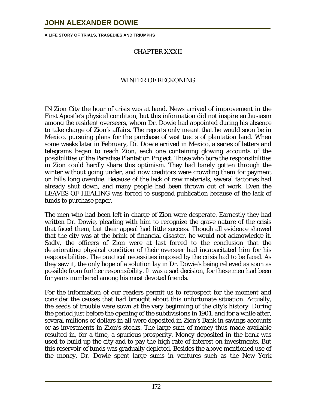**A LIFE STORY OF TRIALS, TRAGEDIES AND TRIUMPHS** 

## CHAPTER XXXII

#### WINTER OF RECKONING

IN Zion City the hour of crisis was at hand. News arrived of improvement in the First Apostle's physical condition, but this information did not inspire enthusiasm among the resident overseers, whom Dr. Dowie had appointed during his absence to take charge of Zion's affairs. The reports only meant that he would soon be in Mexico, pursuing plans for the purchase of vast tracts of plantation land. When some weeks later in February, Dr. Dowie arrived in Mexico, a series of letters and telegrams began to reach Zion, each one containing glowing accounts of the possibilities of the Paradise Plantation Project. Those who bore the responsibilities in Zion could hardly share this optimism. They had barely gotten through the winter without going under, and now creditors were crowding them for payment on bills long overdue. Because of the lack of raw materials, several factories had already shut down, and many people had been thrown out of work. Even the LEAVES OF HEALING was forced to suspend publication because of the lack of funds to purchase paper.

The men who had been left in charge of Zion were desperate. Earnestly they had written Dr. Dowie, pleading with him to recognize the grave nature of the crisis that faced them, but their appeal had little success. Though all evidence showed that the city was at the brink of financial disaster, he would not acknowledge it. Sadly, the officers of Zion were at last forced to the conclusion that the deteriorating physical condition of their overseer had incapacitated him for his responsibilities. The practical necessities imposed by the crisis had to be faced. As they saw it, the only hope of a solution lay in Dr. Dowie's being relieved as soon as possible from further responsibility. It was a sad decision, for these men had been for years numbered among his most devoted friends.

For the information of our readers permit us to retrospect for the moment and consider the causes that had brought about this unfortunate situation. Actually, the seeds of trouble were sown at the very beginning of the city's history. During the period just before the opening of the subdivisions in 1901, and for a while after, several millions of dollars in all were deposited in Zion's Bank in savings accounts or as investments in Zion's stocks. The large sum of money thus made available resulted in, for a time, a spurious prosperity. Money deposited in the bank was used to build up the city and to pay the high rate of interest on investments. But this reservoir of funds was gradually depleted. Besides the above mentioned use of the money, Dr. Dowie spent large sums in ventures such as the New York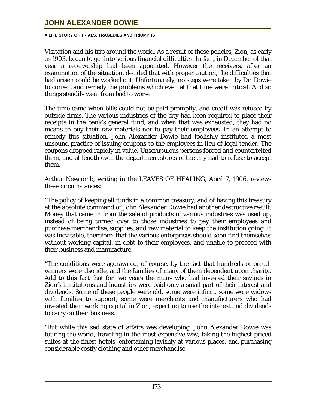**A LIFE STORY OF TRIALS, TRAGEDIES AND TRIUMPHS** 

Visitation and his trip around the world. As a result of these policies, Zion, as early as 1903, began to get into serious financial difficulties. In fact, in December of that year a receivership had been appointed. However the receivers, after an examination of the situation, decided that with proper caution, the difficulties that had arisen could be worked out. Unfortunately, no steps were taken by Dr. Dowie to correct and remedy the problems which even at that time were critical. And so things steadily went from bad to worse.

The time came when bills could not be paid promptly, and credit was refused by outside firms. The various industries of the city had been required to place their receipts in the bank's general fund, and when that was exhausted, they had no means to buy their raw materials nor to pay their employees. In an attempt to remedy this situation, John Alexander Dowie had foolishly instituted a most unsound practice of issuing coupons to the employees in lieu of legal tender. The coupons dropped rapidly in value. Unscrupulous persons forged and counterfeited them, and at length even the department stores of the city had to refuse to accept them.

Arthur Newcomb, writing in the LEAVES OF HEALING, April 7, 1906, reviews these circumstances:

"The policy of keeping all funds in a common treasury, and of having this treasury at the absolute command of John Alexander Dowie had another destructive result. Money that came in from the sale of products of various industries was used up, instead of being turned over to those industries to pay their employees and purchase merchandise, supplies, and raw material to keep the institution going. It was inevitable, therefore, that the various enterprises should soon find themselves without working capital, in debt to their employees, and unable to proceed with their business and manufacture.

"The conditions were aggravated, of course, by the fact that hundreds of breadwinners were also idle, and the families of many of them dependent upon charity. Add to this fact that for two years the many who had invested their savings in Zion's institutions and industries were paid only a small part of their interest and dividends. Some of these people were old, some were infirm, some were widows with families to support, some were merchants and manufacturers who had invested their working capital in Zion, expecting to use the interest and dividends to carry on their business.

"But while this sad state of affairs was developing, John Alexander Dowie was touring the world, traveling in the most expensive way, taking the highest-priced suites at the finest hotels, entertaining lavishly at various places, and purchasing considerable costly clothing and other merchandise.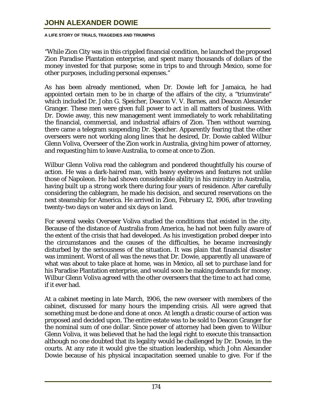**A LIFE STORY OF TRIALS, TRAGEDIES AND TRIUMPHS** 

"While Zion City was in this crippled financial condition, he launched the proposed Zion Paradise Plantation enterprise, and spent many thousands of dollars of the money invested for that purpose; some in trips to and through Mexico, some for other purposes, including personal expenses."

As has been already mentioned, when Dr. Dowie left for Jamaica, he had appointed certain men to be in charge of the affairs of the city, a "triumvirate" which included Dr. John G. Speicher, Deacon V. V. Barnes, and Deacon Alexander Granger. These men were given full power to act in all matters of business. With Dr. Dowie away, this new management went immediately to work rehabilitating the financial, commercial, and industrial affairs of Zion. Then without warning, there came a telegram suspending Dr. Speicher. Apparently fearing that the other overseers were not working along lines that he desired, Dr. Dowie cabled Wilbur Glenn Voliva, Overseer of the Zion work in Australia, giving him power of attorney, and requesting him to leave Australia, to come at once to Zion.

Wilbur Glenn Voliva read the cablegram and pondered thoughtfully his course of action. He was a dark-haired man, with heavy eyebrows and features not unlike those of Napoleon. He had shown considerable ability in his ministry in Australia, having built up a strong work there during four years of residence. After carefully considering the cablegram, he made his decision, and secured reservations on the next steamship for America. He arrived in Zion, February 12, 1906, after traveling twenty-two days on water and six days on land.

For several weeks Overseer Voliva studied the conditions that existed in the city. Because of the distance of Australia from America, he had not been fully aware of the extent of the crisis that had developed. As his investigation probed deeper into the circumstances and the causes of the difficulties, he became increasingly disturbed by the seriousness of the situation. It was plain that financial disaster was imminent. Worst of all was the news that Dr. Dowie, apparently all unaware of what was about to take place at home, was in Mexico, all set to purchase land for his Paradise Plantation enterprise, and would soon be making demands for money. Wilbur Glenn Voliva agreed with the other overseers that the time to act had come, if it ever had.

At a cabinet meeting in late March, 1906, the new overseer with members of the cabinet, discussed for many hours the impending crisis. All were agreed that something must be done and done at once. At length a drastic course of action was proposed and decided upon. The entire estate was to be sold to Deacon Granger for the nominal sum of one dollar. Since power of attorney had been given to Wilbur Glenn Voliva, it was believed that he had the legal right to execute this transaction although no one doubted that its legality would be challenged by Dr. Dowie, in the courts. At any rate it would give the situation leadership, which John Alexander Dowie because of his physical incapacitation seemed unable to give. For if the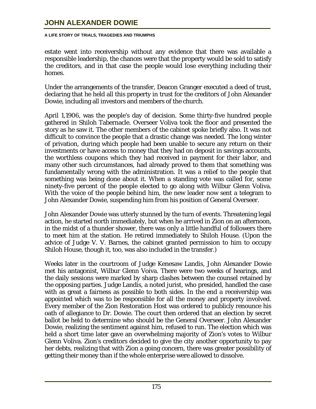**A LIFE STORY OF TRIALS, TRAGEDIES AND TRIUMPHS** 

estate went into receivership without any evidence that there was available a responsible leadership, the chances were that the property would be sold to satisfy the creditors, and in that case the people would lose everything including their homes.

Under the arrangements of the transfer, Deacon Granger executed a deed of trust, declaring that he held all this property in trust for the creditors of John Alexander Dowie, including all investors and members of the church.

April 1,1906, was the people's day of decision. Some thirty-five hundred people gathered in Shiloh Tabernacle. Overseer Voliva took the floor and presented the story as he saw it. The other members of the cabinet spoke briefly also. It was not difficult to convince the people that a drastic change was needed. The long winter of privation, during which people had been unable to secure any return on their investments or have access to money that they had on deposit in savings accounts, the worthless coupons which they had received in payment for their labor, and many other such circumstances, had already proved to them that something was fundamentally wrong with the administration. It was a relief to the people that something was being done about it. When a standing vote was called for, some ninety-five percent of the people elected to go along with Wilbur Glenn Voliva. With the voice of the people behind him, the new leader now sent a telegram to John Alexander Dowie, suspending him from his position of General Overseer.

John Alexander Dowie was utterly stunned by the turn of events. Threatening legal action, he started north immediately, but when he arrived in Zion on an afternoon, in the midst of a thunder shower, there was only a little handful of followers there to meet him at the station. He retired immediately to Shiloh House. (Upon the advice of Judge V. V. Barnes, the cabinet granted permission to him to occupy Shiloh House, though it, too, was also included in the transfer.)

Weeks later in the courtroom of Judge Kenesaw Landis, John Alexander Dowie met his antagonist, Wilbur Glenn Voiva. There were two weeks of hearings, and the daily sessions were marked by sharp clashes between the counsel retained by the opposing parties. Judge Landis, a noted jurist, who presided, handled the case with as great a fairness as possible to both sides. In the end a receivership was appointed which was to be responsible for all the money and property involved. Every member of the Zion Restoration Host was ordered to publicly renounce his oath of allegiance to Dr. Dowie. The court then ordered that an election by secret ballot be held to determine who should be the General Overseer. John Alexander Dowie, realizing the sentiment against him, refused to run. The election which was held a short time later gave an overwhelming majority of Zion's votes to Wilbur Glenn Voliva. Zion's creditors decided to give the city another opportunity to pay her debts, realizing that with Zion a going concern, there was greater possibility of getting their money than if the whole enterprise were allowed to dissolve.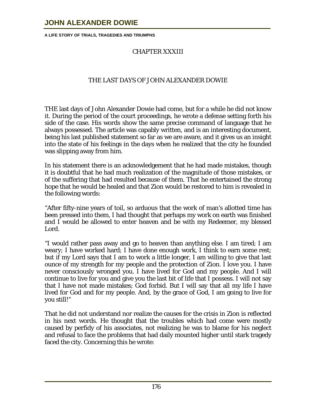**A LIFE STORY OF TRIALS, TRAGEDIES AND TRIUMPHS** 

## CHAPTER XXXIII

#### THE LAST DAYS OF JOHN ALEXANDER DOWIE

THE last days of John Alexander Dowie had come, but for a while he did not know it. During the period of the court proceedings, he wrote a defense setting forth his side of the case. His words show the same precise command of language that he always possessed. The article was capably written, and is an interesting document, being his last published statement so far as we are aware, and it gives us an insight into the state of his feelings in the days when he realized that the city he founded was slipping away from him.

In his statement there is an acknowledgement that he had made mistakes, though it is doubtful that he had much realization of the magnitude of those mistakes, or of the suffering that had resulted because of them. That he entertained the strong hope that he would be healed and that Zion would be restored to him is revealed in the following words:

"After fifty-nine years of toil, so arduous that the work of man's allotted time has been pressed into them, I had thought that perhaps my work on earth was finished and I would be allowed to enter heaven and be with my Redeemer, my blessed Lord.

"I would rather pass away and go to heaven than anything else. I am tired; I am weary; I have worked hard; I have done enough work, I think to earn some rest; but if my Lord says that I am to work a little longer, I am willing to give that last ounce of my strength for my people and the protection of Zion. I love you. I have never consciously wronged you. I have lived for God and my people. And I will continue to live for you and give you the last bit of life that I possess. I will not say that I have not made mistakes; God forbid. But I will say that all my life I have lived for God and for my people. And, by the grace of God, I am going to live for you still!"

That he did not understand nor realize the causes for the crisis in Zion is reflected in his next words. He thought that the troubles which had come were mostly caused by perfidy of his associates, not realizing he was to blame for his neglect and refusal to face the problems that had daily mounted higher until stark tragedy faced the city. Concerning this he wrote: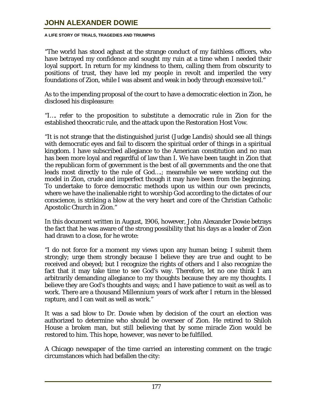**A LIFE STORY OF TRIALS, TRAGEDIES AND TRIUMPHS** 

"The world has stood aghast at the strange conduct of my faithless officers, who have betrayed my confidence and sought my ruin at a time when I needed their loyal support. In return for my kindness to them, calling them from obscurity to positions of trust, they have led my people in revolt and imperiled the very foundations of Zion, while I was absent and weak in body through excessive toil."

As to the impending proposal of the court to have a democratic election in Zion, he disclosed his displeasure:

"I…. refer to the proposition to substitute a democratic rule in Zion for the established theocratic rule, and the attack upon the Restoration Host Vow.

"It is not strange that the distinguished jurist (Judge Landis) should see all things with democratic eyes and fail to discern the spiritual order of things in a spiritual kingdom. I have subscribed allegiance to the American constitution and no man has been more loyal and regardful of law than I. We have been taught in Zion that the republican form of government is the best of all governments and the one that leads most directly to the rule of God….; meanwhile we were working out the model in Zion, crude and imperfect though it may have been from the beginning. To undertake to force democratic methods upon us within our own precincts, where we have the inalienable right to worship God according to the dictates of our conscience, is striking a blow at the very heart and core of the Christian Catholic Apostolic Church in Zion."

In this document written in August, 1906, however, John Alexander Dowie betrays the fact that he was aware of the strong possibility that his days as a leader of Zion had drawn to a close, for he wrote:

"I do not force for a moment my views upon any human being; I submit them strongly; urge them strongly because I believe they are true and ought to be received and obeyed; but I recognize the rights of others and I also recognize the fact that it may take time to see God's way. Therefore, let no one think I am arbitrarily demanding allegiance to my thoughts because they are my thoughts. I believe they are God's thoughts and ways; and I have patience to wait as well as to work. There are a thousand Millennium years of work after I return in the blessed rapture, and I can wait as well as work."

It was a sad blow to Dr. Dowie when by decision of the court an election was authorized to determine who should be overseer of Zion. He retired to Shiloh House a broken man, but still believing that by some miracle Zion would be restored to him. This hope, however, was never to be fulfilled.

A Chicago newspaper of the time carried an interesting comment on the tragic circumstances which had befallen the city: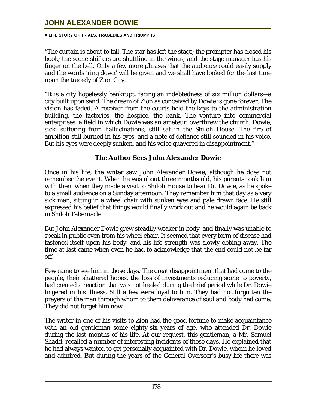**A LIFE STORY OF TRIALS, TRAGEDIES AND TRIUMPHS** 

"The curtain is about to fall. The star has left the stage; the prompter has closed his book; the scene-shifters are shuffling in the wings; and the stage manager has his finger on the bell. Only a few more phrases that the audience could easily supply and the words 'ring down' will be given and we shall have looked for the last time upon the tragedy of Zion City.

"It is a city hopelessly bankrupt, facing an indebtedness of six million dollars—a city built upon sand. The dream of Zion as conceived by Dowie is gone forever. The vision has faded. A receiver from the courts held the keys to the administration building, the factories, the hospice, the bank. The venture into commercial enterprises, a field in which Dowie was an amateur, overthrew the church. Dowie, sick, suffering from hallucinations, still sat in the Shiloh House. The fire of ambition still burned in his eyes, and a note of defiance still sounded in his voice. But his eyes were deeply sunken, and his voice quavered in disappointment."

## **The Author Sees John Alexander Dowie**

Once in his life, the writer saw John Alexander Dowie, although he does not remember the event. When he was about three months old, his parents took him with them when they made a visit to Shiloh House to hear Dr. Dowie, as he spoke to a small audience on a Sunday afternoon. They remember him that day as a very sick man, sitting in a wheel chair with sunken eyes and pale drawn face. He still expressed his belief that things would finally work out and he would again be back in Shiloh Tabernacle.

But John Alexander Dowie grew steadily weaker in body, and finally was unable to speak in public even from his wheel chair. It seemed that every form of disease had fastened itself upon his body, and his life strength was slowly ebbing away. The time at last came when even he had to acknowledge that the end could not be far off.

Few came to see him in those days. The great disappointment that had come to the people, their shattered hopes, the loss of investments reducing some to poverty, had created a reaction that was not healed during the brief period while Dr. Dowie lingered in his illness. Still a few were loyal to him. They had not forgotten the prayers of the man through whom to them deliverance of soul and body had come. They did not forget him now.

The writer in one of his visits to Zion had the good fortune to make acquaintance with an old gentleman some eighty-six years of age, who attended Dr. Dowie during the last months of his life. At our request, this gentleman, a Mr. Samuel Shadd, recalled a number of interesting incidents of those days. He explained that he had always wanted to get personally acquainted with Dr. Dowie, whom he loved and admired. But during the years of the General Overseer's busy life there was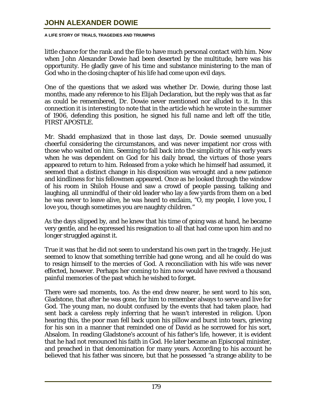**A LIFE STORY OF TRIALS, TRAGEDIES AND TRIUMPHS** 

little chance for the rank and the file to have much personal contact with him. Now when John Alexander Dowie had been deserted by the multitude, here was his opportunity. He gladly gave of his time and substance ministering to the man of God who in the closing chapter of his life had come upon evil days.

One of the questions that we asked was whether Dr. Dowie, during those last months, made any reference to his Elijah Declaration, but the reply was that as far as could be remembered, Dr. Dowie never mentioned nor alluded to it. In this connection it is interesting to note that in the article which he wrote in the summer of 1906, defending this position, he signed his full name and left off the title, FIRST APOSTLE.

Mr. Shadd emphasized that in those last days, Dr. Dowie seemed unusually cheerful considering the circumstances, and was never impatient nor cross with those who waited on him. Seeming to fall back into the simplicity of his early years when he was dependent on God for his daily bread, the virtues of those years appeared to return to him. Released from a yoke which he himself had assumed, it seemed that a distinct change in his disposition was wrought and a new patience and kindliness for his fellowmen appeared. Once as he looked through the window of his room in Shiloh House and saw a crowd of people passing, talking and laughing, all unmindful of their old leader who lay a few yards from them on a bed he was never to leave alive, he was heard to exclaim, "O, my people, I love you, I love you, though sometimes you are naughty children."

As the days slipped by, and he knew that his time of going was at hand, he became very gentle, and he expressed his resignation to all that had come upon him and no longer struggled against it.

True it was that he did not seem to understand his own part in the tragedy. He just seemed to know that something terrible had gone wrong, and all he could do was to resign himself to the mercies of God. A reconciliation with his wife was never effected, however. Perhaps her coming to him now would have revived a thousand painful memories of the past which he wished to forget.

There were sad moments, too. As the end drew nearer, he sent word to his son, Gladstone, that after he was gone, for him to remember always to serve and live for God. The young man, no doubt confused by the events that had taken place, had sent back a careless reply inferring that he wasn't interested in religion. Upon hearing this, the poor man fell back upon his pillow and burst into tears, grieving for his son in a manner that reminded one of David as he sorrowed for his sort, Absalom. In reading Gladstone's account of his father's life, however, it is evident that he had not renounced his faith in God. He later became an Episcopal minister, and preached in that denomination for many years. According to his account he believed that his father was sincere, but that he possessed "a strange ability to be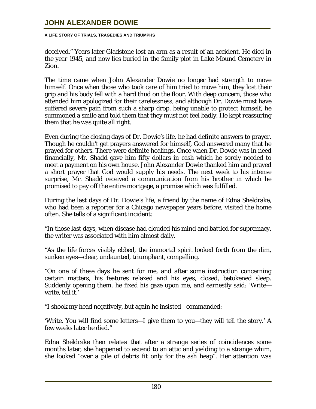**A LIFE STORY OF TRIALS, TRAGEDIES AND TRIUMPHS** 

deceived." Years later Gladstone lost an arm as a result of an accident. He died in the year 1945, and now lies buried in the family plot in Lake Mound Cemetery in Zion.

The time came when John Alexander Dowie no longer had strength to move himself. Once when those who took care of him tried to move him, they lost their grip and his body fell with a hard thud on the floor. With deep concern, those who attended him apologized for their carelessness, and although Dr. Dowie must have suffered severe pain from such a sharp drop, being unable to protect himself, he summoned a smile and told them that they must not feel badly. He kept reassuring them that he was quite all right.

Even during the closing days of Dr. Dowie's life, he had definite answers to prayer. Though he couldn't get prayers answered for himself, God answered many that he prayed for others. There were definite healings. Once when Dr. Dowie was in need financially, Mr. Shadd gave him fifty dollars in cash which he sorely needed to meet a payment on his own house. John Alexander Dowie thanked him and prayed a short prayer that God would supply his needs. The next week to his intense surprise, Mr. Shadd received a communication from his brother in which he promised to pay off the entire mortgage, a promise which was fulfilled.

During the last days of Dr. Dowie's life, a friend by the name of Edna Sheldrake, who had been a reporter for a Chicago newspaper years before, visited the home often. She tells of a significant incident:

"In those last days, when disease had clouded his mind and battled for supremacy, the writer was associated with him almost daily.

"As the life forces visibly ebbed, the immortal spirit looked forth from the dim, sunken eyes—clear, undaunted, triumphant, compelling.

"On one of these days he sent for me, and after some instruction concerning certain matters, his features relaxed and his eyes, closed, betokened sleep. Suddenly opening them, he fixed his gaze upon me, and earnestly said: 'Write write, tell it.'

"I shook my head negatively, but again he insisted—commanded:

'Write. You will find some letters—I give them to you—they will tell the story.' A few weeks later he died."

Edna Sheldrake then relates that after a strange series of coincidences some months later, she happened to ascend to an attic and yielding to a strange whim, she looked "over a pile of debris fit only for the ash heap". Her attention was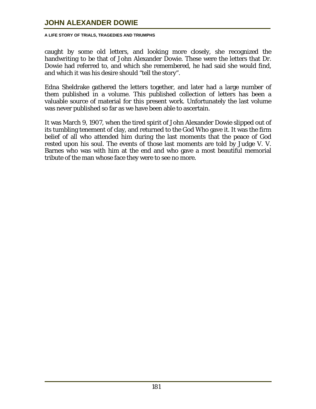**A LIFE STORY OF TRIALS, TRAGEDIES AND TRIUMPHS** 

caught by some old letters, and looking more closely, she recognized the handwriting to be that of John Alexander Dowie. These were the letters that Dr. Dowie had referred to, and which she remembered, he had said she would find, and which it was his desire should "tell the story".

Edna Sheldrake gathered the letters together, and later had a large number of them published in a volume. This published collection of letters has been a valuable source of material for this present work. Unfortunately the last volume was never published so far as we have been able to ascertain.

It was March 9, 1907, when the tired spirit of John Alexander Dowie slipped out of its tumbling tenement of clay, and returned to the God Who gave it. It was the firm belief of all who attended him during the last moments that the peace of God rested upon his soul. The events of those last moments are told by Judge V. V. Barnes who was with him at the end and who gave a most beautiful memorial tribute of the man whose face they were to see no more.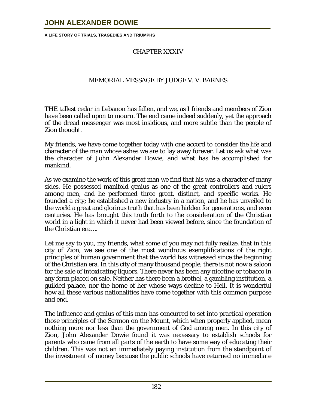**A LIFE STORY OF TRIALS, TRAGEDIES AND TRIUMPHS** 

### CHAPTER XXXIV

### MEMORIAL MESSAGE BY JUDGE V. V. BARNES

THE tallest cedar in Lebanon has fallen, and we, as I friends and members of Zion have been called upon to mourn. The end came indeed suddenly, yet the approach of the dread messenger was most insidious, and more subtle than the people of Zion thought.

My friends, we have come together today with one accord to consider the life and character of the man whose ashes we are to lay away forever. Let us ask what was the character of John Alexander Dowie, and what has he accomplished for mankind.

As we examine the work of this great man we find that his was a character of many sides. He possessed manifold genius as one of the great controllers and rulers among men, and he performed three great, distinct, and specific works. He founded a city; he established a new industry in a nation, and he has unveiled to the world a great and glorious truth that has been hidden for generations, and even centuries. He has brought this truth forth to the consideration of the Christian world in a light in which it never had been viewed before, since the foundation of the Christian era….

Let me say to you, my friends, what some of you may not fully realize, that in this city of Zion, we see one of the most wondrous exemplifications of the right principles of human government that the world has witnessed since the beginning of the Christian era. In this city of many thousand people, there is not now a saloon for the sale of intoxicating liquors. There never has been any nicotine or tobacco in any form placed on sale. Neither has there been a brothel, a gambling institution, a guilded palace, nor the home of her whose ways decline to Hell. It is wonderful how all these various nationalities have come together with this common purpose and end.

The influence and genius of this man has concurred to set into practical operation those principles of the Sermon on the Mount, which when properly applied, mean nothing more nor less than the government of God among men. In this city of Zion, John Alexander Dowie found it was necessary to establish schools for parents who came from all parts of the earth to have some way of educating their children. This was not an immediately paying institution from the standpoint of the investment of money because the public schools have returned no immediate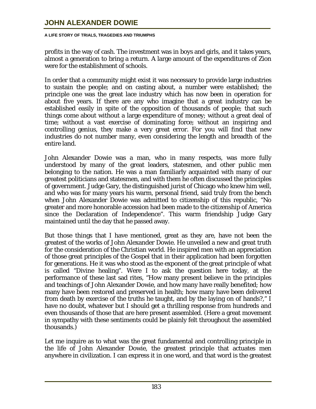**A LIFE STORY OF TRIALS, TRAGEDIES AND TRIUMPHS** 

profits in the way of cash. The investment was in boys and girls, and it takes years, almost a generation to bring a return. A large amount of the expenditures of Zion were for the establishment of schools.

In order that a community might exist it was necessary to provide large industries to sustain the people; and on casting about, a number were established; the principle one was the great lace industry which has now been in operation for about five years. If there are any who imagine that a great industry can be established easily in spite of the opposition of thousands of people; that such things come about without a large expenditure of money; without a great deal of time; without a vast exercise of dominating force; without an inspiring and controlling genius, they make a very great error. For you will find that new industries do not number many, even considering the length and breadth of the entire land.

John Alexander Dowie was a man, who in many respects, was more fully understood by many of the great leaders, statesmen, and other public men belonging to the nation. He was a man familiarly acquainted with many of our greatest politicians and statesmen, and with them he often discussed the principles of government. Judge Gary, the distinguished jurist of Chicago who knew him well, and who was for many years his warm, personal friend, said truly from the bench when John Alexander Dowie was admitted to citizenship of this republic, "No greater and more honorable accession had been made to the citizenship of America since the Declaration of Independence". This warm friendship Judge Gary maintained until the day that he passed away.

But those things that I have mentioned, great as they are, have not been the greatest of the works of John Alexander Dowie. He unveiled a new and great truth for the consideration of the Christian world. He inspired men with an appreciation of those great principles of the Gospel that in their application had been forgotten for generations. He it was who stood as the exponent of the great principle of what is called "Divine healing". Were I to ask the question here today, at the performance of these last sad rites, "How many present believe in the principles and teachings of John Alexander Dowie, and how many have really benefited; how many have been restored and preserved in health; how many have been delivered from death by exercise of the truths he taught, and by the laying on of hands?," I have no doubt, whatever but I should get a thrilling response from hundreds and even thousands of those that are here present assembled. (Here a great movement in sympathy with these sentiments could be plainly felt throughout the assembled thousands.)

Let me inquire as to what was the great fundamental and controlling principle in the life of John Alexander Dowie, the greatest principle that actuates men anywhere in civilization. I can express it in one word, and that word is the greatest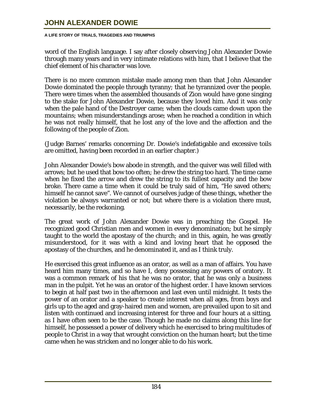**A LIFE STORY OF TRIALS, TRAGEDIES AND TRIUMPHS** 

word of the English language. I say after closely observing John Alexander Dowie through many years and in very intimate relations with him, that I believe that the chief element of his character was love.

There is no more common mistake made among men than that John Alexander Dowie dominated the people through tyranny; that he tyrannized over the people. There were times when the assembled thousands of Zion would have gone singing to the stake for John Alexander Dowie, because they loved him. And it was only when the pale hand of the Destroyer came; when the clouds came down upon the mountains; when misunderstandings arose; when he reached a condition in which he was not really himself, that he lost any of the love and the affection and the following of the people of Zion.

(Judge Barnes' remarks concerning Dr. Dowie's indefatigable and excessive toils are omitted, having been recorded in an earlier chapter.)

John Alexander Dowie's bow abode in strength, and the quiver was well filled with arrows; but he used that bow too often; he drew the string too hard. The time came when he fixed the arrow and drew the string to its fullest capacity and the bow broke. There came a time when it could be truly said of him, "He saved others; himself he cannot save". We cannot of ourselves judge of these things, whether the violation be always warranted or not; but where there is a violation there must, necessarily, be the reckoning.

The great work of John Alexander Dowie was in preaching the Gospel. He recognized good Christian men and women in every denomination; but he simply taught to the world the apostasy of the church; and in this, again, he was greatly misunderstood, for it was with a kind and loving heart that he opposed the apostasy of the churches, and he denominated it, and as I think truly.

He exercised this great influence as an orator, as well as a man of affairs. You have heard him many times, and so have I, deny possessing any powers of oratory. It was a common remark of his that he was no orator, that he was only a business man in the pulpit. Yet he was an orator of the highest order. I have known services to begin at half past two in the afternoon and last even until midnight. It tests the power of an orator and a speaker to create interest when all ages, from boys and girls up to the aged and gray-haired men and women, are prevailed upon to sit and listen with continued and increasing interest for three and four hours at a sitting, as I have often seen to be the case. Though he made no claims along this line for himself, he possessed a power of delivery which he exercised to bring multitudes of people to Christ in a way that wrought conviction on the human heart; but the time came when he was stricken and no longer able to do his work.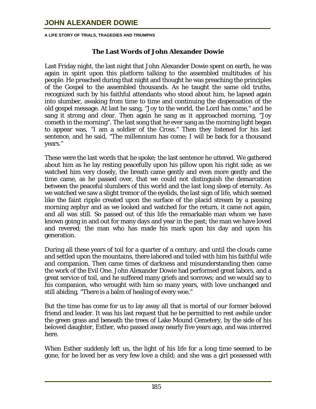**A LIFE STORY OF TRIALS, TRAGEDIES AND TRIUMPHS** 

## **The Last Words of John Alexander Dowie**

Last Friday night, the last night that John Alexander Dowie spent on earth, he was again in spirit upon this platform talking to the assembled multitudes of his people. He preached during that night and thought he was preaching the principles of the Gospel to the assembled thousands. As he taught the same old truths, recognized such by his faithful attendants who stood about him, he lapsed again into slumber, awaking from time to time and continuing the dispensation of the old gospel message. At last he sang, "Joy to the world, the Lord has come," and he sang it strong and clear. Then again he sang as it approached morning, "Joy cometh in the morning". The last song that he ever sang as the morning light began to appear was, "I am a soldier of the Cross." Then they listened for his last sentence, and he said, "The millennium has come; I will be back for a thousand years."

These were the last words that he spoke; the last sentence he uttered. We gathered about him as he lay resting peacefully upon his pillow upon his right side; as we watched him very closely, the breath came gently and even more gently and the time came, as he passed over, that we could not distinguish the demarcation between the peaceful slumbers of this world and the last long sleep of eternity. As we watched we saw a slight tremor of the eyelids, the last sign of life, which seemed like the faint ripple created upon the surface of the placid stream by a passing morning zephyr and as we looked and watched for the return, it came not again, and all was still. So passed out of this life the remarkable man whom we have known going in and out for many days and year in the past; the man we have loved and revered; the man who has made his mark upon his day and upon his generation.

During all these years of toil for a quarter of a century, and until the clouds came and settled upon the mountains, there labored and toiled with him his faithful wife and companion. Then came times of darkness and misunderstanding then came the work of the Evil One. John Alexander Dowie had performed great labors, and a great service of toil, and he suffered many griefs and sorrows; and we would say to his companion, who wrought with him so many years, with love unchanged and still abiding, "There is a balm of healing of every woe."

But the time has come for us to lay away all that is mortal of our former beloved friend and leader. It was his last request that he be permitted to rest awhile under the green grass and beneath the trees of Lake Mound Cemetery, by the side of his beloved daughter, Esther, who passed away nearly five years ago, and was interred here.

When Esther suddenly left us, the light of his life for a long time seemed to be gone, for he loved her as very few love a child; and she was a girl possessed with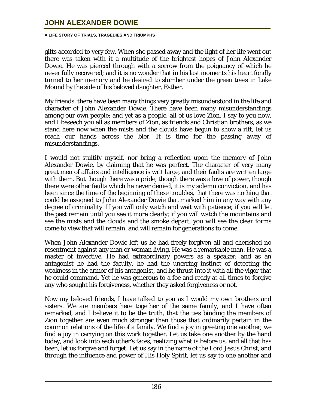**A LIFE STORY OF TRIALS, TRAGEDIES AND TRIUMPHS** 

gifts accorded to very few. When she passed away and the light of her life went out there was taken with it a multitude of the brightest hopes of John Alexander Dowie. He was pierced through with a sorrow from the poignancy of which he never fully recovered; and it is no wonder that in his last moments his heart fondly turned to her memory and he desired to slumber under the green trees in Lake Mound by the side of his beloved daughter, Esther.

My friends, there have been many things very greatly misunderstood in the life and character of John Alexander Dowie. There have been many misunderstandings among our own people; and yet as a people, all of us love Zion. I say to you now, and I beseech you all as members of Zion, as friends and Christian brothers, as we stand here now when the mists and the clouds have begun to show a rift, let us reach our hands across the bier. It is time for the passing away of misunderstandings.

I would not stultify myself, nor bring a reflection upon the memory of John Alexander Dowie, by claiming that he was perfect. The character of very many great men of affairs and intelligence is writ large, and their faults are written large with them. But though there was a pride, though there was a love of power, though there were other faults which he never denied, it is my solemn conviction, and has been since the time of the beginning of these troubles, that there was nothing that could be assigned to John Alexander Dowie that marked him in any way with any degree of criminality. If you will only watch and wait with patience; if you will let the past remain until you see it more clearly; if you will watch the mountains and see the mists and the clouds and the smoke depart, you will see the clear forms come to view that will remain, and will remain for generations to come.

When John Alexander Dowie left us he had freely forgiven all and cherished no resentment against any man or woman living. He was a remarkable man. He was a master of invective. He had extraordinary powers as a speaker; and as an antagonist he had the faculty, he had the unerring instinct of detecting the weakness in the armor of his antagonist, and he thrust into it with all the vigor that he could command. Yet he was generous to a foe and ready at all times to forgive any who sought his forgiveness, whether they asked forgiveness or not.

Now my beloved friends, I have talked to you as I would my own brothers and sisters. We are members here together of the same family, and I have often remarked, and I believe it to be the truth, that the ties binding the members of Zion together are even much stronger than those that ordinarily pertain in the common relations of the life of a family. We find a joy in greeting one another; we find a joy in carrying on this work together. Let us take one another by the hand today, and look into each other's faces, realizing what is before us, and all that has been, let us forgive and forget. Let us say in the name of the Lord Jesus Christ, and through the influence and power of His Holy Spirit, let us say to one another and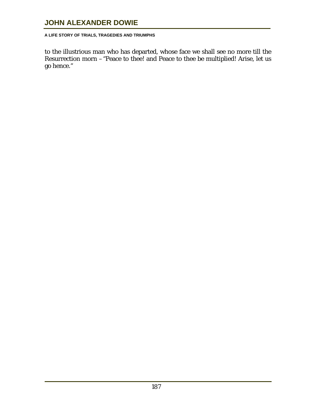**A LIFE STORY OF TRIALS, TRAGEDIES AND TRIUMPHS** 

to the illustrious man who has departed, whose face we shall see no more till the Resurrection morn –"Peace to thee! and Peace to thee be multiplied! Arise, let us go hence."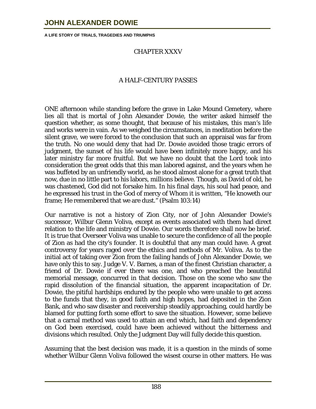**A LIFE STORY OF TRIALS, TRAGEDIES AND TRIUMPHS** 

## CHAPTER XXXV

### A HALF-CENTURY PASSES

ONE afternoon while standing before the grave in Lake Mound Cemetery, where lies all that is mortal of John Alexander Dowie, the writer asked himself the question whether, as some thought, that because of his mistakes, this man's life and works were in vain. As we weighed the circumstances, in meditation before the silent grave, we were forced to the conclusion that such an appraisal was far from the truth. No one would deny that had Dr. Dowie avoided those tragic errors of judgment, the sunset of his life would have been infinitely more happy, and his later ministry far more fruitful. But we have no doubt that the Lord took into consideration the great odds that this man labored against, and the years when he was buffeted by an unfriendly world, as he stood almost alone for a great truth that now, due in no little part to his labors, millions believe. Though, as David of old, he was chastened, God did not forsake him. In his final days, his soul had peace, and he expressed his trust in the God of mercy of Whom it is written, "He knoweth our frame; He remembered that we are dust." (Psalm 103:14)

Our narrative is not a history of Zion City, nor of John Alexander Dowie's successor, Wilbur Glenn Voliva, except as events associated with them had direct relation to the life and ministry of Dowie. Our words therefore shall now be brief. It is true that Overseer Voliva was unable to secure the confidence of all the people of Zion as had the city's founder. It is doubtful that any man could have. A great controversy for years raged over the ethics and methods of Mr. Voliva. As to the initial act of taking over Zion from the failing hands of John Alexander Dowie, we have only this to say. Judge V. V. Barnes, a man of the finest Christian character, a friend of Dr. Dowie if ever there was one, and who preached the beautiful memorial message, concurred in that decision. Those on the scene who saw the rapid dissolution of the financial situation, the apparent incapacitation of Dr. Dowie, the pitiful hardships endured by the people who were unable to get access to the funds that they, in good faith and high hopes, had deposited in the Zion Bank, and who saw disaster and receivership steadily approaching, could hardly be blamed for putting forth some effort to save the situation. However, some believe that a carnal method was used to attain an end which, had faith and dependency on God been exercised, could have been achieved without the bitterness and divisions which resulted. Only the Judgment Day will fully decide this question.

Assuming that the best decision was made, it is a question in the minds of some whether Wilbur Glenn Voliva followed the wisest course in other matters. He was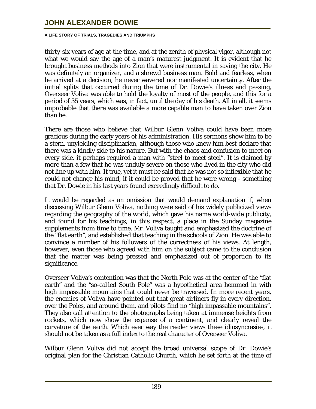**A LIFE STORY OF TRIALS, TRAGEDIES AND TRIUMPHS** 

thirty-six years of age at the time, and at the zenith of physical vigor, although not what we would say the age of a man's maturest judgment. It is evident that he brought business methods into Zion that were instrumental in saving the city. He was definitely an organizer, and a shrewd business man. Bold and fearless, when he arrived at a decision, he never wavered nor manifested uncertainty. After the initial splits that occurred during the time of Dr. Dowie's illness and passing, Overseer Voliva was able to hold the loyalty of most of the people, and this for a period of 35 years, which was, in fact, until the day of his death. All in all, it seems improbable that there was available a more capable man to have taken over Zion than he.

There are those who believe that Wilbur Glenn Voliva could have been more gracious during the early years of his administration. His sermons show him to be a stern, unyielding disciplinarian, although those who knew him best declare that there was a kindly side to his nature. But with the chaos and confusion to meet on every side, it perhaps required a man with "steel to meet steel". It is claimed by more than a few that he was unduly severe on those who lived in the city who did not line up with him. If true, yet it must be said that he was not so inflexible that he could not change his mind, if it could be proved that he were wrong - something that Dr. Dowie in his last years found exceedingly difficult to do.

It would be regarded as an omission that would demand explanation if, when discussing Wilbur Glenn Voliva, nothing were said of his widely publicized views regarding the geography of the world, which gave his name world-wide publicity, and found for his teachings, in this respect, a place in the Sunday magazine supplements from time to time. Mr. Voliva taught and emphasized the doctrine of the "flat earth", and established that teaching in the schools of Zion. He was able to convince a number of his followers of the correctness of his views. At length, however, even those who agreed with him on the subject came to the conclusion that the matter was being pressed and emphasized out of proportion to its significance.

Overseer Voliva's contention was that the North Pole was at the center of the "flat earth" and the "so-cal1ed South Pole" was a hypothetical area hemmed in with high impassable mountains that could never be traversed. In more recent years, the enemies of Voliva have pointed out that great airliners fly in every direction, over the Poles, and around them, and pilots find no "high impassable mountains". They also call attention to the photographs being taken at immense heights from rockets, which now show the expanse of a continent, and clearly reveal the curvature of the earth. Which ever way the reader views these idiosyncrasies, it should not be taken as a full index to the real character of Overseer Voliva.

Wilbur Glenn Voliva did not accept the broad universal scope of Dr. Dowie's original plan for the Christian Catholic Church, which he set forth at the time of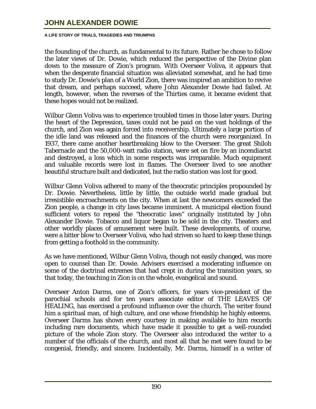**A LIFE STORY OF TRIALS, TRAGEDIES AND TRIUMPHS** 

the founding of the church, as fundamental to its future. Rather he chose to follow the later views of Dr. Dowie, which reduced the perspective of the Divine plan down to the measure of Zion's program. With Overseer Voliva, it appears that when the desperate financial situation was alleviated somewhat, and he had time to study Dr. Dowie's plan of a World Zion, there was inspired an ambition to revive that dream, and perhaps succeed, where John Alexander Dowie had failed. At length, however, when the reverses of the Thirties came, it became evident that these hopes would not be realized.

Wilbur Glenn Voliva was to experience troubled times in those later years. During the heart of the Depression, taxes could not be paid on the vast holdings of the church, and Zion was again forced into receivership. Ultimately a large portion of the idle land was released and the finances of the church were reorganized. In 1937, there came another heartbreaking blow to the Overseer. The great Shiloh Tabernacle and the 50,000-watt radio station, were set on fire by an incendiarist and destroyed, a loss which in some respects was irreparable. Much equipment and valuable records were lost in flames. The Overseer lived to see another beautiful structure built and dedicated, but the radio station was lost for good.

Wilbur Glenn Voliva adhered to many of the theocratic principles propounded by Dr. Dowie. Nevertheless, little by little, the outside world made gradual but irresistible encroachments on the city. When at last the newcomers exceeded the Zion people, a change in city laws became imminent. A municipal election found sufficient voters to repeal the "theocratic laws" originally instituted by John Alexander Dowie. Tobacco and liquor began to be sold in the city. Theaters and other worldly places of amusement were built. These developments, of course, were a bitter blow to Overseer Voliva, who had striven so hard to keep these things from getting a foothold in the community.

As we have mentioned, Wilbur Glenn Voliva, though not easily changed, was more open to counsel than Dr. Dowie. Advisers exercised a moderating influence on some of the doctrinal extremes that had crept in during the transition years, so that today, the teaching in Zion is on the whole, evangelical and sound.

Overseer Anton Darms, one of Zion's officers, for years vice-president of the parochial schools and for ten years associate editor of THE LEAVES OF HEALING, has exercised a profound influence over the church. The writer found him a spiritual man, of high culture, and one whose friendship he highly esteems. Overseer Darms has shown every courtesy in making available to him records including rare documents, which have made it possible to get a well-rounded picture of the whole Zion story. The Overseer also introduced the writer to a number of the officials of the church, and most all that he met were found to be congenial, friendly, and sincere. Incidentally, Mr. Darms, himself is a writer of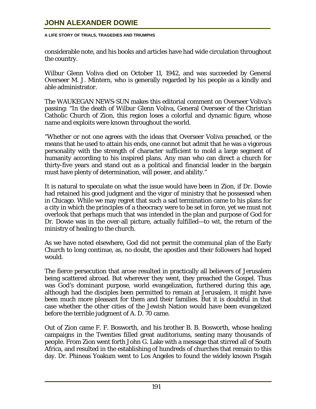**A LIFE STORY OF TRIALS, TRAGEDIES AND TRIUMPHS** 

considerable note, and his books and articles have had wide circulation throughout the country.

Wilbur Glenn Voliva died on October 11, 1942, and was succeeded by General Overseer M. J. Mintern, who is generally regarded by his people as a kindly and able administrator.

The WAUKEGAN NEWS-SUN makes this editorial comment on Overseer Voliva's passing: "In the death of Wilbur Glenn Voliva, General Overseer of the Christian Catholic Church of Zion, this region loses a colorful and dynamic figure, whose name and exploits were known throughout the world.

"Whether or not one agrees with the ideas that Overseer Voliva preached, or the means that he used to attain his ends, one cannot but admit that he was a vigorous personality with the strength of character sufficient to mold a large segment of humanity according to his inspired plans. Any man who can direct a church for thirty-five years and stand out as a political and financial leader in the bargain must have plenty of determination, will power, and ability."

It is natural to speculate on what the issue would have been in Zion, if Dr. Dowie had retained his good judgment and the vigor of ministry that he possessed when in Chicago. While we may regret that such a sad termination came to his plans for a city in which the principles of a theocracy were to be set in force, yet we must not overlook that perhaps much that was intended in the plan and purpose of God for Dr. Dowie was in the over-all picture, actually fulfilled—to wit, the return of the ministry of healing to the church.

As we have noted elsewhere, God did not permit the communal plan of the Early Church to long continue, as, no doubt, the apostles and their followers had hoped would.

The fierce persecution that arose resulted in practically all believers of Jerusalem being scattered abroad. But wherever they went, they preached the Gospel. Thus was God's dominant purpose, world evangelization, furthered during this age, although had the disciples been permitted to remain at Jerusalem, it might have been much more pleasant for them and their families. But it is doubtful in that case whether the other cities of the Jewish Nation would have been evangelized before the terrible judgment of A. D. 70 came.

Out of Zion came F. F. Bosworth, and his brother B. B. Bosworth, whose healing campaigns in the Twenties filled great auditoriums, seating many thousands of people. From Zion went forth John G. Lake with a message that stirred all of South Africa, and resulted in the establishing of hundreds of churches that remain to this day. Dr. Phineas Yoakum went to Los Angeles to found the widely known Pisgah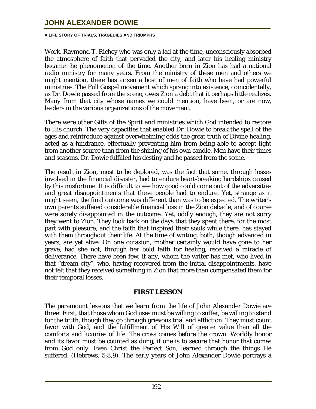**A LIFE STORY OF TRIALS, TRAGEDIES AND TRIUMPHS** 

Work. Raymond T. Richey who was only a lad at the time, unconsciously absorbed the atmosphere of faith that pervaded the city, and later his healing ministry became the phenomenon of the time. Another born in Zion has had a national radio ministry for many years. From the ministry of these men and others we might mention, there has arisen a host of men of faith who have had powerful ministries. The Full Gospel movement which sprang into existence, coincidentally, as Dr. Dowie passed from the scene, owes Zion a debt that it perhaps little realizes. Many from that city whose names we could mention, have been, or are now, leaders in the various organizations of the movement.

There were other Gifts of the Spirit and ministries which God intended to restore to His church. The very capacities that enabled Dr. Dowie to break the spell of the ages and reintroduce against overwhelming odds the great truth of Divine healing, acted as a hindrance, effectually preventing him from being able to accept light from another source than from the shining of his own candle. Men have their times and seasons. Dr. Dowie fulfilled his destiny and he passed from the scene.

The result in Zion, most to be deplored, was the fact that some, through losses involved in the financial disaster, had to endure heart-breaking hardships caused by this misfortune. It is difficult to see how good could come out of the adversities and great disappointments that these people had to endure. Yet, strange as it might seem, the final outcome was different than was to be expected. The writer's own parents suffered considerable financial loss in the Zion debacle, and of course were sorely disappointed in the outcome. Yet, oddly enough, they are not sorry they went to Zion. They look back on the days that they spent there, for the most part with pleasure, and the faith that inspired their souls while there, has stayed with them throughout their life. At the time of writing, both, though advanced in years, are yet alive. On one occasion, mother certainly would have gone to her grave, had she not, through her bold faith for healing, received a miracle of deliverance. There have been few, if any, whom the writer has met, who lived in that "dream city", who, having recovered from the initial disappointments, have not felt that they received something in Zion that more than compensated them for their temporal losses.

### **FIRST LESSON**

The paramount lessons that we learn from the life of John Alexander Dowie are three: First, that those whom God uses must be willing to suffer, be willing to stand for the truth, though they go through grievous trial and affliction. They must count favor with God, and the fulfillment of His Will of greater value than all the comforts and luxuries of life. The cross comes before the crown. Worldly honor and its favor must be counted as dung, if one is to secure that honor that comes from God only. Even Christ the Perfect Son, learned through the things He suffered. (Hebrews. 5:8,9). The early years of John Alexander Dowie portrays a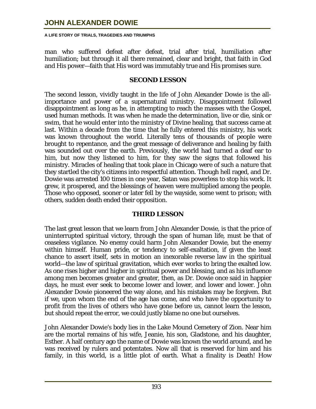**A LIFE STORY OF TRIALS, TRAGEDIES AND TRIUMPHS** 

man who suffered defeat after defeat, trial after trial, humiliation after humiliation; but through it all there remained, clear and bright, that faith in God and His power—faith that His word was immutably true and His promises sure.

#### **SECOND LESSON**

The second lesson, vividly taught in the life of John Alexander Dowie is the allimportance and power of a supernatural ministry. Disappointment followed disappointment as long as he, in attempting to reach the masses with the Gospel, used human methods. It was when he made the determination, live or die, sink or swim, that he would enter into the ministry of Divine healing, that success came at last. Within a decade from the time that he fully entered this ministry, his work was known throughout the world. Literally tens of thousands of people were brought to repentance, and the great message of deliverance and healing by faith was sounded out over the earth. Previously, the world had turned a deaf ear to him, but now they listened to him, for they saw the signs that followed his ministry. Miracles of healing that took place in Chicago were of such a nature that they startled the city's citizens into respectful attention. Though hell raged, and Dr. Dowie was arrested 100 times in one year, Satan was powerless to stop his work. It grew, it prospered, and the blessings of heaven were multiplied among the people. Those who opposed, sooner or later fell by the wayside, some went to prison; with others, sudden death ended their opposition.

### **THIRD LESSON**

The last great lesson that we learn from John Alexander Dowie, is that the price of uninterrupted spiritual victory, through the span of human life, must be that of ceaseless vigilance. No enemy could harm John Alexander Dowie, but the enemy within himself. Human pride, or tendency to self-exaltation, if given the least chance to assert itself, sets in motion an inexorable reverse law in the spiritual world—the law of spiritual gravitation, which ever works to bring the exalted low. As one rises higher and higher in spiritual power and blessing, and as his influence among men becomes greater and greater, then, as Dr. Dowie once said in happier days, he must ever seek to become lower and lower, and lower and lower. John Alexander Dowie pioneered the way alone, and his mistakes may be forgiven. But if we, upon whom the end of the age has come, and who have the opportunity to profit from the lives of others who have gone before us, cannot learn the lesson, but should repeat the error, we could justly blame no one but ourselves.

John Alexander Dowie's body lies in the Lake Mound Cemetery of Zion. Near him are the mortal remains of his wife, Jeanie, his son, Gladstone, and his daughter, Esther. A half century ago the name of Dowie was known the world around, and he was received by rulers and potentates. Now all that is reserved for him and his family, in this world, is a little plot of earth. What a finality is Death! How